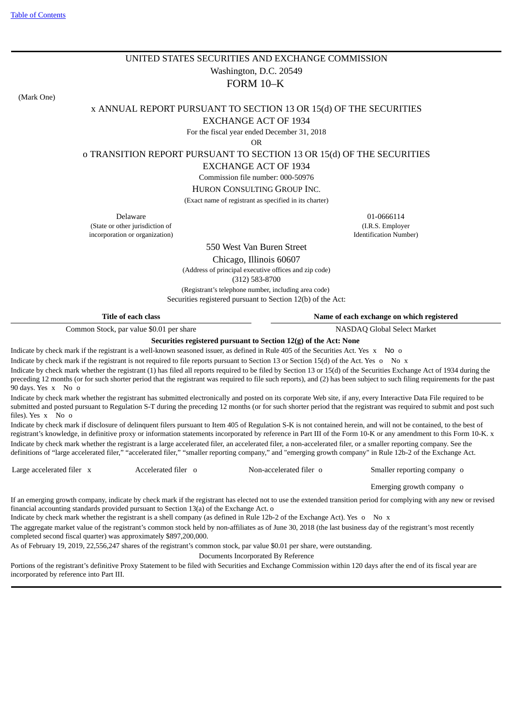# UNITED STATES SECURITIES AND EXCHANGE COMMISSION Washington, D.C. 20549 FORM 10–K

(Mark One)

x ANNUAL REPORT PURSUANT TO SECTION 13 OR 15(d) OF THE SECURITIES

EXCHANGE ACT OF 1934

For the fiscal year ended December 31, 2018

OR

o TRANSITION REPORT PURSUANT TO SECTION 13 OR 15(d) OF THE SECURITIES

EXCHANGE ACT OF 1934

Commission file number: 000-50976

HURON CONSULTING GROUP INC.

(Exact name of registrant as specified in its charter)

Delaware (State or other jurisdiction of incorporation or organization)

01-0666114 (I.R.S. Employer Identification Number)

550 West Van Buren Street Chicago, Illinois 60607 (Address of principal executive offices and zip code) (312) 583-8700 (Registrant's telephone number, including area code)

Securities registered pursuant to Section 12(b) of the Act:

**Title of each class Name of each exchange on which registered**

Common Stock, par value \$0.01 per share NASDAQ Global Select Market

**Securities registered pursuant to Section 12(g) of the Act: None**

Indicate by check mark if the registrant is a well-known seasoned issuer, as defined in Rule 405 of the Securities Act. Yes x No o

Indicate by check mark if the registrant is not required to file reports pursuant to Section 13 or Section 15(d) of the Act. Yes o No x

Indicate by check mark whether the registrant (1) has filed all reports required to be filed by Section 13 or 15(d) of the Securities Exchange Act of 1934 during the preceding 12 months (or for such shorter period that the registrant was required to file such reports), and (2) has been subject to such filing requirements for the past 90 days. Yes x No o

Indicate by check mark whether the registrant has submitted electronically and posted on its corporate Web site, if any, every Interactive Data File required to be submitted and posted pursuant to Regulation S-T during the preceding 12 months (or for such shorter period that the registrant was required to submit and post such files). Yes x No o

Indicate by check mark if disclosure of delinquent filers pursuant to Item 405 of Regulation S-K is not contained herein, and will not be contained, to the best of registrant's knowledge, in definitive proxy or information statements incorporated by reference in Part III of the Form 10-K or any amendment to this Form 10-K. x Indicate by check mark whether the registrant is a large accelerated filer, an accelerated filer, a non-accelerated filer, or a smaller reporting company. See the definitions of "large accelerated filer," "accelerated filer," "smaller reporting company," and "emerging growth company" in Rule 12b-2 of the Exchange Act.

Large accelerated filer x Accelerated filer o Non-accelerated filer o Smaller reporting company o

Emerging growth company o

If an emerging growth company, indicate by check mark if the registrant has elected not to use the extended transition period for complying with any new or revised financial accounting standards provided pursuant to Section 13(a) of the Exchange Act. o

Indicate by check mark whether the registrant is a shell company (as defined in Rule 12b-2 of the Exchange Act). Yes o No x

The aggregate market value of the registrant's common stock held by non-affiliates as of June 30, 2018 (the last business day of the registrant's most recently completed second fiscal quarter) was approximately \$897,200,000.

As of February 19, 2019, 22,556,247 shares of the registrant's common stock, par value \$0.01 per share, were outstanding.

Documents Incorporated By Reference

Portions of the registrant's definitive Proxy Statement to be filed with Securities and Exchange Commission within 120 days after the end of its fiscal year are incorporated by reference into Part III.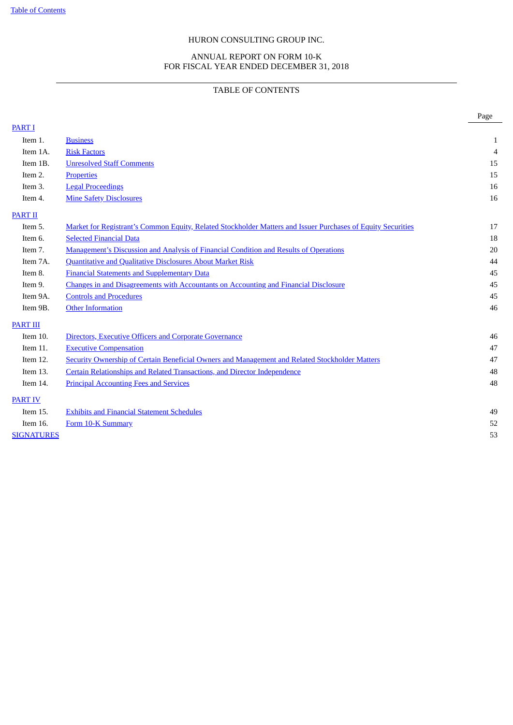# HURON CONSULTING GROUP INC.

## ANNUAL REPORT ON FORM 10-K FOR FISCAL YEAR ENDED DECEMBER 31, 2018

# TABLE OF CONTENTS

<span id="page-1-0"></span>

|                 |                                                                                                              | Page           |
|-----------------|--------------------------------------------------------------------------------------------------------------|----------------|
| <b>PART I</b>   |                                                                                                              |                |
| Item 1.         | <b>Business</b>                                                                                              | $\mathbf{1}$   |
| Item 1A.        | <b>Risk Factors</b>                                                                                          | $\overline{4}$ |
| Item 1B.        | <b>Unresolved Staff Comments</b>                                                                             | 15             |
| Item 2.         | <b>Properties</b>                                                                                            | 15             |
| Item 3.         | <b>Legal Proceedings</b>                                                                                     | 16             |
| Item 4.         | <b>Mine Safety Disclosures</b>                                                                               | 16             |
| <b>PART II</b>  |                                                                                                              |                |
| Item 5.         | Market for Registrant's Common Equity, Related Stockholder Matters and Issuer Purchases of Equity Securities | 17             |
| Item 6.         | <b>Selected Financial Data</b>                                                                               | 18             |
| Item 7.         | Management's Discussion and Analysis of Financial Condition and Results of Operations                        | 20             |
| Item 7A.        | Quantitative and Qualitative Disclosures About Market Risk                                                   | 44             |
| Item 8.         | <b>Financial Statements and Supplementary Data</b>                                                           | 45             |
| Item 9.         | <b>Changes in and Disagreements with Accountants on Accounting and Financial Disclosure</b>                  | 45             |
| Item 9A.        | <b>Controls and Procedures</b>                                                                               | 45             |
| Item 9B.        | <b>Other Information</b>                                                                                     | 46             |
| <b>PART III</b> |                                                                                                              |                |
| Item 10.        | Directors, Executive Officers and Corporate Governance                                                       | 46             |
| Item 11.        | <b>Executive Compensation</b>                                                                                | 47             |
| Item 12.        | <b>Security Ownership of Certain Beneficial Owners and Management and Related Stockholder Matters</b>        | 47             |
| Item 13.        | Certain Relationships and Related Transactions, and Director Independence                                    | 48             |
| Item 14.        | <b>Principal Accounting Fees and Services</b>                                                                | 48             |
| <b>PART IV</b>  |                                                                                                              |                |
| Item 15.        | <b>Exhibits and Financial Statement Schedules</b>                                                            | 49             |
| Item 16.        | Form 10-K Summary                                                                                            | 52             |

**[SIGNATURES](#page-54-0)** [53](#page-54-0)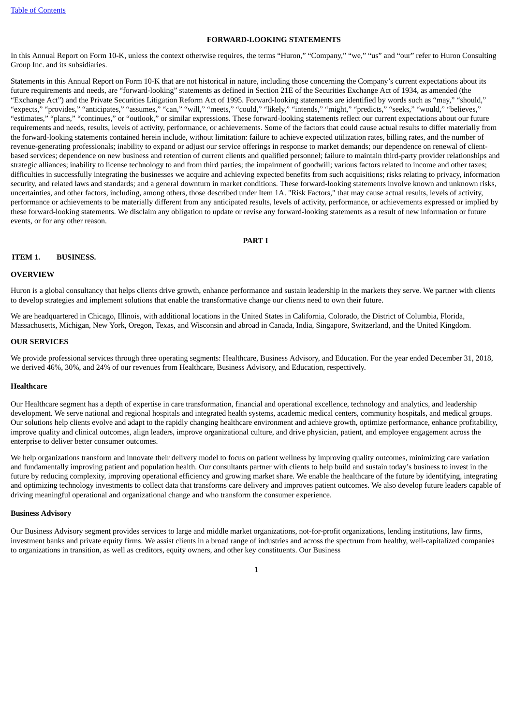#### **FORWARD-LOOKING STATEMENTS**

In this Annual Report on Form 10-K, unless the context otherwise requires, the terms "Huron," "Company," "we," "us" and "our" refer to Huron Consulting Group Inc. and its subsidiaries.

Statements in this Annual Report on Form 10-K that are not historical in nature, including those concerning the Company's current expectations about its future requirements and needs, are "forward-looking" statements as defined in Section 21E of the Securities Exchange Act of 1934, as amended (the "Exchange Act") and the Private Securities Litigation Reform Act of 1995. Forward-looking statements are identified by words such as "may," "should," "expects," "provides," "anticipates," "assumes," "can," "will," "meets," "could," "likely," "intends," "might," "predicts," "seeks," "would," "believes," "estimates," "plans," "continues," or "outlook," or similar expressions. These forward-looking statements reflect our current expectations about our future requirements and needs, results, levels of activity, performance, or achievements. Some of the factors that could cause actual results to differ materially from the forward-looking statements contained herein include, without limitation: failure to achieve expected utilization rates, billing rates, and the number of revenue-generating professionals; inability to expand or adjust our service offerings in response to market demands; our dependence on renewal of clientbased services; dependence on new business and retention of current clients and qualified personnel; failure to maintain third-party provider relationships and strategic alliances; inability to license technology to and from third parties; the impairment of goodwill; various factors related to income and other taxes; difficulties in successfully integrating the businesses we acquire and achieving expected benefits from such acquisitions; risks relating to privacy, information security, and related laws and standards; and a general downturn in market conditions. These forward-looking statements involve known and unknown risks, uncertainties, and other factors, including, among others, those described under Item 1A. "Risk Factors," that may cause actual results, levels of activity, performance or achievements to be materially different from any anticipated results, levels of activity, performance, or achievements expressed or implied by these forward-looking statements. We disclaim any obligation to update or revise any forward-looking statements as a result of new information or future events, or for any other reason.

#### **PART I**

#### <span id="page-2-1"></span><span id="page-2-0"></span>**ITEM 1. BUSINESS.**

#### **OVERVIEW**

Huron is a global consultancy that helps clients drive growth, enhance performance and sustain leadership in the markets they serve. We partner with clients to develop strategies and implement solutions that enable the transformative change our clients need to own their future.

We are headquartered in Chicago, Illinois, with additional locations in the United States in California, Colorado, the District of Columbia, Florida, Massachusetts, Michigan, New York, Oregon, Texas, and Wisconsin and abroad in Canada, India, Singapore, Switzerland, and the United Kingdom.

#### **OUR SERVICES**

We provide professional services through three operating segments: Healthcare, Business Advisory, and Education. For the year ended December 31, 2018, we derived 46%, 30%, and 24% of our revenues from Healthcare, Business Advisory, and Education, respectively.

#### **Healthcare**

Our Healthcare segment has a depth of expertise in care transformation, financial and operational excellence, technology and analytics, and leadership development. We serve national and regional hospitals and integrated health systems, academic medical centers, community hospitals, and medical groups. Our solutions help clients evolve and adapt to the rapidly changing healthcare environment and achieve growth, optimize performance, enhance profitability, improve quality and clinical outcomes, align leaders, improve organizational culture, and drive physician, patient, and employee engagement across the enterprise to deliver better consumer outcomes.

We help organizations transform and innovate their delivery model to focus on patient wellness by improving quality outcomes, minimizing care variation and fundamentally improving patient and population health. Our consultants partner with clients to help build and sustain today's business to invest in the future by reducing complexity, improving operational efficiency and growing market share. We enable the healthcare of the future by identifying, integrating and optimizing technology investments to collect data that transforms care delivery and improves patient outcomes. We also develop future leaders capable of driving meaningful operational and organizational change and who transform the consumer experience.

#### **Business Advisory**

Our Business Advisory segment provides services to large and middle market organizations, not-for-profit organizations, lending institutions, law firms, investment banks and private equity firms. We assist clients in a broad range of industries and across the spectrum from healthy, well-capitalized companies to organizations in transition, as well as creditors, equity owners, and other key constituents. Our Business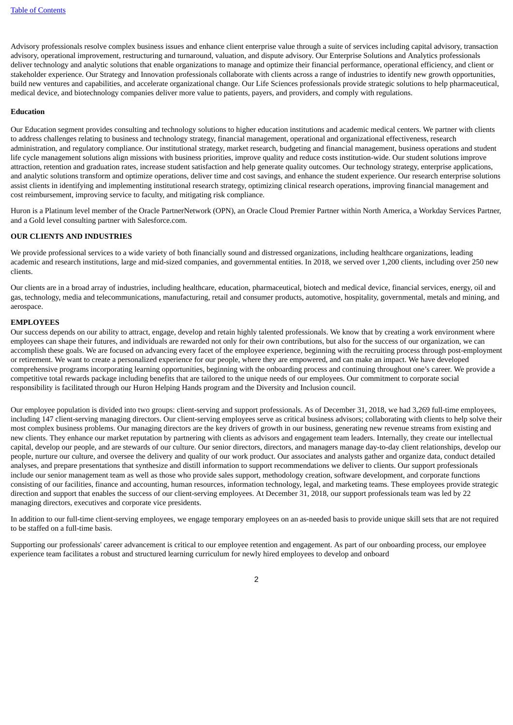Advisory professionals resolve complex business issues and enhance client enterprise value through a suite of services including capital advisory, transaction advisory, operational improvement, restructuring and turnaround, valuation, and dispute advisory. Our Enterprise Solutions and Analytics professionals deliver technology and analytic solutions that enable organizations to manage and optimize their financial performance, operational efficiency, and client or stakeholder experience. Our Strategy and Innovation professionals collaborate with clients across a range of industries to identify new growth opportunities, build new ventures and capabilities, and accelerate organizational change. Our Life Sciences professionals provide strategic solutions to help pharmaceutical, medical device, and biotechnology companies deliver more value to patients, payers, and providers, and comply with regulations.

#### **Education**

Our Education segment provides consulting and technology solutions to higher education institutions and academic medical centers. We partner with clients to address challenges relating to business and technology strategy, financial management, operational and organizational effectiveness, research administration, and regulatory compliance. Our institutional strategy, market research, budgeting and financial management, business operations and student life cycle management solutions align missions with business priorities, improve quality and reduce costs institution-wide. Our student solutions improve attraction, retention and graduation rates, increase student satisfaction and help generate quality outcomes. Our technology strategy, enterprise applications, and analytic solutions transform and optimize operations, deliver time and cost savings, and enhance the student experience. Our research enterprise solutions assist clients in identifying and implementing institutional research strategy, optimizing clinical research operations, improving financial management and cost reimbursement, improving service to faculty, and mitigating risk compliance.

Huron is a Platinum level member of the Oracle PartnerNetwork (OPN), an Oracle Cloud Premier Partner within North America, a Workday Services Partner, and a Gold level consulting partner with Salesforce.com.

## **OUR CLIENTS AND INDUSTRIES**

We provide professional services to a wide variety of both financially sound and distressed organizations, including healthcare organizations, leading academic and research institutions, large and mid-sized companies, and governmental entities. In 2018, we served over 1,200 clients, including over 250 new clients.

Our clients are in a broad array of industries, including healthcare, education, pharmaceutical, biotech and medical device, financial services, energy, oil and gas, technology, media and telecommunications, manufacturing, retail and consumer products, automotive, hospitality, governmental, metals and mining, and aerospace.

#### **EMPLOYEES**

Our success depends on our ability to attract, engage, develop and retain highly talented professionals. We know that by creating a work environment where employees can shape their futures, and individuals are rewarded not only for their own contributions, but also for the success of our organization, we can accomplish these goals. We are focused on advancing every facet of the employee experience, beginning with the recruiting process through post-employment or retirement. We want to create a personalized experience for our people, where they are empowered, and can make an impact. We have developed comprehensive programs incorporating learning opportunities, beginning with the onboarding process and continuing throughout one's career. We provide a competitive total rewards package including benefits that are tailored to the unique needs of our employees. Our commitment to corporate social responsibility is facilitated through our Huron Helping Hands program and the Diversity and Inclusion council.

Our employee population is divided into two groups: client-serving and support professionals. As of December 31, 2018, we had 3,269 full-time employees, including 147 client-serving managing directors. Our client-serving employees serve as critical business advisors; collaborating with clients to help solve their most complex business problems. Our managing directors are the key drivers of growth in our business, generating new revenue streams from existing and new clients. They enhance our market reputation by partnering with clients as advisors and engagement team leaders. Internally, they create our intellectual capital, develop our people, and are stewards of our culture. Our senior directors, directors, and managers manage day-to-day client relationships, develop our people, nurture our culture, and oversee the delivery and quality of our work product. Our associates and analysts gather and organize data, conduct detailed analyses, and prepare presentations that synthesize and distill information to support recommendations we deliver to clients. Our support professionals include our senior management team as well as those who provide sales support, methodology creation, software development, and corporate functions consisting of our facilities, finance and accounting, human resources, information technology, legal, and marketing teams. These employees provide strategic direction and support that enables the success of our client-serving employees. At December 31, 2018, our support professionals team was led by 22 managing directors, executives and corporate vice presidents.

In addition to our full-time client-serving employees, we engage temporary employees on an as-needed basis to provide unique skill sets that are not required to be staffed on a full-time basis.

Supporting our professionals' career advancement is critical to our employee retention and engagement. As part of our onboarding process, our employee experience team facilitates a robust and structured learning curriculum for newly hired employees to develop and onboard

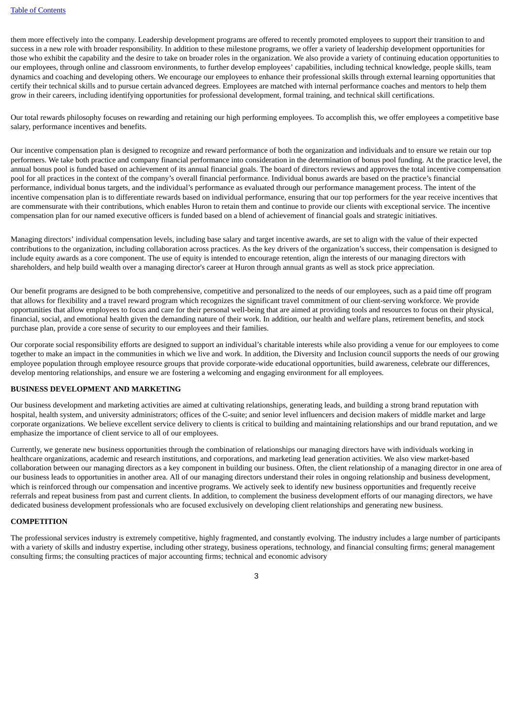them more effectively into the company. Leadership development programs are offered to recently promoted employees to support their transition to and success in a new role with broader responsibility. In addition to these milestone programs, we offer a variety of leadership development opportunities for those who exhibit the capability and the desire to take on broader roles in the organization. We also provide a variety of continuing education opportunities to our employees, through online and classroom environments, to further develop employees' capabilities, including technical knowledge, people skills, team dynamics and coaching and developing others. We encourage our employees to enhance their professional skills through external learning opportunities that certify their technical skills and to pursue certain advanced degrees. Employees are matched with internal performance coaches and mentors to help them grow in their careers, including identifying opportunities for professional development, formal training, and technical skill certifications.

Our total rewards philosophy focuses on rewarding and retaining our high performing employees. To accomplish this, we offer employees a competitive base salary, performance incentives and benefits.

Our incentive compensation plan is designed to recognize and reward performance of both the organization and individuals and to ensure we retain our top performers. We take both practice and company financial performance into consideration in the determination of bonus pool funding. At the practice level, the annual bonus pool is funded based on achievement of its annual financial goals. The board of directors reviews and approves the total incentive compensation pool for all practices in the context of the company's overall financial performance. Individual bonus awards are based on the practice's financial performance, individual bonus targets, and the individual's performance as evaluated through our performance management process. The intent of the incentive compensation plan is to differentiate rewards based on individual performance, ensuring that our top performers for the year receive incentives that are commensurate with their contributions, which enables Huron to retain them and continue to provide our clients with exceptional service. The incentive compensation plan for our named executive officers is funded based on a blend of achievement of financial goals and strategic initiatives.

Managing directors' individual compensation levels, including base salary and target incentive awards, are set to align with the value of their expected contributions to the organization, including collaboration across practices. As the key drivers of the organization's success, their compensation is designed to include equity awards as a core component. The use of equity is intended to encourage retention, align the interests of our managing directors with shareholders, and help build wealth over a managing director's career at Huron through annual grants as well as stock price appreciation.

Our benefit programs are designed to be both comprehensive, competitive and personalized to the needs of our employees, such as a paid time off program that allows for flexibility and a travel reward program which recognizes the significant travel commitment of our client-serving workforce. We provide opportunities that allow employees to focus and care for their personal well-being that are aimed at providing tools and resources to focus on their physical, financial, social, and emotional health given the demanding nature of their work. In addition, our health and welfare plans, retirement benefits, and stock purchase plan, provide a core sense of security to our employees and their families.

Our corporate social responsibility efforts are designed to support an individual's charitable interests while also providing a venue for our employees to come together to make an impact in the communities in which we live and work. In addition, the Diversity and Inclusion council supports the needs of our growing employee population through employee resource groups that provide corporate-wide educational opportunities, build awareness, celebrate our differences, develop mentoring relationships, and ensure we are fostering a welcoming and engaging environment for all employees.

#### **BUSINESS DEVELOPMENT AND MARKETING**

Our business development and marketing activities are aimed at cultivating relationships, generating leads, and building a strong brand reputation with hospital, health system, and university administrators; offices of the C-suite; and senior level influencers and decision makers of middle market and large corporate organizations. We believe excellent service delivery to clients is critical to building and maintaining relationships and our brand reputation, and we emphasize the importance of client service to all of our employees.

Currently, we generate new business opportunities through the combination of relationships our managing directors have with individuals working in healthcare organizations, academic and research institutions, and corporations, and marketing lead generation activities. We also view market-based collaboration between our managing directors as a key component in building our business. Often, the client relationship of a managing director in one area of our business leads to opportunities in another area. All of our managing directors understand their roles in ongoing relationship and business development, which is reinforced through our compensation and incentive programs. We actively seek to identify new business opportunities and frequently receive referrals and repeat business from past and current clients. In addition, to complement the business development efforts of our managing directors, we have dedicated business development professionals who are focused exclusively on developing client relationships and generating new business.

#### **COMPETITION**

The professional services industry is extremely competitive, highly fragmented, and constantly evolving. The industry includes a large number of participants with a variety of skills and industry expertise, including other strategy, business operations, technology, and financial consulting firms; general management consulting firms; the consulting practices of major accounting firms; technical and economic advisory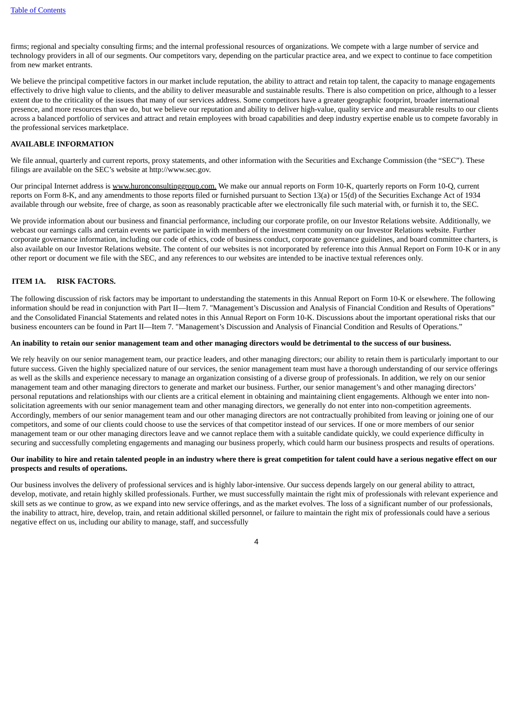firms; regional and specialty consulting firms; and the internal professional resources of organizations. We compete with a large number of service and technology providers in all of our segments. Our competitors vary, depending on the particular practice area, and we expect to continue to face competition from new market entrants.

We believe the principal competitive factors in our market include reputation, the ability to attract and retain top talent, the capacity to manage engagements effectively to drive high value to clients, and the ability to deliver measurable and sustainable results. There is also competition on price, although to a lesser extent due to the criticality of the issues that many of our services address. Some competitors have a greater geographic footprint, broader international presence, and more resources than we do, but we believe our reputation and ability to deliver high-value, quality service and measurable results to our clients across a balanced portfolio of services and attract and retain employees with broad capabilities and deep industry expertise enable us to compete favorably in the professional services marketplace.

#### **AVAILABLE INFORMATION**

We file annual, quarterly and current reports, proxy statements, and other information with the Securities and Exchange Commission (the "SEC"). These filings are available on the SEC's website at http://www.sec.gov.

Our principal Internet address is www.huronconsultinggroup.com. We make our annual reports on Form 10-K, quarterly reports on Form 10-Q, current reports on Form 8-K, and any amendments to those reports filed or furnished pursuant to Section 13(a) or 15(d) of the Securities Exchange Act of 1934 available through our website, free of charge, as soon as reasonably practicable after we electronically file such material with, or furnish it to, the SEC.

We provide information about our business and financial performance, including our corporate profile, on our Investor Relations website. Additionally, we webcast our earnings calls and certain events we participate in with members of the investment community on our Investor Relations website. Further corporate governance information, including our code of ethics, code of business conduct, corporate governance guidelines, and board committee charters, is also available on our Investor Relations website. The content of our websites is not incorporated by reference into this Annual Report on Form 10-K or in any other report or document we file with the SEC, and any references to our websites are intended to be inactive textual references only.

## <span id="page-5-0"></span>**ITEM 1A. RISK FACTORS.**

The following discussion of risk factors may be important to understanding the statements in this Annual Report on Form 10-K or elsewhere. The following information should be read in conjunction with Part II—Item 7. "Management's Discussion and Analysis of Financial Condition and Results of Operations" and the Consolidated Financial Statements and related notes in this Annual Report on Form 10-K. Discussions about the important operational risks that our business encounters can be found in Part II—Item 7. "Management's Discussion and Analysis of Financial Condition and Results of Operations."

## An inability to retain our senior management team and other managing directors would be detrimental to the success of our business.

We rely heavily on our senior management team, our practice leaders, and other managing directors; our ability to retain them is particularly important to our future success. Given the highly specialized nature of our services, the senior management team must have a thorough understanding of our service offerings as well as the skills and experience necessary to manage an organization consisting of a diverse group of professionals. In addition, we rely on our senior management team and other managing directors to generate and market our business. Further, our senior management's and other managing directors' personal reputations and relationships with our clients are a critical element in obtaining and maintaining client engagements. Although we enter into nonsolicitation agreements with our senior management team and other managing directors, we generally do not enter into non-competition agreements. Accordingly, members of our senior management team and our other managing directors are not contractually prohibited from leaving or joining one of our competitors, and some of our clients could choose to use the services of that competitor instead of our services. If one or more members of our senior management team or our other managing directors leave and we cannot replace them with a suitable candidate quickly, we could experience difficulty in securing and successfully completing engagements and managing our business properly, which could harm our business prospects and results of operations.

## Our inability to hire and retain talented people in an industry where there is great competition for talent could have a serious negative effect on our **prospects and results of operations.**

Our business involves the delivery of professional services and is highly labor-intensive. Our success depends largely on our general ability to attract, develop, motivate, and retain highly skilled professionals. Further, we must successfully maintain the right mix of professionals with relevant experience and skill sets as we continue to grow, as we expand into new service offerings, and as the market evolves. The loss of a significant number of our professionals, the inability to attract, hire, develop, train, and retain additional skilled personnel, or failure to maintain the right mix of professionals could have a serious negative effect on us, including our ability to manage, staff, and successfully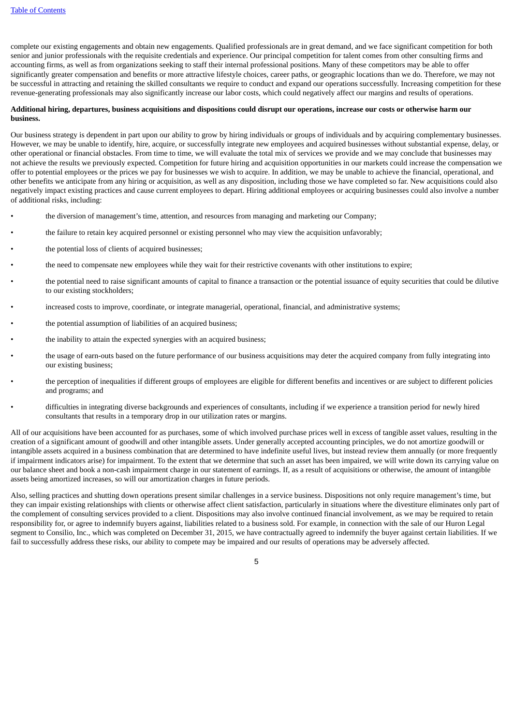complete our existing engagements and obtain new engagements. Qualified professionals are in great demand, and we face significant competition for both senior and junior professionals with the requisite credentials and experience. Our principal competition for talent comes from other consulting firms and accounting firms, as well as from organizations seeking to staff their internal professional positions. Many of these competitors may be able to offer significantly greater compensation and benefits or more attractive lifestyle choices, career paths, or geographic locations than we do. Therefore, we may not be successful in attracting and retaining the skilled consultants we require to conduct and expand our operations successfully. Increasing competition for these revenue-generating professionals may also significantly increase our labor costs, which could negatively affect our margins and results of operations.

## Additional hiring, departures, business acquisitions and dispositions could disrupt our operations, increase our costs or otherwise harm our **business.**

Our business strategy is dependent in part upon our ability to grow by hiring individuals or groups of individuals and by acquiring complementary businesses. However, we may be unable to identify, hire, acquire, or successfully integrate new employees and acquired businesses without substantial expense, delay, or other operational or financial obstacles. From time to time, we will evaluate the total mix of services we provide and we may conclude that businesses may not achieve the results we previously expected. Competition for future hiring and acquisition opportunities in our markets could increase the compensation we offer to potential employees or the prices we pay for businesses we wish to acquire. In addition, we may be unable to achieve the financial, operational, and other benefits we anticipate from any hiring or acquisition, as well as any disposition, including those we have completed so far. New acquisitions could also negatively impact existing practices and cause current employees to depart. Hiring additional employees or acquiring businesses could also involve a number of additional risks, including:

- the diversion of management's time, attention, and resources from managing and marketing our Company;
- the failure to retain key acquired personnel or existing personnel who may view the acquisition unfavorably;
- the potential loss of clients of acquired businesses;
- the need to compensate new employees while they wait for their restrictive covenants with other institutions to expire;
- the potential need to raise significant amounts of capital to finance a transaction or the potential issuance of equity securities that could be dilutive to our existing stockholders;
- increased costs to improve, coordinate, or integrate managerial, operational, financial, and administrative systems;
- the potential assumption of liabilities of an acquired business;
- the inability to attain the expected synergies with an acquired business;
- the usage of earn-outs based on the future performance of our business acquisitions may deter the acquired company from fully integrating into our existing business;
- the perception of inequalities if different groups of employees are eligible for different benefits and incentives or are subject to different policies and programs; and
- difficulties in integrating diverse backgrounds and experiences of consultants, including if we experience a transition period for newly hired consultants that results in a temporary drop in our utilization rates or margins.

All of our acquisitions have been accounted for as purchases, some of which involved purchase prices well in excess of tangible asset values, resulting in the creation of a significant amount of goodwill and other intangible assets. Under generally accepted accounting principles, we do not amortize goodwill or intangible assets acquired in a business combination that are determined to have indefinite useful lives, but instead review them annually (or more frequently if impairment indicators arise) for impairment. To the extent that we determine that such an asset has been impaired, we will write down its carrying value on our balance sheet and book a non-cash impairment charge in our statement of earnings. If, as a result of acquisitions or otherwise, the amount of intangible assets being amortized increases, so will our amortization charges in future periods.

Also, selling practices and shutting down operations present similar challenges in a service business. Dispositions not only require management's time, but they can impair existing relationships with clients or otherwise affect client satisfaction, particularly in situations where the divestiture eliminates only part of the complement of consulting services provided to a client. Dispositions may also involve continued financial involvement, as we may be required to retain responsibility for, or agree to indemnify buyers against, liabilities related to a business sold. For example, in connection with the sale of our Huron Legal segment to Consilio, Inc., which was completed on December 31, 2015, we have contractually agreed to indemnify the buyer against certain liabilities. If we fail to successfully address these risks, our ability to compete may be impaired and our results of operations may be adversely affected.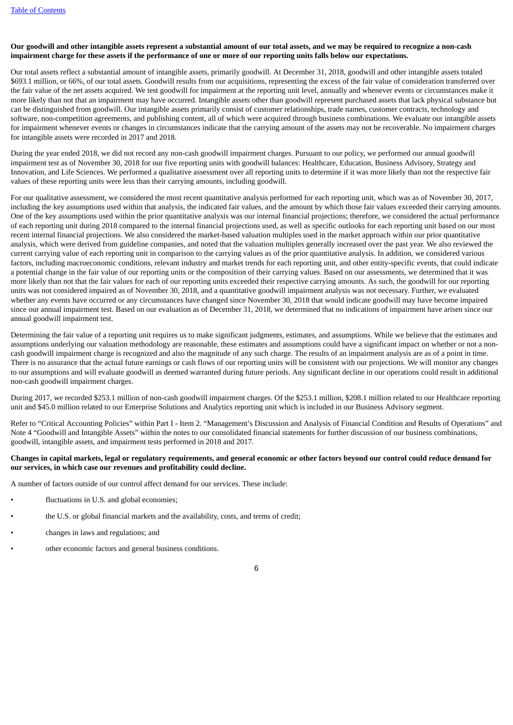## Our goodwill and other intangible assets represent a substantial amount of our total assets, and we may be required to recognize a non-cash impairment charge for these assets if the performance of one or more of our reporting units falls below our expectations.

Our total assets reflect a substantial amount of intangible assets, primarily goodwill. At December 31, 2018, goodwill and other intangible assets totaled \$693.1 million, or 66%, of our total assets. Goodwill results from our acquisitions, representing the excess of the fair value of consideration transferred over the fair value of the net assets acquired. We test goodwill for impairment at the reporting unit level, annually and whenever events or circumstances make it more likely than not that an impairment may have occurred. Intangible assets other than goodwill represent purchased assets that lack physical substance but can be distinguished from goodwill. Our intangible assets primarily consist of customer relationships, trade names, customer contracts, technology and software, non-competition agreements, and publishing content, all of which were acquired through business combinations. We evaluate our intangible assets for impairment whenever events or changes in circumstances indicate that the carrying amount of the assets may not be recoverable. No impairment charges for intangible assets were recorded in 2017 and 2018.

During the year ended 2018, we did not record any non-cash goodwill impairment charges. Pursuant to our policy, we performed our annual goodwill impairment test as of November 30, 2018 for our five reporting units with goodwill balances: Healthcare, Education, Business Advisory, Strategy and Innovation, and Life Sciences. We performed a qualitative assessment over all reporting units to determine if it was more likely than not the respective fair values of these reporting units were less than their carrying amounts, including goodwill.

For our qualitative assessment, we considered the most recent quantitative analysis performed for each reporting unit, which was as of November 30, 2017, including the key assumptions used within that analysis, the indicated fair values, and the amount by which those fair values exceeded their carrying amounts. One of the key assumptions used within the prior quantitative analysis was our internal financial projections; therefore, we considered the actual performance of each reporting unit during 2018 compared to the internal financial projections used, as well as specific outlooks for each reporting unit based on our most recent internal financial projections. We also considered the market-based valuation multiples used in the market approach within our prior quantitative analysis, which were derived from guideline companies, and noted that the valuation multiples generally increased over the past year. We also reviewed the current carrying value of each reporting unit in comparison to the carrying values as of the prior quantitative analysis. In addition, we considered various factors, including macroeconomic conditions, relevant industry and market trends for each reporting unit, and other entity-specific events, that could indicate a potential change in the fair value of our reporting units or the composition of their carrying values. Based on our assessments, we determined that it was more likely than not that the fair values for each of our reporting units exceeded their respective carrying amounts. As such, the goodwill for our reporting units was not considered impaired as of November 30, 2018, and a quantitative goodwill impairment analysis was not necessary. Further, we evaluated whether any events have occurred or any circumstances have changed since November 30, 2018 that would indicate goodwill may have become impaired since our annual impairment test. Based on our evaluation as of December 31, 2018, we determined that no indications of impairment have arisen since our annual goodwill impairment test.

Determining the fair value of a reporting unit requires us to make significant judgments, estimates, and assumptions. While we believe that the estimates and assumptions underlying our valuation methodology are reasonable, these estimates and assumptions could have a significant impact on whether or not a noncash goodwill impairment charge is recognized and also the magnitude of any such charge. The results of an impairment analysis are as of a point in time. There is no assurance that the actual future earnings or cash flows of our reporting units will be consistent with our projections. We will monitor any changes to our assumptions and will evaluate goodwill as deemed warranted during future periods. Any significant decline in our operations could result in additional non-cash goodwill impairment charges.

During 2017, we recorded \$253.1 million of non-cash goodwill impairment charges. Of the \$253.1 million, \$208.1 million related to our Healthcare reporting unit and \$45.0 million related to our Enterprise Solutions and Analytics reporting unit which is included in our Business Advisory segment.

Refer to "Critical Accounting Policies" within Part I - Item 2. "Management's Discussion and Analysis of Financial Condition and Results of Operations" and Note 4 "Goodwill and Intangible Assets" within the notes to our consolidated financial statements for further discussion of our business combinations, goodwill, intangible assets, and impairment tests performed in 2018 and 2017.

#### Changes in capital markets, legal or regulatory requirements, and general economic or other factors beyond our control could reduce demand for **our services, in which case our revenues and profitability could decline.**

A number of factors outside of our control affect demand for our services. These include:

- fluctuations in U.S. and global economies;
- the U.S. or global financial markets and the availability, costs, and terms of credit;
- changes in laws and regulations; and
- other economic factors and general business conditions.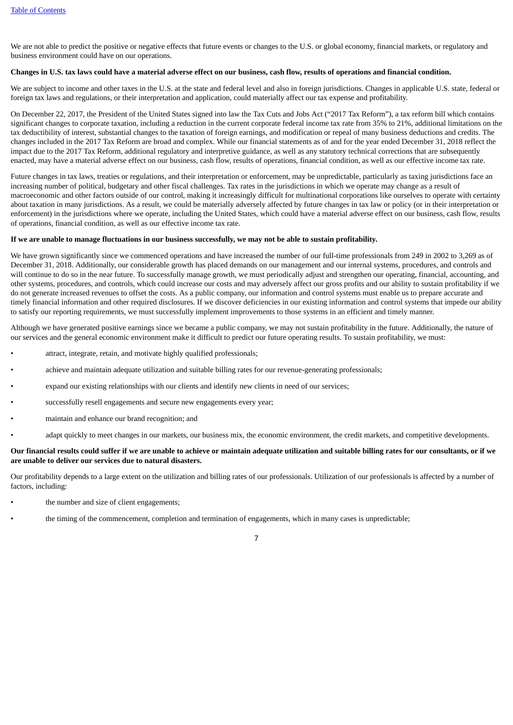We are not able to predict the positive or negative effects that future events or changes to the U.S. or global economy, financial markets, or regulatory and business environment could have on our operations.

#### Changes in U.S. tax laws could have a material adverse effect on our business, cash flow, results of operations and financial condition.

We are subject to income and other taxes in the U.S. at the state and federal level and also in foreign jurisdictions. Changes in applicable U.S. state, federal or foreign tax laws and regulations, or their interpretation and application, could materially affect our tax expense and profitability.

On December 22, 2017, the President of the United States signed into law the Tax Cuts and Jobs Act ("2017 Tax Reform"), a tax reform bill which contains significant changes to corporate taxation, including a reduction in the current corporate federal income tax rate from 35% to 21%, additional limitations on the tax deductibility of interest, substantial changes to the taxation of foreign earnings, and modification or repeal of many business deductions and credits. The changes included in the 2017 Tax Reform are broad and complex. While our financial statements as of and for the year ended December 31, 2018 reflect the impact due to the 2017 Tax Reform, additional regulatory and interpretive guidance, as well as any statutory technical corrections that are subsequently enacted, may have a material adverse effect on our business, cash flow, results of operations, financial condition, as well as our effective income tax rate.

Future changes in tax laws, treaties or regulations, and their interpretation or enforcement, may be unpredictable, particularly as taxing jurisdictions face an increasing number of political, budgetary and other fiscal challenges. Tax rates in the jurisdictions in which we operate may change as a result of macroeconomic and other factors outside of our control, making it increasingly difficult for multinational corporations like ourselves to operate with certainty about taxation in many jurisdictions. As a result, we could be materially adversely affected by future changes in tax law or policy (or in their interpretation or enforcement) in the jurisdictions where we operate, including the United States, which could have a material adverse effect on our business, cash flow, results of operations, financial condition, as well as our effective income tax rate.

### If we are unable to manage fluctuations in our business successfully, we may not be able to sustain profitability.

We have grown significantly since we commenced operations and have increased the number of our full-time professionals from 249 in 2002 to 3,269 as of December 31, 2018. Additionally, our considerable growth has placed demands on our management and our internal systems, procedures, and controls and will continue to do so in the near future. To successfully manage growth, we must periodically adjust and strengthen our operating, financial, accounting, and other systems, procedures, and controls, which could increase our costs and may adversely affect our gross profits and our ability to sustain profitability if we do not generate increased revenues to offset the costs. As a public company, our information and control systems must enable us to prepare accurate and timely financial information and other required disclosures. If we discover deficiencies in our existing information and control systems that impede our ability to satisfy our reporting requirements, we must successfully implement improvements to those systems in an efficient and timely manner.

Although we have generated positive earnings since we became a public company, we may not sustain profitability in the future. Additionally, the nature of our services and the general economic environment make it difficult to predict our future operating results. To sustain profitability, we must:

- attract, integrate, retain, and motivate highly qualified professionals;
- achieve and maintain adequate utilization and suitable billing rates for our revenue-generating professionals;
- expand our existing relationships with our clients and identify new clients in need of our services;
- successfully resell engagements and secure new engagements every year;
- maintain and enhance our brand recognition; and
- adapt quickly to meet changes in our markets, our business mix, the economic environment, the credit markets, and competitive developments.

#### Our financial results could suffer if we are unable to achieve or maintain adequate utilization and suitable billing rates for our consultants, or if we **are unable to deliver our services due to natural disasters.**

Our profitability depends to a large extent on the utilization and billing rates of our professionals. Utilization of our professionals is affected by a number of factors, including:

- the number and size of client engagements;
- the timing of the commencement, completion and termination of engagements, which in many cases is unpredictable;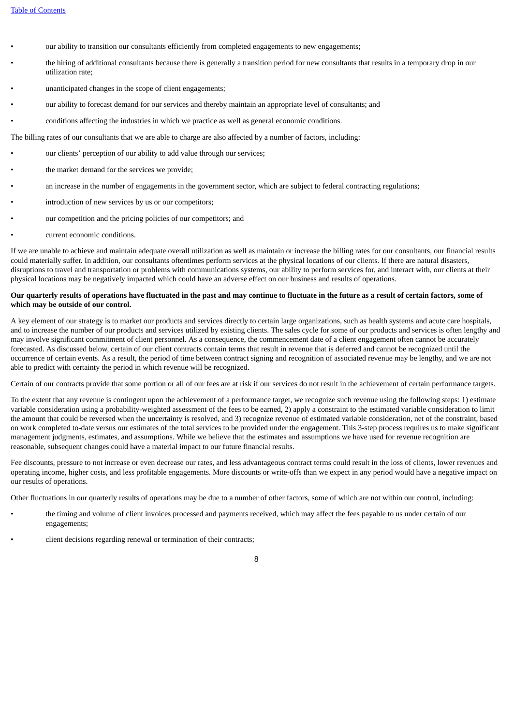- our ability to transition our consultants efficiently from completed engagements to new engagements;
- the hiring of additional consultants because there is generally a transition period for new consultants that results in a temporary drop in our utilization rate;
- unanticipated changes in the scope of client engagements;
- our ability to forecast demand for our services and thereby maintain an appropriate level of consultants; and
- conditions affecting the industries in which we practice as well as general economic conditions.

The billing rates of our consultants that we are able to charge are also affected by a number of factors, including:

- our clients' perception of our ability to add value through our services;
- the market demand for the services we provide;
- an increase in the number of engagements in the government sector, which are subject to federal contracting regulations;
- introduction of new services by us or our competitors;
- our competition and the pricing policies of our competitors; and
- current economic conditions.

If we are unable to achieve and maintain adequate overall utilization as well as maintain or increase the billing rates for our consultants, our financial results could materially suffer. In addition, our consultants oftentimes perform services at the physical locations of our clients. If there are natural disasters, disruptions to travel and transportation or problems with communications systems, our ability to perform services for, and interact with, our clients at their physical locations may be negatively impacted which could have an adverse effect on our business and results of operations.

## Our quarterly results of operations have fluctuated in the past and may continue to fluctuate in the future as a result of certain factors, some of **which may be outside of our control.**

A key element of our strategy is to market our products and services directly to certain large organizations, such as health systems and acute care hospitals, and to increase the number of our products and services utilized by existing clients. The sales cycle for some of our products and services is often lengthy and may involve significant commitment of client personnel. As a consequence, the commencement date of a client engagement often cannot be accurately forecasted. As discussed below, certain of our client contracts contain terms that result in revenue that is deferred and cannot be recognized until the occurrence of certain events. As a result, the period of time between contract signing and recognition of associated revenue may be lengthy, and we are not able to predict with certainty the period in which revenue will be recognized.

Certain of our contracts provide that some portion or all of our fees are at risk if our services do not result in the achievement of certain performance targets.

To the extent that any revenue is contingent upon the achievement of a performance target, we recognize such revenue using the following steps: 1) estimate variable consideration using a probability-weighted assessment of the fees to be earned, 2) apply a constraint to the estimated variable consideration to limit the amount that could be reversed when the uncertainty is resolved, and 3) recognize revenue of estimated variable consideration, net of the constraint, based on work completed to-date versus our estimates of the total services to be provided under the engagement. This 3-step process requires us to make significant management judgments, estimates, and assumptions. While we believe that the estimates and assumptions we have used for revenue recognition are reasonable, subsequent changes could have a material impact to our future financial results.

Fee discounts, pressure to not increase or even decrease our rates, and less advantageous contract terms could result in the loss of clients, lower revenues and operating income, higher costs, and less profitable engagements. More discounts or write-offs than we expect in any period would have a negative impact on our results of operations.

Other fluctuations in our quarterly results of operations may be due to a number of other factors, some of which are not within our control, including:

- the timing and volume of client invoices processed and payments received, which may affect the fees payable to us under certain of our engagements;
- client decisions regarding renewal or termination of their contracts;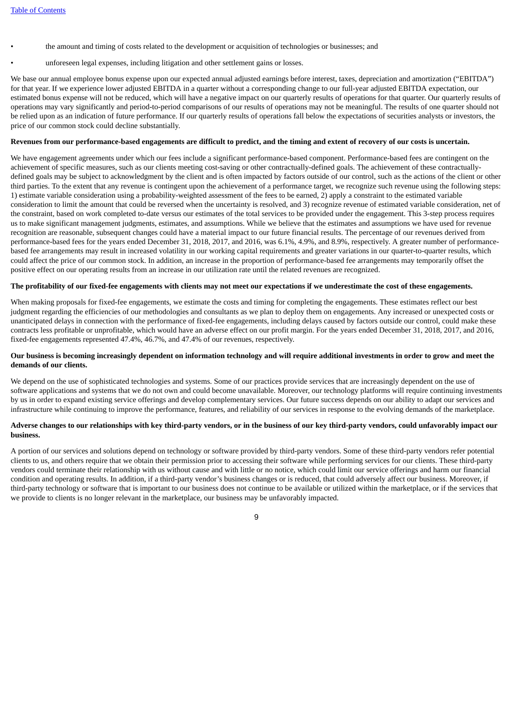- the amount and timing of costs related to the development or acquisition of technologies or businesses; and
- unforeseen legal expenses, including litigation and other settlement gains or losses.

We base our annual employee bonus expense upon our expected annual adjusted earnings before interest, taxes, depreciation and amortization ("EBITDA") for that year. If we experience lower adjusted EBITDA in a quarter without a corresponding change to our full-year adjusted EBITDA expectation, our estimated bonus expense will not be reduced, which will have a negative impact on our quarterly results of operations for that quarter. Our quarterly results of operations may vary significantly and period-to-period comparisons of our results of operations may not be meaningful. The results of one quarter should not be relied upon as an indication of future performance. If our quarterly results of operations fall below the expectations of securities analysts or investors, the price of our common stock could decline substantially.

#### Revenues from our performance-based engagements are difficult to predict, and the timing and extent of recovery of our costs is uncertain.

We have engagement agreements under which our fees include a significant performance-based component. Performance-based fees are contingent on the achievement of specific measures, such as our clients meeting cost-saving or other contractually-defined goals. The achievement of these contractuallydefined goals may be subject to acknowledgment by the client and is often impacted by factors outside of our control, such as the actions of the client or other third parties. To the extent that any revenue is contingent upon the achievement of a performance target, we recognize such revenue using the following steps: 1) estimate variable consideration using a probability-weighted assessment of the fees to be earned, 2) apply a constraint to the estimated variable consideration to limit the amount that could be reversed when the uncertainty is resolved, and 3) recognize revenue of estimated variable consideration, net of the constraint, based on work completed to-date versus our estimates of the total services to be provided under the engagement. This 3-step process requires us to make significant management judgments, estimates, and assumptions. While we believe that the estimates and assumptions we have used for revenue recognition are reasonable, subsequent changes could have a material impact to our future financial results. The percentage of our revenues derived from performance-based fees for the years ended December 31, 2018, 2017, and 2016, was 6.1%, 4.9%, and 8.9%, respectively. A greater number of performancebased fee arrangements may result in increased volatility in our working capital requirements and greater variations in our quarter-to-quarter results, which could affect the price of our common stock. In addition, an increase in the proportion of performance-based fee arrangements may temporarily offset the positive effect on our operating results from an increase in our utilization rate until the related revenues are recognized.

## The profitability of our fixed-fee engagements with clients may not meet our expectations if we underestimate the cost of these engagements.

When making proposals for fixed-fee engagements, we estimate the costs and timing for completing the engagements. These estimates reflect our best judgment regarding the efficiencies of our methodologies and consultants as we plan to deploy them on engagements. Any increased or unexpected costs or unanticipated delays in connection with the performance of fixed-fee engagements, including delays caused by factors outside our control, could make these contracts less profitable or unprofitable, which would have an adverse effect on our profit margin. For the years ended December 31, 2018, 2017, and 2016, fixed-fee engagements represented 47.4%, 46.7%, and 47.4% of our revenues, respectively.

## Our business is becoming increasingly dependent on information technology and will require additional investments in order to grow and meet the **demands of our clients.**

We depend on the use of sophisticated technologies and systems. Some of our practices provide services that are increasingly dependent on the use of software applications and systems that we do not own and could become unavailable. Moreover, our technology platforms will require continuing investments by us in order to expand existing service offerings and develop complementary services. Our future success depends on our ability to adapt our services and infrastructure while continuing to improve the performance, features, and reliability of our services in response to the evolving demands of the marketplace.

## Adverse changes to our relationships with key third-party vendors, or in the business of our key third-party vendors, could unfavorably impact our **business.**

A portion of our services and solutions depend on technology or software provided by third-party vendors. Some of these third-party vendors refer potential clients to us, and others require that we obtain their permission prior to accessing their software while performing services for our clients. These third-party vendors could terminate their relationship with us without cause and with little or no notice, which could limit our service offerings and harm our financial condition and operating results. In addition, if a third-party vendor's business changes or is reduced, that could adversely affect our business. Moreover, if third-party technology or software that is important to our business does not continue to be available or utilized within the marketplace, or if the services that we provide to clients is no longer relevant in the marketplace, our business may be unfavorably impacted.

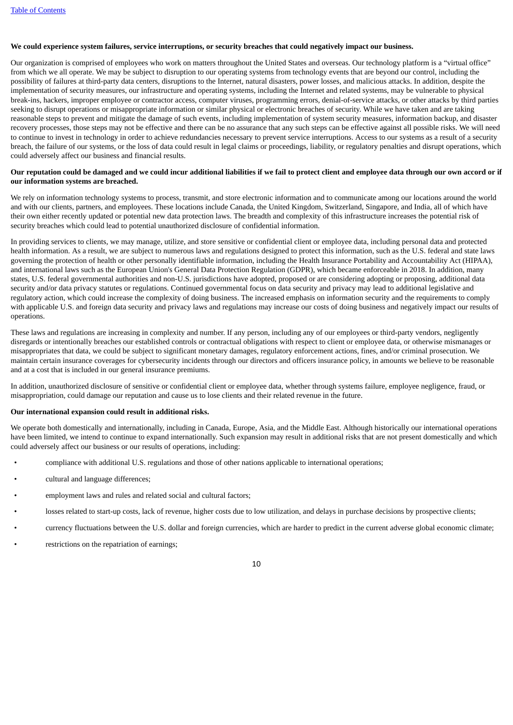## We could experience system failures, service interruptions, or security breaches that could negatively impact our business.

Our organization is comprised of employees who work on matters throughout the United States and overseas. Our technology platform is a "virtual office" from which we all operate. We may be subject to disruption to our operating systems from technology events that are beyond our control, including the possibility of failures at third-party data centers, disruptions to the Internet, natural disasters, power losses, and malicious attacks. In addition, despite the implementation of security measures, our infrastructure and operating systems, including the Internet and related systems, may be vulnerable to physical break-ins, hackers, improper employee or contractor access, computer viruses, programming errors, denial-of-service attacks, or other attacks by third parties seeking to disrupt operations or misappropriate information or similar physical or electronic breaches of security. While we have taken and are taking reasonable steps to prevent and mitigate the damage of such events, including implementation of system security measures, information backup, and disaster recovery processes, those steps may not be effective and there can be no assurance that any such steps can be effective against all possible risks. We will need to continue to invest in technology in order to achieve redundancies necessary to prevent service interruptions. Access to our systems as a result of a security breach, the failure of our systems, or the loss of data could result in legal claims or proceedings, liability, or regulatory penalties and disrupt operations, which could adversely affect our business and financial results.

## Our reputation could be damaged and we could incur additional liabilities if we fail to protect client and employee data through our own accord or if **our information systems are breached.**

We rely on information technology systems to process, transmit, and store electronic information and to communicate among our locations around the world and with our clients, partners, and employees. These locations include Canada, the United Kingdom, Switzerland, Singapore, and India, all of which have their own either recently updated or potential new data protection laws. The breadth and complexity of this infrastructure increases the potential risk of security breaches which could lead to potential unauthorized disclosure of confidential information.

In providing services to clients, we may manage, utilize, and store sensitive or confidential client or employee data, including personal data and protected health information. As a result, we are subject to numerous laws and regulations designed to protect this information, such as the U.S. federal and state laws governing the protection of health or other personally identifiable information, including the Health Insurance Portability and Accountability Act (HIPAA), and international laws such as the European Union's General Data Protection Regulation (GDPR), which became enforceable in 2018. In addition, many states, U.S. federal governmental authorities and non-U.S. jurisdictions have adopted, proposed or are considering adopting or proposing, additional data security and/or data privacy statutes or regulations. Continued governmental focus on data security and privacy may lead to additional legislative and regulatory action, which could increase the complexity of doing business. The increased emphasis on information security and the requirements to comply with applicable U.S. and foreign data security and privacy laws and regulations may increase our costs of doing business and negatively impact our results of operations.

These laws and regulations are increasing in complexity and number. If any person, including any of our employees or third-party vendors, negligently disregards or intentionally breaches our established controls or contractual obligations with respect to client or employee data, or otherwise mismanages or misappropriates that data, we could be subject to significant monetary damages, regulatory enforcement actions, fines, and/or criminal prosecution. We maintain certain insurance coverages for cybersecurity incidents through our directors and officers insurance policy, in amounts we believe to be reasonable and at a cost that is included in our general insurance premiums.

In addition, unauthorized disclosure of sensitive or confidential client or employee data, whether through systems failure, employee negligence, fraud, or misappropriation, could damage our reputation and cause us to lose clients and their related revenue in the future.

#### **Our international expansion could result in additional risks.**

We operate both domestically and internationally, including in Canada, Europe, Asia, and the Middle East. Although historically our international operations have been limited, we intend to continue to expand internationally. Such expansion may result in additional risks that are not present domestically and which could adversely affect our business or our results of operations, including:

- compliance with additional U.S. regulations and those of other nations applicable to international operations;
- cultural and language differences;
- employment laws and rules and related social and cultural factors;
- losses related to start-up costs, lack of revenue, higher costs due to low utilization, and delays in purchase decisions by prospective clients;
- currency fluctuations between the U.S. dollar and foreign currencies, which are harder to predict in the current adverse global economic climate;
- restrictions on the repatriation of earnings;

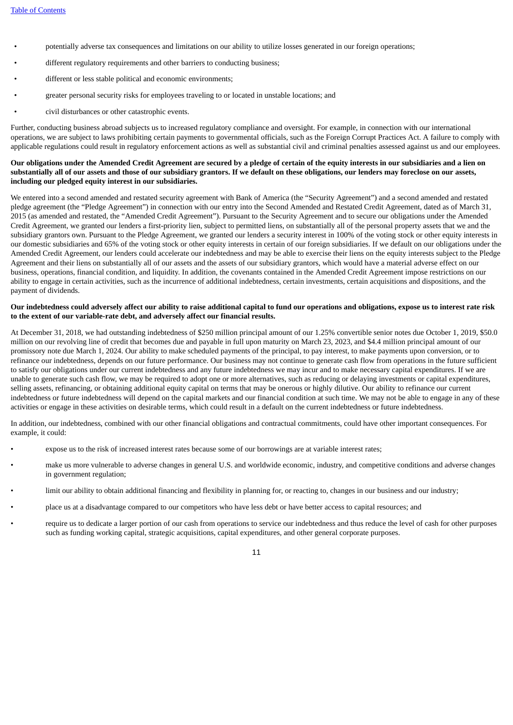- potentially adverse tax consequences and limitations on our ability to utilize losses generated in our foreign operations;
- different regulatory requirements and other barriers to conducting business;
- different or less stable political and economic environments;
- greater personal security risks for employees traveling to or located in unstable locations; and
- civil disturbances or other catastrophic events.

Further, conducting business abroad subjects us to increased regulatory compliance and oversight. For example, in connection with our international operations, we are subject to laws prohibiting certain payments to governmental officials, such as the Foreign Corrupt Practices Act. A failure to comply with applicable regulations could result in regulatory enforcement actions as well as substantial civil and criminal penalties assessed against us and our employees.

## Our obligations under the Amended Credit Agreement are secured by a pledge of certain of the equity interests in our subsidiaries and a lien on substantially all of our assets and those of our subsidiary grantors. If we default on these obligations, our lenders may foreclose on our assets, **including our pledged equity interest in our subsidiaries.**

We entered into a second amended and restated security agreement with Bank of America (the "Security Agreement") and a second amended and restated pledge agreement (the "Pledge Agreement") in connection with our entry into the Second Amended and Restated Credit Agreement, dated as of March 31, 2015 (as amended and restated, the "Amended Credit Agreement"). Pursuant to the Security Agreement and to secure our obligations under the Amended Credit Agreement, we granted our lenders a first-priority lien, subject to permitted liens, on substantially all of the personal property assets that we and the subsidiary grantors own. Pursuant to the Pledge Agreement, we granted our lenders a security interest in 100% of the voting stock or other equity interests in our domestic subsidiaries and 65% of the voting stock or other equity interests in certain of our foreign subsidiaries. If we default on our obligations under the Amended Credit Agreement, our lenders could accelerate our indebtedness and may be able to exercise their liens on the equity interests subject to the Pledge Agreement and their liens on substantially all of our assets and the assets of our subsidiary grantors, which would have a material adverse effect on our business, operations, financial condition, and liquidity. In addition, the covenants contained in the Amended Credit Agreement impose restrictions on our ability to engage in certain activities, such as the incurrence of additional indebtedness, certain investments, certain acquisitions and dispositions, and the payment of dividends.

## Our indebtedness could adversely affect our ability to raise additional capital to fund our operations and obligations, expose us to interest rate risk **to the extent of our variable-rate debt, and adversely affect our financial results.**

At December 31, 2018, we had outstanding indebtedness of \$250 million principal amount of our 1.25% convertible senior notes due October 1, 2019, \$50.0 million on our revolving line of credit that becomes due and payable in full upon maturity on March 23, 2023, and \$4.4 million principal amount of our promissory note due March 1, 2024. Our ability to make scheduled payments of the principal, to pay interest, to make payments upon conversion, or to refinance our indebtedness, depends on our future performance. Our business may not continue to generate cash flow from operations in the future sufficient to satisfy our obligations under our current indebtedness and any future indebtedness we may incur and to make necessary capital expenditures. If we are unable to generate such cash flow, we may be required to adopt one or more alternatives, such as reducing or delaying investments or capital expenditures, selling assets, refinancing, or obtaining additional equity capital on terms that may be onerous or highly dilutive. Our ability to refinance our current indebtedness or future indebtedness will depend on the capital markets and our financial condition at such time. We may not be able to engage in any of these activities or engage in these activities on desirable terms, which could result in a default on the current indebtedness or future indebtedness.

In addition, our indebtedness, combined with our other financial obligations and contractual commitments, could have other important consequences. For example, it could:

- expose us to the risk of increased interest rates because some of our borrowings are at variable interest rates;
- make us more vulnerable to adverse changes in general U.S. and worldwide economic, industry, and competitive conditions and adverse changes in government regulation;
- limit our ability to obtain additional financing and flexibility in planning for, or reacting to, changes in our business and our industry;
- place us at a disadvantage compared to our competitors who have less debt or have better access to capital resources; and
	- require us to dedicate a larger portion of our cash from operations to service our indebtedness and thus reduce the level of cash for other purposes such as funding working capital, strategic acquisitions, capital expenditures, and other general corporate purposes.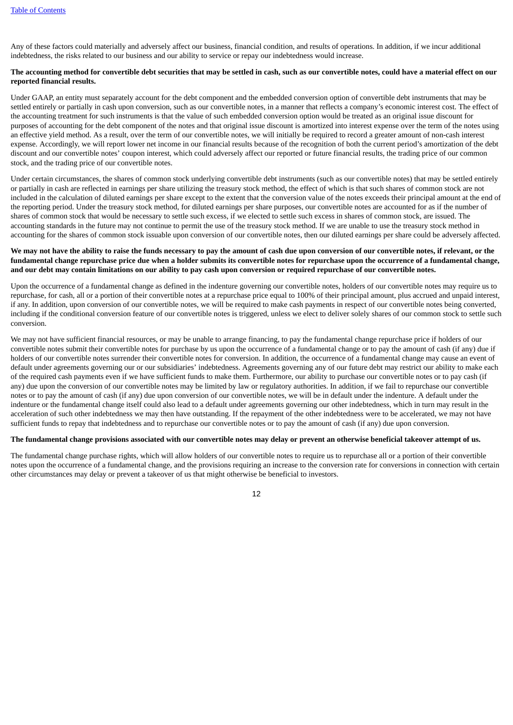Any of these factors could materially and adversely affect our business, financial condition, and results of operations. In addition, if we incur additional indebtedness, the risks related to our business and our ability to service or repay our indebtedness would increase.

## The accounting method for convertible debt securities that may be settled in cash, such as our convertible notes, could have a material effect on our **reported financial results.**

Under GAAP, an entity must separately account for the debt component and the embedded conversion option of convertible debt instruments that may be settled entirely or partially in cash upon conversion, such as our convertible notes, in a manner that reflects a company's economic interest cost. The effect of the accounting treatment for such instruments is that the value of such embedded conversion option would be treated as an original issue discount for purposes of accounting for the debt component of the notes and that original issue discount is amortized into interest expense over the term of the notes using an effective yield method. As a result, over the term of our convertible notes, we will initially be required to record a greater amount of non-cash interest expense. Accordingly, we will report lower net income in our financial results because of the recognition of both the current period's amortization of the debt discount and our convertible notes' coupon interest, which could adversely affect our reported or future financial results, the trading price of our common stock, and the trading price of our convertible notes.

Under certain circumstances, the shares of common stock underlying convertible debt instruments (such as our convertible notes) that may be settled entirely or partially in cash are reflected in earnings per share utilizing the treasury stock method, the effect of which is that such shares of common stock are not included in the calculation of diluted earnings per share except to the extent that the conversion value of the notes exceeds their principal amount at the end of the reporting period. Under the treasury stock method, for diluted earnings per share purposes, our convertible notes are accounted for as if the number of shares of common stock that would be necessary to settle such excess, if we elected to settle such excess in shares of common stock, are issued. The accounting standards in the future may not continue to permit the use of the treasury stock method. If we are unable to use the treasury stock method in accounting for the shares of common stock issuable upon conversion of our convertible notes, then our diluted earnings per share could be adversely affected.

## We may not have the ability to raise the funds necessary to pay the amount of cash due upon conversion of our convertible notes, if relevant, or the fundamental change repurchase price due when a holder submits its convertible notes for repurchase upon the occurrence of a fundamental change, and our debt may contain limitations on our ability to pay cash upon conversion or required repurchase of our convertible notes.

Upon the occurrence of a fundamental change as defined in the indenture governing our convertible notes, holders of our convertible notes may require us to repurchase, for cash, all or a portion of their convertible notes at a repurchase price equal to 100% of their principal amount, plus accrued and unpaid interest, if any. In addition, upon conversion of our convertible notes, we will be required to make cash payments in respect of our convertible notes being converted, including if the conditional conversion feature of our convertible notes is triggered, unless we elect to deliver solely shares of our common stock to settle such conversion.

We may not have sufficient financial resources, or may be unable to arrange financing, to pay the fundamental change repurchase price if holders of our convertible notes submit their convertible notes for purchase by us upon the occurrence of a fundamental change or to pay the amount of cash (if any) due if holders of our convertible notes surrender their convertible notes for conversion. In addition, the occurrence of a fundamental change may cause an event of default under agreements governing our or our subsidiaries' indebtedness. Agreements governing any of our future debt may restrict our ability to make each of the required cash payments even if we have sufficient funds to make them. Furthermore, our ability to purchase our convertible notes or to pay cash (if any) due upon the conversion of our convertible notes may be limited by law or regulatory authorities. In addition, if we fail to repurchase our convertible notes or to pay the amount of cash (if any) due upon conversion of our convertible notes, we will be in default under the indenture. A default under the indenture or the fundamental change itself could also lead to a default under agreements governing our other indebtedness, which in turn may result in the acceleration of such other indebtedness we may then have outstanding. If the repayment of the other indebtedness were to be accelerated, we may not have sufficient funds to repay that indebtedness and to repurchase our convertible notes or to pay the amount of cash (if any) due upon conversion.

#### The fundamental change provisions associated with our convertible notes may delay or prevent an otherwise beneficial takeover attempt of us.

The fundamental change purchase rights, which will allow holders of our convertible notes to require us to repurchase all or a portion of their convertible notes upon the occurrence of a fundamental change, and the provisions requiring an increase to the conversion rate for conversions in connection with certain other circumstances may delay or prevent a takeover of us that might otherwise be beneficial to investors.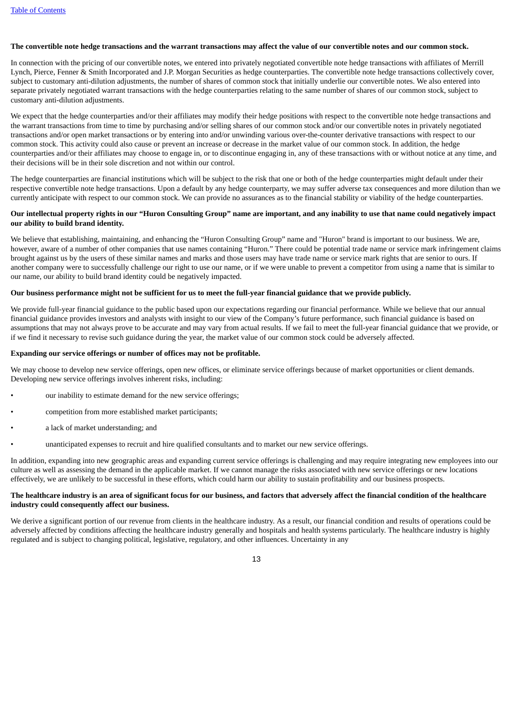## The convertible note hedge transactions and the warrant transactions may affect the value of our convertible notes and our common stock.

In connection with the pricing of our convertible notes, we entered into privately negotiated convertible note hedge transactions with affiliates of Merrill Lynch, Pierce, Fenner & Smith Incorporated and J.P. Morgan Securities as hedge counterparties. The convertible note hedge transactions collectively cover, subject to customary anti-dilution adjustments, the number of shares of common stock that initially underlie our convertible notes. We also entered into separate privately negotiated warrant transactions with the hedge counterparties relating to the same number of shares of our common stock, subject to customary anti-dilution adjustments.

We expect that the hedge counterparties and/or their affiliates may modify their hedge positions with respect to the convertible note hedge transactions and the warrant transactions from time to time by purchasing and/or selling shares of our common stock and/or our convertible notes in privately negotiated transactions and/or open market transactions or by entering into and/or unwinding various over-the-counter derivative transactions with respect to our common stock. This activity could also cause or prevent an increase or decrease in the market value of our common stock. In addition, the hedge counterparties and/or their affiliates may choose to engage in, or to discontinue engaging in, any of these transactions with or without notice at any time, and their decisions will be in their sole discretion and not within our control.

The hedge counterparties are financial institutions which will be subject to the risk that one or both of the hedge counterparties might default under their respective convertible note hedge transactions. Upon a default by any hedge counterparty, we may suffer adverse tax consequences and more dilution than we currently anticipate with respect to our common stock. We can provide no assurances as to the financial stability or viability of the hedge counterparties.

## Our intellectual property rights in our "Huron Consulting Group" name are important, and any inability to use that name could negatively impact **our ability to build brand identity.**

We believe that establishing, maintaining, and enhancing the "Huron Consulting Group" name and "Huron" brand is important to our business. We are, however, aware of a number of other companies that use names containing "Huron." There could be potential trade name or service mark infringement claims brought against us by the users of these similar names and marks and those users may have trade name or service mark rights that are senior to ours. If another company were to successfully challenge our right to use our name, or if we were unable to prevent a competitor from using a name that is similar to our name, our ability to build brand identity could be negatively impacted.

#### Our business performance might not be sufficient for us to meet the full-year financial guidance that we provide publicly.

We provide full-year financial guidance to the public based upon our expectations regarding our financial performance. While we believe that our annual financial guidance provides investors and analysts with insight to our view of the Company's future performance, such financial guidance is based on assumptions that may not always prove to be accurate and may vary from actual results. If we fail to meet the full-year financial guidance that we provide, or if we find it necessary to revise such guidance during the year, the market value of our common stock could be adversely affected.

#### **Expanding our service offerings or number of offices may not be profitable.**

We may choose to develop new service offerings, open new offices, or eliminate service offerings because of market opportunities or client demands. Developing new service offerings involves inherent risks, including:

- our inability to estimate demand for the new service offerings;
- competition from more established market participants;
- a lack of market understanding; and
- unanticipated expenses to recruit and hire qualified consultants and to market our new service offerings.

In addition, expanding into new geographic areas and expanding current service offerings is challenging and may require integrating new employees into our culture as well as assessing the demand in the applicable market. If we cannot manage the risks associated with new service offerings or new locations effectively, we are unlikely to be successful in these efforts, which could harm our ability to sustain profitability and our business prospects.

#### The healthcare industry is an area of significant focus for our business, and factors that adversely affect the financial condition of the healthcare **industry could consequently affect our business.**

We derive a significant portion of our revenue from clients in the healthcare industry. As a result, our financial condition and results of operations could be adversely affected by conditions affecting the healthcare industry generally and hospitals and health systems particularly. The healthcare industry is highly regulated and is subject to changing political, legislative, regulatory, and other influences. Uncertainty in any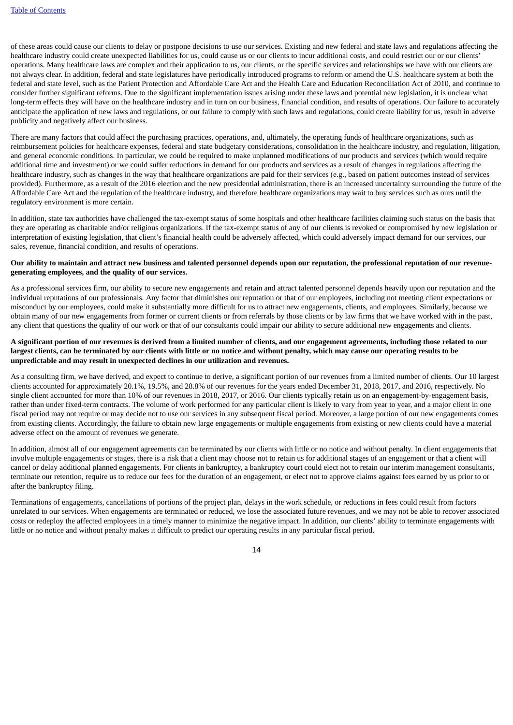of these areas could cause our clients to delay or postpone decisions to use our services. Existing and new federal and state laws and regulations affecting the healthcare industry could create unexpected liabilities for us, could cause us or our clients to incur additional costs, and could restrict our or our clients' operations. Many healthcare laws are complex and their application to us, our clients, or the specific services and relationships we have with our clients are not always clear. In addition, federal and state legislatures have periodically introduced programs to reform or amend the U.S. healthcare system at both the federal and state level, such as the Patient Protection and Affordable Care Act and the Health Care and Education Reconciliation Act of 2010, and continue to consider further significant reforms. Due to the significant implementation issues arising under these laws and potential new legislation, it is unclear what long-term effects they will have on the healthcare industry and in turn on our business, financial condition, and results of operations. Our failure to accurately anticipate the application of new laws and regulations, or our failure to comply with such laws and regulations, could create liability for us, result in adverse publicity and negatively affect our business.

There are many factors that could affect the purchasing practices, operations, and, ultimately, the operating funds of healthcare organizations, such as reimbursement policies for healthcare expenses, federal and state budgetary considerations, consolidation in the healthcare industry, and regulation, litigation, and general economic conditions. In particular, we could be required to make unplanned modifications of our products and services (which would require additional time and investment) or we could suffer reductions in demand for our products and services as a result of changes in regulations affecting the healthcare industry, such as changes in the way that healthcare organizations are paid for their services (e.g., based on patient outcomes instead of services provided). Furthermore, as a result of the 2016 election and the new presidential administration, there is an increased uncertainty surrounding the future of the Affordable Care Act and the regulation of the healthcare industry, and therefore healthcare organizations may wait to buy services such as ours until the regulatory environment is more certain.

In addition, state tax authorities have challenged the tax-exempt status of some hospitals and other healthcare facilities claiming such status on the basis that they are operating as charitable and/or religious organizations. If the tax-exempt status of any of our clients is revoked or compromised by new legislation or interpretation of existing legislation, that client's financial health could be adversely affected, which could adversely impact demand for our services, our sales, revenue, financial condition, and results of operations.

#### Our ability to maintain and attract new business and talented personnel depends upon our reputation, the professional reputation of our revenue**generating employees, and the quality of our services.**

As a professional services firm, our ability to secure new engagements and retain and attract talented personnel depends heavily upon our reputation and the individual reputations of our professionals. Any factor that diminishes our reputation or that of our employees, including not meeting client expectations or misconduct by our employees, could make it substantially more difficult for us to attract new engagements, clients, and employees. Similarly, because we obtain many of our new engagements from former or current clients or from referrals by those clients or by law firms that we have worked with in the past, any client that questions the quality of our work or that of our consultants could impair our ability to secure additional new engagements and clients.

#### A significant portion of our revenues is derived from a limited number of clients, and our engagement agreements, including those related to our largest clients, can be terminated by our clients with little or no notice and without penalty, which may cause our operating results to be **unpredictable and may result in unexpected declines in our utilization and revenues.**

As a consulting firm, we have derived, and expect to continue to derive, a significant portion of our revenues from a limited number of clients. Our 10 largest clients accounted for approximately 20.1%, 19.5%, and 28.8% of our revenues for the years ended December 31, 2018, 2017, and 2016, respectively. No single client accounted for more than 10% of our revenues in 2018, 2017, or 2016. Our clients typically retain us on an engagement-by-engagement basis, rather than under fixed-term contracts. The volume of work performed for any particular client is likely to vary from year to year, and a major client in one fiscal period may not require or may decide not to use our services in any subsequent fiscal period. Moreover, a large portion of our new engagements comes from existing clients. Accordingly, the failure to obtain new large engagements or multiple engagements from existing or new clients could have a material adverse effect on the amount of revenues we generate.

In addition, almost all of our engagement agreements can be terminated by our clients with little or no notice and without penalty. In client engagements that involve multiple engagements or stages, there is a risk that a client may choose not to retain us for additional stages of an engagement or that a client will cancel or delay additional planned engagements. For clients in bankruptcy, a bankruptcy court could elect not to retain our interim management consultants, terminate our retention, require us to reduce our fees for the duration of an engagement, or elect not to approve claims against fees earned by us prior to or after the bankruptcy filing.

Terminations of engagements, cancellations of portions of the project plan, delays in the work schedule, or reductions in fees could result from factors unrelated to our services. When engagements are terminated or reduced, we lose the associated future revenues, and we may not be able to recover associated costs or redeploy the affected employees in a timely manner to minimize the negative impact. In addition, our clients' ability to terminate engagements with little or no notice and without penalty makes it difficult to predict our operating results in any particular fiscal period.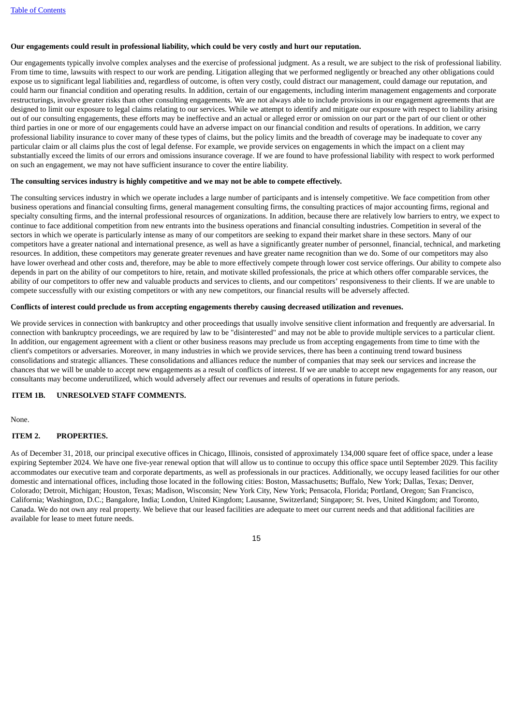## **Our engagements could result in professional liability, which could be very costly and hurt our reputation.**

Our engagements typically involve complex analyses and the exercise of professional judgment. As a result, we are subject to the risk of professional liability. From time to time, lawsuits with respect to our work are pending. Litigation alleging that we performed negligently or breached any other obligations could expose us to significant legal liabilities and, regardless of outcome, is often very costly, could distract our management, could damage our reputation, and could harm our financial condition and operating results. In addition, certain of our engagements, including interim management engagements and corporate restructurings, involve greater risks than other consulting engagements. We are not always able to include provisions in our engagement agreements that are designed to limit our exposure to legal claims relating to our services. While we attempt to identify and mitigate our exposure with respect to liability arising out of our consulting engagements, these efforts may be ineffective and an actual or alleged error or omission on our part or the part of our client or other third parties in one or more of our engagements could have an adverse impact on our financial condition and results of operations. In addition, we carry professional liability insurance to cover many of these types of claims, but the policy limits and the breadth of coverage may be inadequate to cover any particular claim or all claims plus the cost of legal defense. For example, we provide services on engagements in which the impact on a client may substantially exceed the limits of our errors and omissions insurance coverage. If we are found to have professional liability with respect to work performed on such an engagement, we may not have sufficient insurance to cover the entire liability.

#### **The consulting services industry is highly competitive and we may not be able to compete effectively.**

The consulting services industry in which we operate includes a large number of participants and is intensely competitive. We face competition from other business operations and financial consulting firms, general management consulting firms, the consulting practices of major accounting firms, regional and specialty consulting firms, and the internal professional resources of organizations. In addition, because there are relatively low barriers to entry, we expect to continue to face additional competition from new entrants into the business operations and financial consulting industries. Competition in several of the sectors in which we operate is particularly intense as many of our competitors are seeking to expand their market share in these sectors. Many of our competitors have a greater national and international presence, as well as have a significantly greater number of personnel, financial, technical, and marketing resources. In addition, these competitors may generate greater revenues and have greater name recognition than we do. Some of our competitors may also have lower overhead and other costs and, therefore, may be able to more effectively compete through lower cost service offerings. Our ability to compete also depends in part on the ability of our competitors to hire, retain, and motivate skilled professionals, the price at which others offer comparable services, the ability of our competitors to offer new and valuable products and services to clients, and our competitors' responsiveness to their clients. If we are unable to compete successfully with our existing competitors or with any new competitors, our financial results will be adversely affected.

### **Conflicts of interest could preclude us from accepting engagements thereby causing decreased utilization and revenues.**

We provide services in connection with bankruptcy and other proceedings that usually involve sensitive client information and frequently are adversarial. In connection with bankruptcy proceedings, we are required by law to be "disinterested" and may not be able to provide multiple services to a particular client. In addition, our engagement agreement with a client or other business reasons may preclude us from accepting engagements from time to time with the client's competitors or adversaries. Moreover, in many industries in which we provide services, there has been a continuing trend toward business consolidations and strategic alliances. These consolidations and alliances reduce the number of companies that may seek our services and increase the chances that we will be unable to accept new engagements as a result of conflicts of interest. If we are unable to accept new engagements for any reason, our consultants may become underutilized, which would adversely affect our revenues and results of operations in future periods.

## <span id="page-16-0"></span>**ITEM 1B. UNRESOLVED STAFF COMMENTS.**

None.

## <span id="page-16-1"></span>**ITEM 2. PROPERTIES.**

As of December 31, 2018, our principal executive offices in Chicago, Illinois, consisted of approximately 134,000 square feet of office space, under a lease expiring September 2024. We have one five-year renewal option that will allow us to continue to occupy this office space until September 2029. This facility accommodates our executive team and corporate departments, as well as professionals in our practices. Additionally, we occupy leased facilities for our other domestic and international offices, including those located in the following cities: Boston, Massachusetts; Buffalo, New York; Dallas, Texas; Denver, Colorado; Detroit, Michigan; Houston, Texas; Madison, Wisconsin; New York City, New York; Pensacola, Florida; Portland, Oregon; San Francisco, California; Washington, D.C.; Bangalore, India; London, United Kingdom; Lausanne, Switzerland; Singapore; St. Ives, United Kingdom; and Toronto, Canada. We do not own any real property. We believe that our leased facilities are adequate to meet our current needs and that additional facilities are available for lease to meet future needs.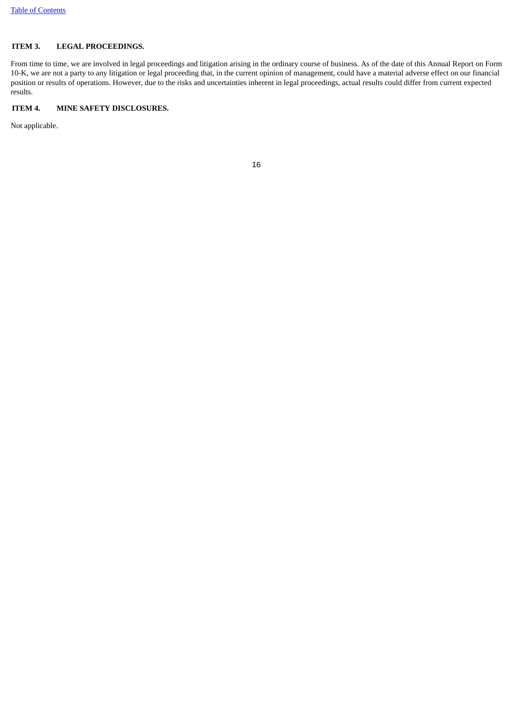# <span id="page-17-0"></span>**ITEM 3. LEGAL PROCEEDINGS.**

From time to time, we are involved in legal proceedings and litigation arising in the ordinary course of business. As of the date of this Annual Report on Form 10-K, we are not a party to any litigation or legal proceeding that, in the current opinion of management, could have a material adverse effect on our financial position or results of operations. However, due to the risks and uncertainties inherent in legal proceedings, actual results could differ from current expected results.

# <span id="page-17-1"></span>**ITEM 4. MINE SAFETY DISCLOSURES.**

<span id="page-17-2"></span>Not applicable.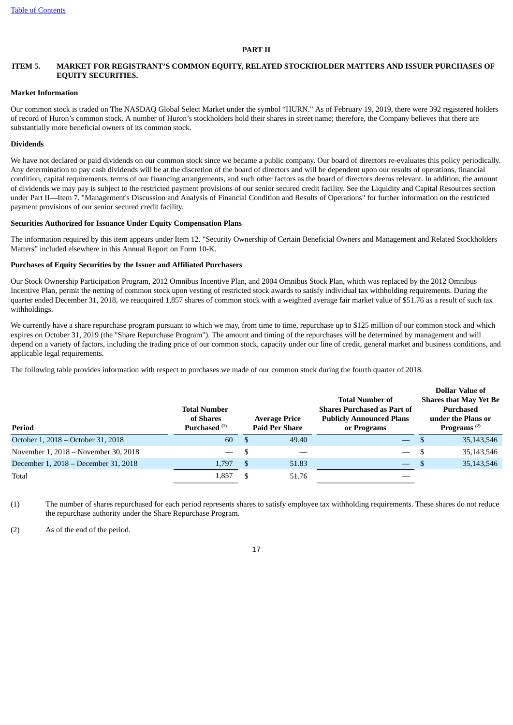## **PART II**

## <span id="page-18-0"></span>**ITEM 5. MARKET FOR REGISTRANT'S COMMON EQUITY, RELATED STOCKHOLDER MATTERS AND ISSUER PURCHASES OF EQUITY SECURITIES.**

#### **Market Information**

Our common stock is traded on The NASDAQ Global Select Market under the symbol "HURN." As of February 19, 2019, there were 392 registered holders of record of Huron's common stock. A number of Huron's stockholders hold their shares in street name; therefore, the Company believes that there are substantially more beneficial owners of its common stock.

## **Dividends**

We have not declared or paid dividends on our common stock since we became a public company. Our board of directors re-evaluates this policy periodically. Any determination to pay cash dividends will be at the discretion of the board of directors and will be dependent upon our results of operations, financial condition, capital requirements, terms of our financing arrangements, and such other factors as the board of directors deems relevant. In addition, the amount of dividends we may pay is subject to the restricted payment provisions of our senior secured credit facility. See the Liquidity and Capital Resources section under Part II—Item 7. "Management's Discussion and Analysis of Financial Condition and Results of Operations" for further information on the restricted payment provisions of our senior secured credit facility.

#### **Securities Authorized for Issuance Under Equity Compensation Plans**

The information required by this item appears under Item 12. "Security Ownership of Certain Beneficial Owners and Management and Related Stockholders Matters" included elsewhere in this Annual Report on Form 10-K.

## **Purchases of Equity Securities by the Issuer and Affiliated Purchasers**

Our Stock Ownership Participation Program, 2012 Omnibus Incentive Plan, and 2004 Omnibus Stock Plan, which was replaced by the 2012 Omnibus Incentive Plan, permit the netting of common stock upon vesting of restricted stock awards to satisfy individual tax withholding requirements. During the quarter ended December 31, 2018, we reacquired 1,857 shares of common stock with a weighted average fair market value of \$51.76 as a result of such tax withholdings.

We currently have a share repurchase program pursuant to which we may, from time to time, repurchase up to \$125 million of our common stock and which expires on October 31, 2019 (the "Share Repurchase Program"). The amount and timing of the repurchases will be determined by management and will depend on a variety of factors, including the trading price of our common stock, capacity under our line of credit, general market and business conditions, and applicable legal requirements.

The following table provides information with respect to purchases we made of our common stock during the fourth quarter of 2018.

| Period                               | <b>Total Number</b><br>of Shares<br>Purchased <sup>(1)</sup> |      | <b>Average Price</b><br><b>Paid Per Share</b> | <b>Total Number of</b><br><b>Shares Purchased as Part of</b><br><b>Publicly Announced Plans</b><br>or Programs |      | <b>Dollar Value of</b><br><b>Shares that May Yet Be</b><br><b>Purchased</b><br>under the Plans or<br>Programs $(2)$ |  |  |  |
|--------------------------------------|--------------------------------------------------------------|------|-----------------------------------------------|----------------------------------------------------------------------------------------------------------------|------|---------------------------------------------------------------------------------------------------------------------|--|--|--|
| October 1, 2018 – October 31, 2018   | 60                                                           | -\$  | 49.40                                         | $\equiv$                                                                                                       | - S  | 35,143,546                                                                                                          |  |  |  |
| November 1, 2018 – November 30, 2018 | $\overline{\phantom{0}}$                                     | - \$ |                                               | $\overline{\phantom{0}}$                                                                                       | - \$ | 35,143,546                                                                                                          |  |  |  |
| December 1, 2018 – December 31, 2018 | 1.797                                                        | -S   | 51.83                                         | $-$ \$                                                                                                         |      | 35,143,546                                                                                                          |  |  |  |
| Total                                | 1,857                                                        | \$.  | 51.76                                         |                                                                                                                |      |                                                                                                                     |  |  |  |

(1) The number of shares repurchased for each period represents shares to satisfy employee tax withholding requirements. These shares do not reduce the repurchase authority under the Share Repurchase Program.

(2) As of the end of the period.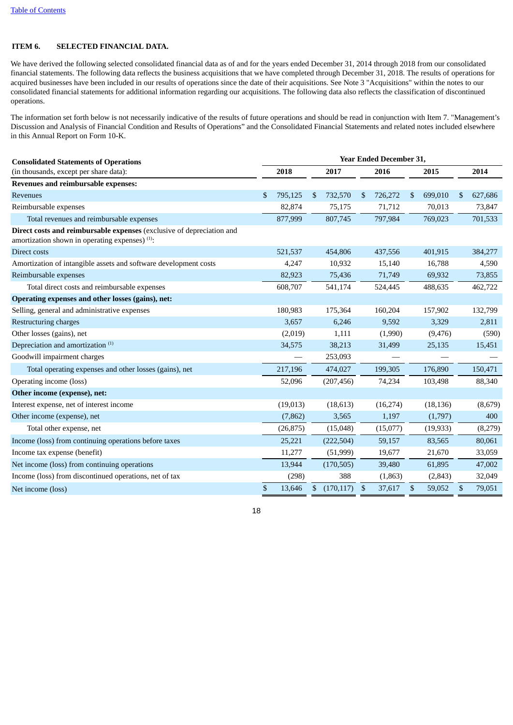## <span id="page-19-0"></span>**ITEM 6. SELECTED FINANCIAL DATA.**

We have derived the following selected consolidated financial data as of and for the years ended December 31, 2014 through 2018 from our consolidated financial statements. The following data reflects the business acquisitions that we have completed through December 31, 2018. The results of operations for acquired businesses have been included in our results of operations since the date of their acquisitions. See Note 3 "Acquisitions" within the notes to our consolidated financial statements for additional information regarding our acquisitions. The following data also reflects the classification of discontinued operations.

The information set forth below is not necessarily indicative of the results of future operations and should be read in conjunction with Item 7. "Management's Discussion and Analysis of Financial Condition and Results of Operations" and the Consolidated Financial Statements and related notes included elsewhere in this Annual Report on Form 10-K.

| <b>Consolidated Statements of Operations</b>                                                                               | <b>Year Ended December 31,</b> |           |               |            |    |           |     |           |    |         |  |  |
|----------------------------------------------------------------------------------------------------------------------------|--------------------------------|-----------|---------------|------------|----|-----------|-----|-----------|----|---------|--|--|
| (in thousands, except per share data):                                                                                     |                                | 2018      |               | 2017       |    | 2016      |     | 2015      |    | 2014    |  |  |
| Revenues and reimbursable expenses:                                                                                        |                                |           |               |            |    |           |     |           |    |         |  |  |
| Revenues                                                                                                                   | \$                             | 795,125   | <sup>\$</sup> | 732,570    | -S | 726,272   | \$. | 699,010   | \$ | 627,686 |  |  |
| Reimbursable expenses                                                                                                      |                                | 82,874    |               | 75,175     |    | 71,712    |     | 70,013    |    | 73,847  |  |  |
| Total revenues and reimbursable expenses                                                                                   |                                | 877,999   |               | 807,745    |    | 797,984   |     | 769,023   |    | 701,533 |  |  |
| Direct costs and reimbursable expenses (exclusive of depreciation and<br>amortization shown in operating expenses) $(1)$ : |                                |           |               |            |    |           |     |           |    |         |  |  |
| Direct costs                                                                                                               |                                | 521,537   |               | 454,806    |    | 437,556   |     | 401,915   |    | 384,277 |  |  |
| Amortization of intangible assets and software development costs                                                           |                                | 4,247     |               | 10,932     |    | 15,140    |     | 16,788    |    | 4,590   |  |  |
| Reimbursable expenses                                                                                                      |                                | 82,923    |               | 75,436     |    | 71,749    |     | 69,932    |    | 73,855  |  |  |
| Total direct costs and reimbursable expenses                                                                               |                                | 608,707   |               | 541,174    |    | 524,445   |     | 488,635   |    | 462,722 |  |  |
| Operating expenses and other losses (gains), net:                                                                          |                                |           |               |            |    |           |     |           |    |         |  |  |
| Selling, general and administrative expenses                                                                               |                                | 180,983   |               | 175,364    |    | 160,204   |     | 157,902   |    | 132,799 |  |  |
| Restructuring charges                                                                                                      |                                | 3,657     |               | 6,246      |    | 9,592     |     | 3,329     |    | 2,811   |  |  |
| Other losses (gains), net                                                                                                  |                                | (2,019)   |               | 1,111      |    | (1,990)   |     | (9, 476)  |    | (590)   |  |  |
| Depreciation and amortization <sup>(1)</sup>                                                                               |                                | 34,575    |               | 38,213     |    | 31,499    |     | 25,135    |    | 15,451  |  |  |
| Goodwill impairment charges                                                                                                |                                |           |               | 253,093    |    |           |     |           |    |         |  |  |
| Total operating expenses and other losses (gains), net                                                                     |                                | 217,196   |               | 474,027    |    | 199,305   |     | 176,890   |    | 150,471 |  |  |
| Operating income (loss)                                                                                                    |                                | 52,096    |               | (207, 456) |    | 74,234    |     | 103,498   |    | 88,340  |  |  |
| Other income (expense), net:                                                                                               |                                |           |               |            |    |           |     |           |    |         |  |  |
| Interest expense, net of interest income                                                                                   |                                | (19, 013) |               | (18, 613)  |    | (16, 274) |     | (18, 136) |    | (8,679) |  |  |
| Other income (expense), net                                                                                                |                                | (7, 862)  |               | 3,565      |    | 1,197     |     | (1,797)   |    | 400     |  |  |
| Total other expense, net                                                                                                   |                                | (26, 875) |               | (15,048)   |    | (15,077)  |     | (19, 933) |    | (8,279) |  |  |
| Income (loss) from continuing operations before taxes                                                                      |                                | 25,221    |               | (222, 504) |    | 59,157    |     | 83,565    |    | 80,061  |  |  |
| Income tax expense (benefit)                                                                                               |                                | 11,277    |               | (51,999)   |    | 19,677    |     | 21,670    |    | 33,059  |  |  |
| Net income (loss) from continuing operations                                                                               |                                | 13,944    |               | (170, 505) |    | 39,480    |     | 61,895    |    | 47,002  |  |  |
| Income (loss) from discontinued operations, net of tax                                                                     |                                | (298)     |               | 388        |    | (1,863)   |     | (2, 843)  |    | 32,049  |  |  |
| Net income (loss)                                                                                                          | \$                             | 13,646    | \$            | (170, 117) | \$ | 37,617    | \$  | 59,052    | \$ | 79,051  |  |  |

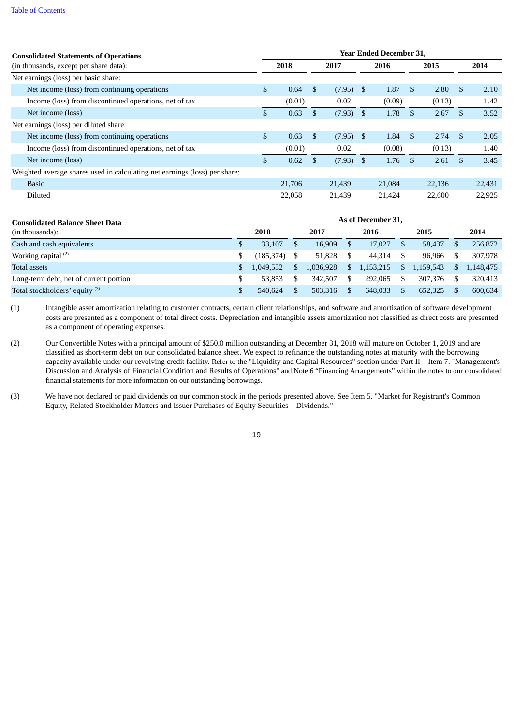| <b>Consolidated Statements of Operations</b><br>(in thousands, except per share data): |              | <b>Year Ended December 31.</b> |                |             |      |        |               |        |    |        |  |  |  |  |
|----------------------------------------------------------------------------------------|--------------|--------------------------------|----------------|-------------|------|--------|---------------|--------|----|--------|--|--|--|--|
|                                                                                        |              | 2018                           | 2017           |             | 2016 |        | 2015          |        |    | 2014   |  |  |  |  |
| Net earnings (loss) per basic share:                                                   |              |                                |                |             |      |        |               |        |    |        |  |  |  |  |
| Net income (loss) from continuing operations                                           | $\mathbb{S}$ | 0.64                           | $\mathbb{S}$   | $(7.95)$ \$ |      | 1.87   | <sup>\$</sup> | 2.80   | -S | 2.10   |  |  |  |  |
| Income (loss) from discontinued operations, net of tax                                 |              | (0.01)                         |                | 0.02        |      | (0.09) |               | (0.13) |    | 1.42   |  |  |  |  |
| Net income (loss)                                                                      | $\mathbf{s}$ | 0.63                           | \$             | $(7.93)$ \$ |      | 1.78   | \$.           | 2.67   | -S | 3.52   |  |  |  |  |
| Net earnings (loss) per diluted share:                                                 |              |                                |                |             |      |        |               |        |    |        |  |  |  |  |
| Net income (loss) from continuing operations                                           | $\mathbb{S}$ | 0.63                           | $\mathfrak{S}$ | $(7.95)$ \$ |      | 1.84   | - \$          | 2.74   | -S | 2.05   |  |  |  |  |
| Income (loss) from discontinued operations, net of tax                                 |              | (0.01)                         |                | 0.02        |      | (0.08) |               | (0.13) |    | 1.40   |  |  |  |  |
| Net income (loss)                                                                      | \$           | 0.62                           | $\mathfrak{S}$ | $(7.93)$ \$ |      | 1.76   | <sup>\$</sup> | 2.61   |    | 3.45   |  |  |  |  |
| Weighted average shares used in calculating net earnings (loss) per share:             |              |                                |                |             |      |        |               |        |    |        |  |  |  |  |
| <b>Basic</b>                                                                           |              | 21,706                         |                | 21,439      |      | 21,084 |               | 22,136 |    | 22,431 |  |  |  |  |
| <b>Diluted</b>                                                                         |              | 22.058                         |                | 21.439      |      | 21,424 |               | 22,600 |    | 22,925 |  |  |  |  |

| <b>Consolidated Balance Sheet Data</b><br>(in thousands): |  | As of December 31. |     |           |  |           |     |           |  |           |  |  |  |  |  |
|-----------------------------------------------------------|--|--------------------|-----|-----------|--|-----------|-----|-----------|--|-----------|--|--|--|--|--|
|                                                           |  | 2018               |     | 2017      |  | 2016      |     | 2015      |  | 2014      |  |  |  |  |  |
| Cash and cash equivalents                                 |  | 33.107             |     | 16.909    |  | 17,027    |     | 58,437    |  | 256,872   |  |  |  |  |  |
| Working capital <sup>(2)</sup>                            |  | (185, 374)         | \$. | 51.828    |  | 44.314    | S   | 96.966    |  | 307,978   |  |  |  |  |  |
| <b>Total assets</b>                                       |  | 1.049.532          |     | 1.036.928 |  | 1,153,215 |     | 1,159,543 |  | 1.148.475 |  |  |  |  |  |
| Long-term debt, net of current portion                    |  | 53.853             |     | 342,507   |  | 292.065   | \$. | 307,376   |  | 320.413   |  |  |  |  |  |
| Total stockholders' equity (3)                            |  | 540.624            |     | 503,316   |  | 648.033   |     | 652.325   |  | 600,634   |  |  |  |  |  |

(1) Intangible asset amortization relating to customer contracts, certain client relationships, and software and amortization of software development costs are presented as a component of total direct costs. Depreciation and intangible assets amortization not classified as direct costs are presented as a component of operating expenses.

- (2) Our Convertible Notes with a principal amount of \$250.0 million outstanding at December 31, 2018 will mature on October 1, 2019 and are classified as short-term debt on our consolidated balance sheet. We expect to refinance the outstanding notes at maturity with the borrowing capacity available under our revolving credit facility. Refer to the "Liquidity and Capital Resources" section under Part II—Item 7. "Management's Discussion and Analysis of Financial Condition and Results of Operations" and Note 6 "Financing Arrangements" within the notes to our consolidated financial statements for more information on our outstanding borrowings.
- <span id="page-20-0"></span>(3) We have not declared or paid dividends on our common stock in the periods presented above. See Item 5. "Market for Registrant's Common Equity, Related Stockholder Matters and Issuer Purchases of Equity Securities—Dividends."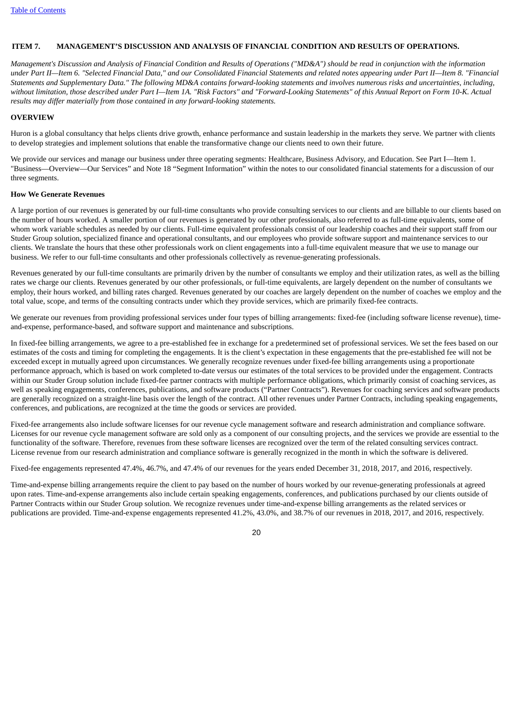## **ITEM 7. MANAGEMENT'S DISCUSSION AND ANALYSIS OF FINANCIAL CONDITION AND RESULTS OF OPERATIONS.**

Management's Discussion and Analysis of Financial Condition and Results of Operations ("MD&A") should be read in conjunction with the information under Part II—Item 6. "Selected Financial Data." and our Consolidated Financial Statements and related notes appearing under Part II—Item 8. "Financial Statements and Supplementary Data." The followina MD&A contains forward-lookina statements and involves numerous risks and uncertainties, includina, without limitation, those described under Part I-Item 1A. "Risk Factors" and "Forward-Looking Statements" of this Annual Report on Form 10-K. Actual *results may differ materially from those contained in any forward-looking statements.*

## **OVERVIEW**

Huron is a global consultancy that helps clients drive growth, enhance performance and sustain leadership in the markets they serve. We partner with clients to develop strategies and implement solutions that enable the transformative change our clients need to own their future.

We provide our services and manage our business under three operating segments: Healthcare, Business Advisory, and Education. See Part I—Item 1. "Business—Overview—Our Services" and Note 18 "Segment Information" within the notes to our consolidated financial statements for a discussion of our three segments.

#### **How We Generate Revenues**

A large portion of our revenues is generated by our full-time consultants who provide consulting services to our clients and are billable to our clients based on the number of hours worked. A smaller portion of our revenues is generated by our other professionals, also referred to as full-time equivalents, some of whom work variable schedules as needed by our clients. Full-time equivalent professionals consist of our leadership coaches and their support staff from our Studer Group solution, specialized finance and operational consultants, and our employees who provide software support and maintenance services to our clients. We translate the hours that these other professionals work on client engagements into a full-time equivalent measure that we use to manage our business. We refer to our full-time consultants and other professionals collectively as revenue-generating professionals.

Revenues generated by our full-time consultants are primarily driven by the number of consultants we employ and their utilization rates, as well as the billing rates we charge our clients. Revenues generated by our other professionals, or full-time equivalents, are largely dependent on the number of consultants we employ, their hours worked, and billing rates charged. Revenues generated by our coaches are largely dependent on the number of coaches we employ and the total value, scope, and terms of the consulting contracts under which they provide services, which are primarily fixed-fee contracts.

We generate our revenues from providing professional services under four types of billing arrangements: fixed-fee (including software license revenue), timeand-expense, performance-based, and software support and maintenance and subscriptions.

In fixed-fee billing arrangements, we agree to a pre-established fee in exchange for a predetermined set of professional services. We set the fees based on our estimates of the costs and timing for completing the engagements. It is the client's expectation in these engagements that the pre-established fee will not be exceeded except in mutually agreed upon circumstances. We generally recognize revenues under fixed-fee billing arrangements using a proportionate performance approach, which is based on work completed to-date versus our estimates of the total services to be provided under the engagement. Contracts within our Studer Group solution include fixed-fee partner contracts with multiple performance obligations, which primarily consist of coaching services, as well as speaking engagements, conferences, publications, and software products ("Partner Contracts"). Revenues for coaching services and software products are generally recognized on a straight-line basis over the length of the contract. All other revenues under Partner Contracts, including speaking engagements, conferences, and publications, are recognized at the time the goods or services are provided.

Fixed-fee arrangements also include software licenses for our revenue cycle management software and research administration and compliance software. Licenses for our revenue cycle management software are sold only as a component of our consulting projects, and the services we provide are essential to the functionality of the software. Therefore, revenues from these software licenses are recognized over the term of the related consulting services contract. License revenue from our research administration and compliance software is generally recognized in the month in which the software is delivered.

Fixed-fee engagements represented 47.4%, 46.7%, and 47.4% of our revenues for the years ended December 31, 2018, 2017, and 2016, respectively.

Time-and-expense billing arrangements require the client to pay based on the number of hours worked by our revenue-generating professionals at agreed upon rates. Time-and-expense arrangements also include certain speaking engagements, conferences, and publications purchased by our clients outside of Partner Contracts within our Studer Group solution. We recognize revenues under time-and-expense billing arrangements as the related services or publications are provided. Time-and-expense engagements represented 41.2%, 43.0%, and 38.7% of our revenues in 2018, 2017, and 2016, respectively.

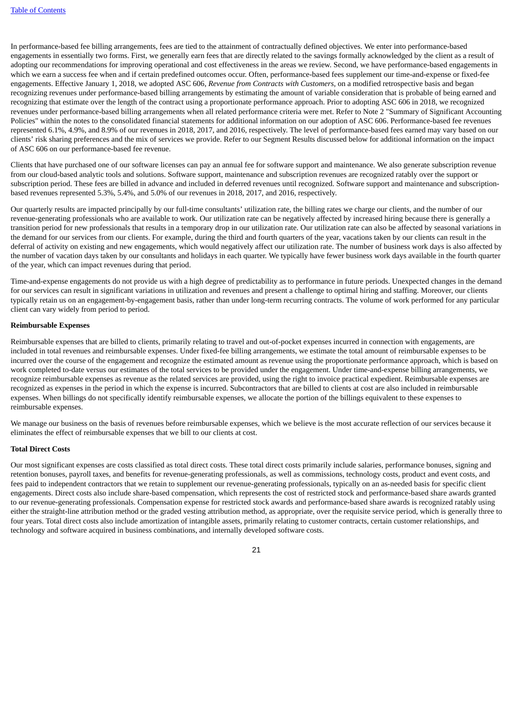In performance-based fee billing arrangements, fees are tied to the attainment of contractually defined objectives. We enter into performance-based engagements in essentially two forms. First, we generally earn fees that are directly related to the savings formally acknowledged by the client as a result of adopting our recommendations for improving operational and cost effectiveness in the areas we review. Second, we have performance-based engagements in which we earn a success fee when and if certain predefined outcomes occur. Often, performance-based fees supplement our time-and-expense or fixed-fee engagements. Effective January 1, 2018, we adopted ASC 606, *Revenue from Contracts with Customers*, on a modified retrospective basis and began recognizing revenues under performance-based billing arrangements by estimating the amount of variable consideration that is probable of being earned and recognizing that estimate over the length of the contract using a proportionate performance approach. Prior to adopting ASC 606 in 2018, we recognized revenues under performance-based billing arrangements when all related performance criteria were met. Refer to Note 2 "Summary of Significant Accounting Policies" within the notes to the consolidated financial statements for additional information on our adoption of ASC 606. Performance-based fee revenues represented 6.1%, 4.9%, and 8.9% of our revenues in 2018, 2017, and 2016, respectively. The level of performance-based fees earned may vary based on our clients' risk sharing preferences and the mix of services we provide. Refer to our Segment Results discussed below for additional information on the impact of ASC 606 on our performance-based fee revenue.

Clients that have purchased one of our software licenses can pay an annual fee for software support and maintenance. We also generate subscription revenue from our cloud-based analytic tools and solutions. Software support, maintenance and subscription revenues are recognized ratably over the support or subscription period. These fees are billed in advance and included in deferred revenues until recognized. Software support and maintenance and subscriptionbased revenues represented 5.3%, 5.4%, and 5.0% of our revenues in 2018, 2017, and 2016, respectively.

Our quarterly results are impacted principally by our full-time consultants' utilization rate, the billing rates we charge our clients, and the number of our revenue-generating professionals who are available to work. Our utilization rate can be negatively affected by increased hiring because there is generally a transition period for new professionals that results in a temporary drop in our utilization rate. Our utilization rate can also be affected by seasonal variations in the demand for our services from our clients. For example, during the third and fourth quarters of the year, vacations taken by our clients can result in the deferral of activity on existing and new engagements, which would negatively affect our utilization rate. The number of business work days is also affected by the number of vacation days taken by our consultants and holidays in each quarter. We typically have fewer business work days available in the fourth quarter of the year, which can impact revenues during that period.

Time-and-expense engagements do not provide us with a high degree of predictability as to performance in future periods. Unexpected changes in the demand for our services can result in significant variations in utilization and revenues and present a challenge to optimal hiring and staffing. Moreover, our clients typically retain us on an engagement-by-engagement basis, rather than under long-term recurring contracts. The volume of work performed for any particular client can vary widely from period to period.

#### **Reimbursable Expenses**

Reimbursable expenses that are billed to clients, primarily relating to travel and out-of-pocket expenses incurred in connection with engagements, are included in total revenues and reimbursable expenses. Under fixed-fee billing arrangements, we estimate the total amount of reimbursable expenses to be incurred over the course of the engagement and recognize the estimated amount as revenue using the proportionate performance approach, which is based on work completed to-date versus our estimates of the total services to be provided under the engagement. Under time-and-expense billing arrangements, we recognize reimbursable expenses as revenue as the related services are provided, using the right to invoice practical expedient. Reimbursable expenses are recognized as expenses in the period in which the expense is incurred. Subcontractors that are billed to clients at cost are also included in reimbursable expenses. When billings do not specifically identify reimbursable expenses, we allocate the portion of the billings equivalent to these expenses to reimbursable expenses.

We manage our business on the basis of revenues before reimbursable expenses, which we believe is the most accurate reflection of our services because it eliminates the effect of reimbursable expenses that we bill to our clients at cost.

#### **Total Direct Costs**

Our most significant expenses are costs classified as total direct costs. These total direct costs primarily include salaries, performance bonuses, signing and retention bonuses, payroll taxes, and benefits for revenue-generating professionals, as well as commissions, technology costs, product and event costs, and fees paid to independent contractors that we retain to supplement our revenue-generating professionals, typically on an as-needed basis for specific client engagements. Direct costs also include share-based compensation, which represents the cost of restricted stock and performance-based share awards granted to our revenue-generating professionals. Compensation expense for restricted stock awards and performance-based share awards is recognized ratably using either the straight-line attribution method or the graded vesting attribution method, as appropriate, over the requisite service period, which is generally three to four years. Total direct costs also include amortization of intangible assets, primarily relating to customer contracts, certain customer relationships, and technology and software acquired in business combinations, and internally developed software costs.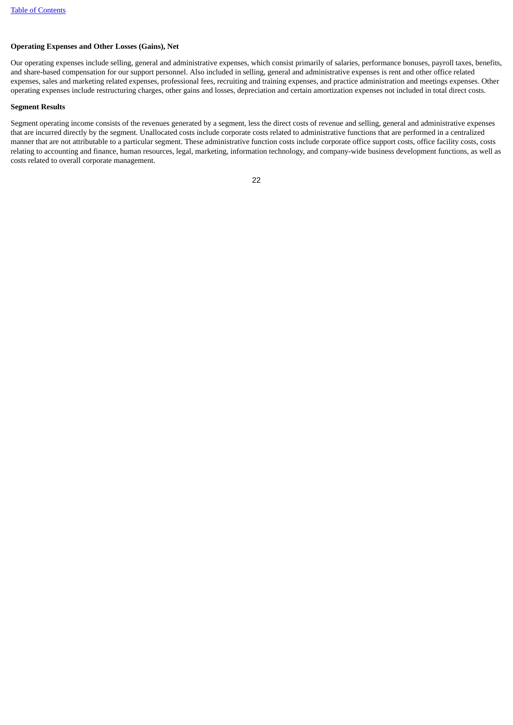## **Operating Expenses and Other Losses (Gains), Net**

Our operating expenses include selling, general and administrative expenses, which consist primarily of salaries, performance bonuses, payroll taxes, benefits, and share-based compensation for our support personnel. Also included in selling, general and administrative expenses is rent and other office related expenses, sales and marketing related expenses, professional fees, recruiting and training expenses, and practice administration and meetings expenses. Other operating expenses include restructuring charges, other gains and losses, depreciation and certain amortization expenses not included in total direct costs.

## **Segment Results**

Segment operating income consists of the revenues generated by a segment, less the direct costs of revenue and selling, general and administrative expenses that are incurred directly by the segment. Unallocated costs include corporate costs related to administrative functions that are performed in a centralized manner that are not attributable to a particular segment. These administrative function costs include corporate office support costs, office facility costs, costs relating to accounting and finance, human resources, legal, marketing, information technology, and company-wide business development functions, as well as costs related to overall corporate management.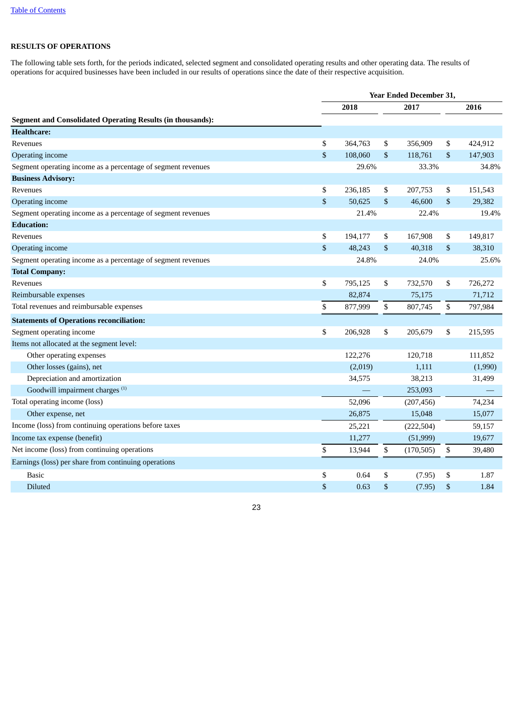## **RESULTS OF OPERATIONS**

The following table sets forth, for the periods indicated, selected segment and consolidated operating results and other operating data. The results of operations for acquired businesses have been included in our results of operations since the date of their respective acquisition.

|                                                                   | <b>Year Ended December 31,</b> |         |              |            |       |         |  |  |
|-------------------------------------------------------------------|--------------------------------|---------|--------------|------------|-------|---------|--|--|
|                                                                   | 2018                           |         |              | 2017       |       | 2016    |  |  |
| <b>Segment and Consolidated Operating Results (in thousands):</b> |                                |         |              |            |       |         |  |  |
| <b>Healthcare:</b>                                                |                                |         |              |            |       |         |  |  |
| Revenues                                                          | \$                             | 364,763 | \$           | 356,909    | \$    | 424,912 |  |  |
| Operating income                                                  | \$                             | 108,060 | $\mathbb{S}$ | 118,761    | \$    | 147,903 |  |  |
| Segment operating income as a percentage of segment revenues      |                                | 29.6%   |              | 33.3%      |       | 34.8%   |  |  |
| <b>Business Advisory:</b>                                         |                                |         |              |            |       |         |  |  |
| Revenues                                                          | \$                             | 236,185 | \$           | 207,753    | \$    | 151,543 |  |  |
| Operating income                                                  | \$                             | 50,625  | \$           | 46,600     | \$    | 29,382  |  |  |
| Segment operating income as a percentage of segment revenues      |                                | 21.4%   |              | 22.4%      |       | 19.4%   |  |  |
| <b>Education:</b>                                                 |                                |         |              |            |       |         |  |  |
| Revenues                                                          | \$                             | 194,177 | \$           | 167,908    | \$    | 149,817 |  |  |
| Operating income                                                  | \$                             | 48,243  | \$           | 40,318     | \$    | 38,310  |  |  |
| Segment operating income as a percentage of segment revenues      | 24.8%                          |         |              | 24.0%      | 25.6% |         |  |  |
| <b>Total Company:</b>                                             |                                |         |              |            |       |         |  |  |
| Revenues                                                          | \$                             | 795,125 | \$           | 732,570    | \$    | 726,272 |  |  |
| Reimbursable expenses                                             |                                | 82,874  |              | 75,175     |       | 71,712  |  |  |
| Total revenues and reimbursable expenses                          | \$                             | 877,999 | \$           | 807,745    | \$    | 797,984 |  |  |
| <b>Statements of Operations reconciliation:</b>                   |                                |         |              |            |       |         |  |  |
| Segment operating income                                          | \$                             | 206,928 | \$           | 205,679    | \$    | 215,595 |  |  |
| Items not allocated at the segment level:                         |                                |         |              |            |       |         |  |  |
| Other operating expenses                                          |                                | 122,276 |              | 120,718    |       | 111,852 |  |  |
| Other losses (gains), net                                         |                                | (2,019) |              | 1,111      |       | (1,990) |  |  |
| Depreciation and amortization                                     |                                | 34,575  |              | 38,213     |       | 31,499  |  |  |
| Goodwill impairment charges <sup>(1)</sup>                        |                                |         |              | 253,093    |       |         |  |  |
| Total operating income (loss)                                     |                                | 52,096  |              | (207, 456) |       | 74,234  |  |  |
| Other expense, net                                                |                                | 26,875  |              | 15,048     |       | 15,077  |  |  |
| Income (loss) from continuing operations before taxes             |                                | 25,221  |              | (222, 504) |       | 59,157  |  |  |
| Income tax expense (benefit)                                      |                                | 11,277  |              | (51, 999)  |       | 19,677  |  |  |
| Net income (loss) from continuing operations                      | \$                             | 13,944  | \$           | (170, 505) | \$    | 39,480  |  |  |
| Earnings (loss) per share from continuing operations              |                                |         |              |            |       |         |  |  |
| Basic                                                             | \$                             | 0.64    | \$           | (7.95)     | \$    | 1.87    |  |  |
| Diluted                                                           | \$                             | 0.63    | \$           | (7.95)     | \$    | 1.84    |  |  |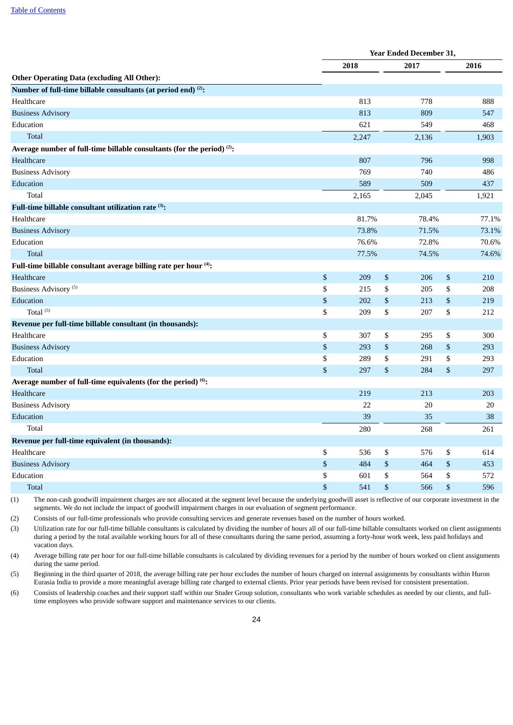|                                                                              | <b>Year Ended December 31,</b> |      |       |      |       |  |  |
|------------------------------------------------------------------------------|--------------------------------|------|-------|------|-------|--|--|
|                                                                              | 2018                           |      | 2017  |      | 2016  |  |  |
| <b>Other Operating Data (excluding All Other):</b>                           |                                |      |       |      |       |  |  |
| Number of full-time billable consultants (at period end) <sup>(2)</sup> :    |                                |      |       |      |       |  |  |
| Healthcare                                                                   | 813                            |      | 778   |      | 888   |  |  |
| <b>Business Advisory</b>                                                     | 813                            |      | 809   |      | 547   |  |  |
| Education                                                                    | 621                            |      | 549   |      | 468   |  |  |
| <b>Total</b>                                                                 | 2,247                          |      | 2,136 |      | 1,903 |  |  |
| Average number of full-time billable consultants (for the period) $^{(2)}$ : |                                |      |       |      |       |  |  |
| Healthcare                                                                   | 807                            |      | 796   |      | 998   |  |  |
| <b>Business Advisory</b>                                                     | 769                            |      | 740   |      | 486   |  |  |
| Education                                                                    | 589                            |      | 509   |      | 437   |  |  |
| Total                                                                        | 2,165                          |      | 2,045 |      | 1,921 |  |  |
| Full-time billable consultant utilization rate (3):                          |                                |      |       |      |       |  |  |
| Healthcare                                                                   | 81.7%                          |      | 78.4% |      | 77.1% |  |  |
| <b>Business Advisory</b>                                                     | 73.8%                          |      | 71.5% |      | 73.1% |  |  |
| Education                                                                    | 76.6%                          |      | 72.8% |      | 70.6% |  |  |
| <b>Total</b>                                                                 | 77.5%                          |      | 74.5% |      | 74.6% |  |  |
| Full-time billable consultant average billing rate per hour (4):             |                                |      |       |      |       |  |  |
| Healthcare                                                                   | \$<br>209                      | $\$$ | 206   | $\$$ | 210   |  |  |
| Business Advisory <sup>(5)</sup>                                             | \$<br>215                      | \$   | 205   | \$   | 208   |  |  |
| Education                                                                    | \$<br>202                      | \$   | 213   | \$   | 219   |  |  |
| Total $(5)$                                                                  | \$<br>209                      | \$   | 207   | \$   | 212   |  |  |
| Revenue per full-time billable consultant (in thousands):                    |                                |      |       |      |       |  |  |
| Healthcare                                                                   | \$<br>307                      | \$   | 295   | \$   | 300   |  |  |
| <b>Business Advisory</b>                                                     | \$<br>293                      | $\$$ | 268   | $\$$ | 293   |  |  |
| Education                                                                    | \$<br>289                      | \$   | 291   | \$   | 293   |  |  |
| <b>Total</b>                                                                 | \$<br>297                      | \$   | 284   | \$   | 297   |  |  |
| Average number of full-time equivalents (for the period) (6):                |                                |      |       |      |       |  |  |
| Healthcare                                                                   | 219                            |      | 213   |      | 203   |  |  |
| <b>Business Advisory</b>                                                     | 22                             |      | 20    |      | 20    |  |  |
| Education                                                                    | 39                             |      | 35    |      | 38    |  |  |
| Total                                                                        | 280                            |      | 268   |      | 261   |  |  |
| Revenue per full-time equivalent (in thousands):                             |                                |      |       |      |       |  |  |
| Healthcare                                                                   | \$<br>536                      | \$   | 576   | \$   | 614   |  |  |
| <b>Business Advisory</b>                                                     | \$<br>484                      | $\$$ | 464   | \$   | 453   |  |  |
| Education                                                                    | \$<br>601                      | \$   | 564   | \$   | 572   |  |  |
| Total                                                                        | \$<br>541                      | \$   | 566   | \$   | 596   |  |  |

(1) The non-cash goodwill impairment charges are not allocated at the segment level because the underlying goodwill asset is reflective of our corporate investment in the segments. We do not include the impact of goodwill impairment charges in our evaluation of segment performance.

(2) Consists of our full-time professionals who provide consulting services and generate revenues based on the number of hours worked.

(3) Utilization rate for our full-time billable consultants is calculated by dividing the number of hours all of our full-time billable consultants worked on client assignments during a period by the total available working hours for all of these consultants during the same period, assuming a forty-hour work week, less paid holidays and vacation days.

(4) Average billing rate per hour for our full-time billable consultants is calculated by dividing revenues for a period by the number of hours worked on client assignments during the same period.

(5) Beginning in the third quarter of 2018, the average billing rate per hour excludes the number of hours charged on internal assignments by consultants within Huron Eurasia India to provide a more meaningful average billing rate charged to external clients. Prior year periods have been revised for consistent presentation.

(6) Consists of leadership coaches and their support staff within our Studer Group solution, consultants who work variable schedules as needed by our clients, and fulltime employees who provide software support and maintenance services to our clients.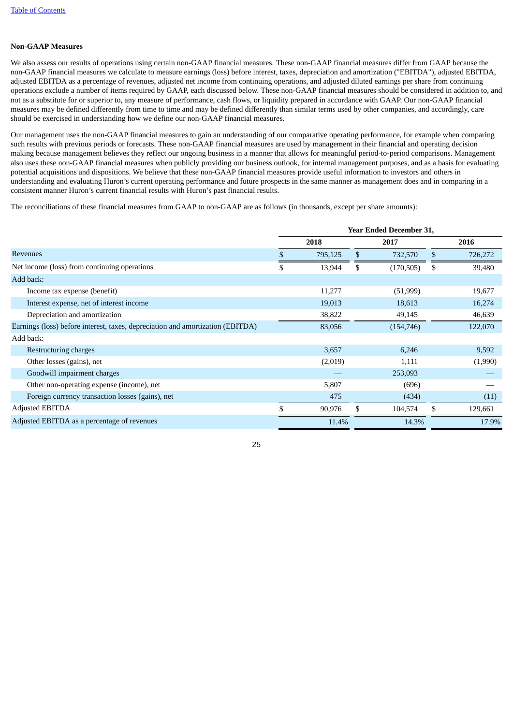## **Non-GAAP Measures**

We also assess our results of operations using certain non-GAAP financial measures. These non-GAAP financial measures differ from GAAP because the non-GAAP financial measures we calculate to measure earnings (loss) before interest, taxes, depreciation and amortization ("EBITDA"), adjusted EBITDA, adjusted EBITDA as a percentage of revenues, adjusted net income from continuing operations, and adjusted diluted earnings per share from continuing operations exclude a number of items required by GAAP, each discussed below. These non-GAAP financial measures should be considered in addition to, and not as a substitute for or superior to, any measure of performance, cash flows, or liquidity prepared in accordance with GAAP. Our non-GAAP financial measures may be defined differently from time to time and may be defined differently than similar terms used by other companies, and accordingly, care should be exercised in understanding how we define our non-GAAP financial measures.

Our management uses the non-GAAP financial measures to gain an understanding of our comparative operating performance, for example when comparing such results with previous periods or forecasts. These non-GAAP financial measures are used by management in their financial and operating decision making because management believes they reflect our ongoing business in a manner that allows for meaningful period-to-period comparisons. Management also uses these non-GAAP financial measures when publicly providing our business outlook, for internal management purposes, and as a basis for evaluating potential acquisitions and dispositions. We believe that these non-GAAP financial measures provide useful information to investors and others in understanding and evaluating Huron's current operating performance and future prospects in the same manner as management does and in comparing in a consistent manner Huron's current financial results with Huron's past financial results.

The reconciliations of these financial measures from GAAP to non-GAAP are as follows (in thousands, except per share amounts):

|                                                                                | <b>Year Ended December 31,</b> |                                    |     |            |         |         |  |  |
|--------------------------------------------------------------------------------|--------------------------------|------------------------------------|-----|------------|---------|---------|--|--|
|                                                                                | 2018<br>2017                   |                                    |     |            |         | 2016    |  |  |
| <b>Revenues</b>                                                                |                                | 795,125<br>$\mathbf{s}$<br>732,570 |     | \$         | 726,272 |         |  |  |
| Net income (loss) from continuing operations                                   | S                              | 13,944                             | \$. | (170, 505) | S       | 39,480  |  |  |
| Add back:                                                                      |                                |                                    |     |            |         |         |  |  |
| Income tax expense (benefit)                                                   |                                | 11,277                             |     | (51,999)   |         | 19,677  |  |  |
| Interest expense, net of interest income                                       |                                | 19,013                             |     | 18,613     |         | 16,274  |  |  |
| Depreciation and amortization                                                  |                                | 38,822                             |     | 49,145     |         | 46,639  |  |  |
| Earnings (loss) before interest, taxes, depreciation and amortization (EBITDA) |                                | 83,056                             |     | (154, 746) |         | 122,070 |  |  |
| Add back:                                                                      |                                |                                    |     |            |         |         |  |  |
| Restructuring charges                                                          |                                | 3,657                              |     | 6,246      |         | 9,592   |  |  |
| Other losses (gains), net                                                      |                                | (2,019)                            |     | 1,111      |         | (1,990) |  |  |
| Goodwill impairment charges                                                    |                                |                                    |     | 253,093    |         |         |  |  |
| Other non-operating expense (income), net                                      |                                | 5,807                              |     | (696)      |         |         |  |  |
| Foreign currency transaction losses (gains), net                               |                                | 475                                |     | (434)      |         | (11)    |  |  |
| <b>Adjusted EBITDA</b>                                                         |                                | 90,976                             |     | 104,574    | \$      | 129,661 |  |  |
| Adjusted EBITDA as a percentage of revenues                                    |                                | 11.4%                              |     | 14.3%      |         | 17.9%   |  |  |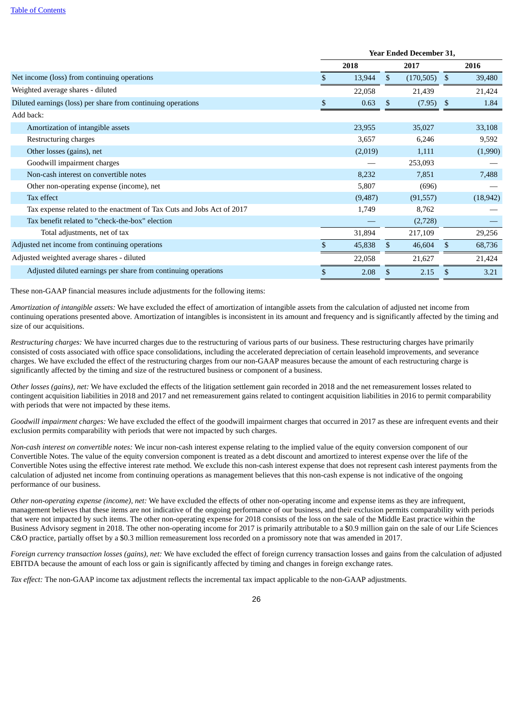|                                                                       | <b>Year Ended December 31,</b> |         |                |            |          |           |  |
|-----------------------------------------------------------------------|--------------------------------|---------|----------------|------------|----------|-----------|--|
|                                                                       |                                | 2018    |                | 2017       |          | 2016      |  |
| Net income (loss) from continuing operations                          | \$                             | 13,944  | $\mathfrak{S}$ | (170, 505) | -\$      | 39,480    |  |
| Weighted average shares - diluted                                     |                                | 22,058  |                | 21,439     |          | 21,424    |  |
| Diluted earnings (loss) per share from continuing operations          | \$.                            | 0.63    | $\mathfrak{L}$ | (7.95)     | \$       | 1.84      |  |
| Add back:                                                             |                                |         |                |            |          |           |  |
| Amortization of intangible assets                                     |                                | 23,955  |                | 35,027     |          | 33,108    |  |
| Restructuring charges                                                 |                                | 3,657   |                | 6,246      |          | 9,592     |  |
| Other losses (gains), net                                             |                                | (2,019) |                | 1,111      |          | (1,990)   |  |
| Goodwill impairment charges                                           |                                |         |                | 253,093    |          |           |  |
| Non-cash interest on convertible notes                                |                                | 8,232   |                | 7,851      |          | 7,488     |  |
| Other non-operating expense (income), net                             |                                | 5,807   |                | (696)      |          |           |  |
| Tax effect                                                            |                                | (9,487) |                | (91, 557)  |          | (18, 942) |  |
| Tax expense related to the enactment of Tax Cuts and Jobs Act of 2017 |                                | 1,749   |                | 8,762      |          |           |  |
| Tax benefit related to "check-the-box" election                       |                                |         |                | (2,728)    |          |           |  |
| Total adjustments, net of tax                                         |                                | 31,894  |                | 217,109    |          | 29,256    |  |
| Adjusted net income from continuing operations                        | \$                             | 45,838  | \$             | 46,604     | \$.      | 68,736    |  |
| Adjusted weighted average shares - diluted                            |                                | 22,058  |                | 21,627     |          | 21,424    |  |
| Adjusted diluted earnings per share from continuing operations        | \$.                            | 2.08    | \$.            | 2.15       | <b>S</b> | 3.21      |  |

These non-GAAP financial measures include adjustments for the following items:

*Amortization of intangible assets:* We have excluded the effect of amortization of intangible assets from the calculation of adjusted net income from continuing operations presented above. Amortization of intangibles is inconsistent in its amount and frequency and is significantly affected by the timing and size of our acquisitions.

*Restructuring charges:* We have incurred charges due to the restructuring of various parts of our business. These restructuring charges have primarily consisted of costs associated with office space consolidations, including the accelerated depreciation of certain leasehold improvements, and severance charges. We have excluded the effect of the restructuring charges from our non-GAAP measures because the amount of each restructuring charge is significantly affected by the timing and size of the restructured business or component of a business.

*Other losses (gains), net:* We have excluded the effects of the litigation settlement gain recorded in 2018 and the net remeasurement losses related to contingent acquisition liabilities in 2018 and 2017 and net remeasurement gains related to contingent acquisition liabilities in 2016 to permit comparability with periods that were not impacted by these items.

*Goodwill impairment charges:* We have excluded the effect of the goodwill impairment charges that occurred in 2017 as these are infrequent events and their exclusion permits comparability with periods that were not impacted by such charges.

*Non-cash interest on convertible notes:* We incur non-cash interest expense relating to the implied value of the equity conversion component of our Convertible Notes. The value of the equity conversion component is treated as a debt discount and amortized to interest expense over the life of the Convertible Notes using the effective interest rate method. We exclude this non-cash interest expense that does not represent cash interest payments from the calculation of adjusted net income from continuing operations as management believes that this non-cash expense is not indicative of the ongoing performance of our business.

*Other non-operating expense (income), net:* We have excluded the effects of other non-operating income and expense items as they are infrequent, management believes that these items are not indicative of the ongoing performance of our business, and their exclusion permits comparability with periods that were not impacted by such items. The other non-operating expense for 2018 consists of the loss on the sale of the Middle East practice within the Business Advisory segment in 2018. The other non-operating income for 2017 is primarily attributable to a \$0.9 million gain on the sale of our Life Sciences C&O practice, partially offset by a \$0.3 million remeasurement loss recorded on a promissory note that was amended in 2017.

*Foreign currency transaction losses (gains), net:* We have excluded the effect of foreign currency transaction losses and gains from the calculation of adjusted EBITDA because the amount of each loss or gain is significantly affected by timing and changes in foreign exchange rates.

*Tax effect:* The non-GAAP income tax adjustment reflects the incremental tax impact applicable to the non-GAAP adjustments.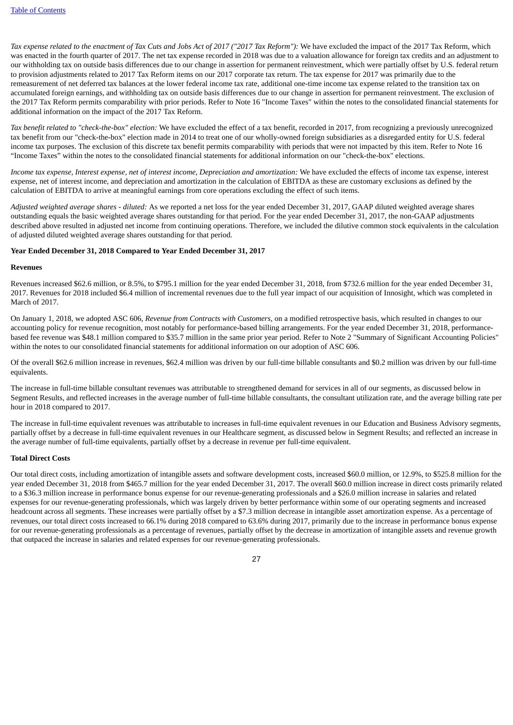Tax expense related to the enactment of Tax Cuts and Jobs Act of 2017 ("2017 Tax Reform"): We have excluded the impact of the 2017 Tax Reform, which was enacted in the fourth quarter of 2017. The net tax expense recorded in 2018 was due to a valuation allowance for foreign tax credits and an adjustment to our withholding tax on outside basis differences due to our change in assertion for permanent reinvestment, which were partially offset by U.S. federal return to provision adjustments related to 2017 Tax Reform items on our 2017 corporate tax return. The tax expense for 2017 was primarily due to the remeasurement of net deferred tax balances at the lower federal income tax rate, additional one-time income tax expense related to the transition tax on accumulated foreign earnings, and withholding tax on outside basis differences due to our change in assertion for permanent reinvestment. The exclusion of the 2017 Tax Reform permits comparability with prior periods. Refer to Note 16 "Income Taxes" within the notes to the consolidated financial statements for additional information on the impact of the 2017 Tax Reform.

*Tax benefit related to "check-the-box" election:* We have excluded the effect of a tax benefit, recorded in 2017, from recognizing a previously unrecognized tax benefit from our "check-the-box" election made in 2014 to treat one of our wholly-owned foreign subsidiaries as a disregarded entity for U.S. federal income tax purposes. The exclusion of this discrete tax benefit permits comparability with periods that were not impacted by this item. Refer to Note 16 "Income Taxes" within the notes to the consolidated financial statements for additional information on our "check-the-box" elections.

Income tax expense, Interest expense, net of interest income, Depreciation and amortization: We have excluded the effects of income tax expense, interest expense, net of interest income, and depreciation and amortization in the calculation of EBITDA as these are customary exclusions as defined by the calculation of EBITDA to arrive at meaningful earnings from core operations excluding the effect of such items.

*Adjusted weighted average shares - diluted:* As we reported a net loss for the year ended December 31, 2017, GAAP diluted weighted average shares outstanding equals the basic weighted average shares outstanding for that period. For the year ended December 31, 2017, the non-GAAP adjustments described above resulted in adjusted net income from continuing operations. Therefore, we included the dilutive common stock equivalents in the calculation of adjusted diluted weighted average shares outstanding for that period.

#### **Year Ended December 31, 2018 Compared to Year Ended December 31, 2017**

#### **Revenues**

Revenues increased \$62.6 million, or 8.5%, to \$795.1 million for the year ended December 31, 2018, from \$732.6 million for the year ended December 31, 2017. Revenues for 2018 included \$6.4 million of incremental revenues due to the full year impact of our acquisition of Innosight, which was completed in March of 2017.

On January 1, 2018, we adopted ASC 606, *Revenue from Contracts with Customers*, on a modified retrospective basis, which resulted in changes to our accounting policy for revenue recognition, most notably for performance-based billing arrangements. For the year ended December 31, 2018, performancebased fee revenue was \$48.1 million compared to \$35.7 million in the same prior year period. Refer to Note 2 "Summary of Significant Accounting Policies" within the notes to our consolidated financial statements for additional information on our adoption of ASC 606.

Of the overall \$62.6 million increase in revenues, \$62.4 million was driven by our full-time billable consultants and \$0.2 million was driven by our full-time equivalents.

The increase in full-time billable consultant revenues was attributable to strengthened demand for services in all of our segments, as discussed below in Segment Results, and reflected increases in the average number of full-time billable consultants, the consultant utilization rate, and the average billing rate per hour in 2018 compared to 2017.

The increase in full-time equivalent revenues was attributable to increases in full-time equivalent revenues in our Education and Business Advisory segments, partially offset by a decrease in full-time equivalent revenues in our Healthcare segment, as discussed below in Segment Results; and reflected an increase in the average number of full-time equivalents, partially offset by a decrease in revenue per full-time equivalent.

#### **Total Direct Costs**

Our total direct costs, including amortization of intangible assets and software development costs, increased \$60.0 million, or 12.9%, to \$525.8 million for the year ended December 31, 2018 from \$465.7 million for the year ended December 31, 2017. The overall \$60.0 million increase in direct costs primarily related to a \$36.3 million increase in performance bonus expense for our revenue-generating professionals and a \$26.0 million increase in salaries and related expenses for our revenue-generating professionals, which was largely driven by better performance within some of our operating segments and increased headcount across all segments. These increases were partially offset by a \$7.3 million decrease in intangible asset amortization expense. As a percentage of revenues, our total direct costs increased to 66.1% during 2018 compared to 63.6% during 2017, primarily due to the increase in performance bonus expense for our revenue-generating professionals as a percentage of revenues, partially offset by the decrease in amortization of intangible assets and revenue growth that outpaced the increase in salaries and related expenses for our revenue-generating professionals.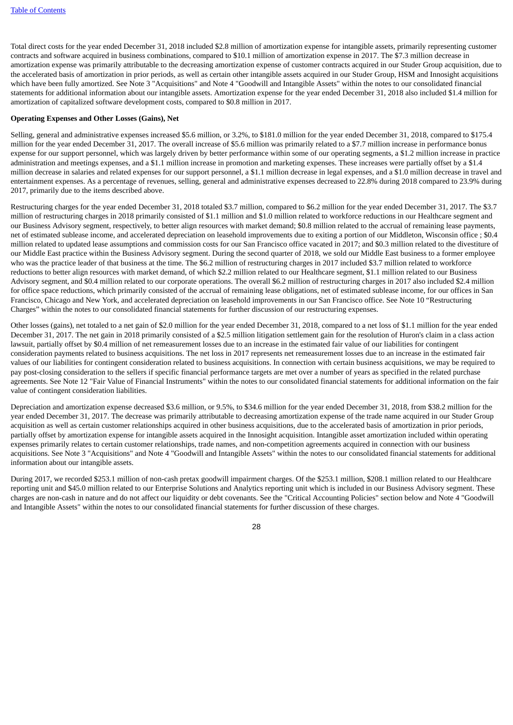Total direct costs for the year ended December 31, 2018 included \$2.8 million of amortization expense for intangible assets, primarily representing customer contracts and software acquired in business combinations, compared to \$10.1 million of amortization expense in 2017. The \$7.3 million decrease in amortization expense was primarily attributable to the decreasing amortization expense of customer contracts acquired in our Studer Group acquisition, due to the accelerated basis of amortization in prior periods, as well as certain other intangible assets acquired in our Studer Group, HSM and Innosight acquisitions which have been fully amortized. See Note 3 "Acquisitions" and Note 4 "Goodwill and Intangible Assets" within the notes to our consolidated financial statements for additional information about our intangible assets. Amortization expense for the year ended December 31, 2018 also included \$1.4 million for amortization of capitalized software development costs, compared to \$0.8 million in 2017.

## **Operating Expenses and Other Losses (Gains), Net**

Selling, general and administrative expenses increased \$5.6 million, or 3.2%, to \$181.0 million for the year ended December 31, 2018, compared to \$175.4 million for the year ended December 31, 2017. The overall increase of \$5.6 million was primarily related to a \$7.7 million increase in performance bonus expense for our support personnel, which was largely driven by better performance within some of our operating segments, a \$1.2 million increase in practice administration and meetings expenses, and a \$1.1 million increase in promotion and marketing expenses. These increases were partially offset by a \$1.4 million decrease in salaries and related expenses for our support personnel, a \$1.1 million decrease in legal expenses, and a \$1.0 million decrease in travel and entertainment expenses. As a percentage of revenues, selling, general and administrative expenses decreased to 22.8% during 2018 compared to 23.9% during 2017, primarily due to the items described above.

Restructuring charges for the year ended December 31, 2018 totaled \$3.7 million, compared to \$6.2 million for the year ended December 31, 2017. The \$3.7 million of restructuring charges in 2018 primarily consisted of \$1.1 million and \$1.0 million related to workforce reductions in our Healthcare segment and our Business Advisory segment, respectively, to better align resources with market demand; \$0.8 million related to the accrual of remaining lease payments, net of estimated sublease income, and accelerated depreciation on leasehold improvements due to exiting a portion of our Middleton, Wisconsin office ; \$0.4 million related to updated lease assumptions and commission costs for our San Francisco office vacated in 2017; and \$0.3 million related to the divestiture of our Middle East practice within the Business Advisory segment. During the second quarter of 2018, we sold our Middle East business to a former employee who was the practice leader of that business at the time. The \$6.2 million of restructuring charges in 2017 included \$3.7 million related to workforce reductions to better align resources with market demand, of which \$2.2 million related to our Healthcare segment, \$1.1 million related to our Business Advisory segment, and \$0.4 million related to our corporate operations. The overall \$6.2 million of restructuring charges in 2017 also included \$2.4 million for office space reductions, which primarily consisted of the accrual of remaining lease obligations, net of estimated sublease income, for our offices in San Francisco, Chicago and New York, and accelerated depreciation on leasehold improvements in our San Francisco office. See Note 10 "Restructuring Charges" within the notes to our consolidated financial statements for further discussion of our restructuring expenses.

Other losses (gains), net totaled to a net gain of \$2.0 million for the year ended December 31, 2018, compared to a net loss of \$1.1 million for the year ended December 31, 2017. The net gain in 2018 primarily consisted of a \$2.5 million litigation settlement gain for the resolution of Huron's claim in a class action lawsuit, partially offset by \$0.4 million of net remeasurement losses due to an increase in the estimated fair value of our liabilities for contingent consideration payments related to business acquisitions. The net loss in 2017 represents net remeasurement losses due to an increase in the estimated fair values of our liabilities for contingent consideration related to business acquisitions. In connection with certain business acquisitions, we may be required to pay post-closing consideration to the sellers if specific financial performance targets are met over a number of years as specified in the related purchase agreements. See Note 12 "Fair Value of Financial Instruments" within the notes to our consolidated financial statements for additional information on the fair value of contingent consideration liabilities.

Depreciation and amortization expense decreased \$3.6 million, or 9.5%, to \$34.6 million for the year ended December 31, 2018, from \$38.2 million for the year ended December 31, 2017. The decrease was primarily attributable to decreasing amortization expense of the trade name acquired in our Studer Group acquisition as well as certain customer relationships acquired in other business acquisitions, due to the accelerated basis of amortization in prior periods, partially offset by amortization expense for intangible assets acquired in the Innosight acquisition. Intangible asset amortization included within operating expenses primarily relates to certain customer relationships, trade names, and non-competition agreements acquired in connection with our business acquisitions. See Note 3 "Acquisitions" and Note 4 "Goodwill and Intangible Assets" within the notes to our consolidated financial statements for additional information about our intangible assets.

During 2017, we recorded \$253.1 million of non-cash pretax goodwill impairment charges. Of the \$253.1 million, \$208.1 million related to our Healthcare reporting unit and \$45.0 million related to our Enterprise Solutions and Analytics reporting unit which is included in our Business Advisory segment. These charges are non-cash in nature and do not affect our liquidity or debt covenants. See the "Critical Accounting Policies" section below and Note 4 "Goodwill and Intangible Assets" within the notes to our consolidated financial statements for further discussion of these charges.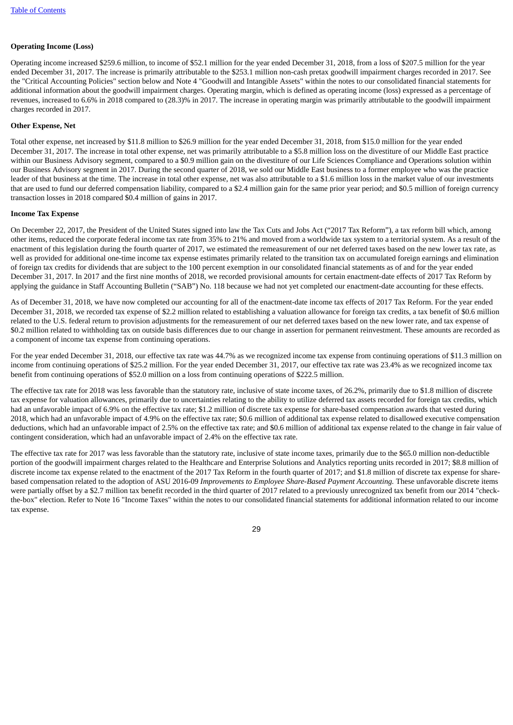## **Operating Income (Loss)**

Operating income increased \$259.6 million, to income of \$52.1 million for the year ended December 31, 2018, from a loss of \$207.5 million for the year ended December 31, 2017. The increase is primarily attributable to the \$253.1 million non-cash pretax goodwill impairment charges recorded in 2017. See the "Critical Accounting Policies" section below and Note 4 "Goodwill and Intangible Assets" within the notes to our consolidated financial statements for additional information about the goodwill impairment charges. Operating margin, which is defined as operating income (loss) expressed as a percentage of revenues, increased to 6.6% in 2018 compared to (28.3)% in 2017. The increase in operating margin was primarily attributable to the goodwill impairment charges recorded in 2017.

#### **Other Expense, Net**

Total other expense, net increased by \$11.8 million to \$26.9 million for the year ended December 31, 2018, from \$15.0 million for the year ended December 31, 2017. The increase in total other expense, net was primarily attributable to a \$5.8 million loss on the divestiture of our Middle East practice within our Business Advisory segment, compared to a \$0.9 million gain on the divestiture of our Life Sciences Compliance and Operations solution within our Business Advisory segment in 2017. During the second quarter of 2018, we sold our Middle East business to a former employee who was the practice leader of that business at the time. The increase in total other expense, net was also attributable to a \$1.6 million loss in the market value of our investments that are used to fund our deferred compensation liability, compared to a \$2.4 million gain for the same prior year period; and \$0.5 million of foreign currency transaction losses in 2018 compared \$0.4 million of gains in 2017.

#### **Income Tax Expense**

On December 22, 2017, the President of the United States signed into law the Tax Cuts and Jobs Act ("2017 Tax Reform"), a tax reform bill which, among other items, reduced the corporate federal income tax rate from 35% to 21% and moved from a worldwide tax system to a territorial system. As a result of the enactment of this legislation during the fourth quarter of 2017, we estimated the remeasurement of our net deferred taxes based on the new lower tax rate, as well as provided for additional one-time income tax expense estimates primarily related to the transition tax on accumulated foreign earnings and elimination of foreign tax credits for dividends that are subject to the 100 percent exemption in our consolidated financial statements as of and for the year ended December 31, 2017. In 2017 and the first nine months of 2018, we recorded provisional amounts for certain enactment-date effects of 2017 Tax Reform by applying the guidance in Staff Accounting Bulletin ("SAB") No. 118 because we had not yet completed our enactment-date accounting for these effects.

As of December 31, 2018, we have now completed our accounting for all of the enactment-date income tax effects of 2017 Tax Reform. For the year ended December 31, 2018, we recorded tax expense of \$2.2 million related to establishing a valuation allowance for foreign tax credits, a tax benefit of \$0.6 million related to the U.S. federal return to provision adjustments for the remeasurement of our net deferred taxes based on the new lower rate, and tax expense of \$0.2 million related to withholding tax on outside basis differences due to our change in assertion for permanent reinvestment. These amounts are recorded as a component of income tax expense from continuing operations.

For the year ended December 31, 2018, our effective tax rate was 44.7% as we recognized income tax expense from continuing operations of \$11.3 million on income from continuing operations of \$25.2 million. For the year ended December 31, 2017, our effective tax rate was 23.4% as we recognized income tax benefit from continuing operations of \$52.0 million on a loss from continuing operations of \$222.5 million.

The effective tax rate for 2018 was less favorable than the statutory rate, inclusive of state income taxes, of 26.2%, primarily due to \$1.8 million of discrete tax expense for valuation allowances, primarily due to uncertainties relating to the ability to utilize deferred tax assets recorded for foreign tax credits, which had an unfavorable impact of 6.9% on the effective tax rate; \$1.2 million of discrete tax expense for share-based compensation awards that vested during 2018, which had an unfavorable impact of 4.9% on the effective tax rate; \$0.6 million of additional tax expense related to disallowed executive compensation deductions, which had an unfavorable impact of 2.5% on the effective tax rate; and \$0.6 million of additional tax expense related to the change in fair value of contingent consideration, which had an unfavorable impact of 2.4% on the effective tax rate.

The effective tax rate for 2017 was less favorable than the statutory rate, inclusive of state income taxes, primarily due to the \$65.0 million non-deductible portion of the goodwill impairment charges related to the Healthcare and Enterprise Solutions and Analytics reporting units recorded in 2017; \$8.8 million of discrete income tax expense related to the enactment of the 2017 Tax Reform in the fourth quarter of 2017; and \$1.8 million of discrete tax expense for sharebased compensation related to the adoption of ASU 2016-09 *Improvements to Employee Share-Based Payment Accounting.* These unfavorable discrete items were partially offset by a \$2.7 million tax benefit recorded in the third quarter of 2017 related to a previously unrecognized tax benefit from our 2014 "checkthe-box" election. Refer to Note 16 "Income Taxes" within the notes to our consolidated financial statements for additional information related to our income tax expense.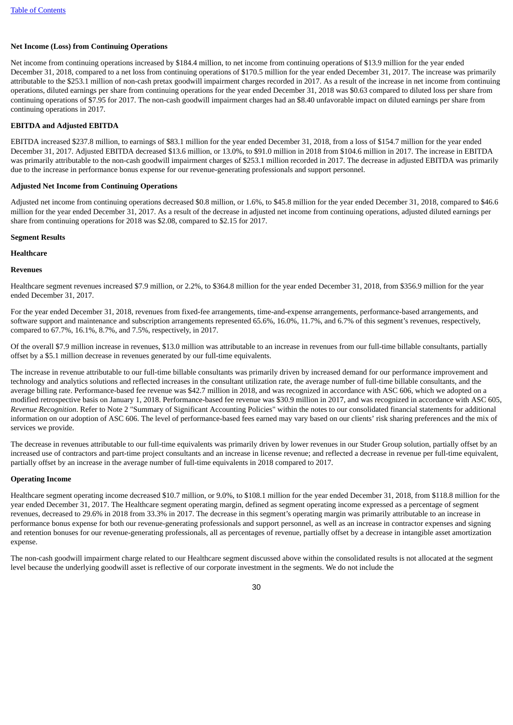## **Net Income (Loss) from Continuing Operations**

Net income from continuing operations increased by \$184.4 million, to net income from continuing operations of \$13.9 million for the year ended December 31, 2018, compared to a net loss from continuing operations of \$170.5 million for the year ended December 31, 2017. The increase was primarily attributable to the \$253.1 million of non-cash pretax goodwill impairment charges recorded in 2017. As a result of the increase in net income from continuing operations, diluted earnings per share from continuing operations for the year ended December 31, 2018 was \$0.63 compared to diluted loss per share from continuing operations of \$7.95 for 2017. The non-cash goodwill impairment charges had an \$8.40 unfavorable impact on diluted earnings per share from continuing operations in 2017.

## **EBITDA and Adjusted EBITDA**

EBITDA increased \$237.8 million, to earnings of \$83.1 million for the year ended December 31, 2018, from a loss of \$154.7 million for the year ended December 31, 2017. Adjusted EBITDA decreased \$13.6 million, or 13.0%, to \$91.0 million in 2018 from \$104.6 million in 2017. The increase in EBITDA was primarily attributable to the non-cash goodwill impairment charges of \$253.1 million recorded in 2017. The decrease in adjusted EBITDA was primarily due to the increase in performance bonus expense for our revenue-generating professionals and support personnel.

## **Adjusted Net Income from Continuing Operations**

Adjusted net income from continuing operations decreased \$0.8 million, or 1.6%, to \$45.8 million for the year ended December 31, 2018, compared to \$46.6 million for the year ended December 31, 2017. As a result of the decrease in adjusted net income from continuing operations, adjusted diluted earnings per share from continuing operations for 2018 was \$2.08, compared to \$2.15 for 2017.

#### **Segment Results**

## **Healthcare**

#### **Revenues**

Healthcare segment revenues increased \$7.9 million, or 2.2%, to \$364.8 million for the year ended December 31, 2018, from \$356.9 million for the year ended December 31, 2017.

For the year ended December 31, 2018, revenues from fixed-fee arrangements, time-and-expense arrangements, performance-based arrangements, and software support and maintenance and subscription arrangements represented 65.6%, 16.0%, 11.7%, and 6.7% of this segment's revenues, respectively, compared to 67.7%, 16.1%, 8.7%, and 7.5%, respectively, in 2017.

Of the overall \$7.9 million increase in revenues, \$13.0 million was attributable to an increase in revenues from our full-time billable consultants, partially offset by a \$5.1 million decrease in revenues generated by our full-time equivalents.

The increase in revenue attributable to our full-time billable consultants was primarily driven by increased demand for our performance improvement and technology and analytics solutions and reflected increases in the consultant utilization rate, the average number of full-time billable consultants, and the average billing rate. Performance-based fee revenue was \$42.7 million in 2018, and was recognized in accordance with ASC 606, which we adopted on a modified retrospective basis on January 1, 2018. Performance-based fee revenue was \$30.9 million in 2017, and was recognized in accordance with ASC 605, *Revenue Recognition*. Refer to Note 2 "Summary of Significant Accounting Policies" within the notes to our consolidated financial statements for additional information on our adoption of ASC 606. The level of performance-based fees earned may vary based on our clients' risk sharing preferences and the mix of services we provide.

The decrease in revenues attributable to our full-time equivalents was primarily driven by lower revenues in our Studer Group solution, partially offset by an increased use of contractors and part-time project consultants and an increase in license revenue; and reflected a decrease in revenue per full-time equivalent, partially offset by an increase in the average number of full-time equivalents in 2018 compared to 2017.

## **Operating Income**

Healthcare segment operating income decreased \$10.7 million, or 9.0%, to \$108.1 million for the year ended December 31, 2018, from \$118.8 million for the year ended December 31, 2017. The Healthcare segment operating margin, defined as segment operating income expressed as a percentage of segment revenues, decreased to 29.6% in 2018 from 33.3% in 2017. The decrease in this segment's operating margin was primarily attributable to an increase in performance bonus expense for both our revenue-generating professionals and support personnel, as well as an increase in contractor expenses and signing and retention bonuses for our revenue-generating professionals, all as percentages of revenue, partially offset by a decrease in intangible asset amortization expense.

The non-cash goodwill impairment charge related to our Healthcare segment discussed above within the consolidated results is not allocated at the segment level because the underlying goodwill asset is reflective of our corporate investment in the segments. We do not include the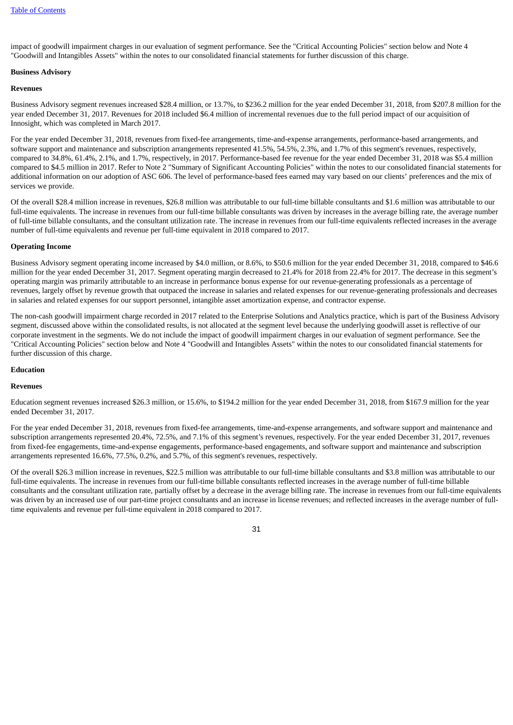impact of goodwill impairment charges in our evaluation of segment performance. See the "Critical Accounting Policies" section below and Note 4 "Goodwill and Intangibles Assets" within the notes to our consolidated financial statements for further discussion of this charge.

#### **Business Advisory**

## **Revenues**

Business Advisory segment revenues increased \$28.4 million, or 13.7%, to \$236.2 million for the year ended December 31, 2018, from \$207.8 million for the year ended December 31, 2017. Revenues for 2018 included \$6.4 million of incremental revenues due to the full period impact of our acquisition of Innosight, which was completed in March 2017.

For the year ended December 31, 2018, revenues from fixed-fee arrangements, time-and-expense arrangements, performance-based arrangements, and software support and maintenance and subscription arrangements represented 41.5%, 54.5%, 2.3%, and 1.7% of this segment's revenues, respectively, compared to 34.8%, 61.4%, 2.1%, and 1.7%, respectively, in 2017. Performance-based fee revenue for the year ended December 31, 2018 was \$5.4 million compared to \$4.5 million in 2017. Refer to Note 2 "Summary of Significant Accounting Policies" within the notes to our consolidated financial statements for additional information on our adoption of ASC 606. The level of performance-based fees earned may vary based on our clients' preferences and the mix of services we provide.

Of the overall \$28.4 million increase in revenues, \$26.8 million was attributable to our full-time billable consultants and \$1.6 million was attributable to our full-time equivalents. The increase in revenues from our full-time billable consultants was driven by increases in the average billing rate, the average number of full-time billable consultants, and the consultant utilization rate. The increase in revenues from our full-time equivalents reflected increases in the average number of full-time equivalents and revenue per full-time equivalent in 2018 compared to 2017.

## **Operating Income**

Business Advisory segment operating income increased by \$4.0 million, or 8.6%, to \$50.6 million for the year ended December 31, 2018, compared to \$46.6 million for the year ended December 31, 2017. Segment operating margin decreased to 21.4% for 2018 from 22.4% for 2017. The decrease in this segment's operating margin was primarily attributable to an increase in performance bonus expense for our revenue-generating professionals as a percentage of revenues, largely offset by revenue growth that outpaced the increase in salaries and related expenses for our revenue-generating professionals and decreases in salaries and related expenses for our support personnel, intangible asset amortization expense, and contractor expense.

The non-cash goodwill impairment charge recorded in 2017 related to the Enterprise Solutions and Analytics practice, which is part of the Business Advisory segment, discussed above within the consolidated results, is not allocated at the segment level because the underlying goodwill asset is reflective of our corporate investment in the segments. We do not include the impact of goodwill impairment charges in our evaluation of segment performance. See the "Critical Accounting Policies" section below and Note 4 "Goodwill and Intangibles Assets" within the notes to our consolidated financial statements for further discussion of this charge.

## **Education**

## **Revenues**

Education segment revenues increased \$26.3 million, or 15.6%, to \$194.2 million for the year ended December 31, 2018, from \$167.9 million for the year ended December 31, 2017.

For the year ended December 31, 2018, revenues from fixed-fee arrangements, time-and-expense arrangements, and software support and maintenance and subscription arrangements represented 20.4%, 72.5%, and 7.1% of this segment's revenues, respectively. For the year ended December 31, 2017, revenues from fixed-fee engagements, time-and-expense engagements, performance-based engagements, and software support and maintenance and subscription arrangements represented 16.6%, 77.5%, 0.2%, and 5.7%, of this segment's revenues, respectively.

Of the overall \$26.3 million increase in revenues, \$22.5 million was attributable to our full-time billable consultants and \$3.8 million was attributable to our full-time equivalents. The increase in revenues from our full-time billable consultants reflected increases in the average number of full-time billable consultants and the consultant utilization rate, partially offset by a decrease in the average billing rate. The increase in revenues from our full-time equivalents was driven by an increased use of our part-time project consultants and an increase in license revenues; and reflected increases in the average number of fulltime equivalents and revenue per full-time equivalent in 2018 compared to 2017.

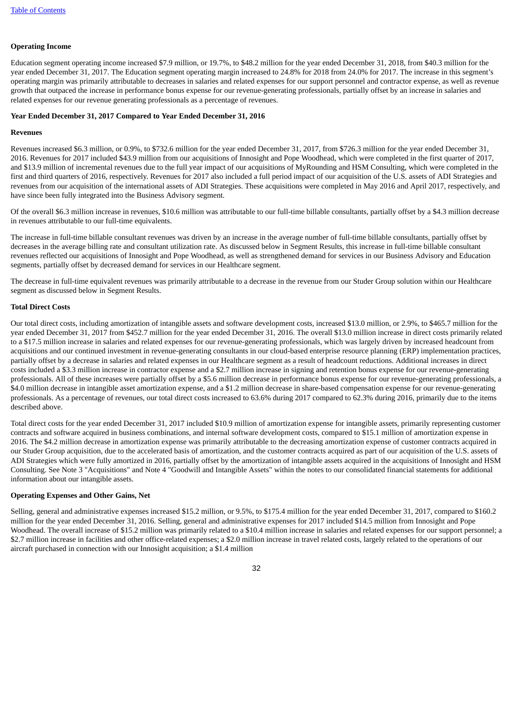### **Operating Income**

Education segment operating income increased \$7.9 million, or 19.7%, to \$48.2 million for the year ended December 31, 2018, from \$40.3 million for the year ended December 31, 2017. The Education segment operating margin increased to 24.8% for 2018 from 24.0% for 2017. The increase in this segment's operating margin was primarily attributable to decreases in salaries and related expenses for our support personnel and contractor expense, as well as revenue growth that outpaced the increase in performance bonus expense for our revenue-generating professionals, partially offset by an increase in salaries and related expenses for our revenue generating professionals as a percentage of revenues.

#### **Year Ended December 31, 2017 Compared to Year Ended December 31, 2016**

#### **Revenues**

Revenues increased \$6.3 million, or 0.9%, to \$732.6 million for the year ended December 31, 2017, from \$726.3 million for the year ended December 31, 2016. Revenues for 2017 included \$43.9 million from our acquisitions of Innosight and Pope Woodhead, which were completed in the first quarter of 2017, and \$13.9 million of incremental revenues due to the full year impact of our acquisitions of MyRounding and HSM Consulting, which were completed in the first and third quarters of 2016, respectively. Revenues for 2017 also included a full period impact of our acquisition of the U.S. assets of ADI Strategies and revenues from our acquisition of the international assets of ADI Strategies. These acquisitions were completed in May 2016 and April 2017, respectively, and have since been fully integrated into the Business Advisory segment.

Of the overall \$6.3 million increase in revenues, \$10.6 million was attributable to our full-time billable consultants, partially offset by a \$4.3 million decrease in revenues attributable to our full-time equivalents.

The increase in full-time billable consultant revenues was driven by an increase in the average number of full-time billable consultants, partially offset by decreases in the average billing rate and consultant utilization rate. As discussed below in Segment Results, this increase in full-time billable consultant revenues reflected our acquisitions of Innosight and Pope Woodhead, as well as strengthened demand for services in our Business Advisory and Education segments, partially offset by decreased demand for services in our Healthcare segment.

The decrease in full-time equivalent revenues was primarily attributable to a decrease in the revenue from our Studer Group solution within our Healthcare segment as discussed below in Segment Results.

#### **Total Direct Costs**

Our total direct costs, including amortization of intangible assets and software development costs, increased \$13.0 million, or 2.9%, to \$465.7 million for the year ended December 31, 2017 from \$452.7 million for the year ended December 31, 2016. The overall \$13.0 million increase in direct costs primarily related to a \$17.5 million increase in salaries and related expenses for our revenue-generating professionals, which was largely driven by increased headcount from acquisitions and our continued investment in revenue-generating consultants in our cloud-based enterprise resource planning (ERP) implementation practices, partially offset by a decrease in salaries and related expenses in our Healthcare segment as a result of headcount reductions. Additional increases in direct costs included a \$3.3 million increase in contractor expense and a \$2.7 million increase in signing and retention bonus expense for our revenue-generating professionals. All of these increases were partially offset by a \$5.6 million decrease in performance bonus expense for our revenue-generating professionals, a \$4.0 million decrease in intangible asset amortization expense, and a \$1.2 million decrease in share-based compensation expense for our revenue-generating professionals. As a percentage of revenues, our total direct costs increased to 63.6% during 2017 compared to 62.3% during 2016, primarily due to the items described above.

Total direct costs for the year ended December 31, 2017 included \$10.9 million of amortization expense for intangible assets, primarily representing customer contracts and software acquired in business combinations, and internal software development costs, compared to \$15.1 million of amortization expense in 2016. The \$4.2 million decrease in amortization expense was primarily attributable to the decreasing amortization expense of customer contracts acquired in our Studer Group acquisition, due to the accelerated basis of amortization, and the customer contracts acquired as part of our acquisition of the U.S. assets of ADI Strategies which were fully amortized in 2016, partially offset by the amortization of intangible assets acquired in the acquisitions of Innosight and HSM Consulting. See Note 3 "Acquisitions" and Note 4 "Goodwill and Intangible Assets" within the notes to our consolidated financial statements for additional information about our intangible assets.

## **Operating Expenses and Other Gains, Net**

Selling, general and administrative expenses increased \$15.2 million, or 9.5%, to \$175.4 million for the year ended December 31, 2017, compared to \$160.2 million for the year ended December 31, 2016. Selling, general and administrative expenses for 2017 included \$14.5 million from Innosight and Pope Woodhead. The overall increase of \$15.2 million was primarily related to a \$10.4 million increase in salaries and related expenses for our support personnel; a \$2.7 million increase in facilities and other office-related expenses; a \$2.0 million increase in travel related costs, largely related to the operations of our aircraft purchased in connection with our Innosight acquisition; a \$1.4 million

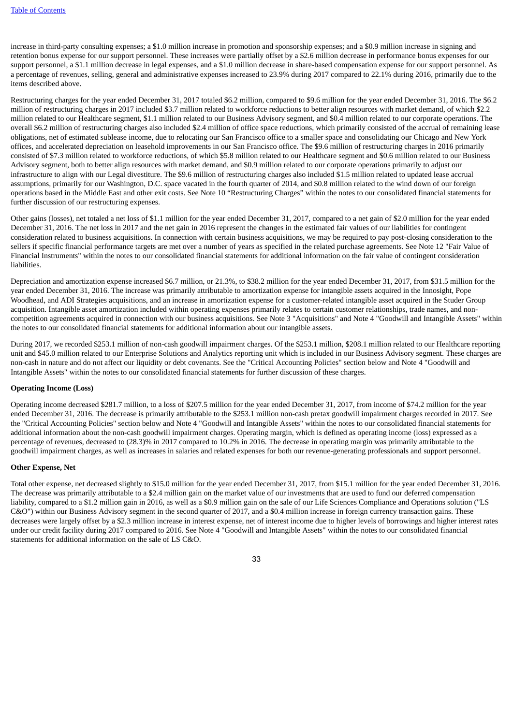increase in third-party consulting expenses; a \$1.0 million increase in promotion and sponsorship expenses; and a \$0.9 million increase in signing and retention bonus expense for our support personnel. These increases were partially offset by a \$2.6 million decrease in performance bonus expenses for our support personnel, a \$1.1 million decrease in legal expenses, and a \$1.0 million decrease in share-based compensation expense for our support personnel. As a percentage of revenues, selling, general and administrative expenses increased to 23.9% during 2017 compared to 22.1% during 2016, primarily due to the items described above.

Restructuring charges for the year ended December 31, 2017 totaled \$6.2 million, compared to \$9.6 million for the year ended December 31, 2016. The \$6.2 million of restructuring charges in 2017 included \$3.7 million related to workforce reductions to better align resources with market demand, of which \$2.2 million related to our Healthcare segment, \$1.1 million related to our Business Advisory segment, and \$0.4 million related to our corporate operations. The overall \$6.2 million of restructuring charges also included \$2.4 million of office space reductions, which primarily consisted of the accrual of remaining lease obligations, net of estimated sublease income, due to relocating our San Francisco office to a smaller space and consolidating our Chicago and New York offices, and accelerated depreciation on leasehold improvements in our San Francisco office. The \$9.6 million of restructuring charges in 2016 primarily consisted of \$7.3 million related to workforce reductions, of which \$5.8 million related to our Healthcare segment and \$0.6 million related to our Business Advisory segment, both to better align resources with market demand, and \$0.9 million related to our corporate operations primarily to adjust our infrastructure to align with our Legal divestiture. The \$9.6 million of restructuring charges also included \$1.5 million related to updated lease accrual assumptions, primarily for our Washington, D.C. space vacated in the fourth quarter of 2014, and \$0.8 million related to the wind down of our foreign operations based in the Middle East and other exit costs. See Note 10 "Restructuring Charges" within the notes to our consolidated financial statements for further discussion of our restructuring expenses.

Other gains (losses), net totaled a net loss of \$1.1 million for the year ended December 31, 2017, compared to a net gain of \$2.0 million for the year ended December 31, 2016. The net loss in 2017 and the net gain in 2016 represent the changes in the estimated fair values of our liabilities for contingent consideration related to business acquisitions. In connection with certain business acquisitions, we may be required to pay post-closing consideration to the sellers if specific financial performance targets are met over a number of years as specified in the related purchase agreements. See Note 12 "Fair Value of Financial Instruments" within the notes to our consolidated financial statements for additional information on the fair value of contingent consideration liabilities.

Depreciation and amortization expense increased \$6.7 million, or 21.3%, to \$38.2 million for the year ended December 31, 2017, from \$31.5 million for the year ended December 31, 2016. The increase was primarily attributable to amortization expense for intangible assets acquired in the Innosight, Pope Woodhead, and ADI Strategies acquisitions, and an increase in amortization expense for a customer-related intangible asset acquired in the Studer Group acquisition. Intangible asset amortization included within operating expenses primarily relates to certain customer relationships, trade names, and noncompetition agreements acquired in connection with our business acquisitions. See Note 3 "Acquisitions" and Note 4 "Goodwill and Intangible Assets" within the notes to our consolidated financial statements for additional information about our intangible assets.

During 2017, we recorded \$253.1 million of non-cash goodwill impairment charges. Of the \$253.1 million, \$208.1 million related to our Healthcare reporting unit and \$45.0 million related to our Enterprise Solutions and Analytics reporting unit which is included in our Business Advisory segment. These charges are non-cash in nature and do not affect our liquidity or debt covenants. See the "Critical Accounting Policies" section below and Note 4 "Goodwill and Intangible Assets" within the notes to our consolidated financial statements for further discussion of these charges.

## **Operating Income (Loss)**

Operating income decreased \$281.7 million, to a loss of \$207.5 million for the year ended December 31, 2017, from income of \$74.2 million for the year ended December 31, 2016. The decrease is primarily attributable to the \$253.1 million non-cash pretax goodwill impairment charges recorded in 2017. See the "Critical Accounting Policies" section below and Note 4 "Goodwill and Intangible Assets" within the notes to our consolidated financial statements for additional information about the non-cash goodwill impairment charges. Operating margin, which is defined as operating income (loss) expressed as a percentage of revenues, decreased to (28.3)% in 2017 compared to 10.2% in 2016. The decrease in operating margin was primarily attributable to the goodwill impairment charges, as well as increases in salaries and related expenses for both our revenue-generating professionals and support personnel.

#### **Other Expense, Net**

Total other expense, net decreased slightly to \$15.0 million for the year ended December 31, 2017, from \$15.1 million for the year ended December 31, 2016. The decrease was primarily attributable to a \$2.4 million gain on the market value of our investments that are used to fund our deferred compensation liability, compared to a \$1.2 million gain in 2016, as well as a \$0.9 million gain on the sale of our Life Sciences Compliance and Operations solution ("LS C&O") within our Business Advisory segment in the second quarter of 2017, and a \$0.4 million increase in foreign currency transaction gains. These decreases were largely offset by a \$2.3 million increase in interest expense, net of interest income due to higher levels of borrowings and higher interest rates under our credit facility during 2017 compared to 2016. See Note 4 "Goodwill and Intangible Assets" within the notes to our consolidated financial statements for additional information on the sale of LS C&O.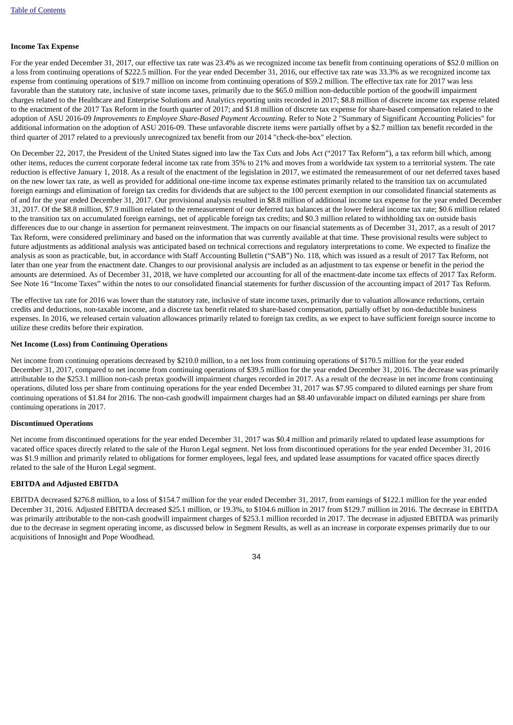## **Income Tax Expense**

For the year ended December 31, 2017, our effective tax rate was 23.4% as we recognized income tax benefit from continuing operations of \$52.0 million on a loss from continuing operations of \$222.5 million. For the year ended December 31, 2016, our effective tax rate was 33.3% as we recognized income tax expense from continuing operations of \$19.7 million on income from continuing operations of \$59.2 million. The effective tax rate for 2017 was less favorable than the statutory rate, inclusive of state income taxes, primarily due to the \$65.0 million non-deductible portion of the goodwill impairment charges related to the Healthcare and Enterprise Solutions and Analytics reporting units recorded in 2017; \$8.8 million of discrete income tax expense related to the enactment of the 2017 Tax Reform in the fourth quarter of 2017; and \$1.8 million of discrete tax expense for share-based compensation related to the adoption of ASU 2016-09 *Improvements to Employee Share-Based Payment Accounting.* Refer to Note 2 "Summary of Significant Accounting Policies" for additional information on the adoption of ASU 2016-09. These unfavorable discrete items were partially offset by a \$2.7 million tax benefit recorded in the third quarter of 2017 related to a previously unrecognized tax benefit from our 2014 "check-the-box" election.

On December 22, 2017, the President of the United States signed into law the Tax Cuts and Jobs Act ("2017 Tax Reform"), a tax reform bill which, among other items, reduces the current corporate federal income tax rate from 35% to 21% and moves from a worldwide tax system to a territorial system. The rate reduction is effective January 1, 2018. As a result of the enactment of the legislation in 2017, we estimated the remeasurement of our net deferred taxes based on the new lower tax rate, as well as provided for additional one-time income tax expense estimates primarily related to the transition tax on accumulated foreign earnings and elimination of foreign tax credits for dividends that are subject to the 100 percent exemption in our consolidated financial statements as of and for the year ended December 31, 2017. Our provisional analysis resulted in \$8.8 million of additional income tax expense for the year ended December 31, 2017. Of the \$8.8 million, \$7.9 million related to the remeasurement of our deferred tax balances at the lower federal income tax rate; \$0.6 million related to the transition tax on accumulated foreign earnings, net of applicable foreign tax credits; and \$0.3 million related to withholding tax on outside basis differences due to our change in assertion for permanent reinvestment. The impacts on our financial statements as of December 31, 2017, as a result of 2017 Tax Reform, were considered preliminary and based on the information that was currently available at that time. These provisional results were subject to future adjustments as additional analysis was anticipated based on technical corrections and regulatory interpretations to come. We expected to finalize the analysis as soon as practicable, but, in accordance with Staff Accounting Bulletin ("SAB") No. 118, which was issued as a result of 2017 Tax Reform, not later than one year from the enactment date. Changes to our provisional analysis are included as an adjustment to tax expense or benefit in the period the amounts are determined. As of December 31, 2018, we have completed our accounting for all of the enactment-date income tax effects of 2017 Tax Reform. See Note 16 "Income Taxes" within the notes to our consolidated financial statements for further discussion of the accounting impact of 2017 Tax Reform.

The effective tax rate for 2016 was lower than the statutory rate, inclusive of state income taxes, primarily due to valuation allowance reductions, certain credits and deductions, non-taxable income, and a discrete tax benefit related to share-based compensation, partially offset by non-deductible business expenses. In 2016, we released certain valuation allowances primarily related to foreign tax credits, as we expect to have sufficient foreign source income to utilize these credits before their expiration.

#### **Net Income (Loss) from Continuing Operations**

Net income from continuing operations decreased by \$210.0 million, to a net loss from continuing operations of \$170.5 million for the year ended December 31, 2017, compared to net income from continuing operations of \$39.5 million for the year ended December 31, 2016. The decrease was primarily attributable to the \$253.1 million non-cash pretax goodwill impairment charges recorded in 2017. As a result of the decrease in net income from continuing operations, diluted loss per share from continuing operations for the year ended December 31, 2017 was \$7.95 compared to diluted earnings per share from continuing operations of \$1.84 for 2016. The non-cash goodwill impairment charges had an \$8.40 unfavorable impact on diluted earnings per share from continuing operations in 2017.

## **Discontinued Operations**

Net income from discontinued operations for the year ended December 31, 2017 was \$0.4 million and primarily related to updated lease assumptions for vacated office spaces directly related to the sale of the Huron Legal segment. Net loss from discontinued operations for the year ended December 31, 2016 was \$1.9 million and primarily related to obligations for former employees, legal fees, and updated lease assumptions for vacated office spaces directly related to the sale of the Huron Legal segment.

## **EBITDA and Adjusted EBITDA**

EBITDA decreased \$276.8 million, to a loss of \$154.7 million for the year ended December 31, 2017, from earnings of \$122.1 million for the year ended December 31, 2016. Adjusted EBITDA decreased \$25.1 million, or 19.3%, to \$104.6 million in 2017 from \$129.7 million in 2016. The decrease in EBITDA was primarily attributable to the non-cash goodwill impairment charges of \$253.1 million recorded in 2017. The decrease in adjusted EBITDA was primarily due to the decrease in segment operating income, as discussed below in Segment Results, as well as an increase in corporate expenses primarily due to our acquisitions of Innosight and Pope Woodhead.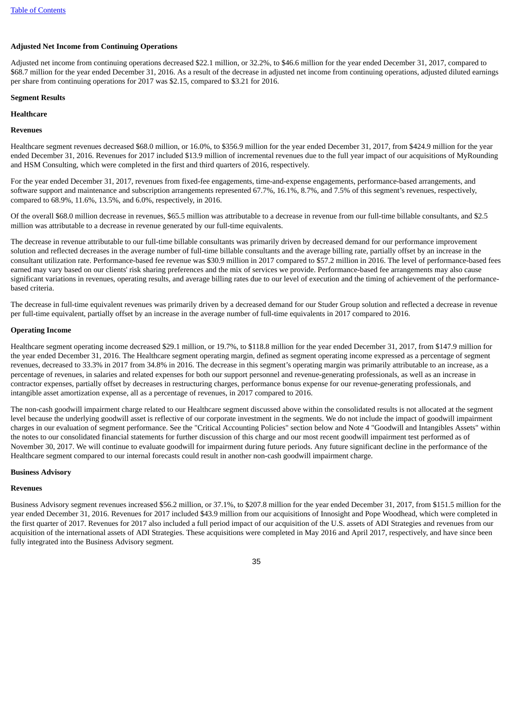# **Adjusted Net Income from Continuing Operations**

Adjusted net income from continuing operations decreased \$22.1 million, or 32.2%, to \$46.6 million for the year ended December 31, 2017, compared to \$68.7 million for the year ended December 31, 2016. As a result of the decrease in adjusted net income from continuing operations, adjusted diluted earnings per share from continuing operations for 2017 was \$2.15, compared to \$3.21 for 2016.

# **Segment Results**

# **Healthcare**

# **Revenues**

Healthcare segment revenues decreased \$68.0 million, or 16.0%, to \$356.9 million for the year ended December 31, 2017, from \$424.9 million for the year ended December 31, 2016. Revenues for 2017 included \$13.9 million of incremental revenues due to the full year impact of our acquisitions of MyRounding and HSM Consulting, which were completed in the first and third quarters of 2016, respectively.

For the year ended December 31, 2017, revenues from fixed-fee engagements, time-and-expense engagements, performance-based arrangements, and software support and maintenance and subscription arrangements represented 67.7%, 16.1%, 8.7%, and 7.5% of this segment's revenues, respectively, compared to 68.9%, 11.6%, 13.5%, and 6.0%, respectively, in 2016.

Of the overall \$68.0 million decrease in revenues, \$65.5 million was attributable to a decrease in revenue from our full-time billable consultants, and \$2.5 million was attributable to a decrease in revenue generated by our full-time equivalents.

The decrease in revenue attributable to our full-time billable consultants was primarily driven by decreased demand for our performance improvement solution and reflected decreases in the average number of full-time billable consultants and the average billing rate, partially offset by an increase in the consultant utilization rate. Performance-based fee revenue was \$30.9 million in 2017 compared to \$57.2 million in 2016. The level of performance-based fees earned may vary based on our clients' risk sharing preferences and the mix of services we provide. Performance-based fee arrangements may also cause significant variations in revenues, operating results, and average billing rates due to our level of execution and the timing of achievement of the performancebased criteria.

The decrease in full-time equivalent revenues was primarily driven by a decreased demand for our Studer Group solution and reflected a decrease in revenue per full-time equivalent, partially offset by an increase in the average number of full-time equivalents in 2017 compared to 2016.

#### **Operating Income**

Healthcare segment operating income decreased \$29.1 million, or 19.7%, to \$118.8 million for the year ended December 31, 2017, from \$147.9 million for the year ended December 31, 2016. The Healthcare segment operating margin, defined as segment operating income expressed as a percentage of segment revenues, decreased to 33.3% in 2017 from 34.8% in 2016. The decrease in this segment's operating margin was primarily attributable to an increase, as a percentage of revenues, in salaries and related expenses for both our support personnel and revenue-generating professionals, as well as an increase in contractor expenses, partially offset by decreases in restructuring charges, performance bonus expense for our revenue-generating professionals, and intangible asset amortization expense, all as a percentage of revenues, in 2017 compared to 2016.

The non-cash goodwill impairment charge related to our Healthcare segment discussed above within the consolidated results is not allocated at the segment level because the underlying goodwill asset is reflective of our corporate investment in the segments. We do not include the impact of goodwill impairment charges in our evaluation of segment performance. See the "Critical Accounting Policies" section below and Note 4 "Goodwill and Intangibles Assets" within the notes to our consolidated financial statements for further discussion of this charge and our most recent goodwill impairment test performed as of November 30, 2017. We will continue to evaluate goodwill for impairment during future periods. Any future significant decline in the performance of the Healthcare segment compared to our internal forecasts could result in another non-cash goodwill impairment charge.

# **Business Advisory**

#### **Revenues**

Business Advisory segment revenues increased \$56.2 million, or 37.1%, to \$207.8 million for the year ended December 31, 2017, from \$151.5 million for the year ended December 31, 2016. Revenues for 2017 included \$43.9 million from our acquisitions of Innosight and Pope Woodhead, which were completed in the first quarter of 2017. Revenues for 2017 also included a full period impact of our acquisition of the U.S. assets of ADI Strategies and revenues from our acquisition of the international assets of ADI Strategies. These acquisitions were completed in May 2016 and April 2017, respectively, and have since been fully integrated into the Business Advisory segment.

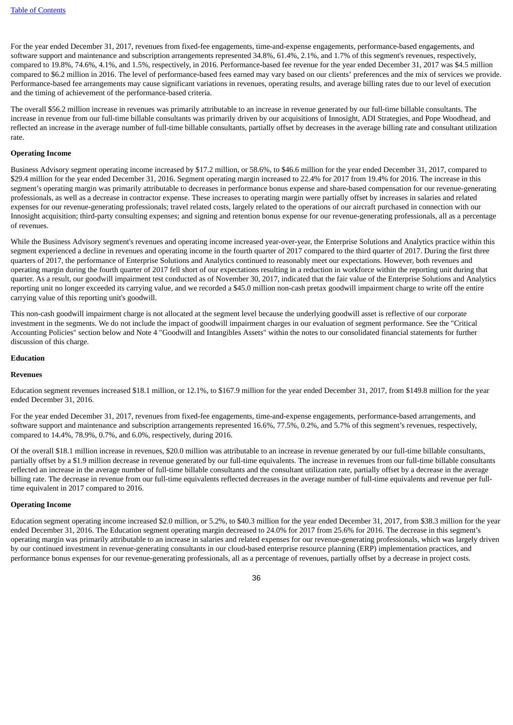For the year ended December 31, 2017, revenues from fixed-fee engagements, time-and-expense engagements, performance-based engagements, and software support and maintenance and subscription arrangements represented 34.8%, 61.4%, 2.1%, and 1.7% of this segment's revenues, respectively, compared to 19.8%, 74.6%, 4.1%, and 1.5%, respectively, in 2016. Performance-based fee revenue for the year ended December 31, 2017 was \$4.5 million compared to \$6.2 million in 2016. The level of performance-based fees earned may vary based on our clients' preferences and the mix of services we provide. Performance-based fee arrangements may cause significant variations in revenues, operating results, and average billing rates due to our level of execution and the timing of achievement of the performance-based criteria.

The overall \$56.2 million increase in revenues was primarily attributable to an increase in revenue generated by our full-time billable consultants. The increase in revenue from our full-time billable consultants was primarily driven by our acquisitions of Innosight, ADI Strategies, and Pope Woodhead, and reflected an increase in the average number of full-time billable consultants, partially offset by decreases in the average billing rate and consultant utilization rate.

#### **Operating Income**

Business Advisory segment operating income increased by \$17.2 million, or 58.6%, to \$46.6 million for the year ended December 31, 2017, compared to \$29.4 million for the year ended December 31, 2016. Segment operating margin increased to 22.4% for 2017 from 19.4% for 2016. The increase in this segment's operating margin was primarily attributable to decreases in performance bonus expense and share-based compensation for our revenue-generating professionals, as well as a decrease in contractor expense. These increases to operating margin were partially offset by increases in salaries and related expenses for our revenue-generating professionals; travel related costs, largely related to the operations of our aircraft purchased in connection with our Innosight acquisition; third-party consulting expenses; and signing and retention bonus expense for our revenue-generating professionals, all as a percentage of revenues.

While the Business Advisory segment's revenues and operating income increased year-over-year, the Enterprise Solutions and Analytics practice within this segment experienced a decline in revenues and operating income in the fourth quarter of 2017 compared to the third quarter of 2017. During the first three quarters of 2017, the performance of Enterprise Solutions and Analytics continued to reasonably meet our expectations. However, both revenues and operating margin during the fourth quarter of 2017 fell short of our expectations resulting in a reduction in workforce within the reporting unit during that quarter. As a result, our goodwill impairment test conducted as of November 30, 2017, indicated that the fair value of the Enterprise Solutions and Analytics reporting unit no longer exceeded its carrying value, and we recorded a \$45.0 million non-cash pretax goodwill impairment charge to write off the entire carrying value of this reporting unit's goodwill.

This non-cash goodwill impairment charge is not allocated at the segment level because the underlying goodwill asset is reflective of our corporate investment in the segments. We do not include the impact of goodwill impairment charges in our evaluation of segment performance. See the "Critical Accounting Policies" section below and Note 4 "Goodwill and Intangibles Assets" within the notes to our consolidated financial statements for further discussion of this charge.

#### **Education**

#### **Revenues**

Education segment revenues increased \$18.1 million, or 12.1%, to \$167.9 million for the year ended December 31, 2017, from \$149.8 million for the year ended December 31, 2016.

For the year ended December 31, 2017, revenues from fixed-fee engagements, time-and-expense engagements, performance-based arrangements, and software support and maintenance and subscription arrangements represented 16.6%, 77.5%, 0.2%, and 5.7% of this segment's revenues, respectively, compared to 14.4%, 78.9%, 0.7%, and 6.0%, respectively, during 2016.

Of the overall \$18.1 million increase in revenues, \$20.0 million was attributable to an increase in revenue generated by our full-time billable consultants, partially offset by a \$1.9 million decrease in revenue generated by our full-time equivalents. The increase in revenues from our full-time billable consultants reflected an increase in the average number of full-time billable consultants and the consultant utilization rate, partially offset by a decrease in the average billing rate. The decrease in revenue from our full-time equivalents reflected decreases in the average number of full-time equivalents and revenue per fulltime equivalent in 2017 compared to 2016.

# **Operating Income**

Education segment operating income increased \$2.0 million, or 5.2%, to \$40.3 million for the year ended December 31, 2017, from \$38.3 million for the year ended December 31, 2016. The Education segment operating margin decreased to 24.0% for 2017 from 25.6% for 2016. The decrease in this segment's operating margin was primarily attributable to an increase in salaries and related expenses for our revenue-generating professionals, which was largely driven by our continued investment in revenue-generating consultants in our cloud-based enterprise resource planning (ERP) implementation practices, and performance bonus expenses for our revenue-generating professionals, all as a percentage of revenues, partially offset by a decrease in project costs.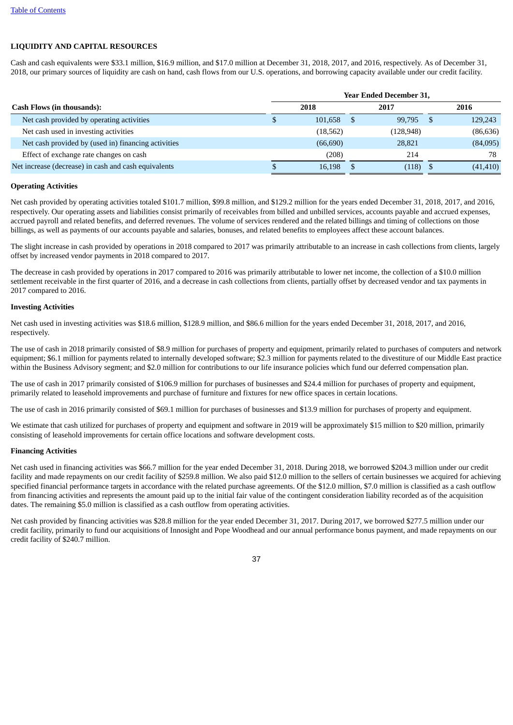# **LIQUIDITY AND CAPITAL RESOURCES**

Cash and cash equivalents were \$33.1 million, \$16.9 million, and \$17.0 million at December 31, 2018, 2017, and 2016, respectively. As of December 31, 2018, our primary sources of liquidity are cash on hand, cash flows from our U.S. operations, and borrowing capacity available under our credit facility.

|                                                      | <b>Year Ended December 31,</b> |           |  |            |  |           |  |  |
|------------------------------------------------------|--------------------------------|-----------|--|------------|--|-----------|--|--|
| <b>Cash Flows (in thousands):</b>                    |                                | 2018      |  | 2017       |  | 2016      |  |  |
| Net cash provided by operating activities            | Φ                              | 101,658   |  | 99,795     |  | 129,243   |  |  |
| Net cash used in investing activities                |                                | (18, 562) |  | (128, 948) |  | (86, 636) |  |  |
| Net cash provided by (used in) financing activities  |                                | (66, 690) |  | 28,821     |  | (84,095)  |  |  |
| Effect of exchange rate changes on cash              |                                | (208)     |  | 214        |  | 78        |  |  |
| Net increase (decrease) in cash and cash equivalents |                                | 16.198    |  | (118)      |  | (41, 410) |  |  |

#### **Operating Activities**

Net cash provided by operating activities totaled \$101.7 million, \$99.8 million, and \$129.2 million for the years ended December 31, 2018, 2017, and 2016, respectively. Our operating assets and liabilities consist primarily of receivables from billed and unbilled services, accounts payable and accrued expenses, accrued payroll and related benefits, and deferred revenues. The volume of services rendered and the related billings and timing of collections on those billings, as well as payments of our accounts payable and salaries, bonuses, and related benefits to employees affect these account balances.

The slight increase in cash provided by operations in 2018 compared to 2017 was primarily attributable to an increase in cash collections from clients, largely offset by increased vendor payments in 2018 compared to 2017.

The decrease in cash provided by operations in 2017 compared to 2016 was primarily attributable to lower net income, the collection of a \$10.0 million settlement receivable in the first quarter of 2016, and a decrease in cash collections from clients, partially offset by decreased vendor and tax payments in 2017 compared to 2016.

#### **Investing Activities**

Net cash used in investing activities was \$18.6 million, \$128.9 million, and \$86.6 million for the years ended December 31, 2018, 2017, and 2016, respectively.

The use of cash in 2018 primarily consisted of \$8.9 million for purchases of property and equipment, primarily related to purchases of computers and network equipment; \$6.1 million for payments related to internally developed software; \$2.3 million for payments related to the divestiture of our Middle East practice within the Business Advisory segment; and \$2.0 million for contributions to our life insurance policies which fund our deferred compensation plan.

The use of cash in 2017 primarily consisted of \$106.9 million for purchases of businesses and \$24.4 million for purchases of property and equipment, primarily related to leasehold improvements and purchase of furniture and fixtures for new office spaces in certain locations.

The use of cash in 2016 primarily consisted of \$69.1 million for purchases of businesses and \$13.9 million for purchases of property and equipment.

We estimate that cash utilized for purchases of property and equipment and software in 2019 will be approximately \$15 million to \$20 million, primarily consisting of leasehold improvements for certain office locations and software development costs.

#### **Financing Activities**

Net cash used in financing activities was \$66.7 million for the year ended December 31, 2018. During 2018, we borrowed \$204.3 million under our credit facility and made repayments on our credit facility of \$259.8 million. We also paid \$12.0 million to the sellers of certain businesses we acquired for achieving specified financial performance targets in accordance with the related purchase agreements. Of the \$12.0 million, \$7.0 million is classified as a cash outflow from financing activities and represents the amount paid up to the initial fair value of the contingent consideration liability recorded as of the acquisition dates. The remaining \$5.0 million is classified as a cash outflow from operating activities.

Net cash provided by financing activities was \$28.8 million for the year ended December 31, 2017. During 2017, we borrowed \$277.5 million under our credit facility, primarily to fund our acquisitions of Innosight and Pope Woodhead and our annual performance bonus payment, and made repayments on our credit facility of \$240.7 million.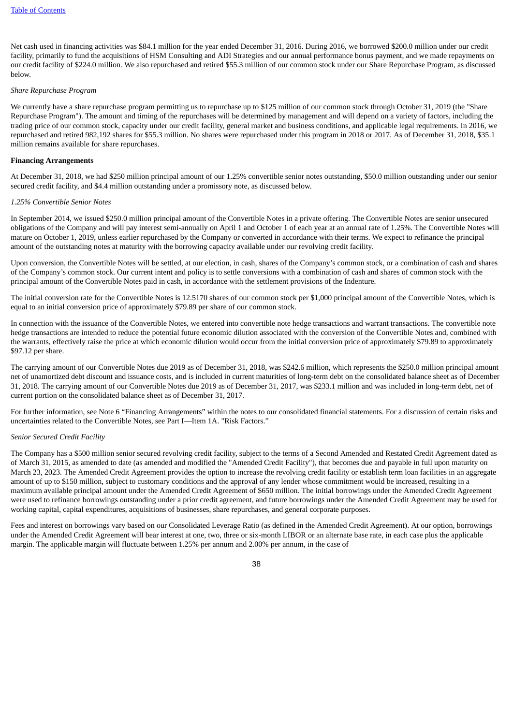Net cash used in financing activities was \$84.1 million for the year ended December 31, 2016. During 2016, we borrowed \$200.0 million under our credit facility, primarily to fund the acquisitions of HSM Consulting and ADI Strategies and our annual performance bonus payment, and we made repayments on our credit facility of \$224.0 million. We also repurchased and retired \$55.3 million of our common stock under our Share Repurchase Program, as discussed below.

# *Share Repurchase Program*

We currently have a share repurchase program permitting us to repurchase up to \$125 million of our common stock through October 31, 2019 (the "Share Repurchase Program"). The amount and timing of the repurchases will be determined by management and will depend on a variety of factors, including the trading price of our common stock, capacity under our credit facility, general market and business conditions, and applicable legal requirements. In 2016, we repurchased and retired 982,192 shares for \$55.3 million. No shares were repurchased under this program in 2018 or 2017. As of December 31, 2018, \$35.1 million remains available for share repurchases.

#### **Financing Arrangements**

At December 31, 2018, we had \$250 million principal amount of our 1.25% convertible senior notes outstanding, \$50.0 million outstanding under our senior secured credit facility, and \$4.4 million outstanding under a promissory note, as discussed below.

#### *1.25% Convertible Senior Notes*

In September 2014, we issued \$250.0 million principal amount of the Convertible Notes in a private offering. The Convertible Notes are senior unsecured obligations of the Company and will pay interest semi-annually on April 1 and October 1 of each year at an annual rate of 1.25%. The Convertible Notes will mature on October 1, 2019, unless earlier repurchased by the Company or converted in accordance with their terms. We expect to refinance the principal amount of the outstanding notes at maturity with the borrowing capacity available under our revolving credit facility.

Upon conversion, the Convertible Notes will be settled, at our election, in cash, shares of the Company's common stock, or a combination of cash and shares of the Company's common stock. Our current intent and policy is to settle conversions with a combination of cash and shares of common stock with the principal amount of the Convertible Notes paid in cash, in accordance with the settlement provisions of the Indenture.

The initial conversion rate for the Convertible Notes is 12.5170 shares of our common stock per \$1,000 principal amount of the Convertible Notes, which is equal to an initial conversion price of approximately \$79.89 per share of our common stock.

In connection with the issuance of the Convertible Notes, we entered into convertible note hedge transactions and warrant transactions. The convertible note hedge transactions are intended to reduce the potential future economic dilution associated with the conversion of the Convertible Notes and, combined with the warrants, effectively raise the price at which economic dilution would occur from the initial conversion price of approximately \$79.89 to approximately \$97.12 per share.

The carrying amount of our Convertible Notes due 2019 as of December 31, 2018, was \$242.6 million, which represents the \$250.0 million principal amount net of unamortized debt discount and issuance costs, and is included in current maturities of long-term debt on the consolidated balance sheet as of December 31, 2018. The carrying amount of our Convertible Notes due 2019 as of December 31, 2017, was \$233.1 million and was included in long-term debt, net of current portion on the consolidated balance sheet as of December 31, 2017.

For further information, see Note 6 "Financing Arrangements" within the notes to our consolidated financial statements. For a discussion of certain risks and uncertainties related to the Convertible Notes, see Part I—Item 1A. "Risk Factors."

#### *Senior Secured Credit Facility*

The Company has a \$500 million senior secured revolving credit facility, subject to the terms of a Second Amended and Restated Credit Agreement dated as of March 31, 2015, as amended to date (as amended and modified the "Amended Credit Facility"), that becomes due and payable in full upon maturity on March 23, 2023. The Amended Credit Agreement provides the option to increase the revolving credit facility or establish term loan facilities in an aggregate amount of up to \$150 million, subject to customary conditions and the approval of any lender whose commitment would be increased, resulting in a maximum available principal amount under the Amended Credit Agreement of \$650 million. The initial borrowings under the Amended Credit Agreement were used to refinance borrowings outstanding under a prior credit agreement, and future borrowings under the Amended Credit Agreement may be used for working capital, capital expenditures, acquisitions of businesses, share repurchases, and general corporate purposes.

Fees and interest on borrowings vary based on our Consolidated Leverage Ratio (as defined in the Amended Credit Agreement). At our option, borrowings under the Amended Credit Agreement will bear interest at one, two, three or six-month LIBOR or an alternate base rate, in each case plus the applicable margin. The applicable margin will fluctuate between 1.25% per annum and 2.00% per annum, in the case of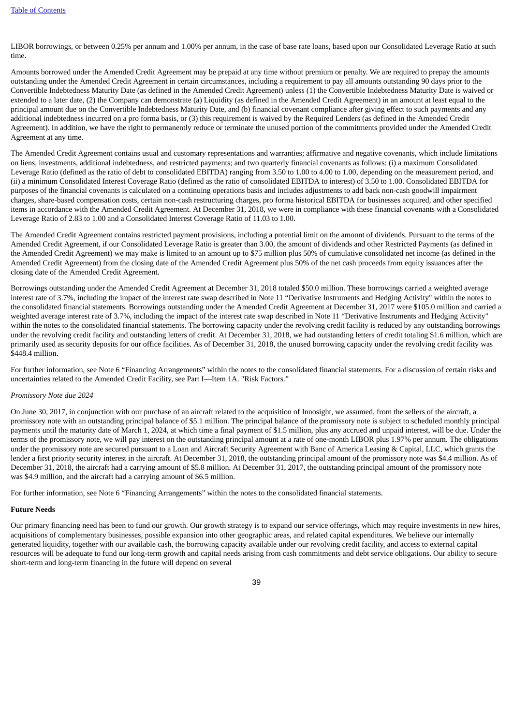LIBOR borrowings, or between 0.25% per annum and 1.00% per annum, in the case of base rate loans, based upon our Consolidated Leverage Ratio at such time.

Amounts borrowed under the Amended Credit Agreement may be prepaid at any time without premium or penalty. We are required to prepay the amounts outstanding under the Amended Credit Agreement in certain circumstances, including a requirement to pay all amounts outstanding 90 days prior to the Convertible Indebtedness Maturity Date (as defined in the Amended Credit Agreement) unless (1) the Convertible Indebtedness Maturity Date is waived or extended to a later date, (2) the Company can demonstrate (a) Liquidity (as defined in the Amended Credit Agreement) in an amount at least equal to the principal amount due on the Convertible Indebtedness Maturity Date, and (b) financial covenant compliance after giving effect to such payments and any additional indebtedness incurred on a pro forma basis, or (3) this requirement is waived by the Required Lenders (as defined in the Amended Credit Agreement). In addition, we have the right to permanently reduce or terminate the unused portion of the commitments provided under the Amended Credit Agreement at any time.

The Amended Credit Agreement contains usual and customary representations and warranties; affirmative and negative covenants, which include limitations on liens, investments, additional indebtedness, and restricted payments; and two quarterly financial covenants as follows: (i) a maximum Consolidated Leverage Ratio (defined as the ratio of debt to consolidated EBITDA) ranging from 3.50 to 1.00 to 4.00 to 1.00, depending on the measurement period, and (ii) a minimum Consolidated Interest Coverage Ratio (defined as the ratio of consolidated EBITDA to interest) of 3.50 to 1.00. Consolidated EBITDA for purposes of the financial covenants is calculated on a continuing operations basis and includes adjustments to add back non-cash goodwill impairment charges, share-based compensation costs, certain non-cash restructuring charges, pro forma historical EBITDA for businesses acquired, and other specified items in accordance with the Amended Credit Agreement. At December 31, 2018, we were in compliance with these financial covenants with a Consolidated Leverage Ratio of 2.83 to 1.00 and a Consolidated Interest Coverage Ratio of 11.03 to 1.00.

The Amended Credit Agreement contains restricted payment provisions, including a potential limit on the amount of dividends. Pursuant to the terms of the Amended Credit Agreement, if our Consolidated Leverage Ratio is greater than 3.00, the amount of dividends and other Restricted Payments (as defined in the Amended Credit Agreement) we may make is limited to an amount up to \$75 million plus 50% of cumulative consolidated net income (as defined in the Amended Credit Agreement) from the closing date of the Amended Credit Agreement plus 50% of the net cash proceeds from equity issuances after the closing date of the Amended Credit Agreement.

Borrowings outstanding under the Amended Credit Agreement at December 31, 2018 totaled \$50.0 million. These borrowings carried a weighted average interest rate of 3.7%, including the impact of the interest rate swap described in Note 11 "Derivative Instruments and Hedging Activity" within the notes to the consolidated financial statements. Borrowings outstanding under the Amended Credit Agreement at December 31, 2017 were \$105.0 million and carried a weighted average interest rate of 3.7%, including the impact of the interest rate swap described in Note 11 "Derivative Instruments and Hedging Activity" within the notes to the consolidated financial statements. The borrowing capacity under the revolving credit facility is reduced by any outstanding borrowings under the revolving credit facility and outstanding letters of credit. At December 31, 2018, we had outstanding letters of credit totaling \$1.6 million, which are primarily used as security deposits for our office facilities. As of December 31, 2018, the unused borrowing capacity under the revolving credit facility was \$448.4 million.

For further information, see Note 6 "Financing Arrangements" within the notes to the consolidated financial statements. For a discussion of certain risks and uncertainties related to the Amended Credit Facility, see Part I—Item 1A. "Risk Factors."

#### *Promissory Note due 2024*

On June 30, 2017, in conjunction with our purchase of an aircraft related to the acquisition of Innosight, we assumed, from the sellers of the aircraft, a promissory note with an outstanding principal balance of \$5.1 million. The principal balance of the promissory note is subject to scheduled monthly principal payments until the maturity date of March 1, 2024, at which time a final payment of \$1.5 million, plus any accrued and unpaid interest, will be due. Under the terms of the promissory note, we will pay interest on the outstanding principal amount at a rate of one-month LIBOR plus 1.97% per annum. The obligations under the promissory note are secured pursuant to a Loan and Aircraft Security Agreement with Banc of America Leasing & Capital, LLC, which grants the lender a first priority security interest in the aircraft. At December 31, 2018, the outstanding principal amount of the promissory note was \$4.4 million. As of December 31, 2018, the aircraft had a carrying amount of \$5.8 million. At December 31, 2017, the outstanding principal amount of the promissory note was \$4.9 million, and the aircraft had a carrying amount of \$6.5 million.

For further information, see Note 6 "Financing Arrangements" within the notes to the consolidated financial statements.

#### **Future Needs**

Our primary financing need has been to fund our growth. Our growth strategy is to expand our service offerings, which may require investments in new hires, acquisitions of complementary businesses, possible expansion into other geographic areas, and related capital expenditures. We believe our internally generated liquidity, together with our available cash, the borrowing capacity available under our revolving credit facility, and access to external capital resources will be adequate to fund our long-term growth and capital needs arising from cash commitments and debt service obligations. Our ability to secure short-term and long-term financing in the future will depend on several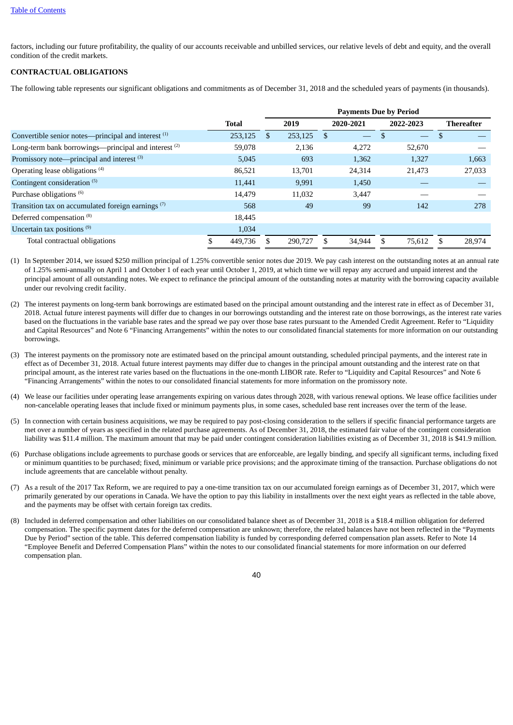factors, including our future profitability, the quality of our accounts receivable and unbilled services, our relative levels of debt and equity, and the overall condition of the credit markets.

# **CONTRACTUAL OBLIGATIONS**

The following table represents our significant obligations and commitments as of December 31, 2018 and the scheduled years of payments (in thousands).

|                                                                 |              | <b>Payments Due by Period</b> |         |      |               |               |                          |     |                   |
|-----------------------------------------------------------------|--------------|-------------------------------|---------|------|---------------|---------------|--------------------------|-----|-------------------|
|                                                                 | <b>Total</b> |                               | 2019    |      | 2020-2021     |               | 2022-2023                |     | <b>Thereafter</b> |
| Convertible senior notes—principal and interest <sup>(1)</sup>  | 253,125      | \$.                           | 253,125 | - \$ | $\frac{1}{2}$ | <sup>\$</sup> | $\overline{\phantom{0}}$ | -\$ |                   |
| Long-term bank borrowings—principal and interest <sup>(2)</sup> | 59,078       |                               | 2,136   |      | 4.272         |               | 52.670                   |     |                   |
| Promissory note—principal and interest <sup>(3)</sup>           | 5,045        |                               | 693     |      | 1,362         |               | 1,327                    |     | 1,663             |
| Operating lease obligations <sup>(4)</sup>                      | 86,521       |                               | 13,701  |      | 24,314        |               | 21,473                   |     | 27,033            |
| Contingent consideration <sup>(5)</sup>                         | 11.441       |                               | 9.991   |      | 1,450         |               |                          |     |                   |
| Purchase obligations <sup>(6)</sup>                             | 14,479       |                               | 11,032  |      | 3,447         |               |                          |     |                   |
| Transition tax on accumulated foreign earnings $(7)$            | 568          |                               | 49      |      | 99            |               | 142                      |     | 278               |
| Deferred compensation <sup>(8)</sup>                            | 18,445       |                               |         |      |               |               |                          |     |                   |
| Uncertain tax positions <sup>(9)</sup>                          | 1,034        |                               |         |      |               |               |                          |     |                   |
| Total contractual obligations                                   | 449,736      |                               | 290,727 | S    | 34.944        | \$.           | 75,612                   |     | 28,974            |

(1) In September 2014, we issued \$250 million principal of 1.25% convertible senior notes due 2019. We pay cash interest on the outstanding notes at an annual rate of 1.25% semi-annually on April 1 and October 1 of each year until October 1, 2019, at which time we will repay any accrued and unpaid interest and the principal amount of all outstanding notes. We expect to refinance the principal amount of the outstanding notes at maturity with the borrowing capacity available under our revolving credit facility.

(2) The interest payments on long-term bank borrowings are estimated based on the principal amount outstanding and the interest rate in effect as of December 31, 2018. Actual future interest payments will differ due to changes in our borrowings outstanding and the interest rate on those borrowings, as the interest rate varies based on the fluctuations in the variable base rates and the spread we pay over those base rates pursuant to the Amended Credit Agreement. Refer to "Liquidity and Capital Resources" and Note 6 "Financing Arrangements" within the notes to our consolidated financial statements for more information on our outstanding borrowings.

- (3) The interest payments on the promissory note are estimated based on the principal amount outstanding, scheduled principal payments, and the interest rate in effect as of December 31, 2018. Actual future interest payments may differ due to changes in the principal amount outstanding and the interest rate on that principal amount, as the interest rate varies based on the fluctuations in the one-month LIBOR rate. Refer to "Liquidity and Capital Resources" and Note 6 "Financing Arrangements" within the notes to our consolidated financial statements for more information on the promissory note.
- (4) We lease our facilities under operating lease arrangements expiring on various dates through 2028, with various renewal options. We lease office facilities under non-cancelable operating leases that include fixed or minimum payments plus, in some cases, scheduled base rent increases over the term of the lease.
- (5) In connection with certain business acquisitions, we may be required to pay post-closing consideration to the sellers if specific financial performance targets are met over a number of years as specified in the related purchase agreements. As of December 31, 2018, the estimated fair value of the contingent consideration liability was \$11.4 million. The maximum amount that may be paid under contingent consideration liabilities existing as of December 31, 2018 is \$41.9 million.
- (6) Purchase obligations include agreements to purchase goods or services that are enforceable, are legally binding, and specify all significant terms, including fixed or minimum quantities to be purchased; fixed, minimum or variable price provisions; and the approximate timing of the transaction. Purchase obligations do not include agreements that are cancelable without penalty.
- (7) As a result of the 2017 Tax Reform, we are required to pay a one-time transition tax on our accumulated foreign earnings as of December 31, 2017, which were primarily generated by our operations in Canada. We have the option to pay this liability in installments over the next eight years as reflected in the table above, and the payments may be offset with certain foreign tax credits.
- (8) Included in deferred compensation and other liabilities on our consolidated balance sheet as of December 31, 2018 is a \$18.4 million obligation for deferred compensation. The specific payment dates for the deferred compensation are unknown; therefore, the related balances have not been reflected in the "Payments Due by Period" section of the table. This deferred compensation liability is funded by corresponding deferred compensation plan assets. Refer to Note 14 "Employee Benefit and Deferred Compensation Plans" within the notes to our consolidated financial statements for more information on our deferred compensation plan.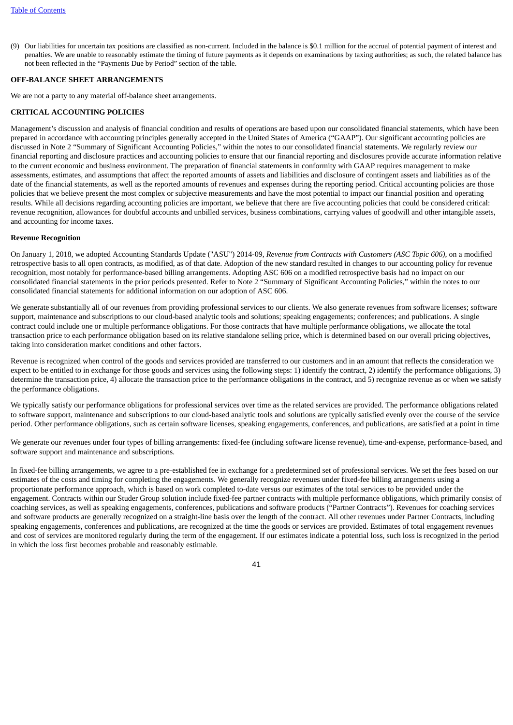(9) Our liabilities for uncertain tax positions are classified as non-current. Included in the balance is \$0.1 million for the accrual of potential payment of interest and penalties. We are unable to reasonably estimate the timing of future payments as it depends on examinations by taxing authorities; as such, the related balance has not been reflected in the "Payments Due by Period" section of the table.

# **OFF-BALANCE SHEET ARRANGEMENTS**

We are not a party to any material off-balance sheet arrangements.

# **CRITICAL ACCOUNTING POLICIES**

Management's discussion and analysis of financial condition and results of operations are based upon our consolidated financial statements, which have been prepared in accordance with accounting principles generally accepted in the United States of America ("GAAP"). Our significant accounting policies are discussed in Note 2 "Summary of Significant Accounting Policies," within the notes to our consolidated financial statements. We regularly review our financial reporting and disclosure practices and accounting policies to ensure that our financial reporting and disclosures provide accurate information relative to the current economic and business environment. The preparation of financial statements in conformity with GAAP requires management to make assessments, estimates, and assumptions that affect the reported amounts of assets and liabilities and disclosure of contingent assets and liabilities as of the date of the financial statements, as well as the reported amounts of revenues and expenses during the reporting period. Critical accounting policies are those policies that we believe present the most complex or subjective measurements and have the most potential to impact our financial position and operating results. While all decisions regarding accounting policies are important, we believe that there are five accounting policies that could be considered critical: revenue recognition, allowances for doubtful accounts and unbilled services, business combinations, carrying values of goodwill and other intangible assets, and accounting for income taxes.

#### **Revenue Recognition**

On January 1, 2018, we adopted Accounting Standards Update ("ASU") 2014-09, *Revenue from Contracts with Customers (ASC Topic 606)*, on a modified retrospective basis to all open contracts, as modified, as of that date. Adoption of the new standard resulted in changes to our accounting policy for revenue recognition, most notably for performance-based billing arrangements. Adopting ASC 606 on a modified retrospective basis had no impact on our consolidated financial statements in the prior periods presented. Refer to Note 2 "Summary of Significant Accounting Policies," within the notes to our consolidated financial statements for additional information on our adoption of ASC 606.

We generate substantially all of our revenues from providing professional services to our clients. We also generate revenues from software licenses: software support, maintenance and subscriptions to our cloud-based analytic tools and solutions; speaking engagements; conferences; and publications. A single contract could include one or multiple performance obligations. For those contracts that have multiple performance obligations, we allocate the total transaction price to each performance obligation based on its relative standalone selling price, which is determined based on our overall pricing objectives, taking into consideration market conditions and other factors.

Revenue is recognized when control of the goods and services provided are transferred to our customers and in an amount that reflects the consideration we expect to be entitled to in exchange for those goods and services using the following steps: 1) identify the contract, 2) identify the performance obligations, 3) determine the transaction price, 4) allocate the transaction price to the performance obligations in the contract, and 5) recognize revenue as or when we satisfy the performance obligations.

We typically satisfy our performance obligations for professional services over time as the related services are provided. The performance obligations related to software support, maintenance and subscriptions to our cloud-based analytic tools and solutions are typically satisfied evenly over the course of the service period. Other performance obligations, such as certain software licenses, speaking engagements, conferences, and publications, are satisfied at a point in time

We generate our revenues under four types of billing arrangements: fixed-fee (including software license revenue), time-and-expense, performance-based, and software support and maintenance and subscriptions.

In fixed-fee billing arrangements, we agree to a pre-established fee in exchange for a predetermined set of professional services. We set the fees based on our estimates of the costs and timing for completing the engagements. We generally recognize revenues under fixed-fee billing arrangements using a proportionate performance approach, which is based on work completed to-date versus our estimates of the total services to be provided under the engagement. Contracts within our Studer Group solution include fixed-fee partner contracts with multiple performance obligations, which primarily consist of coaching services, as well as speaking engagements, conferences, publications and software products ("Partner Contracts"). Revenues for coaching services and software products are generally recognized on a straight-line basis over the length of the contract. All other revenues under Partner Contracts, including speaking engagements, conferences and publications, are recognized at the time the goods or services are provided. Estimates of total engagement revenues and cost of services are monitored regularly during the term of the engagement. If our estimates indicate a potential loss, such loss is recognized in the period in which the loss first becomes probable and reasonably estimable.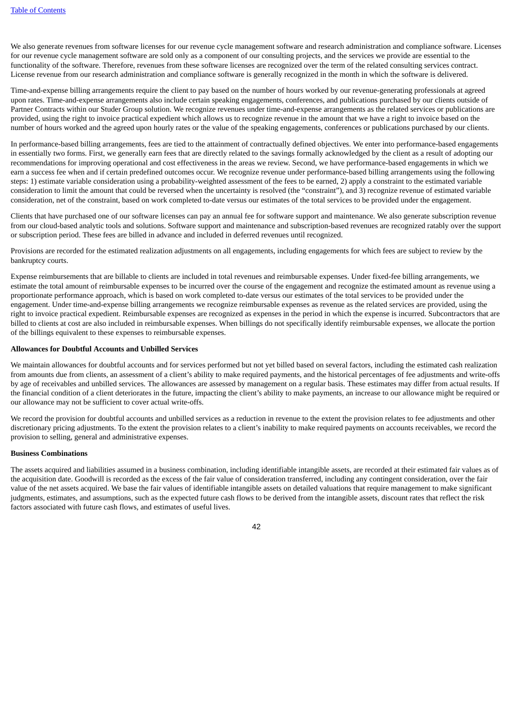We also generate revenues from software licenses for our revenue cycle management software and research administration and compliance software. Licenses for our revenue cycle management software are sold only as a component of our consulting projects, and the services we provide are essential to the functionality of the software. Therefore, revenues from these software licenses are recognized over the term of the related consulting services contract. License revenue from our research administration and compliance software is generally recognized in the month in which the software is delivered.

Time-and-expense billing arrangements require the client to pay based on the number of hours worked by our revenue-generating professionals at agreed upon rates. Time-and-expense arrangements also include certain speaking engagements, conferences, and publications purchased by our clients outside of Partner Contracts within our Studer Group solution. We recognize revenues under time-and-expense arrangements as the related services or publications are provided, using the right to invoice practical expedient which allows us to recognize revenue in the amount that we have a right to invoice based on the number of hours worked and the agreed upon hourly rates or the value of the speaking engagements, conferences or publications purchased by our clients.

In performance-based billing arrangements, fees are tied to the attainment of contractually defined objectives. We enter into performance-based engagements in essentially two forms. First, we generally earn fees that are directly related to the savings formally acknowledged by the client as a result of adopting our recommendations for improving operational and cost effectiveness in the areas we review. Second, we have performance-based engagements in which we earn a success fee when and if certain predefined outcomes occur. We recognize revenue under performance-based billing arrangements using the following steps: 1) estimate variable consideration using a probability-weighted assessment of the fees to be earned, 2) apply a constraint to the estimated variable consideration to limit the amount that could be reversed when the uncertainty is resolved (the "constraint"), and 3) recognize revenue of estimated variable consideration, net of the constraint, based on work completed to-date versus our estimates of the total services to be provided under the engagement.

Clients that have purchased one of our software licenses can pay an annual fee for software support and maintenance. We also generate subscription revenue from our cloud-based analytic tools and solutions. Software support and maintenance and subscription-based revenues are recognized ratably over the support or subscription period. These fees are billed in advance and included in deferred revenues until recognized.

Provisions are recorded for the estimated realization adjustments on all engagements, including engagements for which fees are subject to review by the bankruptcy courts.

Expense reimbursements that are billable to clients are included in total revenues and reimbursable expenses. Under fixed-fee billing arrangements, we estimate the total amount of reimbursable expenses to be incurred over the course of the engagement and recognize the estimated amount as revenue using a proportionate performance approach, which is based on work completed to-date versus our estimates of the total services to be provided under the engagement. Under time-and-expense billing arrangements we recognize reimbursable expenses as revenue as the related services are provided, using the right to invoice practical expedient. Reimbursable expenses are recognized as expenses in the period in which the expense is incurred. Subcontractors that are billed to clients at cost are also included in reimbursable expenses. When billings do not specifically identify reimbursable expenses, we allocate the portion of the billings equivalent to these expenses to reimbursable expenses.

# **Allowances for Doubtful Accounts and Unbilled Services**

We maintain allowances for doubtful accounts and for services performed but not yet billed based on several factors, including the estimated cash realization from amounts due from clients, an assessment of a client's ability to make required payments, and the historical percentages of fee adjustments and write-offs by age of receivables and unbilled services. The allowances are assessed by management on a regular basis. These estimates may differ from actual results. If the financial condition of a client deteriorates in the future, impacting the client's ability to make payments, an increase to our allowance might be required or our allowance may not be sufficient to cover actual write-offs.

We record the provision for doubtful accounts and unbilled services as a reduction in revenue to the extent the provision relates to fee adjustments and other discretionary pricing adjustments. To the extent the provision relates to a client's inability to make required payments on accounts receivables, we record the provision to selling, general and administrative expenses.

#### **Business Combinations**

The assets acquired and liabilities assumed in a business combination, including identifiable intangible assets, are recorded at their estimated fair values as of the acquisition date. Goodwill is recorded as the excess of the fair value of consideration transferred, including any contingent consideration, over the fair value of the net assets acquired. We base the fair values of identifiable intangible assets on detailed valuations that require management to make significant judgments, estimates, and assumptions, such as the expected future cash flows to be derived from the intangible assets, discount rates that reflect the risk factors associated with future cash flows, and estimates of useful lives.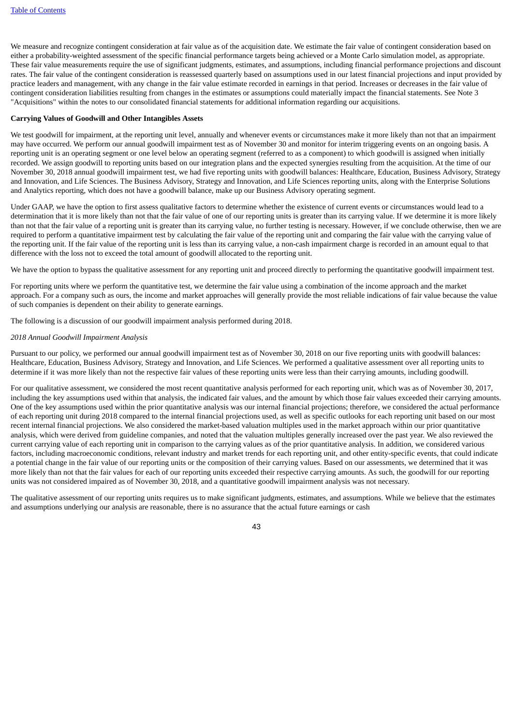We measure and recognize contingent consideration at fair value as of the acquisition date. We estimate the fair value of contingent consideration based on either a probability-weighted assessment of the specific financial performance targets being achieved or a Monte Carlo simulation model, as appropriate. These fair value measurements require the use of significant judgments, estimates, and assumptions, including financial performance projections and discount rates. The fair value of the contingent consideration is reassessed quarterly based on assumptions used in our latest financial projections and input provided by practice leaders and management, with any change in the fair value estimate recorded in earnings in that period. Increases or decreases in the fair value of contingent consideration liabilities resulting from changes in the estimates or assumptions could materially impact the financial statements. See Note 3 "Acquisitions" within the notes to our consolidated financial statements for additional information regarding our acquisitions.

#### **Carrying Values of Goodwill and Other Intangibles Assets**

We test goodwill for impairment, at the reporting unit level, annually and whenever events or circumstances make it more likely than not that an impairment may have occurred. We perform our annual goodwill impairment test as of November 30 and monitor for interim triggering events on an ongoing basis. A reporting unit is an operating segment or one level below an operating segment (referred to as a component) to which goodwill is assigned when initially recorded. We assign goodwill to reporting units based on our integration plans and the expected synergies resulting from the acquisition. At the time of our November 30, 2018 annual goodwill impairment test, we had five reporting units with goodwill balances: Healthcare, Education, Business Advisory, Strategy and Innovation, and Life Sciences. The Business Advisory, Strategy and Innovation, and Life Sciences reporting units, along with the Enterprise Solutions and Analytics reporting, which does not have a goodwill balance, make up our Business Advisory operating segment.

Under GAAP, we have the option to first assess qualitative factors to determine whether the existence of current events or circumstances would lead to a determination that it is more likely than not that the fair value of one of our reporting units is greater than its carrying value. If we determine it is more likely than not that the fair value of a reporting unit is greater than its carrying value, no further testing is necessary. However, if we conclude otherwise, then we are required to perform a quantitative impairment test by calculating the fair value of the reporting unit and comparing the fair value with the carrying value of the reporting unit. If the fair value of the reporting unit is less than its carrying value, a non-cash impairment charge is recorded in an amount equal to that difference with the loss not to exceed the total amount of goodwill allocated to the reporting unit.

We have the option to bypass the qualitative assessment for any reporting unit and proceed directly to performing the quantitative goodwill impairment test.

For reporting units where we perform the quantitative test, we determine the fair value using a combination of the income approach and the market approach. For a company such as ours, the income and market approaches will generally provide the most reliable indications of fair value because the value of such companies is dependent on their ability to generate earnings.

The following is a discussion of our goodwill impairment analysis performed during 2018.

#### *2018 Annual Goodwill Impairment Analysis*

Pursuant to our policy, we performed our annual goodwill impairment test as of November 30, 2018 on our five reporting units with goodwill balances: Healthcare, Education, Business Advisory, Strategy and Innovation, and Life Sciences. We performed a qualitative assessment over all reporting units to determine if it was more likely than not the respective fair values of these reporting units were less than their carrying amounts, including goodwill.

For our qualitative assessment, we considered the most recent quantitative analysis performed for each reporting unit, which was as of November 30, 2017, including the key assumptions used within that analysis, the indicated fair values, and the amount by which those fair values exceeded their carrying amounts. One of the key assumptions used within the prior quantitative analysis was our internal financial projections; therefore, we considered the actual performance of each reporting unit during 2018 compared to the internal financial projections used, as well as specific outlooks for each reporting unit based on our most recent internal financial projections. We also considered the market-based valuation multiples used in the market approach within our prior quantitative analysis, which were derived from guideline companies, and noted that the valuation multiples generally increased over the past year. We also reviewed the current carrying value of each reporting unit in comparison to the carrying values as of the prior quantitative analysis. In addition, we considered various factors, including macroeconomic conditions, relevant industry and market trends for each reporting unit, and other entity-specific events, that could indicate a potential change in the fair value of our reporting units or the composition of their carrying values. Based on our assessments, we determined that it was more likely than not that the fair values for each of our reporting units exceeded their respective carrying amounts. As such, the goodwill for our reporting units was not considered impaired as of November 30, 2018, and a quantitative goodwill impairment analysis was not necessary.

The qualitative assessment of our reporting units requires us to make significant judgments, estimates, and assumptions. While we believe that the estimates and assumptions underlying our analysis are reasonable, there is no assurance that the actual future earnings or cash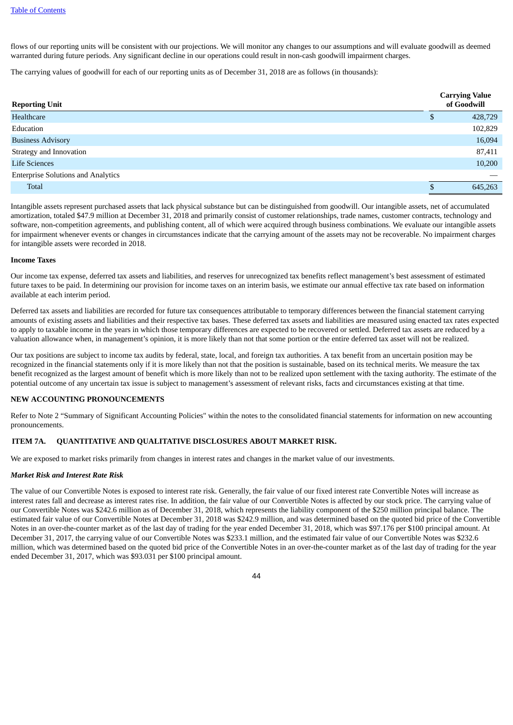flows of our reporting units will be consistent with our projections. We will monitor any changes to our assumptions and will evaluate goodwill as deemed warranted during future periods. Any significant decline in our operations could result in non-cash goodwill impairment charges.

The carrying values of goodwill for each of our reporting units as of December 31, 2018 are as follows (in thousands):

| <b>Reporting Unit</b>                     |    | <b>Carrying Value</b><br>of Goodwill |
|-------------------------------------------|----|--------------------------------------|
| Healthcare                                | ۰D | 428,729                              |
| Education                                 |    | 102,829                              |
| <b>Business Advisory</b>                  |    | 16,094                               |
| <b>Strategy and Innovation</b>            |    | 87,411                               |
| <b>Life Sciences</b>                      |    | 10,200                               |
| <b>Enterprise Solutions and Analytics</b> |    | __                                   |
| Total                                     |    | 645,263                              |

Intangible assets represent purchased assets that lack physical substance but can be distinguished from goodwill. Our intangible assets, net of accumulated amortization, totaled \$47.9 million at December 31, 2018 and primarily consist of customer relationships, trade names, customer contracts, technology and software, non-competition agreements, and publishing content, all of which were acquired through business combinations. We evaluate our intangible assets for impairment whenever events or changes in circumstances indicate that the carrying amount of the assets may not be recoverable. No impairment charges for intangible assets were recorded in 2018.

#### **Income Taxes**

Our income tax expense, deferred tax assets and liabilities, and reserves for unrecognized tax benefits reflect management's best assessment of estimated future taxes to be paid. In determining our provision for income taxes on an interim basis, we estimate our annual effective tax rate based on information available at each interim period.

Deferred tax assets and liabilities are recorded for future tax consequences attributable to temporary differences between the financial statement carrying amounts of existing assets and liabilities and their respective tax bases. These deferred tax assets and liabilities are measured using enacted tax rates expected to apply to taxable income in the years in which those temporary differences are expected to be recovered or settled. Deferred tax assets are reduced by a valuation allowance when, in management's opinion, it is more likely than not that some portion or the entire deferred tax asset will not be realized.

Our tax positions are subject to income tax audits by federal, state, local, and foreign tax authorities. A tax benefit from an uncertain position may be recognized in the financial statements only if it is more likely than not that the position is sustainable, based on its technical merits. We measure the tax benefit recognized as the largest amount of benefit which is more likely than not to be realized upon settlement with the taxing authority. The estimate of the potential outcome of any uncertain tax issue is subject to management's assessment of relevant risks, facts and circumstances existing at that time.

# **NEW ACCOUNTING PRONOUNCEMENTS**

Refer to Note 2 "Summary of Significant Accounting Policies" within the notes to the consolidated financial statements for information on new accounting pronouncements.

# **ITEM 7A. QUANTITATIVE AND QUALITATIVE DISCLOSURES ABOUT MARKET RISK.**

We are exposed to market risks primarily from changes in interest rates and changes in the market value of our investments.

#### *Market Risk and Interest Rate Risk*

The value of our Convertible Notes is exposed to interest rate risk. Generally, the fair value of our fixed interest rate Convertible Notes will increase as interest rates fall and decrease as interest rates rise. In addition, the fair value of our Convertible Notes is affected by our stock price. The carrying value of our Convertible Notes was \$242.6 million as of December 31, 2018, which represents the liability component of the \$250 million principal balance. The estimated fair value of our Convertible Notes at December 31, 2018 was \$242.9 million, and was determined based on the quoted bid price of the Convertible Notes in an over-the-counter market as of the last day of trading for the year ended December 31, 2018, which was \$97.176 per \$100 principal amount. At December 31, 2017, the carrying value of our Convertible Notes was \$233.1 million, and the estimated fair value of our Convertible Notes was \$232.6 million, which was determined based on the quoted bid price of the Convertible Notes in an over-the-counter market as of the last day of trading for the year ended December 31, 2017, which was \$93.031 per \$100 principal amount.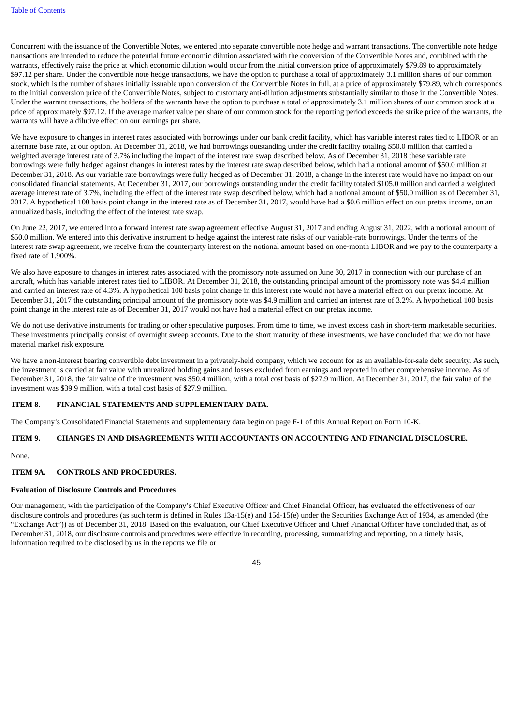Concurrent with the issuance of the Convertible Notes, we entered into separate convertible note hedge and warrant transactions. The convertible note hedge transactions are intended to reduce the potential future economic dilution associated with the conversion of the Convertible Notes and, combined with the warrants, effectively raise the price at which economic dilution would occur from the initial conversion price of approximately \$79.89 to approximately \$97.12 per share. Under the convertible note hedge transactions, we have the option to purchase a total of approximately 3.1 million shares of our common stock, which is the number of shares initially issuable upon conversion of the Convertible Notes in full, at a price of approximately \$79.89, which corresponds to the initial conversion price of the Convertible Notes, subject to customary anti-dilution adjustments substantially similar to those in the Convertible Notes. Under the warrant transactions, the holders of the warrants have the option to purchase a total of approximately 3.1 million shares of our common stock at a price of approximately \$97.12. If the average market value per share of our common stock for the reporting period exceeds the strike price of the warrants, the warrants will have a dilutive effect on our earnings per share.

We have exposure to changes in interest rates associated with borrowings under our bank credit facility, which has variable interest rates tied to LIBOR or an alternate base rate, at our option. At December 31, 2018, we had borrowings outstanding under the credit facility totaling \$50.0 million that carried a weighted average interest rate of 3.7% including the impact of the interest rate swap described below. As of December 31, 2018 these variable rate borrowings were fully hedged against changes in interest rates by the interest rate swap described below, which had a notional amount of \$50.0 million at December 31, 2018. As our variable rate borrowings were fully hedged as of December 31, 2018, a change in the interest rate would have no impact on our consolidated financial statements. At December 31, 2017, our borrowings outstanding under the credit facility totaled \$105.0 million and carried a weighted average interest rate of 3.7%, including the effect of the interest rate swap described below, which had a notional amount of \$50.0 million as of December 31, 2017. A hypothetical 100 basis point change in the interest rate as of December 31, 2017, would have had a \$0.6 million effect on our pretax income, on an annualized basis, including the effect of the interest rate swap.

On June 22, 2017, we entered into a forward interest rate swap agreement effective August 31, 2017 and ending August 31, 2022, with a notional amount of \$50.0 million. We entered into this derivative instrument to hedge against the interest rate risks of our variable-rate borrowings. Under the terms of the interest rate swap agreement, we receive from the counterparty interest on the notional amount based on one-month LIBOR and we pay to the counterparty a fixed rate of 1.900%.

We also have exposure to changes in interest rates associated with the promissory note assumed on June 30, 2017 in connection with our purchase of an aircraft, which has variable interest rates tied to LIBOR. At December 31, 2018, the outstanding principal amount of the promissory note was \$4.4 million and carried an interest rate of 4.3%. A hypothetical 100 basis point change in this interest rate would not have a material effect on our pretax income. At December 31, 2017 the outstanding principal amount of the promissory note was \$4.9 million and carried an interest rate of 3.2%. A hypothetical 100 basis point change in the interest rate as of December 31, 2017 would not have had a material effect on our pretax income.

We do not use derivative instruments for trading or other speculative purposes. From time to time, we invest excess cash in short-term marketable securities. These investments principally consist of overnight sweep accounts. Due to the short maturity of these investments, we have concluded that we do not have material market risk exposure.

We have a non-interest bearing convertible debt investment in a privately-held company, which we account for as an available-for-sale debt security. As such, the investment is carried at fair value with unrealized holding gains and losses excluded from earnings and reported in other comprehensive income. As of December 31, 2018, the fair value of the investment was \$50.4 million, with a total cost basis of \$27.9 million. At December 31, 2017, the fair value of the investment was \$39.9 million, with a total cost basis of \$27.9 million.

# **ITEM 8. FINANCIAL STATEMENTS AND SUPPLEMENTARY DATA.**

The Company's Consolidated Financial Statements and supplementary data begin on page F-1 of this Annual Report on Form 10-K.

# **ITEM 9. CHANGES IN AND DISAGREEMENTS WITH ACCOUNTANTS ON ACCOUNTING AND FINANCIAL DISCLOSURE.**

None.

# **ITEM 9A. CONTROLS AND PROCEDURES.**

#### **Evaluation of Disclosure Controls and Procedures**

Our management, with the participation of the Company's Chief Executive Officer and Chief Financial Officer, has evaluated the effectiveness of our disclosure controls and procedures (as such term is defined in Rules 13a-15(e) and 15d-15(e) under the Securities Exchange Act of 1934, as amended (the "Exchange Act")) as of December 31, 2018. Based on this evaluation, our Chief Executive Officer and Chief Financial Officer have concluded that, as of December 31, 2018, our disclosure controls and procedures were effective in recording, processing, summarizing and reporting, on a timely basis, information required to be disclosed by us in the reports we file or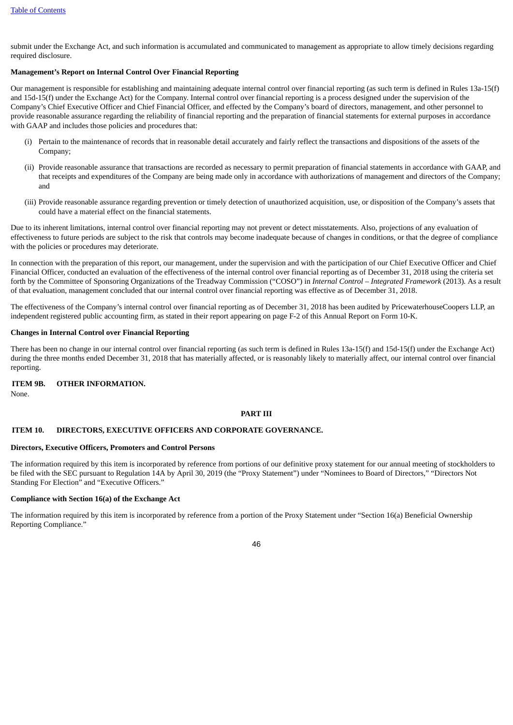submit under the Exchange Act, and such information is accumulated and communicated to management as appropriate to allow timely decisions regarding required disclosure.

# **Management's Report on Internal Control Over Financial Reporting**

Our management is responsible for establishing and maintaining adequate internal control over financial reporting (as such term is defined in Rules 13a-15(f) and 15d-15(f) under the Exchange Act) for the Company. Internal control over financial reporting is a process designed under the supervision of the Company's Chief Executive Officer and Chief Financial Officer, and effected by the Company's board of directors, management, and other personnel to provide reasonable assurance regarding the reliability of financial reporting and the preparation of financial statements for external purposes in accordance with GAAP and includes those policies and procedures that:

- (i) Pertain to the maintenance of records that in reasonable detail accurately and fairly reflect the transactions and dispositions of the assets of the Company;
- (ii) Provide reasonable assurance that transactions are recorded as necessary to permit preparation of financial statements in accordance with GAAP, and that receipts and expenditures of the Company are being made only in accordance with authorizations of management and directors of the Company; and
- (iii) Provide reasonable assurance regarding prevention or timely detection of unauthorized acquisition, use, or disposition of the Company's assets that could have a material effect on the financial statements.

Due to its inherent limitations, internal control over financial reporting may not prevent or detect misstatements. Also, projections of any evaluation of effectiveness to future periods are subject to the risk that controls may become inadequate because of changes in conditions, or that the degree of compliance with the policies or procedures may deteriorate.

In connection with the preparation of this report, our management, under the supervision and with the participation of our Chief Executive Officer and Chief Financial Officer, conducted an evaluation of the effectiveness of the internal control over financial reporting as of December 31, 2018 using the criteria set forth by the Committee of Sponsoring Organizations of the Treadway Commission ("COSO") in *Internal Control – Integrated Framework* (2013)*.* As a result of that evaluation, management concluded that our internal control over financial reporting was effective as of December 31, 2018.

The effectiveness of the Company's internal control over financial reporting as of December 31, 2018 has been audited by PricewaterhouseCoopers LLP, an independent registered public accounting firm, as stated in their report appearing on page F-2 of this Annual Report on Form 10-K.

#### **Changes in Internal Control over Financial Reporting**

There has been no change in our internal control over financial reporting (as such term is defined in Rules 13a-15(f) and 15d-15(f) under the Exchange Act) during the three months ended December 31, 2018 that has materially affected, or is reasonably likely to materially affect, our internal control over financial reporting.

# **ITEM 9B. OTHER INFORMATION.**

None.

#### **PART III**

#### **ITEM 10. DIRECTORS, EXECUTIVE OFFICERS AND CORPORATE GOVERNANCE.**

#### **Directors, Executive Officers, Promoters and Control Persons**

The information required by this item is incorporated by reference from portions of our definitive proxy statement for our annual meeting of stockholders to be filed with the SEC pursuant to Regulation 14A by April 30, 2019 (the "Proxy Statement") under "Nominees to Board of Directors," "Directors Not Standing For Election" and "Executive Officers."

#### **Compliance with Section 16(a) of the Exchange Act**

The information required by this item is incorporated by reference from a portion of the Proxy Statement under "Section 16(a) Beneficial Ownership Reporting Compliance."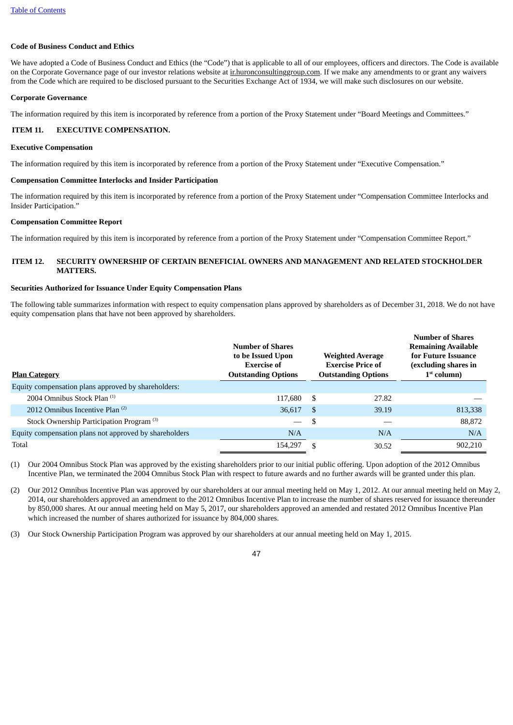# **Code of Business Conduct and Ethics**

We have adopted a Code of Business Conduct and Ethics (the "Code") that is applicable to all of our employees, officers and directors. The Code is available on the Corporate Governance page of our investor relations website at ir.huronconsultinggroup.com. If we make any amendments to or grant any waivers from the Code which are required to be disclosed pursuant to the Securities Exchange Act of 1934, we will make such disclosures on our website.

#### **Corporate Governance**

The information required by this item is incorporated by reference from a portion of the Proxy Statement under "Board Meetings and Committees."

# **ITEM 11. EXECUTIVE COMPENSATION.**

#### **Executive Compensation**

The information required by this item is incorporated by reference from a portion of the Proxy Statement under "Executive Compensation."

#### **Compensation Committee Interlocks and Insider Participation**

The information required by this item is incorporated by reference from a portion of the Proxy Statement under "Compensation Committee Interlocks and Insider Participation."

# **Compensation Committee Report**

The information required by this item is incorporated by reference from a portion of the Proxy Statement under "Compensation Committee Report."

# **ITEM 12. SECURITY OWNERSHIP OF CERTAIN BENEFICIAL OWNERS AND MANAGEMENT AND RELATED STOCKHOLDER MATTERS.**

# **Securities Authorized for Issuance Under Equity Compensation Plans**

The following table summarizes information with respect to equity compensation plans approved by shareholders as of December 31, 2018. We do not have equity compensation plans that have not been approved by shareholders.

| <b>Plan Category</b>                                   | <b>Number of Shares</b><br>to be Issued Upon<br><b>Exercise of</b><br><b>Outstanding Options</b> |      | <b>Weighted Average</b><br><b>Exercise Price of</b><br><b>Outstanding Options</b> | <b>Number of Shares</b><br><b>Remaining Available</b><br>for Future Issuance<br>(excluding shares in<br>$1st$ column) |
|--------------------------------------------------------|--------------------------------------------------------------------------------------------------|------|-----------------------------------------------------------------------------------|-----------------------------------------------------------------------------------------------------------------------|
| Equity compensation plans approved by shareholders:    |                                                                                                  |      |                                                                                   |                                                                                                                       |
| 2004 Omnibus Stock Plan <sup>(1)</sup>                 | 117.680                                                                                          | - \$ | 27.82                                                                             |                                                                                                                       |
| 2012 Omnibus Incentive Plan (2)                        | 36,617                                                                                           | -S   | 39.19                                                                             | 813,338                                                                                                               |
| Stock Ownership Participation Program <sup>(3)</sup>   |                                                                                                  | S    |                                                                                   | 88,872                                                                                                                |
| Equity compensation plans not approved by shareholders | N/A                                                                                              |      | N/A                                                                               | N/A                                                                                                                   |
| Total                                                  | 154.297                                                                                          | ß.   | 30.52                                                                             | 902,210                                                                                                               |

(1) Our 2004 Omnibus Stock Plan was approved by the existing shareholders prior to our initial public offering. Upon adoption of the 2012 Omnibus Incentive Plan, we terminated the 2004 Omnibus Stock Plan with respect to future awards and no further awards will be granted under this plan.

(2) Our 2012 Omnibus Incentive Plan was approved by our shareholders at our annual meeting held on May 1, 2012. At our annual meeting held on May 2, 2014, our shareholders approved an amendment to the 2012 Omnibus Incentive Plan to increase the number of shares reserved for issuance thereunder by 850,000 shares. At our annual meeting held on May 5, 2017, our shareholders approved an amended and restated 2012 Omnibus Incentive Plan which increased the number of shares authorized for issuance by 804,000 shares.

(3) Our Stock Ownership Participation Program was approved by our shareholders at our annual meeting held on May 1, 2015.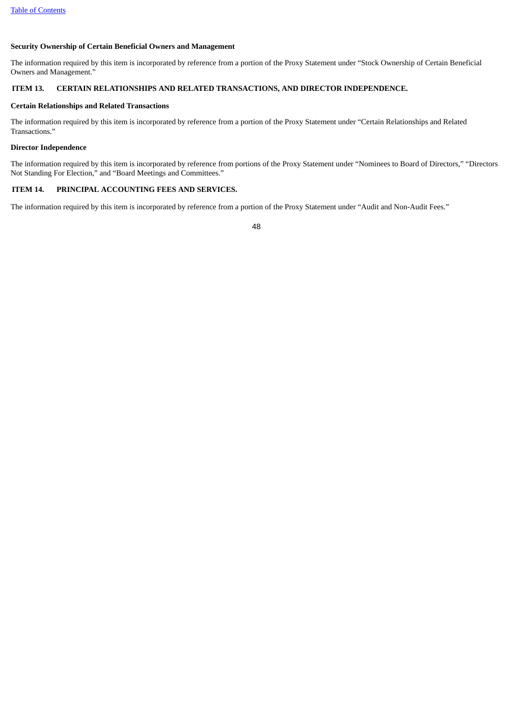# **Security Ownership of Certain Beneficial Owners and Management**

The information required by this item is incorporated by reference from a portion of the Proxy Statement under "Stock Ownership of Certain Beneficial Owners and Management."

# **ITEM 13. CERTAIN RELATIONSHIPS AND RELATED TRANSACTIONS, AND DIRECTOR INDEPENDENCE.**

# **Certain Relationships and Related Transactions**

The information required by this item is incorporated by reference from a portion of the Proxy Statement under "Certain Relationships and Related Transactions."

# **Director Independence**

The information required by this item is incorporated by reference from portions of the Proxy Statement under "Nominees to Board of Directors," "Directors Not Standing For Election," and "Board Meetings and Committees."

# **ITEM 14. PRINCIPAL ACCOUNTING FEES AND SERVICES.**

The information required by this item is incorporated by reference from a portion of the Proxy Statement under "Audit and Non-Audit Fees."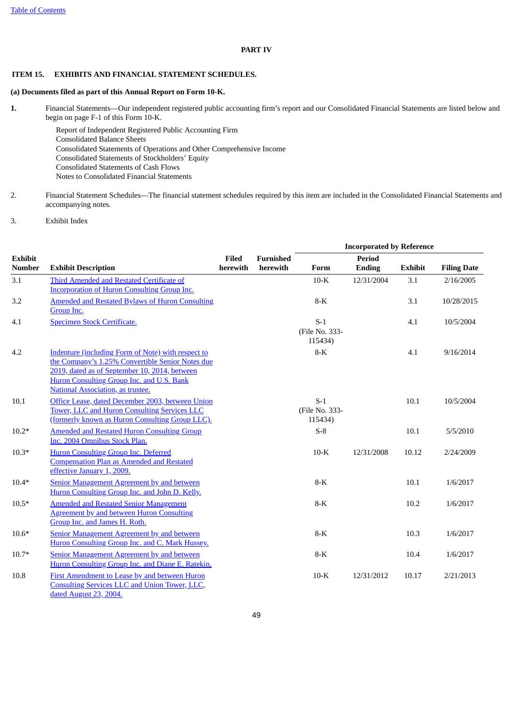#### **PART IV**

# **ITEM 15. EXHIBITS AND FINANCIAL STATEMENT SCHEDULES.**

#### **(a) Documents filed as part of this Annual Report on Form 10-K.**

**1.** Financial Statements—Our independent registered public accounting firm's report and our Consolidated Financial Statements are listed below and begin on page F-1 of this Form 10-K.

Report of Independent Registered Public Accounting Firm Consolidated Balance Sheets Consolidated Statements of Operations and Other Comprehensive Income Consolidated Statements of Stockholders' Equity Consolidated Statements of Cash Flows Notes to Consolidated Financial Statements

- 2. Financial Statement Schedules—The financial statement schedules required by this item are included in the Consolidated Financial Statements and accompanying notes.
- 3. Exhibit Index

|                                 |                                                                                                                                                                                                                                           |                          |                              | <b>Incorporated by Reference</b>   |                         |                |                    |
|---------------------------------|-------------------------------------------------------------------------------------------------------------------------------------------------------------------------------------------------------------------------------------------|--------------------------|------------------------------|------------------------------------|-------------------------|----------------|--------------------|
| <b>Exhibit</b><br><b>Number</b> | <b>Exhibit Description</b>                                                                                                                                                                                                                | <b>Filed</b><br>herewith | <b>Furnished</b><br>herewith | Form                               | Period<br><b>Ending</b> | <b>Exhibit</b> | <b>Filing Date</b> |
| 3.1                             | Third Amended and Restated Certificate of<br><b>Incorporation of Huron Consulting Group Inc.</b>                                                                                                                                          |                          |                              | $10-K$                             | 12/31/2004              | 3.1            | 2/16/2005          |
| 3.2                             | <b>Amended and Restated Bylaws of Huron Consulting</b><br>Group Inc.                                                                                                                                                                      |                          |                              | $8-K$                              |                         | 3.1            | 10/28/2015         |
| 4.1                             | <b>Specimen Stock Certificate.</b>                                                                                                                                                                                                        |                          |                              | $S-1$<br>(File No. 333-<br>115434) |                         | 4.1            | 10/5/2004          |
| 4.2                             | Indenture (including Form of Note) with respect to<br>the Company's 1.25% Convertible Senior Notes due<br>2019, dated as of September 10, 2014, between<br>Huron Consulting Group Inc. and U.S. Bank<br>National Association, as trustee. |                          |                              | $8-K$                              |                         | 4.1            | 9/16/2014          |
| 10.1                            | Office Lease, dated December 2003, between Union<br><b>Tower, LLC and Huron Consulting Services LLC</b><br>(formerly known as Huron Consulting Group LLC).                                                                                |                          |                              | $S-1$<br>(File No. 333-<br>115434) |                         | 10.1           | 10/5/2004          |
| $10.2*$                         | <b>Amended and Restated Huron Consulting Group</b><br>Inc. 2004 Omnibus Stock Plan.                                                                                                                                                       |                          |                              | $S-8$                              |                         | 10.1           | 5/5/2010           |
| $10.3*$                         | <b>Huron Consulting Group Inc. Deferred</b><br><b>Compensation Plan as Amended and Restated</b><br>effective January 1, 2009.                                                                                                             |                          |                              | $10-K$                             | 12/31/2008              | 10.12          | 2/24/2009          |
| $10.4*$                         | <b>Senior Management Agreement by and between</b><br>Huron Consulting Group Inc. and John D. Kelly.                                                                                                                                       |                          |                              | $8-K$                              |                         | 10.1           | 1/6/2017           |
| $10.5*$                         | <b>Amended and Restated Senior Management</b><br><b>Agreement by and between Huron Consulting</b><br>Group Inc. and James H. Roth.                                                                                                        |                          |                              | $8-K$                              |                         | 10.2           | 1/6/2017           |
| $10.6*$                         | <b>Senior Management Agreement by and between</b><br>Huron Consulting Group Inc. and C. Mark Hussey.                                                                                                                                      |                          |                              | $8-K$                              |                         | 10.3           | 1/6/2017           |
| $10.7*$                         | Senior Management Agreement by and between<br>Huron Consulting Group Inc. and Diane E. Ratekin.                                                                                                                                           |                          |                              | $8-K$                              |                         | 10.4           | 1/6/2017           |
| 10.8                            | <b>First Amendment to Lease by and between Huron</b><br><b>Consulting Services LLC and Union Tower, LLC,</b><br>dated August 23, 2004.                                                                                                    |                          |                              | $10-K$                             | 12/31/2012              | 10.17          | 2/21/2013          |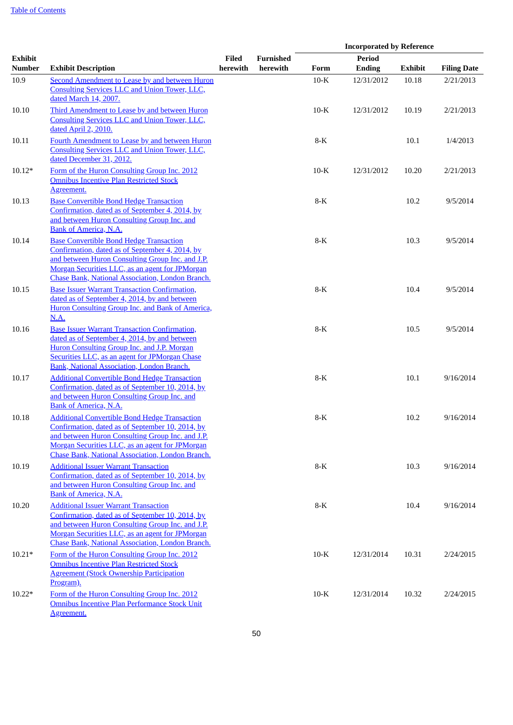|                                 |                                                                                                                                                                                                                                                                     |                          |                              | <b>Incorporated by Reference</b> |                                |                |                    |
|---------------------------------|---------------------------------------------------------------------------------------------------------------------------------------------------------------------------------------------------------------------------------------------------------------------|--------------------------|------------------------------|----------------------------------|--------------------------------|----------------|--------------------|
| <b>Exhibit</b><br><b>Number</b> | <b>Exhibit Description</b>                                                                                                                                                                                                                                          | <b>Filed</b><br>herewith | <b>Furnished</b><br>herewith | Form                             | <b>Period</b><br><b>Ending</b> | <b>Exhibit</b> | <b>Filing Date</b> |
| 10.9                            | Second Amendment to Lease by and between Huron<br>Consulting Services LLC and Union Tower, LLC,<br>dated March 14, 2007.                                                                                                                                            |                          |                              | $10-K$                           | 12/31/2012                     | 10.18          | 2/21/2013          |
| 10.10                           | Third Amendment to Lease by and between Huron<br><b>Consulting Services LLC and Union Tower, LLC,</b><br>dated April 2, 2010.                                                                                                                                       |                          |                              | $10-K$                           | 12/31/2012                     | 10.19          | 2/21/2013          |
| 10.11                           | Fourth Amendment to Lease by and between Huron<br><b>Consulting Services LLC and Union Tower, LLC,</b><br>dated December 31, 2012.                                                                                                                                  |                          |                              | $8-K$                            |                                | 10.1           | 1/4/2013           |
| $10.12*$                        | Form of the Huron Consulting Group Inc. 2012<br><b>Omnibus Incentive Plan Restricted Stock</b><br>Agreement.                                                                                                                                                        |                          |                              | $10-K$                           | 12/31/2012                     | 10.20          | 2/21/2013          |
| 10.13                           | <b>Base Convertible Bond Hedge Transaction</b><br>Confirmation, dated as of September 4, 2014, by<br>and between Huron Consulting Group Inc. and<br><b>Bank of America, N.A.</b>                                                                                    |                          |                              | $8-K$                            |                                | 10.2           | 9/5/2014           |
| 10.14                           | <b>Base Convertible Bond Hedge Transaction</b><br>Confirmation, dated as of September 4, 2014, by<br>and between Huron Consulting Group Inc. and J.P.<br>Morgan Securities LLC, as an agent for JPMorgan                                                            |                          |                              | $8-K$                            |                                | 10.3           | 9/5/2014           |
| 10.15                           | Chase Bank, National Association, London Branch.<br><b>Base Issuer Warrant Transaction Confirmation,</b><br>dated as of September 4, 2014, by and between<br>Huron Consulting Group Inc. and Bank of America,<br>N.A.                                               |                          |                              | $8-K$                            |                                | 10.4           | 9/5/2014           |
| 10.16                           | <b>Base Issuer Warrant Transaction Confirmation,</b><br>dated as of September 4, 2014, by and between<br>Huron Consulting Group Inc. and J.P. Morgan<br>Securities LLC, as an agent for JPMorgan Chase<br>Bank, National Association, London Branch.                |                          |                              | $8-K$                            |                                | 10.5           | 9/5/2014           |
| 10.17                           | <b>Additional Convertible Bond Hedge Transaction</b><br>Confirmation, dated as of September 10, 2014, by<br>and between Huron Consulting Group Inc. and<br><b>Bank of America, N.A.</b>                                                                             |                          |                              | $8-K$                            |                                | 10.1           | 9/16/2014          |
| 10.18                           | <b>Additional Convertible Bond Hedge Transaction</b><br>Confirmation, dated as of September 10, 2014, by<br>and between Huron Consulting Group Inc. and J.P.<br>Morgan Securities LLC, as an agent for JPMorgan<br>Chase Bank, National Association, London Branch. |                          |                              | $8-K$                            |                                | 10.2           | 9/16/2014          |
| 10.19                           | <b>Additional Issuer Warrant Transaction</b><br>Confirmation, dated as of September 10, 2014, by<br>and between Huron Consulting Group Inc. and<br><b>Bank of America, N.A.</b>                                                                                     |                          |                              | 8-K                              |                                | 10.3           | 9/16/2014          |
| 10.20                           | <b>Additional Issuer Warrant Transaction</b><br>Confirmation, dated as of September 10, 2014, by<br>and between Huron Consulting Group Inc. and J.P.<br>Morgan Securities LLC, as an agent for JPMorgan<br>Chase Bank, National Association, London Branch.         |                          |                              | $8-K$                            |                                | 10.4           | 9/16/2014          |
| $10.21*$                        | Form of the Huron Consulting Group Inc. 2012<br><b>Omnibus Incentive Plan Restricted Stock</b><br><b>Agreement (Stock Ownership Participation</b><br>Program).                                                                                                      |                          |                              | $10-K$                           | 12/31/2014                     | 10.31          | 2/24/2015          |
| $10.22*$                        | Form of the Huron Consulting Group Inc. 2012<br>Omnibus Incentive Plan Performance Stock Unit<br><u>Agreement.</u>                                                                                                                                                  |                          |                              | $10-K$                           | 12/31/2014                     | 10.32          | 2/24/2015          |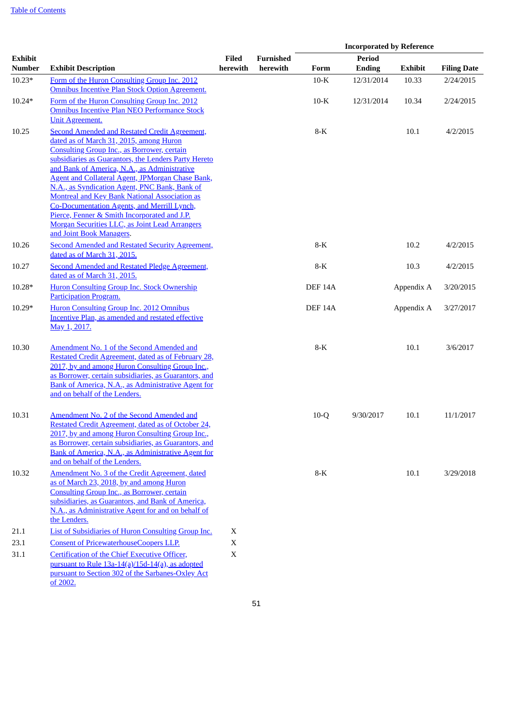|                          |                                                                                                                                                                                                                                                                                                                                                                                                                                                                                                                                                                                                                       |                          |                              | <b>Incorporated by Reference</b> |                                |                |                    |
|--------------------------|-----------------------------------------------------------------------------------------------------------------------------------------------------------------------------------------------------------------------------------------------------------------------------------------------------------------------------------------------------------------------------------------------------------------------------------------------------------------------------------------------------------------------------------------------------------------------------------------------------------------------|--------------------------|------------------------------|----------------------------------|--------------------------------|----------------|--------------------|
| <b>Exhibit</b><br>Number | <b>Exhibit Description</b>                                                                                                                                                                                                                                                                                                                                                                                                                                                                                                                                                                                            | <b>Filed</b><br>herewith | <b>Furnished</b><br>herewith | Form                             | <b>Period</b><br><b>Ending</b> | <b>Exhibit</b> | <b>Filing Date</b> |
| $10.23*$                 | Form of the Huron Consulting Group Inc. 2012<br><b>Omnibus Incentive Plan Stock Option Agreement.</b>                                                                                                                                                                                                                                                                                                                                                                                                                                                                                                                 |                          |                              | $10-K$                           | 12/31/2014                     | 10.33          | 2/24/2015          |
| 10.24*                   | Form of the Huron Consulting Group Inc. 2012<br><b>Omnibus Incentive Plan NEO Performance Stock</b><br><b>Unit Agreement.</b>                                                                                                                                                                                                                                                                                                                                                                                                                                                                                         |                          |                              | $10-K$                           | 12/31/2014                     | 10.34          | 2/24/2015          |
| 10.25                    | <b>Second Amended and Restated Credit Agreement,</b><br>dated as of March 31, 2015, among Huron<br><b>Consulting Group Inc., as Borrower, certain</b><br>subsidiaries as Guarantors, the Lenders Party Hereto<br>and Bank of America, N.A., as Administrative<br>Agent and Collateral Agent, JPMorgan Chase Bank,<br>N.A., as Syndication Agent, PNC Bank, Bank of<br><b>Montreal and Key Bank National Association as</b><br><b>Co-Documentation Agents, and Merrill Lynch,</b><br>Pierce, Fenner & Smith Incorporated and J.P.<br><b>Morgan Securities LLC, as Joint Lead Arrangers</b><br>and Joint Book Managers. |                          |                              | $8-K$                            |                                | 10.1           | 4/2/2015           |
| 10.26                    | <b>Second Amended and Restated Security Agreement,</b><br>dated as of March 31, 2015.                                                                                                                                                                                                                                                                                                                                                                                                                                                                                                                                 |                          |                              | $8-K$                            |                                | 10.2           | 4/2/2015           |
| 10.27                    | <b>Second Amended and Restated Pledge Agreement,</b><br>dated as of March 31, 2015.                                                                                                                                                                                                                                                                                                                                                                                                                                                                                                                                   |                          |                              | $8-K$                            |                                | 10.3           | 4/2/2015           |
| 10.28*                   | <b>Huron Consulting Group Inc. Stock Ownership</b><br><b>Participation Program.</b>                                                                                                                                                                                                                                                                                                                                                                                                                                                                                                                                   |                          |                              | DEF 14A                          |                                | Appendix A     | 3/20/2015          |
| 10.29*                   | <b>Huron Consulting Group Inc. 2012 Omnibus</b><br>Incentive Plan, as amended and restated effective<br>May 1, 2017.                                                                                                                                                                                                                                                                                                                                                                                                                                                                                                  |                          |                              | DEF 14A                          |                                | Appendix A     | 3/27/2017          |
| 10.30                    | <b>Amendment No. 1 of the Second Amended and</b><br>Restated Credit Agreement, dated as of February 28,<br>2017, by and among Huron Consulting Group Inc.,<br>as Borrower, certain subsidiaries, as Guarantors, and<br>Bank of America, N.A., as Administrative Agent for<br>and on behalf of the Lenders.                                                                                                                                                                                                                                                                                                            |                          |                              | $8-K$                            |                                | 10.1           | 3/6/2017           |
| 10.31                    | <b>Amendment No. 2 of the Second Amended and</b><br>Restated Credit Agreement, dated as of October 24,<br>2017, by and among Huron Consulting Group Inc.,<br>as Borrower, certain subsidiaries, as Guarantors, and<br>Bank of America, N.A., as Administrative Agent for<br>and on behalf of the Lenders.                                                                                                                                                                                                                                                                                                             |                          |                              | $10-Q$                           | 9/30/2017                      | 10.1           | 11/1/2017          |
| 10.32                    | Amendment No. 3 of the Credit Agreement, dated<br>as of March 23, 2018, by and among Huron<br><b>Consulting Group Inc., as Borrower, certain</b><br>subsidiaries, as Guarantors, and Bank of America,<br>N.A., as Administrative Agent for and on behalf of<br>the Lenders.                                                                                                                                                                                                                                                                                                                                           |                          |                              | $8-K$                            |                                | 10.1           | 3/29/2018          |
| 21.1                     | List of Subsidiaries of Huron Consulting Group Inc.                                                                                                                                                                                                                                                                                                                                                                                                                                                                                                                                                                   | X                        |                              |                                  |                                |                |                    |
| 23.1                     | <b>Consent of PricewaterhouseCoopers LLP.</b>                                                                                                                                                                                                                                                                                                                                                                                                                                                                                                                                                                         | X                        |                              |                                  |                                |                |                    |
| 31.1                     | <b>Certification of the Chief Executive Officer,</b><br>pursuant to Rule 13a-14(a)/15d-14(a), as adopted<br>pursuant to Section 302 of the Sarbanes-Oxley Act<br>of 2002.                                                                                                                                                                                                                                                                                                                                                                                                                                             | $\mathbf X$              |                              |                                  |                                |                |                    |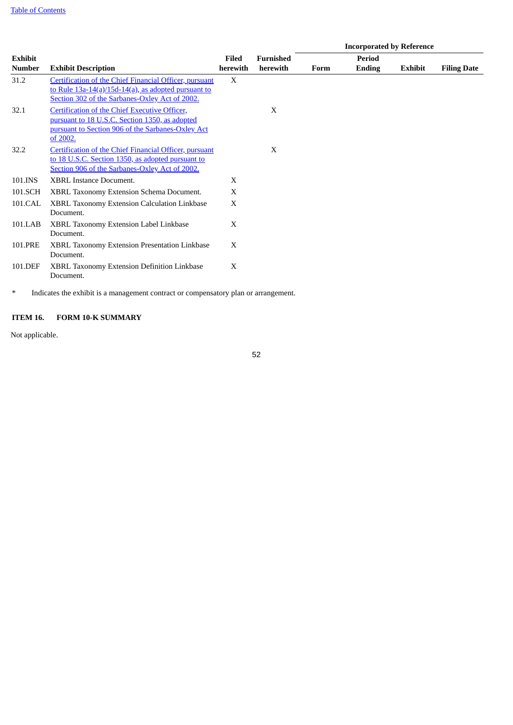|                          |                                                                                                                                                                    |                          |                              |      | <b>Incorporated by Reference</b> |         |                    |
|--------------------------|--------------------------------------------------------------------------------------------------------------------------------------------------------------------|--------------------------|------------------------------|------|----------------------------------|---------|--------------------|
| <b>Exhibit</b><br>Number | <b>Exhibit Description</b>                                                                                                                                         | <b>Filed</b><br>herewith | <b>Furnished</b><br>herewith | Form | <b>Period</b><br><b>Ending</b>   | Exhibit | <b>Filing Date</b> |
| 31.2                     | Certification of the Chief Financial Officer, pursuant<br>to Rule $13a-14(a)/15d-14(a)$ , as adopted pursuant to<br>Section 302 of the Sarbanes-Oxley Act of 2002. | X                        |                              |      |                                  |         |                    |
| 32.1                     | Certification of the Chief Executive Officer,<br>pursuant to 18 U.S.C. Section 1350, as adopted<br>pursuant to Section 906 of the Sarbanes-Oxley Act<br>of 2002.   |                          | X                            |      |                                  |         |                    |
| 32.2                     | Certification of the Chief Financial Officer, pursuant<br>to 18 U.S.C. Section 1350, as adopted pursuant to<br>Section 906 of the Sarbanes-Oxley Act of 2002.      |                          | X                            |      |                                  |         |                    |
| 101.INS                  | <b>XBRL Instance Document.</b>                                                                                                                                     | X                        |                              |      |                                  |         |                    |
| 101.SCH                  | XBRL Taxonomy Extension Schema Document.                                                                                                                           | X                        |                              |      |                                  |         |                    |
| 101.CAL                  | XBRL Taxonomy Extension Calculation Linkbase<br>Document.                                                                                                          | X                        |                              |      |                                  |         |                    |
| 101.LAB                  | XBRL Taxonomy Extension Label Linkbase<br>Document.                                                                                                                | X                        |                              |      |                                  |         |                    |
| 101.PRE                  | XBRL Taxonomy Extension Presentation Linkbase<br>Document.                                                                                                         | X                        |                              |      |                                  |         |                    |
| 101.DEF                  | <b>XBRL Taxonomy Extension Definition Linkbase</b><br>Document.                                                                                                    | X                        |                              |      |                                  |         |                    |

\* Indicates the exhibit is a management contract or compensatory plan or arrangement.

# **ITEM 16. FORM 10-K SUMMARY**

Not applicable.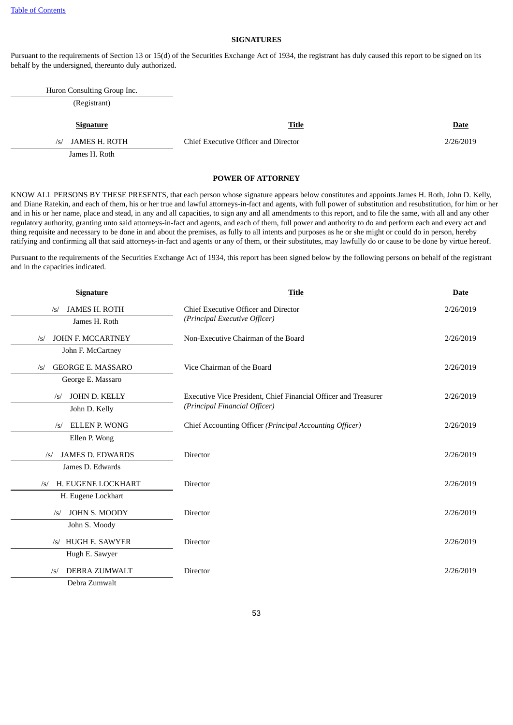#### **SIGNATURES**

Pursuant to the requirements of Section 13 or 15(d) of the Securities Exchange Act of 1934, the registrant has duly caused this report to be signed on its behalf by the undersigned, thereunto duly authorized.

| Huron Consulting Group Inc. |                                      |             |
|-----------------------------|--------------------------------------|-------------|
| (Registrant)                |                                      |             |
|                             |                                      |             |
| <b>Signature</b>            | <b>Title</b>                         | <b>Date</b> |
| JAMES H. ROTH<br>$\sqrt{s}$ | Chief Executive Officer and Director | 2/26/2019   |
| James H Roth                |                                      |             |

James H. Roth

#### **POWER OF ATTORNEY**

KNOW ALL PERSONS BY THESE PRESENTS, that each person whose signature appears below constitutes and appoints James H. Roth, John D. Kelly, and Diane Ratekin, and each of them, his or her true and lawful attorneys-in-fact and agents, with full power of substitution and resubstitution, for him or her and in his or her name, place and stead, in any and all capacities, to sign any and all amendments to this report, and to file the same, with all and any other regulatory authority, granting unto said attorneys-in-fact and agents, and each of them, full power and authority to do and perform each and every act and thing requisite and necessary to be done in and about the premises, as fully to all intents and purposes as he or she might or could do in person, hereby ratifying and confirming all that said attorneys-in-fact and agents or any of them, or their substitutes, may lawfully do or cause to be done by virtue hereof.

Pursuant to the requirements of the Securities Exchange Act of 1934, this report has been signed below by the following persons on behalf of the registrant and in the capacities indicated.

| <b>Signature</b>                       | <b>Title</b>                                                    | <b>Date</b> |
|----------------------------------------|-----------------------------------------------------------------|-------------|
| JAMES H. ROTH<br>$\sqrt{s}$            | <b>Chief Executive Officer and Director</b>                     | 2/26/2019   |
| James H. Roth                          | (Principal Executive Officer)                                   |             |
| JOHN F. MCCARTNEY<br>$\sqrt{s}$        | Non-Executive Chairman of the Board                             | 2/26/2019   |
| John F. McCartney                      |                                                                 |             |
| <b>GEORGE E. MASSARO</b><br>$\sqrt{s}$ | Vice Chairman of the Board                                      | 2/26/2019   |
| George E. Massaro                      |                                                                 |             |
| JOHN D. KELLY<br>$\sqrt{s}$            | Executive Vice President, Chief Financial Officer and Treasurer | 2/26/2019   |
| John D. Kelly                          | (Principal Financial Officer)                                   |             |
| <b>ELLEN P. WONG</b><br>$\sqrt{s}$     | Chief Accounting Officer (Principal Accounting Officer)         | 2/26/2019   |
| Ellen P. Wong                          |                                                                 |             |
| <b>JAMES D. EDWARDS</b><br>$\sqrt{s}$  | <b>Director</b>                                                 | 2/26/2019   |
| James D. Edwards                       |                                                                 |             |
| H. EUGENE LOCKHART<br>$\sqrt{s}$       | <b>Director</b>                                                 | 2/26/2019   |
| H. Eugene Lockhart                     |                                                                 |             |
| <b>JOHN S. MOODY</b><br>$\sqrt{s}$     | <b>Director</b>                                                 | 2/26/2019   |
| John S. Moody                          |                                                                 |             |
| <b>HUGH E. SAWYER</b><br>$\sqrt{s}$    | <b>Director</b>                                                 | 2/26/2019   |
| Hugh E. Sawyer                         |                                                                 |             |
| <b>DEBRA ZUMWALT</b><br>$\sqrt{s}$     | <b>Director</b>                                                 | 2/26/2019   |
| Debra Zumwalt                          |                                                                 |             |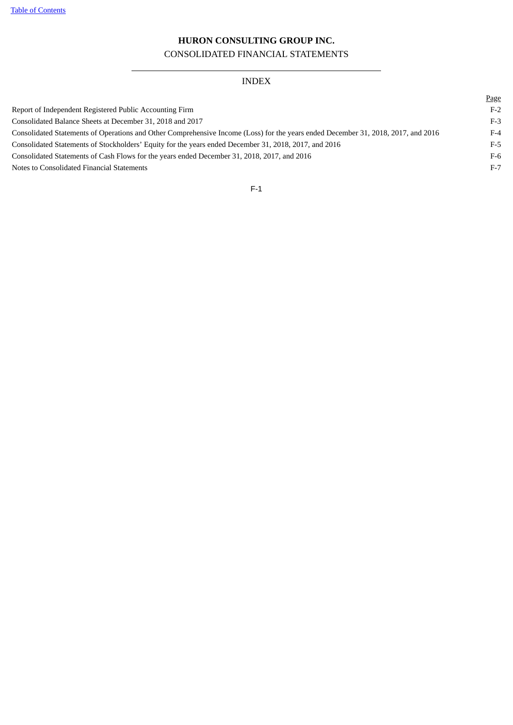# **HURON CONSULTING GROUP INC.** CONSOLIDATED FINANCIAL STATEMENTS

# INDEX

|                                                                                                                                   | <b>Page</b> |
|-----------------------------------------------------------------------------------------------------------------------------------|-------------|
| Report of Independent Registered Public Accounting Firm                                                                           | $F-2$       |
| Consolidated Balance Sheets at December 31, 2018 and 2017                                                                         | $F-3$       |
| Consolidated Statements of Operations and Other Comprehensive Income (Loss) for the years ended December 31, 2018, 2017, and 2016 | $F-4$       |
| Consolidated Statements of Stockholders' Equity for the years ended December 31, 2018, 2017, and 2016                             | F-5         |
| Consolidated Statements of Cash Flows for the years ended December 31, 2018, 2017, and 2016                                       | $F-6$       |
| Notes to Consolidated Financial Statements                                                                                        | $F-7$       |
|                                                                                                                                   |             |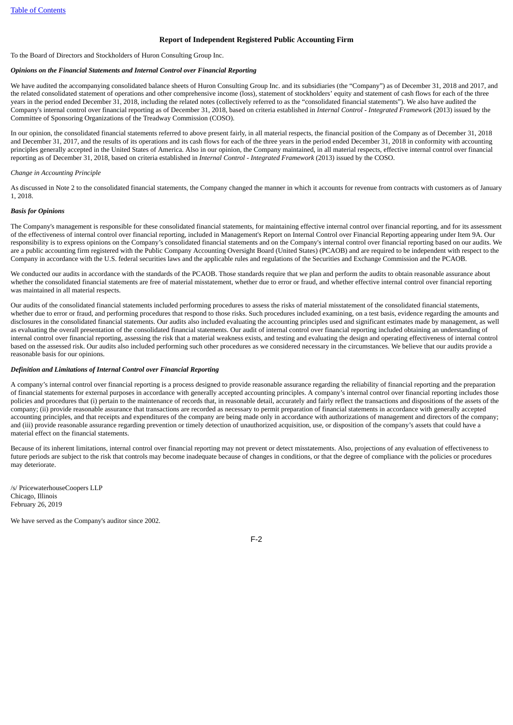# **Report of Independent Registered Public Accounting Firm**

<span id="page-56-0"></span>To the Board of Directors and Stockholders of Huron Consulting Group Inc.

#### *Opinions on the Financial Statements and Internal Control over Financial Reporting*

We have audited the accompanying consolidated balance sheets of Huron Consulting Group Inc. and its subsidiaries (the "Company") as of December 31, 2018 and 2017, and the related consolidated statement of operations and other comprehensive income (loss), statement of stockholders' equity and statement of cash flows for each of the three years in the period ended December 31, 2018, including the related notes (collectively referred to as the "consolidated financial statements"). We also have audited the Company's internal control over financial reporting as of December 31, 2018, based on criteria established in *Internal Control - Integrated Framework* (2013) issued by the Committee of Sponsoring Organizations of the Treadway Commission (COSO).

In our opinion, the consolidated financial statements referred to above present fairly, in all material respects, the financial position of the Company as of December 31, 2018 and December 31, 2017, and the results of its operations and its cash flows for each of the three years in the period ended December 31, 2018 in conformity with accounting principles generally accepted in the United States of America. Also in our opinion, the Company maintained, in all material respects, effective internal control over financial reporting as of December 31, 2018, based on criteria established in *Internal Control - Integrated Framework* (2013) issued by the COSO.

#### *Change in Accounting Principle*

As discussed in Note 2 to the consolidated financial statements, the Company changed the manner in which it accounts for revenue from contracts with customers as of January 1, 2018.

#### *Basis for Opinions*

The Company's management is responsible for these consolidated financial statements, for maintaining effective internal control over financial reporting, and for its assessment of the effectiveness of internal control over financial reporting, included in Management's Report on Internal Control over Financial Reporting appearing under Item 9A. Our responsibility is to express opinions on the Company's consolidated financial statements and on the Company's internal control over financial reporting based on our audits. We are a public accounting firm registered with the Public Company Accounting Oversight Board (United States) (PCAOB) and are required to be independent with respect to the Company in accordance with the U.S. federal securities laws and the applicable rules and regulations of the Securities and Exchange Commission and the PCAOB.

We conducted our audits in accordance with the standards of the PCAOB. Those standards require that we plan and perform the audits to obtain reasonable assurance about whether the consolidated financial statements are free of material misstatement, whether due to error or fraud, and whether effective internal control over financial reporting was maintained in all material respects.

Our audits of the consolidated financial statements included performing procedures to assess the risks of material misstatement of the consolidated financial statements, whether due to error or fraud, and performing procedures that respond to those risks. Such procedures included examining, on a test basis, evidence regarding the amounts and disclosures in the consolidated financial statements. Our audits also included evaluating the accounting principles used and significant estimates made by management, as well as evaluating the overall presentation of the consolidated financial statements. Our audit of internal control over financial reporting included obtaining an understanding of internal control over financial reporting, assessing the risk that a material weakness exists, and testing and evaluating the design and operating effectiveness of internal control based on the assessed risk. Our audits also included performing such other procedures as we considered necessary in the circumstances. We believe that our audits provide a reasonable basis for our opinions.

#### *Definition and Limitations of Internal Control over Financial Reporting*

A company's internal control over financial reporting is a process designed to provide reasonable assurance regarding the reliability of financial reporting and the preparation of financial statements for external purposes in accordance with generally accepted accounting principles. A company's internal control over financial reporting includes those policies and procedures that (i) pertain to the maintenance of records that, in reasonable detail, accurately and fairly reflect the transactions and dispositions of the assets of the company; (ii) provide reasonable assurance that transactions are recorded as necessary to permit preparation of financial statements in accordance with generally accepted accounting principles, and that receipts and expenditures of the company are being made only in accordance with authorizations of management and directors of the company; and (iii) provide reasonable assurance regarding prevention or timely detection of unauthorized acquisition, use, or disposition of the company's assets that could have a material effect on the financial statements.

Because of its inherent limitations, internal control over financial reporting may not prevent or detect misstatements. Also, projections of any evaluation of effectiveness to future periods are subject to the risk that controls may become inadequate because of changes in conditions, or that the degree of compliance with the policies or procedures may deteriorate.

/s/ PricewaterhouseCoopers LLP Chicago, Illinois February 26, 2019

We have served as the Company's auditor since 2002.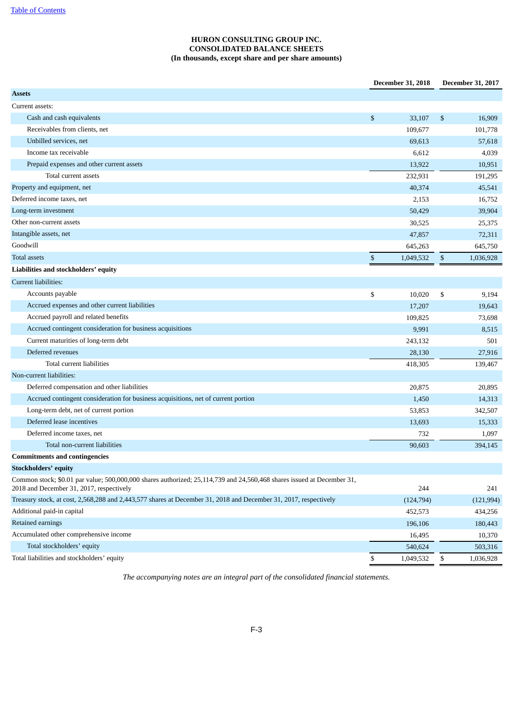# **HURON CONSULTING GROUP INC. CONSOLIDATED BALANCE SHEETS (In thousands, except share and per share amounts)**

<span id="page-57-0"></span>

|                                                                                                                                                                    |      | <b>December 31, 2018</b> | <b>December 31, 2017</b> |
|--------------------------------------------------------------------------------------------------------------------------------------------------------------------|------|--------------------------|--------------------------|
| <b>Assets</b>                                                                                                                                                      |      |                          |                          |
| Current assets:                                                                                                                                                    |      |                          |                          |
| Cash and cash equivalents                                                                                                                                          | \$   | 33,107                   | \$<br>16,909             |
| Receivables from clients, net                                                                                                                                      |      | 109,677                  | 101,778                  |
| Unbilled services, net                                                                                                                                             |      | 69,613                   | 57,618                   |
| Income tax receivable                                                                                                                                              |      | 6,612                    | 4,039                    |
| Prepaid expenses and other current assets                                                                                                                          |      | 13,922                   | 10,951                   |
| Total current assets                                                                                                                                               |      | 232,931                  | 191,295                  |
| Property and equipment, net                                                                                                                                        |      | 40,374                   | 45,541                   |
| Deferred income taxes, net                                                                                                                                         |      | 2,153                    | 16,752                   |
| Long-term investment                                                                                                                                               |      | 50,429                   | 39,904                   |
| Other non-current assets                                                                                                                                           |      | 30,525                   | 25,375                   |
| Intangible assets, net                                                                                                                                             |      | 47,857                   | 72,311                   |
| Goodwill                                                                                                                                                           |      | 645,263                  | 645,750                  |
| <b>Total assets</b>                                                                                                                                                | $\,$ | 1,049,532                | \$<br>1,036,928          |
| Liabilities and stockholders' equity                                                                                                                               |      |                          |                          |
| Current liabilities:                                                                                                                                               |      |                          |                          |
| Accounts payable                                                                                                                                                   | \$   | 10,020                   | \$<br>9,194              |
| Accrued expenses and other current liabilities                                                                                                                     |      | 17,207                   | 19,643                   |
| Accrued payroll and related benefits                                                                                                                               |      | 109,825                  | 73,698                   |
| Accrued contingent consideration for business acquisitions                                                                                                         |      | 9,991                    | 8,515                    |
| Current maturities of long-term debt                                                                                                                               |      | 243,132                  | 501                      |
| Deferred revenues                                                                                                                                                  |      | 28,130                   | 27,916                   |
| Total current liabilities                                                                                                                                          |      | 418,305                  | 139,467                  |
| Non-current liabilities:                                                                                                                                           |      |                          |                          |
| Deferred compensation and other liabilities                                                                                                                        |      | 20,875                   | 20,895                   |
| Accrued contingent consideration for business acquisitions, net of current portion                                                                                 |      | 1,450                    | 14,313                   |
| Long-term debt, net of current portion                                                                                                                             |      | 53,853                   | 342,507                  |
| Deferred lease incentives                                                                                                                                          |      | 13,693                   | 15,333                   |
| Deferred income taxes, net                                                                                                                                         |      | 732                      | 1,097                    |
| Total non-current liabilities                                                                                                                                      |      | 90,603                   | 394,145                  |
| <b>Commitments and contingencies</b>                                                                                                                               |      |                          |                          |
| <b>Stockholders' equity</b>                                                                                                                                        |      |                          |                          |
| Common stock; \$0.01 par value; 500,000,000 shares authorized; 25,114,739 and 24,560,468 shares issued at December 31,<br>2018 and December 31, 2017, respectively |      | 244                      | 241                      |
| Treasury stock, at cost, 2,568,288 and 2,443,577 shares at December 31, 2018 and December 31, 2017, respectively                                                   |      | (124, 794)               | (121, 994)               |
| Additional paid-in capital                                                                                                                                         |      | 452,573                  | 434,256                  |
| Retained earnings                                                                                                                                                  |      | 196,106                  | 180,443                  |
| Accumulated other comprehensive income                                                                                                                             |      | 16,495                   | 10,370                   |
| Total stockholders' equity                                                                                                                                         |      | 540,624                  | 503,316                  |
| Total liabilities and stockholders' equity                                                                                                                         | \$   | 1,049,532                | \$<br>1,036,928          |
|                                                                                                                                                                    |      |                          |                          |

*The accompanying notes are an integral part of the consolidated financial statements.*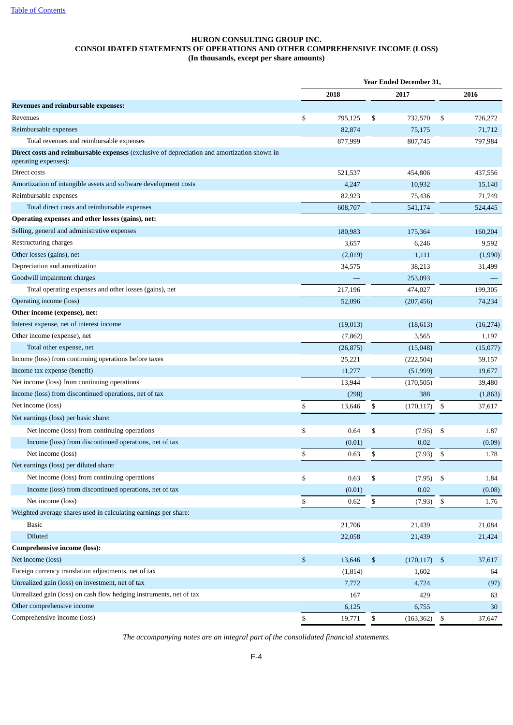# <span id="page-58-0"></span>**HURON CONSULTING GROUP INC. CONSOLIDATED STATEMENTS OF OPERATIONS AND OTHER COMPREHENSIVE INCOME (LOSS) (In thousands, except per share amounts)**

|                                                                                                                     |                           | 2018      | 2017             |      | 2016      |
|---------------------------------------------------------------------------------------------------------------------|---------------------------|-----------|------------------|------|-----------|
| Revenues and reimbursable expenses:                                                                                 |                           |           |                  |      |           |
| Revenues                                                                                                            | \$                        | 795,125   | \$<br>732,570    | \$   | 726,272   |
| Reimbursable expenses                                                                                               |                           | 82,874    | 75,175           |      | 71,712    |
| Total revenues and reimbursable expenses                                                                            |                           | 877,999   | 807,745          |      | 797,984   |
| Direct costs and reimbursable expenses (exclusive of depreciation and amortization shown in<br>operating expenses): |                           |           |                  |      |           |
| Direct costs                                                                                                        |                           | 521,537   | 454,806          |      | 437,556   |
| Amortization of intangible assets and software development costs                                                    |                           | 4,247     | 10,932           |      | 15,140    |
| Reimbursable expenses                                                                                               |                           | 82,923    | 75,436           |      | 71,749    |
| Total direct costs and reimbursable expenses                                                                        |                           | 608,707   | 541,174          |      | 524,445   |
| Operating expenses and other losses (gains), net:                                                                   |                           |           |                  |      |           |
| Selling, general and administrative expenses                                                                        |                           | 180,983   | 175,364          |      | 160,204   |
| Restructuring charges                                                                                               |                           | 3,657     | 6,246            |      | 9,592     |
| Other losses (gains), net                                                                                           |                           | (2,019)   | 1,111            |      | (1,990)   |
| Depreciation and amortization                                                                                       |                           | 34,575    | 38,213           |      | 31,499    |
| Goodwill impairment charges                                                                                         |                           |           | 253,093          |      |           |
| Total operating expenses and other losses (gains), net                                                              |                           | 217,196   | 474,027          |      | 199,305   |
| Operating income (loss)                                                                                             |                           | 52,096    | (207, 456)       |      | 74,234    |
| Other income (expense), net:                                                                                        |                           |           |                  |      |           |
| Interest expense, net of interest income                                                                            |                           | (19,013)  | (18, 613)        |      | (16, 274) |
| Other income (expense), net                                                                                         |                           | (7, 862)  | 3,565            |      | 1,197     |
| Total other expense, net                                                                                            |                           | (26, 875) | (15,048)         |      | (15,077)  |
| Income (loss) from continuing operations before taxes                                                               |                           | 25,221    | (222, 504)       |      | 59,157    |
| Income tax expense (benefit)                                                                                        |                           | 11,277    | (51,999)         |      | 19,677    |
| Net income (loss) from continuing operations                                                                        |                           | 13,944    | (170, 505)       |      | 39,480    |
| Income (loss) from discontinued operations, net of tax                                                              |                           | (298)     | 388              |      | (1,863)   |
| Net income (loss)                                                                                                   | \$                        | 13,646    | \$<br>(170, 117) | \$   | 37,617    |
| Net earnings (loss) per basic share:                                                                                |                           |           |                  |      |           |
| Net income (loss) from continuing operations                                                                        | \$                        | 0.64      | \$<br>(7.95)     | -\$  | 1.87      |
| Income (loss) from discontinued operations, net of tax                                                              |                           | (0.01)    | 0.02             |      | (0.09)    |
| Net income (loss)                                                                                                   | \$                        | 0.63      | \$<br>(7.93)     | \$   | 1.78      |
| Net earnings (loss) per diluted share:                                                                              |                           |           |                  |      |           |
| Net income (loss) from continuing operations                                                                        | \$                        | 0.63      | \$<br>(7.95)     | -\$  | 1.84      |
| Income (loss) from discontinued operations, net of tax                                                              |                           | (0.01)    | 0.02             |      | (0.08)    |
| Net income (loss)                                                                                                   | \$                        | 0.62      | \$<br>(7.93)     | \$   | 1.76      |
| Weighted average shares used in calculating earnings per share:                                                     |                           |           |                  |      |           |
| Basic                                                                                                               |                           | 21,706    | 21,439           |      | 21,084    |
| Diluted                                                                                                             |                           | 22,058    | 21,439           |      | 21,424    |
| <b>Comprehensive income (loss):</b>                                                                                 |                           |           |                  |      |           |
| Net income (loss)                                                                                                   | $\boldsymbol{\mathsf{S}}$ | 13,646    | \$<br>(170, 117) | - \$ | 37,617    |
| Foreign currency translation adjustments, net of tax                                                                |                           | (1,814)   | 1,602            |      | 64        |
| Unrealized gain (loss) on investment, net of tax                                                                    |                           | 7,772     | 4,724            |      | (97)      |
| Unrealized gain (loss) on cash flow hedging instruments, net of tax                                                 |                           | 167       | 429              |      | 63        |
| Other comprehensive income                                                                                          |                           | 6,125     | 6,755            |      | 30        |
| Comprehensive income (loss)                                                                                         | \$                        | 19,771    | \$<br>(163, 362) | - \$ | 37,647    |

*The accompanying notes are an integral part of the consolidated financial statements.*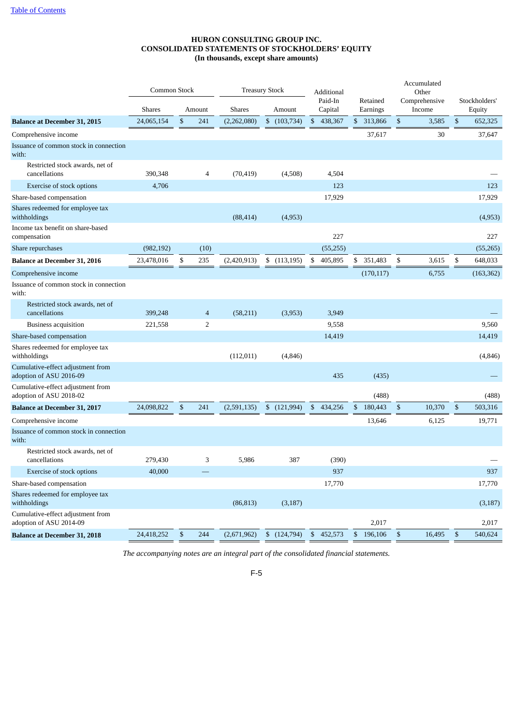# **HURON CONSULTING GROUP INC. CONSOLIDATED STATEMENTS OF STOCKHOLDERS' EQUITY (In thousands, except share amounts)**

<span id="page-59-0"></span>

|                                                              | Common Stock  |              |                |               | <b>Treasury Stock</b> |                | Additional<br>Paid-In | Retained      |    | Accumulated<br>Other<br>Comprehensive |               | Stockholders' |
|--------------------------------------------------------------|---------------|--------------|----------------|---------------|-----------------------|----------------|-----------------------|---------------|----|---------------------------------------|---------------|---------------|
|                                                              | <b>Shares</b> |              | Amount         | <b>Shares</b> | Amount                |                | Capital               | Earnings      |    | Income                                |               | Equity        |
| <b>Balance at December 31, 2015</b>                          | 24,065,154    | \$           | 241            | (2,262,080)   | \$(103,734)           |                | \$438,367             | \$<br>313,866 | \$ | 3,585                                 | \$            | 652,325       |
| Comprehensive income                                         |               |              |                |               |                       |                |                       | 37,617        |    | $30\,$                                |               | 37,647        |
| Issuance of common stock in connection<br>with:              |               |              |                |               |                       |                |                       |               |    |                                       |               |               |
| Restricted stock awards, net of<br>cancellations             | 390,348       |              | 4              | (70, 419)     | (4,508)               |                | 4,504                 |               |    |                                       |               |               |
| Exercise of stock options                                    | 4,706         |              |                |               |                       |                | 123                   |               |    |                                       |               | 123           |
| Share-based compensation                                     |               |              |                |               |                       |                | 17,929                |               |    |                                       |               | 17,929        |
| Shares redeemed for employee tax<br>withholdings             |               |              |                | (88, 414)     | (4,953)               |                |                       |               |    |                                       |               | (4,953)       |
| Income tax benefit on share-based<br>compensation            |               |              |                |               |                       |                | 227                   |               |    |                                       |               | 227           |
| Share repurchases                                            | (982, 192)    |              | (10)           |               |                       |                | (55, 255)             |               |    |                                       |               | (55, 265)     |
| <b>Balance at December 31, 2016</b>                          | 23,478,016    | \$           | 235            | (2,420,913)   | \$<br>(113, 195)      | \$             | 405,895               | \$<br>351,483 | \$ | 3,615                                 | \$            | 648,033       |
| Comprehensive income                                         |               |              |                |               |                       |                |                       | (170, 117)    |    | 6,755                                 |               | (163, 362)    |
| Issuance of common stock in connection<br>with:              |               |              |                |               |                       |                |                       |               |    |                                       |               |               |
| Restricted stock awards, net of<br>cancellations             | 399,248       |              | $\overline{4}$ | (58,211)      | (3,953)               |                | 3,949                 |               |    |                                       |               |               |
| <b>Business acquisition</b>                                  | 221,558       |              | $\overline{2}$ |               |                       |                | 9,558                 |               |    |                                       |               | 9,560         |
| Share-based compensation                                     |               |              |                |               |                       |                | 14,419                |               |    |                                       |               | 14,419        |
| Shares redeemed for employee tax<br>withholdings             |               |              |                | (112, 011)    | (4, 846)              |                |                       |               |    |                                       |               | (4,846)       |
| Cumulative-effect adjustment from<br>adoption of ASU 2016-09 |               |              |                |               |                       |                | 435                   | (435)         |    |                                       |               |               |
| Cumulative-effect adjustment from<br>adoption of ASU 2018-02 |               |              |                |               |                       |                |                       | (488)         |    |                                       |               | (488)         |
| <b>Balance at December 31, 2017</b>                          | 24,098,822    | \$           | 241            | (2,591,135)   | \$<br>(121, 994)      | $\mathfrak{S}$ | 434,256               | \$<br>180,443 | \$ | 10,370                                | ${\mathbb S}$ | 503,316       |
| Comprehensive income                                         |               |              |                |               |                       |                |                       | 13,646        |    | 6,125                                 |               | 19,771        |
| Issuance of common stock in connection<br>with:              |               |              |                |               |                       |                |                       |               |    |                                       |               |               |
| Restricted stock awards, net of<br>cancellations             | 279,430       |              | 3              | 5,986         | 387                   |                | (390)                 |               |    |                                       |               |               |
| Exercise of stock options                                    | 40,000        |              |                |               |                       |                | 937                   |               |    |                                       |               | 937           |
| Share-based compensation                                     |               |              |                |               |                       |                | 17,770                |               |    |                                       |               | 17,770        |
| Shares redeemed for employee tax<br>withholdings             |               |              |                | (86, 813)     | (3, 187)              |                |                       |               |    |                                       |               | (3, 187)      |
| Cumulative-effect adjustment from<br>adoption of ASU 2014-09 |               |              |                |               |                       |                |                       | 2,017         |    |                                       |               | 2,017         |
| <b>Balance at December 31, 2018</b>                          | 24,418,252    | $\mathbb{S}$ | 244            | (2,671,962)   | \$(124,794)           |                | \$452,573             | \$196,106     | \$ | 16,495                                | \$            | 540,624       |

*The accompanying notes are an integral part of the consolidated financial statements.*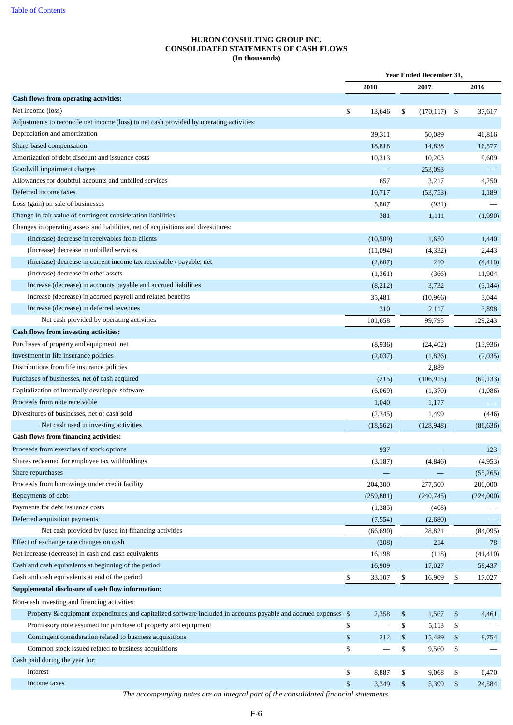# **HURON CONSULTING GROUP INC. CONSOLIDATED STATEMENTS OF CASH FLOWS (In thousands)**

<span id="page-60-0"></span>

|                                                                                                                 | <b>Year Ended December 31,</b> |            |    |            |      |           |  |
|-----------------------------------------------------------------------------------------------------------------|--------------------------------|------------|----|------------|------|-----------|--|
|                                                                                                                 |                                | 2018       |    | 2017       |      | 2016      |  |
| <b>Cash flows from operating activities:</b>                                                                    |                                |            |    |            |      |           |  |
| Net income (loss)                                                                                               | \$                             | 13,646     | \$ | (170, 117) | - \$ | 37,617    |  |
| Adjustments to reconcile net income (loss) to net cash provided by operating activities:                        |                                |            |    |            |      |           |  |
| Depreciation and amortization                                                                                   |                                | 39,311     |    | 50,089     |      | 46,816    |  |
| Share-based compensation                                                                                        |                                | 18,818     |    | 14,838     |      | 16,577    |  |
| Amortization of debt discount and issuance costs                                                                |                                | 10,313     |    | 10,203     |      | 9,609     |  |
| Goodwill impairment charges                                                                                     |                                |            |    | 253,093    |      |           |  |
| Allowances for doubtful accounts and unbilled services                                                          |                                | 657        |    | 3,217      |      | 4,250     |  |
| Deferred income taxes                                                                                           |                                | 10,717     |    | (53, 753)  |      | 1,189     |  |
| Loss (gain) on sale of businesses                                                                               |                                | 5,807      |    | (931)      |      |           |  |
| Change in fair value of contingent consideration liabilities                                                    |                                | 381        |    | 1,111      |      | (1,990)   |  |
| Changes in operating assets and liabilities, net of acquisitions and divestitures:                              |                                |            |    |            |      |           |  |
| (Increase) decrease in receivables from clients                                                                 |                                | (10,509)   |    | 1,650      |      | 1,440     |  |
| (Increase) decrease in unbilled services                                                                        |                                | (11,094)   |    | (4, 332)   |      | 2,443     |  |
| (Increase) decrease in current income tax receivable / payable, net                                             |                                | (2,607)    |    | 210        |      | (4, 410)  |  |
| (Increase) decrease in other assets                                                                             |                                | (1,361)    |    | (366)      |      | 11,904    |  |
| Increase (decrease) in accounts payable and accrued liabilities                                                 |                                | (8,212)    |    | 3,732      |      | (3, 144)  |  |
| Increase (decrease) in accrued payroll and related benefits                                                     |                                | 35,481     |    | (10,966)   |      | 3,044     |  |
| Increase (decrease) in deferred revenues                                                                        |                                | 310        |    | 2,117      |      | 3,898     |  |
| Net cash provided by operating activities                                                                       |                                | 101,658    |    | 99,795     |      | 129,243   |  |
| <b>Cash flows from investing activities:</b>                                                                    |                                |            |    |            |      |           |  |
| Purchases of property and equipment, net                                                                        |                                | (8,936)    |    | (24, 402)  |      | (13,936)  |  |
| Investment in life insurance policies                                                                           |                                | (2,037)    |    | (1,826)    |      | (2,035)   |  |
| Distributions from life insurance policies                                                                      |                                |            |    | 2,889      |      |           |  |
| Purchases of businesses, net of cash acquired                                                                   |                                | (215)      |    | (106, 915) |      | (69, 133) |  |
| Capitalization of internally developed software                                                                 |                                | (6,069)    |    | (1,370)    |      | (1,086)   |  |
| Proceeds from note receivable                                                                                   |                                | 1,040      |    | 1,177      |      |           |  |
| Divestitures of businesses, net of cash sold                                                                    |                                | (2, 345)   |    | 1,499      |      | (446)     |  |
| Net cash used in investing activities                                                                           |                                | (18, 562)  |    | (128, 948) |      | (86, 636) |  |
| <b>Cash flows from financing activities:</b>                                                                    |                                |            |    |            |      |           |  |
| Proceeds from exercises of stock options                                                                        |                                | 937        |    |            |      | 123       |  |
| Shares redeemed for employee tax withholdings                                                                   |                                | (3, 187)   |    | (4, 846)   |      | (4,953)   |  |
| Share repurchases                                                                                               |                                |            |    |            |      | (55,265)  |  |
| Proceeds from borrowings under credit facility                                                                  |                                | 204,300    |    | 277,500    |      | 200,000   |  |
| Repayments of debt                                                                                              |                                | (259, 801) |    | (240, 745) |      | (224,000) |  |
| Payments for debt issuance costs                                                                                |                                | (1,385)    |    | (408)      |      |           |  |
| Deferred acquisition payments                                                                                   |                                | (7, 554)   |    | (2,680)    |      |           |  |
| Net cash provided by (used in) financing activities                                                             |                                | (66, 690)  |    | 28,821     |      | (84,095)  |  |
| Effect of exchange rate changes on cash                                                                         |                                | (208)      |    | 214        |      | 78        |  |
| Net increase (decrease) in cash and cash equivalents                                                            |                                | 16,198     |    | (118)      |      | (41, 410) |  |
| Cash and cash equivalents at beginning of the period                                                            |                                | 16,909     |    | 17,027     |      | 58,437    |  |
| Cash and cash equivalents at end of the period                                                                  | \$                             | 33,107     | \$ | 16,909     | \$   | 17,027    |  |
| Supplemental disclosure of cash flow information:                                                               |                                |            |    |            |      |           |  |
| Non-cash investing and financing activities:                                                                    |                                |            |    |            |      |           |  |
| Property & equipment expenditures and capitalized software included in accounts payable and accrued expenses \$ |                                | 2,358      | \$ | 1,567      | \$   | 4,461     |  |
| Promissory note assumed for purchase of property and equipment                                                  | \$                             |            | \$ | 5,113      | \$   |           |  |
| Contingent consideration related to business acquisitions                                                       | \$                             | 212        | \$ | 15,489     | \$   | 8,754     |  |
| Common stock issued related to business acquisitions                                                            | \$                             |            | \$ | 9,560      | \$   |           |  |
| Cash paid during the year for:                                                                                  |                                |            |    |            |      |           |  |
| Interest                                                                                                        | \$                             | 8,887      | \$ | 9,068      | \$   | 6,470     |  |
| Income taxes                                                                                                    | \$                             | 3,349      | \$ | 5,399      | \$   | 24,584    |  |
|                                                                                                                 |                                |            |    |            |      |           |  |

*The accompanying notes are an integral part of the consolidated financial statements.*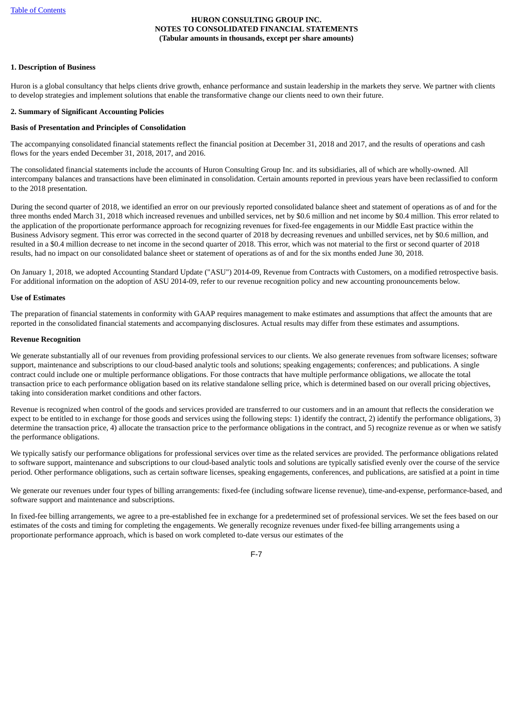# <span id="page-61-0"></span>**1. Description of Business**

Huron is a global consultancy that helps clients drive growth, enhance performance and sustain leadership in the markets they serve. We partner with clients to develop strategies and implement solutions that enable the transformative change our clients need to own their future.

#### **2. Summary of Significant Accounting Policies**

#### **Basis of Presentation and Principles of Consolidation**

The accompanying consolidated financial statements reflect the financial position at December 31, 2018 and 2017, and the results of operations and cash flows for the years ended December 31, 2018, 2017, and 2016.

The consolidated financial statements include the accounts of Huron Consulting Group Inc. and its subsidiaries, all of which are wholly-owned. All intercompany balances and transactions have been eliminated in consolidation. Certain amounts reported in previous years have been reclassified to conform to the 2018 presentation.

During the second quarter of 2018, we identified an error on our previously reported consolidated balance sheet and statement of operations as of and for the three months ended March 31, 2018 which increased revenues and unbilled services, net by \$0.6 million and net income by \$0.4 million. This error related to the application of the proportionate performance approach for recognizing revenues for fixed-fee engagements in our Middle East practice within the Business Advisory segment. This error was corrected in the second quarter of 2018 by decreasing revenues and unbilled services, net by \$0.6 million, and resulted in a \$0.4 million decrease to net income in the second quarter of 2018. This error, which was not material to the first or second quarter of 2018 results, had no impact on our consolidated balance sheet or statement of operations as of and for the six months ended June 30, 2018.

On January 1, 2018, we adopted Accounting Standard Update ("ASU") 2014-09, Revenue from Contracts with Customers, on a modified retrospective basis. For additional information on the adoption of ASU 2014-09, refer to our revenue recognition policy and new accounting pronouncements below.

#### **Use of Estimates**

The preparation of financial statements in conformity with GAAP requires management to make estimates and assumptions that affect the amounts that are reported in the consolidated financial statements and accompanying disclosures. Actual results may differ from these estimates and assumptions.

#### **Revenue Recognition**

We generate substantially all of our revenues from providing professional services to our clients. We also generate revenues from software licenses; software support, maintenance and subscriptions to our cloud-based analytic tools and solutions; speaking engagements; conferences; and publications. A single contract could include one or multiple performance obligations. For those contracts that have multiple performance obligations, we allocate the total transaction price to each performance obligation based on its relative standalone selling price, which is determined based on our overall pricing objectives, taking into consideration market conditions and other factors.

Revenue is recognized when control of the goods and services provided are transferred to our customers and in an amount that reflects the consideration we expect to be entitled to in exchange for those goods and services using the following steps: 1) identify the contract, 2) identify the performance obligations, 3) determine the transaction price, 4) allocate the transaction price to the performance obligations in the contract, and 5) recognize revenue as or when we satisfy the performance obligations.

We typically satisfy our performance obligations for professional services over time as the related services are provided. The performance obligations related to software support, maintenance and subscriptions to our cloud-based analytic tools and solutions are typically satisfied evenly over the course of the service period. Other performance obligations, such as certain software licenses, speaking engagements, conferences, and publications, are satisfied at a point in time

We generate our revenues under four types of billing arrangements: fixed-fee (including software license revenue), time-and-expense, performance-based, and software support and maintenance and subscriptions.

In fixed-fee billing arrangements, we agree to a pre-established fee in exchange for a predetermined set of professional services. We set the fees based on our estimates of the costs and timing for completing the engagements. We generally recognize revenues under fixed-fee billing arrangements using a proportionate performance approach, which is based on work completed to-date versus our estimates of the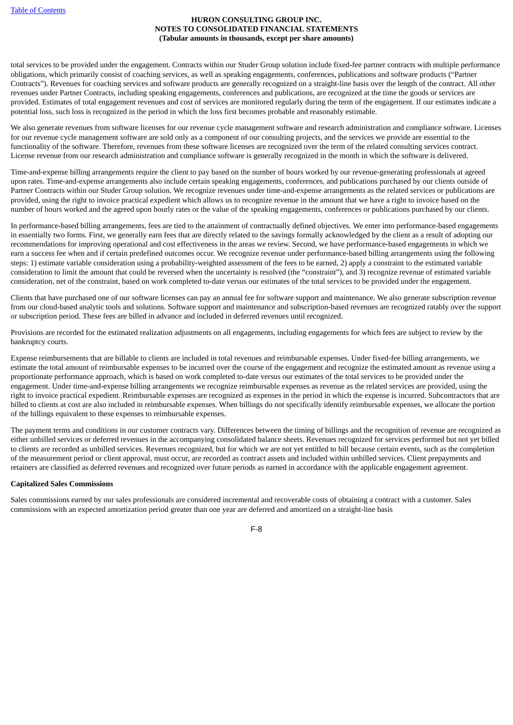total services to be provided under the engagement. Contracts within our Studer Group solution include fixed-fee partner contracts with multiple performance obligations, which primarily consist of coaching services, as well as speaking engagements, conferences, publications and software products ("Partner Contracts"). Revenues for coaching services and software products are generally recognized on a straight-line basis over the length of the contract. All other revenues under Partner Contracts, including speaking engagements, conferences and publications, are recognized at the time the goods or services are provided. Estimates of total engagement revenues and cost of services are monitored regularly during the term of the engagement. If our estimates indicate a potential loss, such loss is recognized in the period in which the loss first becomes probable and reasonably estimable.

We also generate revenues from software licenses for our revenue cycle management software and research administration and compliance software. Licenses for our revenue cycle management software are sold only as a component of our consulting projects, and the services we provide are essential to the functionality of the software. Therefore, revenues from these software licenses are recognized over the term of the related consulting services contract. License revenue from our research administration and compliance software is generally recognized in the month in which the software is delivered.

Time-and-expense billing arrangements require the client to pay based on the number of hours worked by our revenue-generating professionals at agreed upon rates. Time-and-expense arrangements also include certain speaking engagements, conferences, and publications purchased by our clients outside of Partner Contracts within our Studer Group solution. We recognize revenues under time-and-expense arrangements as the related services or publications are provided, using the right to invoice practical expedient which allows us to recognize revenue in the amount that we have a right to invoice based on the number of hours worked and the agreed upon hourly rates or the value of the speaking engagements, conferences or publications purchased by our clients.

In performance-based billing arrangements, fees are tied to the attainment of contractually defined objectives. We enter into performance-based engagements in essentially two forms. First, we generally earn fees that are directly related to the savings formally acknowledged by the client as a result of adopting our recommendations for improving operational and cost effectiveness in the areas we review. Second, we have performance-based engagements in which we earn a success fee when and if certain predefined outcomes occur. We recognize revenue under performance-based billing arrangements using the following steps: 1) estimate variable consideration using a probability-weighted assessment of the fees to be earned, 2) apply a constraint to the estimated variable consideration to limit the amount that could be reversed when the uncertainty is resolved (the "constraint"), and 3) recognize revenue of estimated variable consideration, net of the constraint, based on work completed to-date versus our estimates of the total services to be provided under the engagement.

Clients that have purchased one of our software licenses can pay an annual fee for software support and maintenance. We also generate subscription revenue from our cloud-based analytic tools and solutions. Software support and maintenance and subscription-based revenues are recognized ratably over the support or subscription period. These fees are billed in advance and included in deferred revenues until recognized.

Provisions are recorded for the estimated realization adjustments on all engagements, including engagements for which fees are subject to review by the bankruptcy courts.

Expense reimbursements that are billable to clients are included in total revenues and reimbursable expenses. Under fixed-fee billing arrangements, we estimate the total amount of reimbursable expenses to be incurred over the course of the engagement and recognize the estimated amount as revenue using a proportionate performance approach, which is based on work completed to-date versus our estimates of the total services to be provided under the engagement. Under time-and-expense billing arrangements we recognize reimbursable expenses as revenue as the related services are provided, using the right to invoice practical expedient. Reimbursable expenses are recognized as expenses in the period in which the expense is incurred. Subcontractors that are billed to clients at cost are also included in reimbursable expenses. When billings do not specifically identify reimbursable expenses, we allocate the portion of the billings equivalent to these expenses to reimbursable expenses.

The payment terms and conditions in our customer contracts vary. Differences between the timing of billings and the recognition of revenue are recognized as either unbilled services or deferred revenues in the accompanying consolidated balance sheets. Revenues recognized for services performed but not yet billed to clients are recorded as unbilled services. Revenues recognized, but for which we are not yet entitled to bill because certain events, such as the completion of the measurement period or client approval, must occur, are recorded as contract assets and included within unbilled services. Client prepayments and retainers are classified as deferred revenues and recognized over future periods as earned in accordance with the applicable engagement agreement.

# **Capitalized Sales Commissions**

Sales commissions earned by our sales professionals are considered incremental and recoverable costs of obtaining a contract with a customer. Sales commissions with an expected amortization period greater than one year are deferred and amortized on a straight-line basis

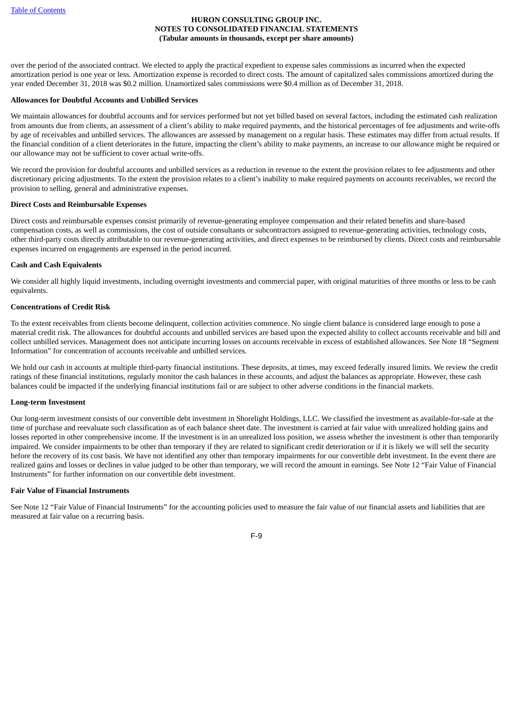over the period of the associated contract. We elected to apply the practical expedient to expense sales commissions as incurred when the expected amortization period is one year or less. Amortization expense is recorded to direct costs. The amount of capitalized sales commissions amortized during the year ended December 31, 2018 was \$0.2 million. Unamortized sales commissions were \$0.4 million as of December 31, 2018.

# **Allowances for Doubtful Accounts and Unbilled Services**

We maintain allowances for doubtful accounts and for services performed but not yet billed based on several factors, including the estimated cash realization from amounts due from clients, an assessment of a client's ability to make required payments, and the historical percentages of fee adjustments and write-offs by age of receivables and unbilled services. The allowances are assessed by management on a regular basis. These estimates may differ from actual results. If the financial condition of a client deteriorates in the future, impacting the client's ability to make payments, an increase to our allowance might be required or our allowance may not be sufficient to cover actual write-offs.

We record the provision for doubtful accounts and unbilled services as a reduction in revenue to the extent the provision relates to fee adjustments and other discretionary pricing adjustments. To the extent the provision relates to a client's inability to make required payments on accounts receivables, we record the provision to selling, general and administrative expenses.

# **Direct Costs and Reimbursable Expenses**

Direct costs and reimbursable expenses consist primarily of revenue-generating employee compensation and their related benefits and share-based compensation costs, as well as commissions, the cost of outside consultants or subcontractors assigned to revenue-generating activities, technology costs, other third-party costs directly attributable to our revenue-generating activities, and direct expenses to be reimbursed by clients. Direct costs and reimbursable expenses incurred on engagements are expensed in the period incurred.

# **Cash and Cash Equivalents**

We consider all highly liquid investments, including overnight investments and commercial paper, with original maturities of three months or less to be cash equivalents.

# **Concentrations of Credit Risk**

To the extent receivables from clients become delinquent, collection activities commence. No single client balance is considered large enough to pose a material credit risk. The allowances for doubtful accounts and unbilled services are based upon the expected ability to collect accounts receivable and bill and collect unbilled services. Management does not anticipate incurring losses on accounts receivable in excess of established allowances. See Note 18 "Segment Information" for concentration of accounts receivable and unbilled services.

We hold our cash in accounts at multiple third-party financial institutions. These deposits, at times, may exceed federally insured limits. We review the credit ratings of these financial institutions, regularly monitor the cash balances in these accounts, and adjust the balances as appropriate. However, these cash balances could be impacted if the underlying financial institutions fail or are subject to other adverse conditions in the financial markets.

# **Long-term Investment**

Our long-term investment consists of our convertible debt investment in Shorelight Holdings, LLC. We classified the investment as available-for-sale at the time of purchase and reevaluate such classification as of each balance sheet date. The investment is carried at fair value with unrealized holding gains and losses reported in other comprehensive income. If the investment is in an unrealized loss position, we assess whether the investment is other than temporarily impaired. We consider impairments to be other than temporary if they are related to significant credit deterioration or if it is likely we will sell the security before the recovery of its cost basis. We have not identified any other than temporary impairments for our convertible debt investment. In the event there are realized gains and losses or declines in value judged to be other than temporary, we will record the amount in earnings. See Note 12 "Fair Value of Financial Instruments" for further information on our convertible debt investment.

# **Fair Value of Financial Instruments**

See Note 12 "Fair Value of Financial Instruments" for the accounting policies used to measure the fair value of our financial assets and liabilities that are measured at fair value on a recurring basis.

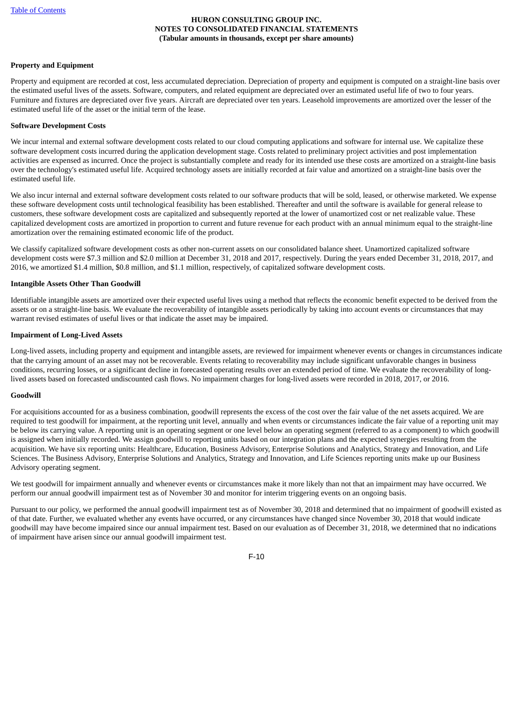# **Property and Equipment**

Property and equipment are recorded at cost, less accumulated depreciation. Depreciation of property and equipment is computed on a straight-line basis over the estimated useful lives of the assets. Software, computers, and related equipment are depreciated over an estimated useful life of two to four years. Furniture and fixtures are depreciated over five years. Aircraft are depreciated over ten years. Leasehold improvements are amortized over the lesser of the estimated useful life of the asset or the initial term of the lease.

# **Software Development Costs**

We incur internal and external software development costs related to our cloud computing applications and software for internal use. We capitalize these software development costs incurred during the application development stage. Costs related to preliminary project activities and post implementation activities are expensed as incurred. Once the project is substantially complete and ready for its intended use these costs are amortized on a straight-line basis over the technology's estimated useful life. Acquired technology assets are initially recorded at fair value and amortized on a straight-line basis over the estimated useful life.

We also incur internal and external software development costs related to our software products that will be sold, leased, or otherwise marketed. We expense these software development costs until technological feasibility has been established. Thereafter and until the software is available for general release to customers, these software development costs are capitalized and subsequently reported at the lower of unamortized cost or net realizable value. These capitalized development costs are amortized in proportion to current and future revenue for each product with an annual minimum equal to the straight-line amortization over the remaining estimated economic life of the product.

We classify capitalized software development costs as other non-current assets on our consolidated balance sheet. Unamortized capitalized software development costs were \$7.3 million and \$2.0 million at December 31, 2018 and 2017, respectively. During the years ended December 31, 2018, 2017, and 2016, we amortized \$1.4 million, \$0.8 million, and \$1.1 million, respectively, of capitalized software development costs.

# **Intangible Assets Other Than Goodwill**

Identifiable intangible assets are amortized over their expected useful lives using a method that reflects the economic benefit expected to be derived from the assets or on a straight-line basis. We evaluate the recoverability of intangible assets periodically by taking into account events or circumstances that may warrant revised estimates of useful lives or that indicate the asset may be impaired.

#### **Impairment of Long-Lived Assets**

Long-lived assets, including property and equipment and intangible assets, are reviewed for impairment whenever events or changes in circumstances indicate that the carrying amount of an asset may not be recoverable. Events relating to recoverability may include significant unfavorable changes in business conditions, recurring losses, or a significant decline in forecasted operating results over an extended period of time. We evaluate the recoverability of longlived assets based on forecasted undiscounted cash flows. No impairment charges for long-lived assets were recorded in 2018, 2017, or 2016.

# **Goodwill**

For acquisitions accounted for as a business combination, goodwill represents the excess of the cost over the fair value of the net assets acquired. We are required to test goodwill for impairment, at the reporting unit level, annually and when events or circumstances indicate the fair value of a reporting unit may be below its carrying value. A reporting unit is an operating segment or one level below an operating segment (referred to as a component) to which goodwill is assigned when initially recorded. We assign goodwill to reporting units based on our integration plans and the expected synergies resulting from the acquisition. We have six reporting units: Healthcare, Education, Business Advisory, Enterprise Solutions and Analytics, Strategy and Innovation, and Life Sciences. The Business Advisory, Enterprise Solutions and Analytics, Strategy and Innovation, and Life Sciences reporting units make up our Business Advisory operating segment.

We test goodwill for impairment annually and whenever events or circumstances make it more likely than not that an impairment may have occurred. We perform our annual goodwill impairment test as of November 30 and monitor for interim triggering events on an ongoing basis.

Pursuant to our policy, we performed the annual goodwill impairment test as of November 30, 2018 and determined that no impairment of goodwill existed as of that date. Further, we evaluated whether any events have occurred, or any circumstances have changed since November 30, 2018 that would indicate goodwill may have become impaired since our annual impairment test. Based on our evaluation as of December 31, 2018, we determined that no indications of impairment have arisen since our annual goodwill impairment test.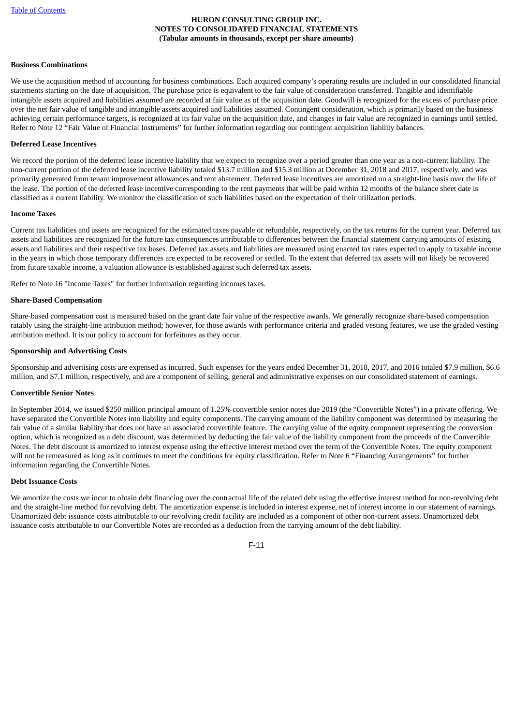# **Business Combinations**

We use the acquisition method of accounting for business combinations*.* Each acquired company's operating results are included in our consolidated financial statements starting on the date of acquisition. The purchase price is equivalent to the fair value of consideration transferred. Tangible and identifiable intangible assets acquired and liabilities assumed are recorded at fair value as of the acquisition date. Goodwill is recognized for the excess of purchase price over the net fair value of tangible and intangible assets acquired and liabilities assumed. Contingent consideration, which is primarily based on the business achieving certain performance targets, is recognized at its fair value on the acquisition date, and changes in fair value are recognized in earnings until settled. Refer to Note 12 "Fair Value of Financial Instruments" for further information regarding our contingent acquisition liability balances.

# **Deferred Lease Incentives**

We record the portion of the deferred lease incentive liability that we expect to recognize over a period greater than one year as a non-current liability. The non-current portion of the deferred lease incentive liability totaled \$13.7 million and \$15.3 million at December 31, 2018 and 2017, respectively, and was primarily generated from tenant improvement allowances and rent abatement. Deferred lease incentives are amortized on a straight-line basis over the life of the lease. The portion of the deferred lease incentive corresponding to the rent payments that will be paid within 12 months of the balance sheet date is classified as a current liability. We monitor the classification of such liabilities based on the expectation of their utilization periods.

# **Income Taxes**

Current tax liabilities and assets are recognized for the estimated taxes payable or refundable, respectively, on the tax returns for the current year. Deferred tax assets and liabilities are recognized for the future tax consequences attributable to differences between the financial statement carrying amounts of existing assets and liabilities and their respective tax bases. Deferred tax assets and liabilities are measured using enacted tax rates expected to apply to taxable income in the years in which those temporary differences are expected to be recovered or settled. To the extent that deferred tax assets will not likely be recovered from future taxable income, a valuation allowance is established against such deferred tax assets.

Refer to Note 16 "Income Taxes" for further information regarding incomes taxes.

# **Share-Based Compensation**

Share-based compensation cost is measured based on the grant date fair value of the respective awards. We generally recognize share-based compensation ratably using the straight-line attribution method; however, for those awards with performance criteria and graded vesting features, we use the graded vesting attribution method. It is our policy to account for forfeitures as they occur.

#### **Sponsorship and Advertising Costs**

Sponsorship and advertising costs are expensed as incurred. Such expenses for the years ended December 31, 2018, 2017, and 2016 totaled \$7.9 million, \$6.6 million, and \$7.1 million, respectively, and are a component of selling, general and administrative expenses on our consolidated statement of earnings.

#### **Convertible Senior Notes**

In September 2014, we issued \$250 million principal amount of 1.25% convertible senior notes due 2019 (the "Convertible Notes") in a private offering. We have separated the Convertible Notes into liability and equity components. The carrying amount of the liability component was determined by measuring the fair value of a similar liability that does not have an associated convertible feature. The carrying value of the equity component representing the conversion option, which is recognized as a debt discount, was determined by deducting the fair value of the liability component from the proceeds of the Convertible Notes. The debt discount is amortized to interest expense using the effective interest method over the term of the Convertible Notes. The equity component will not be remeasured as long as it continues to meet the conditions for equity classification. Refer to Note 6 "Financing Arrangements" for further information regarding the Convertible Notes.

# **Debt Issuance Costs**

We amortize the costs we incur to obtain debt financing over the contractual life of the related debt using the effective interest method for non-revolving debt and the straight-line method for revolving debt. The amortization expense is included in interest expense, net of interest income in our statement of earnings. Unamortized debt issuance costs attributable to our revolving credit facility are included as a component of other non-current assets. Unamortized debt issuance costs attributable to our Convertible Notes are recorded as a deduction from the carrying amount of the debt liability.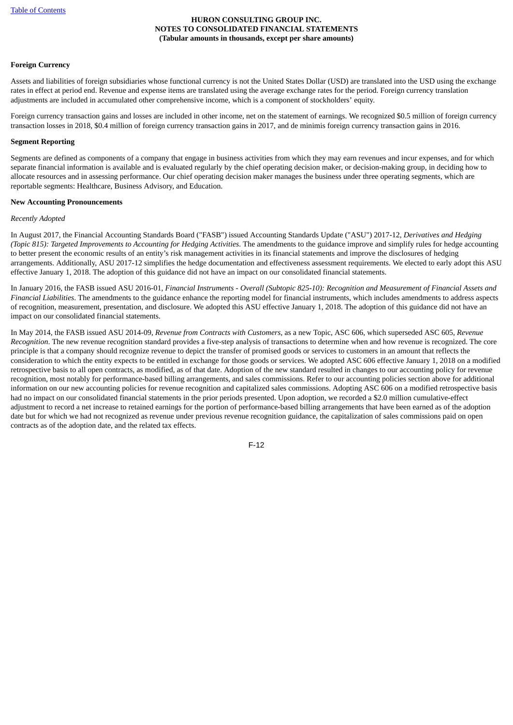# **Foreign Currency**

Assets and liabilities of foreign subsidiaries whose functional currency is not the United States Dollar (USD) are translated into the USD using the exchange rates in effect at period end. Revenue and expense items are translated using the average exchange rates for the period. Foreign currency translation adjustments are included in accumulated other comprehensive income, which is a component of stockholders' equity.

Foreign currency transaction gains and losses are included in other income, net on the statement of earnings. We recognized \$0.5 million of foreign currency transaction losses in 2018, \$0.4 million of foreign currency transaction gains in 2017, and de minimis foreign currency transaction gains in 2016.

#### **Segment Reporting**

Segments are defined as components of a company that engage in business activities from which they may earn revenues and incur expenses, and for which separate financial information is available and is evaluated regularly by the chief operating decision maker, or decision-making group, in deciding how to allocate resources and in assessing performance. Our chief operating decision maker manages the business under three operating segments, which are reportable segments: Healthcare, Business Advisory, and Education.

#### **New Accounting Pronouncements**

#### *Recently Adopted*

In August 2017, the Financial Accounting Standards Board ("FASB") issued Accounting Standards Update ("ASU") 2017-12, *Derivatives and Hedging (Topic 815): Targeted Improvements to Accounting for Hedging Activities*. The amendments to the guidance improve and simplify rules for hedge accounting to better present the economic results of an entity's risk management activities in its financial statements and improve the disclosures of hedging arrangements. Additionally, ASU 2017-12 simplifies the hedge documentation and effectiveness assessment requirements. We elected to early adopt this ASU effective January 1, 2018. The adoption of this guidance did not have an impact on our consolidated financial statements.

In January 2016, the FASB issued ASU 2016-01, Financial Instruments - Overall (Subtopic 825-10): Recognition and Measurement of Financial Assets and *Financial Liabilities*. The amendments to the guidance enhance the reporting model for financial instruments, which includes amendments to address aspects of recognition, measurement, presentation, and disclosure. We adopted this ASU effective January 1, 2018. The adoption of this guidance did not have an impact on our consolidated financial statements.

In May 2014, the FASB issued ASU 2014-09, *Revenue from Contracts with Customers*, as a new Topic, ASC 606, which superseded ASC 605, *Revenue Recognition*. The new revenue recognition standard provides a five-step analysis of transactions to determine when and how revenue is recognized. The core principle is that a company should recognize revenue to depict the transfer of promised goods or services to customers in an amount that reflects the consideration to which the entity expects to be entitled in exchange for those goods or services. We adopted ASC 606 effective January 1, 2018 on a modified retrospective basis to all open contracts, as modified, as of that date. Adoption of the new standard resulted in changes to our accounting policy for revenue recognition, most notably for performance-based billing arrangements, and sales commissions. Refer to our accounting policies section above for additional information on our new accounting policies for revenue recognition and capitalized sales commissions. Adopting ASC 606 on a modified retrospective basis had no impact on our consolidated financial statements in the prior periods presented. Upon adoption, we recorded a \$2.0 million cumulative-effect adjustment to record a net increase to retained earnings for the portion of performance-based billing arrangements that have been earned as of the adoption date but for which we had not recognized as revenue under previous revenue recognition guidance, the capitalization of sales commissions paid on open contracts as of the adoption date, and the related tax effects.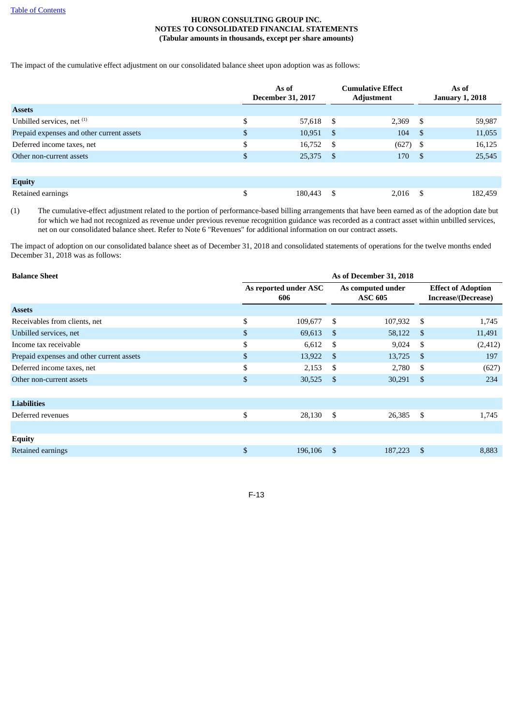The impact of the cumulative effect adjustment on our consolidated balance sheet upon adoption was as follows:

|                                           | As of<br><b>December 31, 2017</b> |         | <b>Cumulative Effect</b><br><b>Adjustment</b> |            |      | As of<br><b>January 1, 2018</b> |
|-------------------------------------------|-----------------------------------|---------|-----------------------------------------------|------------|------|---------------------------------|
| <b>Assets</b>                             |                                   |         |                                               |            |      |                                 |
| Unbilled services, net (1)                | \$                                | 57,618  | -S                                            | 2,369      | - \$ | 59,987                          |
| Prepaid expenses and other current assets | \$                                | 10,951  | -S                                            | 104        | - \$ | 11,055                          |
| Deferred income taxes, net                | \$                                | 16,752  | -S                                            | $(627)$ \$ |      | 16,125                          |
| Other non-current assets                  | \$                                | 25,375  | -S                                            | 170        | - \$ | 25,545                          |
|                                           |                                   |         |                                               |            |      |                                 |
| <b>Equity</b>                             |                                   |         |                                               |            |      |                                 |
| Retained earnings                         | \$                                | 180,443 | S                                             | 2,016      | - \$ | 182,459                         |

(1) The cumulative-effect adjustment related to the portion of performance-based billing arrangements that have been earned as of the adoption date but for which we had not recognized as revenue under previous revenue recognition guidance was recorded as a contract asset within unbilled services, net on our consolidated balance sheet. Refer to Note 6 "Revenues" for additional information on our contract assets.

The impact of adoption on our consolidated balance sheet as of December 31, 2018 and consolidated statements of operations for the twelve months ended December 31, 2018 was as follows:

| As of December 31, 2018 |       |                                                                                     |                                                                                            |                                                                              |  |  |  |  |
|-------------------------|-------|-------------------------------------------------------------------------------------|--------------------------------------------------------------------------------------------|------------------------------------------------------------------------------|--|--|--|--|
| 606                     |       | <b>ASC 605</b>                                                                      |                                                                                            | <b>Effect of Adoption</b><br>Increase/(Decrease)                             |  |  |  |  |
|                         |       |                                                                                     |                                                                                            |                                                                              |  |  |  |  |
| \$                      |       |                                                                                     | - \$                                                                                       | 1,745                                                                        |  |  |  |  |
| \$                      |       |                                                                                     | - \$                                                                                       | 11,491                                                                       |  |  |  |  |
| \$                      | 6,612 |                                                                                     | \$                                                                                         | (2, 412)                                                                     |  |  |  |  |
| \$                      |       |                                                                                     | - \$                                                                                       | 197                                                                          |  |  |  |  |
| \$                      | 2,153 |                                                                                     | \$                                                                                         | (627)                                                                        |  |  |  |  |
| \$                      |       |                                                                                     | - \$                                                                                       | 234                                                                          |  |  |  |  |
|                         |       |                                                                                     |                                                                                            |                                                                              |  |  |  |  |
|                         |       |                                                                                     |                                                                                            |                                                                              |  |  |  |  |
| \$                      |       |                                                                                     | - \$                                                                                       | 1,745                                                                        |  |  |  |  |
|                         |       |                                                                                     |                                                                                            |                                                                              |  |  |  |  |
|                         |       |                                                                                     |                                                                                            |                                                                              |  |  |  |  |
| \$                      |       |                                                                                     | <sup>\$</sup>                                                                              | 8,883                                                                        |  |  |  |  |
|                         |       | As reported under ASC<br>109,677<br>69,613<br>13,922<br>30,525<br>28,130<br>196,106 | As computed under<br>\$<br><sup>\$</sup><br>\$<br><sup>\$</sup><br>\$<br>-\$<br>-\$<br>-\$ | 107,932<br>58,122<br>9,024<br>13,725<br>2,780<br>30,291<br>26,385<br>187,223 |  |  |  |  |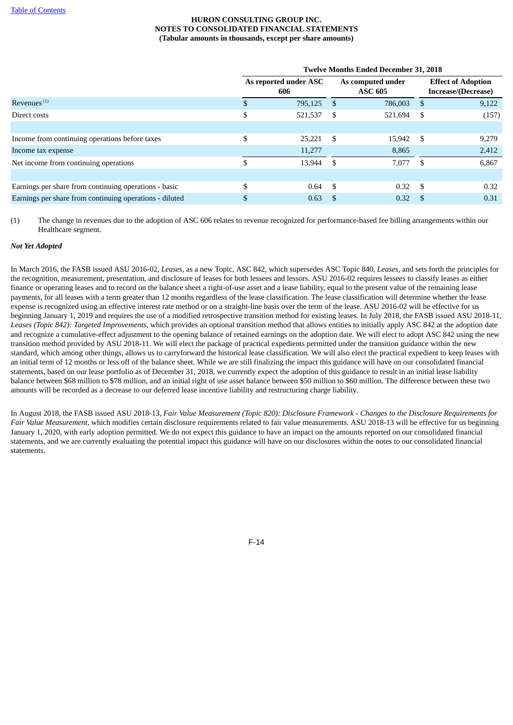| <b>Twelve Months Ended December 31, 2018</b> |         |     |                |                                                  |                      |  |  |
|----------------------------------------------|---------|-----|----------------|--------------------------------------------------|----------------------|--|--|
| As reported under ASC<br>606                 |         |     | <b>ASC 605</b> | <b>Effect of Adoption</b><br>Increase/(Decrease) |                      |  |  |
|                                              | 795,125 |     | 786,003        |                                                  | 9,122                |  |  |
| \$                                           | 521,537 | S   | 521,694        | -S                                               | (157)                |  |  |
|                                              |         |     |                |                                                  |                      |  |  |
| \$                                           | 25,221  | S   | 15,942         |                                                  | 9,279                |  |  |
|                                              | 11,277  |     | 8,865          |                                                  | 2,412                |  |  |
| \$.                                          | 13.944  | S   | 7,077          | - \$                                             | 6,867                |  |  |
|                                              |         |     |                |                                                  |                      |  |  |
| \$.                                          | 0.64    | -\$ | 0.32           |                                                  | 0.32                 |  |  |
| S                                            | 0.63    | S   | 0.32           | - S                                              | 0.31                 |  |  |
|                                              |         |     | - \$           | As computed under                                | - \$<br>- \$<br>- \$ |  |  |

(1) The change in revenues due to the adoption of ASC 606 relates to revenue recognized for performance-based fee billing arrangements within our Healthcare segment.

#### *Not Yet Adopted*

In March 2016, the FASB issued ASU 2016-02, *Leases*, as a new Topic, ASC 842, which supersedes ASC Topic 840, *Leases*, and sets forth the principles for the recognition, measurement, presentation, and disclosure of leases for both lessees and lessors. ASU 2016-02 requires lessees to classify leases as either finance or operating leases and to record on the balance sheet a right-of-use asset and a lease liability, equal to the present value of the remaining lease payments, for all leases with a term greater than 12 months regardless of the lease classification. The lease classification will determine whether the lease expense is recognized using an effective interest rate method or on a straight-line basis over the term of the lease. ASU 2016-02 will be effective for us beginning January 1, 2019 and requires the use of a modified retrospective transition method for existing leases. In July 2018, the FASB issued ASU 2018-11, *Leases (Topic 842): Targeted Improvements,* which provides an optional transition method that allows entities to initially apply ASC 842 at the adoption date and recognize a cumulative-effect adjustment to the opening balance of retained earnings on the adoption date. We will elect to adopt ASC 842 using the new transition method provided by ASU 2018-11. We will elect the package of practical expedients permitted under the transition guidance within the new standard, which among other things, allows us to carryforward the historical lease classification. We will also elect the practical expedient to keep leases with an initial term of 12 months or less off of the balance sheet. While we are still finalizing the impact this guidance will have on our consolidated financial statements, based on our lease portfolio as of December 31, 2018, we currently expect the adoption of this guidance to result in an initial lease liability balance between \$68 million to \$78 million, and an initial right of use asset balance between \$50 million to \$60 million. The difference between these two amounts will be recorded as a decrease to our deferred lease incentive liability and restructuring charge liability.

In August 2018, the FASB issued ASU 2018-13, Fair Value Measurement (Topic 820): Disclosure Framework - Changes to the Disclosure Requirements for *Fair Value Measurement,* which modifies certain disclosure requirements related to fair value measurements. ASU 2018-13 will be effective for us beginning January 1, 2020, with early adoption permitted. We do not expect this guidance to have an impact on the amounts reported on our consolidated financial statements, and we are currently evaluating the potential impact this guidance will have on our disclosures within the notes to our consolidated financial statements.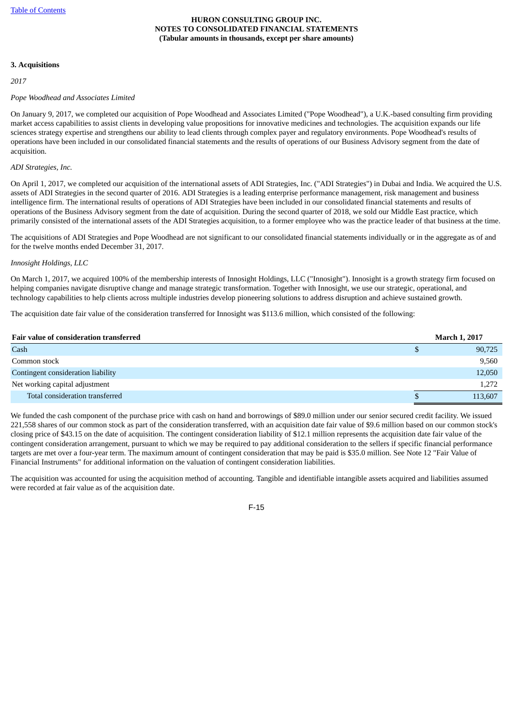# **3. Acquisitions**

*2017*

# *Pope Woodhead and Associates Limited*

On January 9, 2017, we completed our acquisition of Pope Woodhead and Associates Limited ("Pope Woodhead"), a U.K.-based consulting firm providing market access capabilities to assist clients in developing value propositions for innovative medicines and technologies. The acquisition expands our life sciences strategy expertise and strengthens our ability to lead clients through complex payer and regulatory environments. Pope Woodhead's results of operations have been included in our consolidated financial statements and the results of operations of our Business Advisory segment from the date of acquisition.

# *ADI Strategies, Inc.*

On April 1, 2017, we completed our acquisition of the international assets of ADI Strategies, Inc. ("ADI Strategies") in Dubai and India. We acquired the U.S. assets of ADI Strategies in the second quarter of 2016. ADI Strategies is a leading enterprise performance management, risk management and business intelligence firm. The international results of operations of ADI Strategies have been included in our consolidated financial statements and results of operations of the Business Advisory segment from the date of acquisition. During the second quarter of 2018, we sold our Middle East practice, which primarily consisted of the international assets of the ADI Strategies acquisition, to a former employee who was the practice leader of that business at the time.

The acquisitions of ADI Strategies and Pope Woodhead are not significant to our consolidated financial statements individually or in the aggregate as of and for the twelve months ended December 31, 2017.

#### *Innosight Holdings, LLC*

On March 1, 2017, we acquired 100% of the membership interests of Innosight Holdings, LLC ("Innosight"). Innosight is a growth strategy firm focused on helping companies navigate disruptive change and manage strategic transformation. Together with Innosight, we use our strategic, operational, and technology capabilities to help clients across multiple industries develop pioneering solutions to address disruption and achieve sustained growth.

The acquisition date fair value of the consideration transferred for Innosight was \$113.6 million, which consisted of the following:

| Fair value of consideration transferred | <b>March 1, 2017</b> |
|-----------------------------------------|----------------------|
| Cash                                    | 90,725               |
| Common stock                            | 9,560                |
| Contingent consideration liability      | 12,050               |
| Net working capital adjustment          | 1,272                |
| Total consideration transferred         | 113,607              |

We funded the cash component of the purchase price with cash on hand and borrowings of \$89.0 million under our senior secured credit facility. We issued 221,558 shares of our common stock as part of the consideration transferred, with an acquisition date fair value of \$9.6 million based on our common stock's closing price of \$43.15 on the date of acquisition. The contingent consideration liability of \$12.1 million represents the acquisition date fair value of the contingent consideration arrangement, pursuant to which we may be required to pay additional consideration to the sellers if specific financial performance targets are met over a four-year term. The maximum amount of contingent consideration that may be paid is \$35.0 million. See Note 12 "Fair Value of Financial Instruments" for additional information on the valuation of contingent consideration liabilities.

The acquisition was accounted for using the acquisition method of accounting. Tangible and identifiable intangible assets acquired and liabilities assumed were recorded at fair value as of the acquisition date.

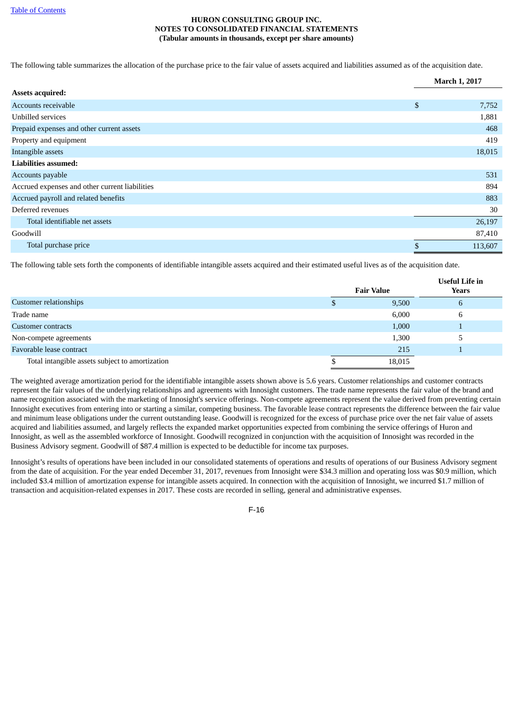The following table summarizes the allocation of the purchase price to the fair value of assets acquired and liabilities assumed as of the acquisition date.

|                                                | <b>March 1, 2017</b> |
|------------------------------------------------|----------------------|
| <b>Assets acquired:</b>                        |                      |
| Accounts receivable                            | \$<br>7,752          |
| Unbilled services                              | 1,881                |
| Prepaid expenses and other current assets      | 468                  |
| Property and equipment                         | 419                  |
| Intangible assets                              | 18,015               |
| Liabilities assumed:                           |                      |
| Accounts payable                               | 531                  |
| Accrued expenses and other current liabilities | 894                  |
| Accrued payroll and related benefits           | 883                  |
| Deferred revenues                              | 30                   |
| Total identifiable net assets                  | 26,197               |
| Goodwill                                       | 87,410               |
| Total purchase price                           | \$<br>113,607        |

The following table sets forth the components of identifiable intangible assets acquired and their estimated useful lives as of the acquisition date.

|                                                 |                   | <b>Useful Life in</b> |
|-------------------------------------------------|-------------------|-----------------------|
|                                                 | <b>Fair Value</b> | <b>Years</b>          |
| Customer relationships                          | 9,500             | b                     |
| Trade name                                      | 6,000             | 6                     |
| Customer contracts                              | 1,000             |                       |
| Non-compete agreements                          | 1,300             |                       |
| Favorable lease contract                        | 215               |                       |
| Total intangible assets subject to amortization | 18,015            |                       |

The weighted average amortization period for the identifiable intangible assets shown above is 5.6 years. Customer relationships and customer contracts represent the fair values of the underlying relationships and agreements with Innosight customers. The trade name represents the fair value of the brand and name recognition associated with the marketing of Innosight's service offerings. Non-compete agreements represent the value derived from preventing certain Innosight executives from entering into or starting a similar, competing business. The favorable lease contract represents the difference between the fair value and minimum lease obligations under the current outstanding lease. Goodwill is recognized for the excess of purchase price over the net fair value of assets acquired and liabilities assumed, and largely reflects the expanded market opportunities expected from combining the service offerings of Huron and Innosight, as well as the assembled workforce of Innosight. Goodwill recognized in conjunction with the acquisition of Innosight was recorded in the Business Advisory segment. Goodwill of \$87.4 million is expected to be deductible for income tax purposes.

Innosight's results of operations have been included in our consolidated statements of operations and results of operations of our Business Advisory segment from the date of acquisition. For the year ended December 31, 2017, revenues from Innosight were \$34.3 million and operating loss was \$0.9 million, which included \$3.4 million of amortization expense for intangible assets acquired. In connection with the acquisition of Innosight, we incurred \$1.7 million of transaction and acquisition-related expenses in 2017. These costs are recorded in selling, general and administrative expenses.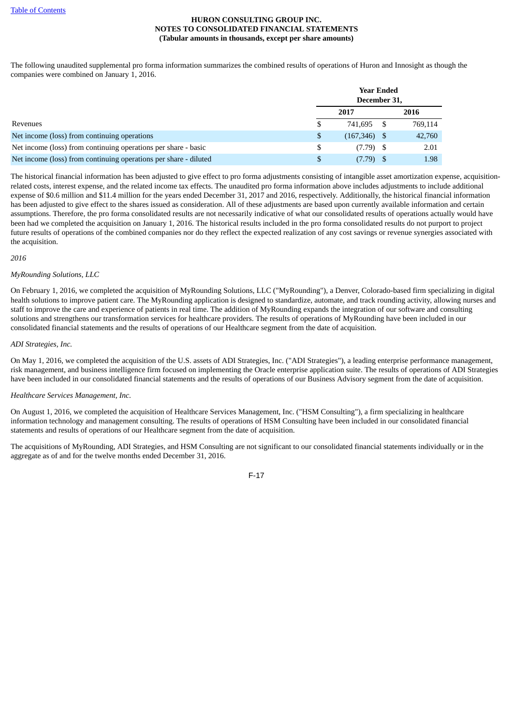The following unaudited supplemental pro forma information summarizes the combined results of operations of Huron and Innosight as though the companies were combined on January 1, 2016.

|                                                                  | Year Ended<br>December 31. |         |
|------------------------------------------------------------------|----------------------------|---------|
|                                                                  | 2017                       | 2016    |
| Revenues                                                         | 741.695                    | 769,114 |
| Net income (loss) from continuing operations                     | $(167,346)$ \$             | 42,760  |
| Net income (loss) from continuing operations per share - basic   | \$<br>$(7.79)$ \$          | 2.01    |
| Net income (loss) from continuing operations per share - diluted | (7.79)                     | 1.98    |

The historical financial information has been adjusted to give effect to pro forma adjustments consisting of intangible asset amortization expense, acquisitionrelated costs, interest expense, and the related income tax effects. The unaudited pro forma information above includes adjustments to include additional expense of \$0.6 million and \$11.4 million for the years ended December 31, 2017 and 2016, respectively. Additionally, the historical financial information has been adjusted to give effect to the shares issued as consideration. All of these adjustments are based upon currently available information and certain assumptions. Therefore, the pro forma consolidated results are not necessarily indicative of what our consolidated results of operations actually would have been had we completed the acquisition on January 1, 2016. The historical results included in the pro forma consolidated results do not purport to project future results of operations of the combined companies nor do they reflect the expected realization of any cost savings or revenue synergies associated with the acquisition.

#### *2016*

# *MyRounding Solutions, LLC*

On February 1, 2016, we completed the acquisition of MyRounding Solutions, LLC ("MyRounding"), a Denver, Colorado-based firm specializing in digital health solutions to improve patient care. The MyRounding application is designed to standardize, automate, and track rounding activity, allowing nurses and staff to improve the care and experience of patients in real time. The addition of MyRounding expands the integration of our software and consulting solutions and strengthens our transformation services for healthcare providers. The results of operations of MyRounding have been included in our consolidated financial statements and the results of operations of our Healthcare segment from the date of acquisition.

# *ADI Strategies, Inc.*

On May 1, 2016, we completed the acquisition of the U.S. assets of ADI Strategies, Inc. ("ADI Strategies"), a leading enterprise performance management, risk management, and business intelligence firm focused on implementing the Oracle enterprise application suite. The results of operations of ADI Strategies have been included in our consolidated financial statements and the results of operations of our Business Advisory segment from the date of acquisition.

# *Healthcare Services Management, Inc.*

On August 1, 2016, we completed the acquisition of Healthcare Services Management, Inc. ("HSM Consulting"), a firm specializing in healthcare information technology and management consulting. The results of operations of HSM Consulting have been included in our consolidated financial statements and results of operations of our Healthcare segment from the date of acquisition.

The acquisitions of MyRounding, ADI Strategies, and HSM Consulting are not significant to our consolidated financial statements individually or in the aggregate as of and for the twelve months ended December 31, 2016.

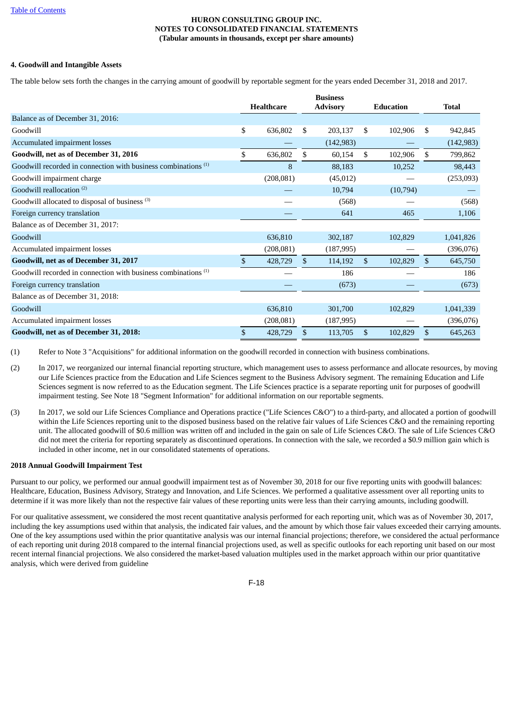## **4. Goodwill and Intangible Assets**

The table below sets forth the changes in the carrying amount of goodwill by reportable segment for the years ended December 31, 2018 and 2017.

|                                                                           | <b>Business</b> |                   |    |                 |                |                  |    |              |
|---------------------------------------------------------------------------|-----------------|-------------------|----|-----------------|----------------|------------------|----|--------------|
|                                                                           |                 | <b>Healthcare</b> |    | <b>Advisory</b> |                | <b>Education</b> |    | <b>Total</b> |
| Balance as of December 31, 2016:                                          |                 |                   |    |                 |                |                  |    |              |
| Goodwill                                                                  | \$              | 636,802           | \$ | 203,137         | \$             | 102,906          | \$ | 942,845      |
| Accumulated impairment losses                                             |                 |                   |    | (142, 983)      |                |                  |    | (142, 983)   |
| Goodwill, net as of December 31, 2016                                     | \$.             | 636,802           | \$ | 60,154          | \$             | 102,906          | S  | 799,862      |
| Goodwill recorded in connection with business combinations (1)            |                 | 8                 |    | 88,183          |                | 10,252           |    | 98,443       |
| Goodwill impairment charge                                                |                 | (208, 081)        |    | (45, 012)       |                |                  |    | (253,093)    |
| Goodwill reallocation <sup>(2)</sup>                                      |                 |                   |    | 10,794          |                | (10,794)         |    |              |
| Goodwill allocated to disposal of business <sup>(3)</sup>                 |                 |                   |    | (568)           |                |                  |    | (568)        |
| Foreign currency translation                                              |                 |                   |    | 641             |                | 465              |    | 1,106        |
| Balance as of December 31, 2017:                                          |                 |                   |    |                 |                |                  |    |              |
| Goodwill                                                                  |                 | 636,810           |    | 302,187         |                | 102,829          |    | 1,041,826    |
| Accumulated impairment losses                                             |                 | (208, 081)        |    | (187, 995)      |                |                  |    | (396, 076)   |
| Goodwill, net as of December 31, 2017                                     | $\mathbf{\$}$   | 428,729           | \$ | 114,192         | $\mathfrak{S}$ | 102,829          | \$ | 645,750      |
| Goodwill recorded in connection with business combinations <sup>(1)</sup> |                 |                   |    | 186             |                |                  |    | 186          |
| Foreign currency translation                                              |                 |                   |    | (673)           |                |                  |    | (673)        |
| Balance as of December 31, 2018:                                          |                 |                   |    |                 |                |                  |    |              |
| Goodwill                                                                  |                 | 636,810           |    | 301,700         |                | 102,829          |    | 1,041,339    |
| Accumulated impairment losses                                             |                 | (208, 081)        |    | (187, 995)      |                |                  |    | (396, 076)   |
| Goodwill, net as of December 31, 2018:                                    | \$              | 428,729           |    | 113,705         | \$             | 102,829          | \$ | 645,263      |

(1) Refer to Note 3 "Acquisitions" for additional information on the goodwill recorded in connection with business combinations.

(2) In 2017, we reorganized our internal financial reporting structure, which management uses to assess performance and allocate resources, by moving our Life Sciences practice from the Education and Life Sciences segment to the Business Advisory segment. The remaining Education and Life Sciences segment is now referred to as the Education segment. The Life Sciences practice is a separate reporting unit for purposes of goodwill impairment testing. See Note 18 "Segment Information" for additional information on our reportable segments.

(3) In 2017, we sold our Life Sciences Compliance and Operations practice ("Life Sciences C&O") to a third-party, and allocated a portion of goodwill within the Life Sciences reporting unit to the disposed business based on the relative fair values of Life Sciences C&O and the remaining reporting unit. The allocated goodwill of \$0.6 million was written off and included in the gain on sale of Life Sciences C&O. The sale of Life Sciences C&O did not meet the criteria for reporting separately as discontinued operations. In connection with the sale, we recorded a \$0.9 million gain which is included in other income, net in our consolidated statements of operations.

### **2018 Annual Goodwill Impairment Test**

Pursuant to our policy, we performed our annual goodwill impairment test as of November 30, 2018 for our five reporting units with goodwill balances: Healthcare, Education, Business Advisory, Strategy and Innovation, and Life Sciences. We performed a qualitative assessment over all reporting units to determine if it was more likely than not the respective fair values of these reporting units were less than their carrying amounts, including goodwill.

For our qualitative assessment, we considered the most recent quantitative analysis performed for each reporting unit, which was as of November 30, 2017, including the key assumptions used within that analysis, the indicated fair values, and the amount by which those fair values exceeded their carrying amounts. One of the key assumptions used within the prior quantitative analysis was our internal financial projections; therefore, we considered the actual performance of each reporting unit during 2018 compared to the internal financial projections used, as well as specific outlooks for each reporting unit based on our most recent internal financial projections. We also considered the market-based valuation multiples used in the market approach within our prior quantitative analysis, which were derived from guideline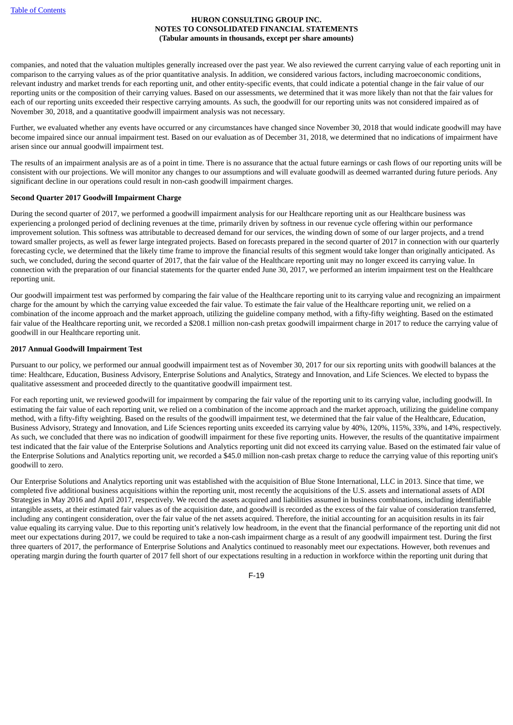companies, and noted that the valuation multiples generally increased over the past year. We also reviewed the current carrying value of each reporting unit in comparison to the carrying values as of the prior quantitative analysis. In addition, we considered various factors, including macroeconomic conditions, relevant industry and market trends for each reporting unit, and other entity-specific events, that could indicate a potential change in the fair value of our reporting units or the composition of their carrying values. Based on our assessments, we determined that it was more likely than not that the fair values for each of our reporting units exceeded their respective carrying amounts. As such, the goodwill for our reporting units was not considered impaired as of November 30, 2018, and a quantitative goodwill impairment analysis was not necessary.

Further, we evaluated whether any events have occurred or any circumstances have changed since November 30, 2018 that would indicate goodwill may have become impaired since our annual impairment test. Based on our evaluation as of December 31, 2018, we determined that no indications of impairment have arisen since our annual goodwill impairment test.

The results of an impairment analysis are as of a point in time. There is no assurance that the actual future earnings or cash flows of our reporting units will be consistent with our projections. We will monitor any changes to our assumptions and will evaluate goodwill as deemed warranted during future periods. Any significant decline in our operations could result in non-cash goodwill impairment charges.

## **Second Quarter 2017 Goodwill Impairment Charge**

During the second quarter of 2017, we performed a goodwill impairment analysis for our Healthcare reporting unit as our Healthcare business was experiencing a prolonged period of declining revenues at the time, primarily driven by softness in our revenue cycle offering within our performance improvement solution. This softness was attributable to decreased demand for our services, the winding down of some of our larger projects, and a trend toward smaller projects, as well as fewer large integrated projects. Based on forecasts prepared in the second quarter of 2017 in connection with our quarterly forecasting cycle, we determined that the likely time frame to improve the financial results of this segment would take longer than originally anticipated. As such, we concluded, during the second quarter of 2017, that the fair value of the Healthcare reporting unit may no longer exceed its carrying value. In connection with the preparation of our financial statements for the quarter ended June 30, 2017, we performed an interim impairment test on the Healthcare reporting unit.

Our goodwill impairment test was performed by comparing the fair value of the Healthcare reporting unit to its carrying value and recognizing an impairment charge for the amount by which the carrying value exceeded the fair value. To estimate the fair value of the Healthcare reporting unit, we relied on a combination of the income approach and the market approach, utilizing the guideline company method, with a fifty-fifty weighting. Based on the estimated fair value of the Healthcare reporting unit, we recorded a \$208.1 million non-cash pretax goodwill impairment charge in 2017 to reduce the carrying value of goodwill in our Healthcare reporting unit.

## **2017 Annual Goodwill Impairment Test**

Pursuant to our policy, we performed our annual goodwill impairment test as of November 30, 2017 for our six reporting units with goodwill balances at the time: Healthcare, Education, Business Advisory, Enterprise Solutions and Analytics, Strategy and Innovation, and Life Sciences. We elected to bypass the qualitative assessment and proceeded directly to the quantitative goodwill impairment test.

For each reporting unit, we reviewed goodwill for impairment by comparing the fair value of the reporting unit to its carrying value, including goodwill. In estimating the fair value of each reporting unit, we relied on a combination of the income approach and the market approach, utilizing the guideline company method, with a fifty-fifty weighting. Based on the results of the goodwill impairment test, we determined that the fair value of the Healthcare, Education, Business Advisory, Strategy and Innovation, and Life Sciences reporting units exceeded its carrying value by 40%, 120%, 115%, 33%, and 14%, respectively. As such, we concluded that there was no indication of goodwill impairment for these five reporting units. However, the results of the quantitative impairment test indicated that the fair value of the Enterprise Solutions and Analytics reporting unit did not exceed its carrying value. Based on the estimated fair value of the Enterprise Solutions and Analytics reporting unit, we recorded a \$45.0 million non-cash pretax charge to reduce the carrying value of this reporting unit's goodwill to zero.

Our Enterprise Solutions and Analytics reporting unit was established with the acquisition of Blue Stone International, LLC in 2013. Since that time, we completed five additional business acquisitions within the reporting unit, most recently the acquisitions of the U.S. assets and international assets of ADI Strategies in May 2016 and April 2017, respectively. We record the assets acquired and liabilities assumed in business combinations, including identifiable intangible assets, at their estimated fair values as of the acquisition date, and goodwill is recorded as the excess of the fair value of consideration transferred, including any contingent consideration, over the fair value of the net assets acquired. Therefore, the initial accounting for an acquisition results in its fair value equaling its carrying value. Due to this reporting unit's relatively low headroom, in the event that the financial performance of the reporting unit did not meet our expectations during 2017, we could be required to take a non-cash impairment charge as a result of any goodwill impairment test. During the first three quarters of 2017, the performance of Enterprise Solutions and Analytics continued to reasonably meet our expectations. However, both revenues and operating margin during the fourth quarter of 2017 fell short of our expectations resulting in a reduction in workforce within the reporting unit during that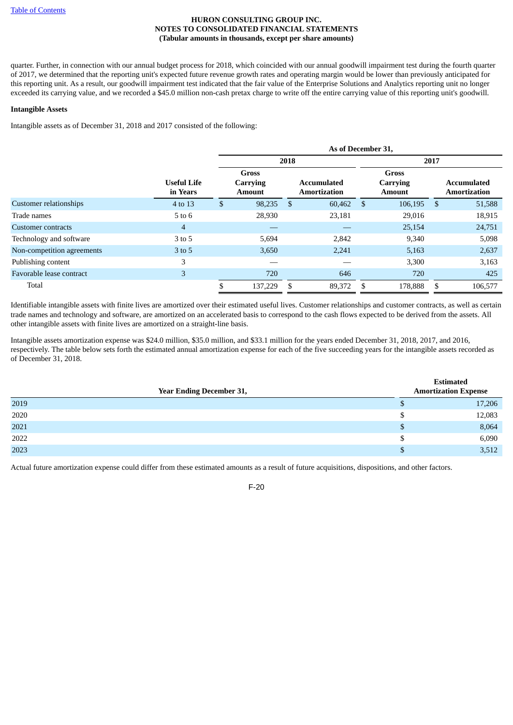quarter. Further, in connection with our annual budget process for 2018, which coincided with our annual goodwill impairment test during the fourth quarter of 2017, we determined that the reporting unit's expected future revenue growth rates and operating margin would be lower than previously anticipated for this reporting unit. As a result, our goodwill impairment test indicated that the fair value of the Enterprise Solutions and Analytics reporting unit no longer exceeded its carrying value, and we recorded a \$45.0 million non-cash pretax charge to write off the entire carrying value of this reporting unit's goodwill.

## **Intangible Assets**

Intangible assets as of December 31, 2018 and 2017 consisted of the following:

|                               |                                | As of December 31, |                                    |      |                                           |      |                                           |      |                                           |  |
|-------------------------------|--------------------------------|--------------------|------------------------------------|------|-------------------------------------------|------|-------------------------------------------|------|-------------------------------------------|--|
|                               |                                |                    |                                    | 2018 |                                           |      |                                           | 2017 |                                           |  |
|                               | <b>Useful Life</b><br>in Years |                    | Gross<br>Carrying<br><b>Amount</b> |      | <b>Accumulated</b><br><b>Amortization</b> |      | <b>Gross</b><br>Carrying<br><b>Amount</b> |      | <b>Accumulated</b><br><b>Amortization</b> |  |
| <b>Customer relationships</b> | 4 to 13                        | \$                 | 98,235                             | \$   | 60,462                                    | -S   | 106,195                                   | - \$ | 51,588                                    |  |
| Trade names                   | $5$ to $6$                     |                    | 28,930                             |      | 23,181                                    |      | 29,016                                    |      | 18,915                                    |  |
| Customer contracts            | $\overline{4}$                 |                    |                                    |      |                                           |      | 25,154                                    |      | 24,751                                    |  |
| Technology and software       | $3$ to 5                       |                    | 5,694                              |      | 2,842                                     |      | 9,340                                     |      | 5,098                                     |  |
| Non-competition agreements    | $3$ to 5                       |                    | 3,650                              |      | 2,241                                     |      | 5,163                                     |      | 2,637                                     |  |
| Publishing content            | 3                              |                    |                                    |      |                                           |      | 3,300                                     |      | 3,163                                     |  |
| Favorable lease contract      | 3                              |                    | 720                                |      | 646                                       |      | 720                                       |      | 425                                       |  |
| Total                         |                                | \$                 | 137,229                            | \$   | 89,372                                    | - \$ | 178,888                                   | -S   | 106,577                                   |  |

Identifiable intangible assets with finite lives are amortized over their estimated useful lives. Customer relationships and customer contracts, as well as certain trade names and technology and software, are amortized on an accelerated basis to correspond to the cash flows expected to be derived from the assets. All other intangible assets with finite lives are amortized on a straight-line basis.

Intangible assets amortization expense was \$24.0 million, \$35.0 million, and \$33.1 million for the years ended December 31, 2018, 2017, and 2016, respectively. The table below sets forth the estimated annual amortization expense for each of the five succeeding years for the intangible assets recorded as of December 31, 2018.

| <b>Year Ending December 31,</b> |  |     | <b>Estimated</b><br><b>Amortization Expense</b> |
|---------------------------------|--|-----|-------------------------------------------------|
| 2019                            |  | Φ   | 17,206                                          |
| 2020                            |  | S   | 12,083                                          |
| 2021                            |  | \$. | 8,064                                           |
| 2022                            |  | S   | 6,090                                           |
| 2023                            |  | ъ   | 3,512                                           |

Actual future amortization expense could differ from these estimated amounts as a result of future acquisitions, dispositions, and other factors.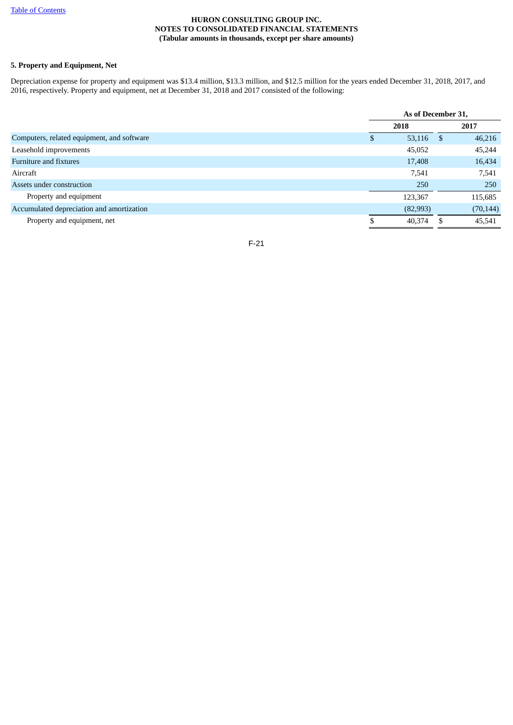# **5. Property and Equipment, Net**

Depreciation expense for property and equipment was \$13.4 million, \$13.3 million, and \$12.5 million for the years ended December 31, 2018, 2017, and 2016, respectively. Property and equipment, net at December 31, 2018 and 2017 consisted of the following:

|                                            | As of December 31, |      |           |  |
|--------------------------------------------|--------------------|------|-----------|--|
|                                            | 2018               |      | 2017      |  |
| Computers, related equipment, and software | \$<br>53,116       | - \$ | 46,216    |  |
| Leasehold improvements                     | 45,052             |      | 45,244    |  |
| Furniture and fixtures                     | 17,408             |      | 16,434    |  |
| Aircraft                                   | 7,541              |      | 7,541     |  |
| Assets under construction                  | 250                |      | 250       |  |
| Property and equipment                     | 123,367            |      | 115,685   |  |
| Accumulated depreciation and amortization  | (82,993)           |      | (70, 144) |  |
| Property and equipment, net                | 40,374             |      | 45,541    |  |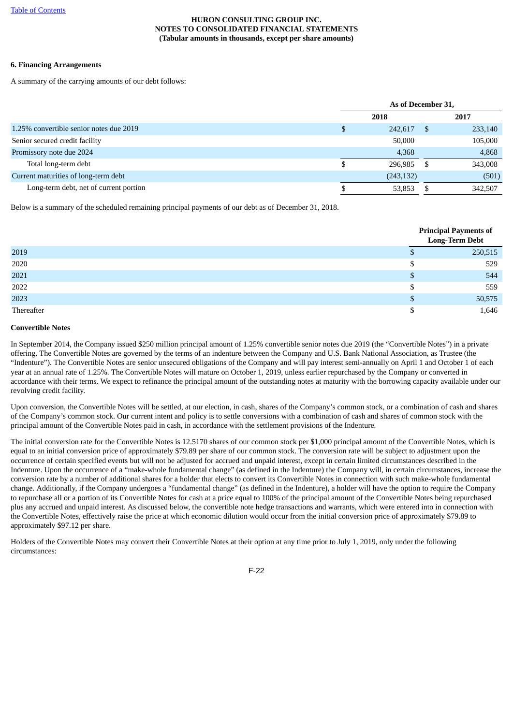## **6. Financing Arrangements**

A summary of the carrying amounts of our debt follows:

|                                         | As of December 31, |    |         |  |  |
|-----------------------------------------|--------------------|----|---------|--|--|
|                                         | 2018               |    | 2017    |  |  |
| 1.25% convertible senior notes due 2019 | 242,617            | -S | 233,140 |  |  |
| Senior secured credit facility          | 50,000             |    | 105,000 |  |  |
| Promissory note due 2024                | 4.368              |    | 4,868   |  |  |
| Total long-term debt                    | 296,985            | S  | 343,008 |  |  |
| Current maturities of long-term debt    | (243, 132)         |    | (501)   |  |  |
| Long-term debt, net of current portion  | 53,853             |    | 342,507 |  |  |

Below is a summary of the scheduled remaining principal payments of our debt as of December 31, 2018.

|            |   | <b>Principal Payments of</b><br>Long-Term Debt |
|------------|---|------------------------------------------------|
| 2019       | D | 250,515                                        |
| 2020       |   | 529                                            |
| 2021       | S | 544                                            |
| 2022       | C | 559                                            |
| 2023       |   | 50,575                                         |
| Thereafter |   | 1,646                                          |

#### **Convertible Notes**

In September 2014, the Company issued \$250 million principal amount of 1.25% convertible senior notes due 2019 (the "Convertible Notes") in a private offering. The Convertible Notes are governed by the terms of an indenture between the Company and U.S. Bank National Association, as Trustee (the "Indenture"). The Convertible Notes are senior unsecured obligations of the Company and will pay interest semi-annually on April 1 and October 1 of each year at an annual rate of 1.25%. The Convertible Notes will mature on October 1, 2019, unless earlier repurchased by the Company or converted in accordance with their terms. We expect to refinance the principal amount of the outstanding notes at maturity with the borrowing capacity available under our revolving credit facility.

Upon conversion, the Convertible Notes will be settled, at our election, in cash, shares of the Company's common stock, or a combination of cash and shares of the Company's common stock. Our current intent and policy is to settle conversions with a combination of cash and shares of common stock with the principal amount of the Convertible Notes paid in cash, in accordance with the settlement provisions of the Indenture.

The initial conversion rate for the Convertible Notes is 12.5170 shares of our common stock per \$1,000 principal amount of the Convertible Notes, which is equal to an initial conversion price of approximately \$79.89 per share of our common stock. The conversion rate will be subject to adjustment upon the occurrence of certain specified events but will not be adjusted for accrued and unpaid interest, except in certain limited circumstances described in the Indenture. Upon the occurrence of a "make-whole fundamental change" (as defined in the Indenture) the Company will, in certain circumstances, increase the conversion rate by a number of additional shares for a holder that elects to convert its Convertible Notes in connection with such make-whole fundamental change. Additionally, if the Company undergoes a "fundamental change" (as defined in the Indenture), a holder will have the option to require the Company to repurchase all or a portion of its Convertible Notes for cash at a price equal to 100% of the principal amount of the Convertible Notes being repurchased plus any accrued and unpaid interest. As discussed below, the convertible note hedge transactions and warrants, which were entered into in connection with the Convertible Notes, effectively raise the price at which economic dilution would occur from the initial conversion price of approximately \$79.89 to approximately \$97.12 per share.

Holders of the Convertible Notes may convert their Convertible Notes at their option at any time prior to July 1, 2019, only under the following circumstances: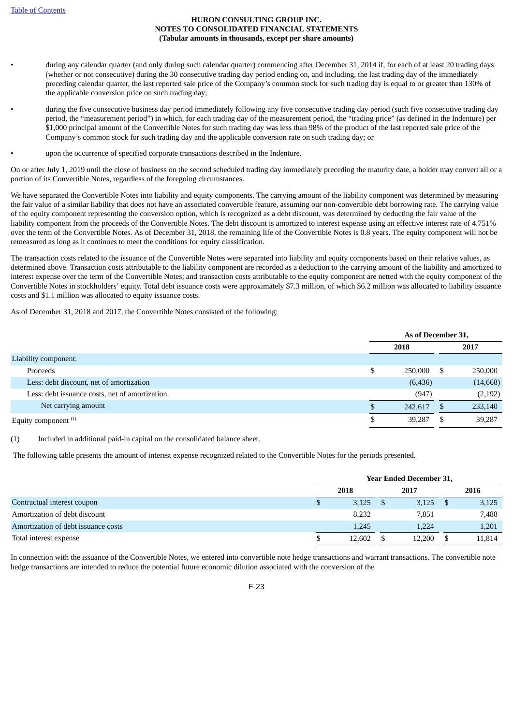• during any calendar quarter (and only during such calendar quarter) commencing after December 31, 2014 if, for each of at least 20 trading days (whether or not consecutive) during the 30 consecutive trading day period ending on, and including, the last trading day of the immediately preceding calendar quarter, the last reported sale price of the Company's common stock for such trading day is equal to or greater than 130% of the applicable conversion price on such trading day;

• during the five consecutive business day period immediately following any five consecutive trading day period (such five consecutive trading day period, the "measurement period") in which, for each trading day of the measurement period, the "trading price" (as defined in the Indenture) per \$1,000 principal amount of the Convertible Notes for such trading day was less than 98% of the product of the last reported sale price of the Company's common stock for such trading day and the applicable conversion rate on such trading day; or

upon the occurrence of specified corporate transactions described in the Indenture.

On or after July 1, 2019 until the close of business on the second scheduled trading day immediately preceding the maturity date, a holder may convert all or a portion of its Convertible Notes, regardless of the foregoing circumstances.

We have separated the Convertible Notes into liability and equity components. The carrying amount of the liability component was determined by measuring the fair value of a similar liability that does not have an associated convertible feature, assuming our non-convertible debt borrowing rate. The carrying value of the equity component representing the conversion option, which is recognized as a debt discount, was determined by deducting the fair value of the liability component from the proceeds of the Convertible Notes. The debt discount is amortized to interest expense using an effective interest rate of 4.751% over the term of the Convertible Notes. As of December 31, 2018, the remaining life of the Convertible Notes is 0.8 years. The equity component will not be remeasured as long as it continues to meet the conditions for equity classification.

The transaction costs related to the issuance of the Convertible Notes were separated into liability and equity components based on their relative values, as determined above. Transaction costs attributable to the liability component are recorded as a deduction to the carrying amount of the liability and amortized to interest expense over the term of the Convertible Notes; and transaction costs attributable to the equity component are netted with the equity component of the Convertible Notes in stockholders' equity. Total debt issuance costs were approximately \$7.3 million, of which \$6.2 million was allocated to liability issuance costs and \$1.1 million was allocated to equity issuance costs.

As of December 31, 2018 and 2017, the Convertible Notes consisted of the following:

|                                                | As of December 31, |      |           |  |
|------------------------------------------------|--------------------|------|-----------|--|
|                                                | 2018               |      | 2017      |  |
| Liability component:                           |                    |      |           |  |
| Proceeds                                       | 250,000            | - \$ | 250,000   |  |
| Less: debt discount, net of amortization       | (6, 436)           |      | (14, 668) |  |
| Less: debt issuance costs, net of amortization | (947)              |      | (2, 192)  |  |
| Net carrying amount                            | 242,617            | 5    | 233,140   |  |
| Equity component <sup>(1)</sup>                | 39,287             | -S   | 39,287    |  |

(1) Included in additional paid-in capital on the consolidated balance sheet.

The following table presents the amount of interest expense recognized related to the Convertible Notes for the periods presented.

|                                     | <b>Year Ended December 31,</b> |        |  |        |  |        |
|-------------------------------------|--------------------------------|--------|--|--------|--|--------|
|                                     | 2018<br>2017                   |        |  | 2016   |  |        |
| Contractual interest coupon         |                                | 3,125  |  | 3,125  |  | 3,125  |
| Amortization of debt discount       |                                | 8.232  |  | 7,851  |  | 7,488  |
| Amortization of debt issuance costs |                                | 1,245  |  | 1.224  |  | 1,201  |
| Total interest expense              |                                | 12,602 |  | 12.200 |  | 11,814 |

In connection with the issuance of the Convertible Notes, we entered into convertible note hedge transactions and warrant transactions. The convertible note hedge transactions are intended to reduce the potential future economic dilution associated with the conversion of the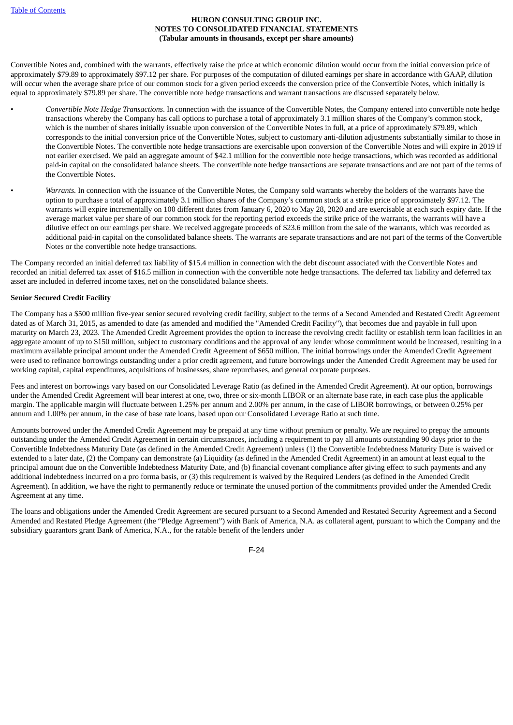Convertible Notes and, combined with the warrants, effectively raise the price at which economic dilution would occur from the initial conversion price of approximately \$79.89 to approximately \$97.12 per share. For purposes of the computation of diluted earnings per share in accordance with GAAP, dilution will occur when the average share price of our common stock for a given period exceeds the conversion price of the Convertible Notes, which initially is equal to approximately \$79.89 per share. The convertible note hedge transactions and warrant transactions are discussed separately below.

• *Convertible Note Hedge Transactions*. In connection with the issuance of the Convertible Notes, the Company entered into convertible note hedge transactions whereby the Company has call options to purchase a total of approximately 3.1 million shares of the Company's common stock, which is the number of shares initially issuable upon conversion of the Convertible Notes in full, at a price of approximately \$79.89, which corresponds to the initial conversion price of the Convertible Notes, subject to customary anti-dilution adjustments substantially similar to those in the Convertible Notes. The convertible note hedge transactions are exercisable upon conversion of the Convertible Notes and will expire in 2019 if not earlier exercised. We paid an aggregate amount of \$42.1 million for the convertible note hedge transactions, which was recorded as additional paid-in capital on the consolidated balance sheets. The convertible note hedge transactions are separate transactions and are not part of the terms of the Convertible Notes.

• *Warrants.* In connection with the issuance of the Convertible Notes, the Company sold warrants whereby the holders of the warrants have the option to purchase a total of approximately 3.1 million shares of the Company's common stock at a strike price of approximately \$97.12. The warrants will expire incrementally on 100 different dates from January 6, 2020 to May 28, 2020 and are exercisable at each such expiry date. If the average market value per share of our common stock for the reporting period exceeds the strike price of the warrants, the warrants will have a dilutive effect on our earnings per share. We received aggregate proceeds of \$23.6 million from the sale of the warrants, which was recorded as additional paid-in capital on the consolidated balance sheets. The warrants are separate transactions and are not part of the terms of the Convertible Notes or the convertible note hedge transactions.

The Company recorded an initial deferred tax liability of \$15.4 million in connection with the debt discount associated with the Convertible Notes and recorded an initial deferred tax asset of \$16.5 million in connection with the convertible note hedge transactions. The deferred tax liability and deferred tax asset are included in deferred income taxes, net on the consolidated balance sheets.

## **Senior Secured Credit Facility**

The Company has a \$500 million five-year senior secured revolving credit facility, subject to the terms of a Second Amended and Restated Credit Agreement dated as of March 31, 2015, as amended to date (as amended and modified the "Amended Credit Facility"), that becomes due and payable in full upon maturity on March 23, 2023. The Amended Credit Agreement provides the option to increase the revolving credit facility or establish term loan facilities in an aggregate amount of up to \$150 million, subject to customary conditions and the approval of any lender whose commitment would be increased, resulting in a maximum available principal amount under the Amended Credit Agreement of \$650 million. The initial borrowings under the Amended Credit Agreement were used to refinance borrowings outstanding under a prior credit agreement, and future borrowings under the Amended Credit Agreement may be used for working capital, capital expenditures, acquisitions of businesses, share repurchases, and general corporate purposes.

Fees and interest on borrowings vary based on our Consolidated Leverage Ratio (as defined in the Amended Credit Agreement). At our option, borrowings under the Amended Credit Agreement will bear interest at one, two, three or six-month LIBOR or an alternate base rate, in each case plus the applicable margin. The applicable margin will fluctuate between 1.25% per annum and 2.00% per annum, in the case of LIBOR borrowings, or between 0.25% per annum and 1.00% per annum, in the case of base rate loans, based upon our Consolidated Leverage Ratio at such time.

Amounts borrowed under the Amended Credit Agreement may be prepaid at any time without premium or penalty. We are required to prepay the amounts outstanding under the Amended Credit Agreement in certain circumstances, including a requirement to pay all amounts outstanding 90 days prior to the Convertible Indebtedness Maturity Date (as defined in the Amended Credit Agreement) unless (1) the Convertible Indebtedness Maturity Date is waived or extended to a later date, (2) the Company can demonstrate (a) Liquidity (as defined in the Amended Credit Agreement) in an amount at least equal to the principal amount due on the Convertible Indebtedness Maturity Date, and (b) financial covenant compliance after giving effect to such payments and any additional indebtedness incurred on a pro forma basis, or (3) this requirement is waived by the Required Lenders (as defined in the Amended Credit Agreement). In addition, we have the right to permanently reduce or terminate the unused portion of the commitments provided under the Amended Credit Agreement at any time.

The loans and obligations under the Amended Credit Agreement are secured pursuant to a Second Amended and Restated Security Agreement and a Second Amended and Restated Pledge Agreement (the "Pledge Agreement") with Bank of America, N.A. as collateral agent, pursuant to which the Company and the subsidiary guarantors grant Bank of America, N.A., for the ratable benefit of the lenders under

 $F-2A$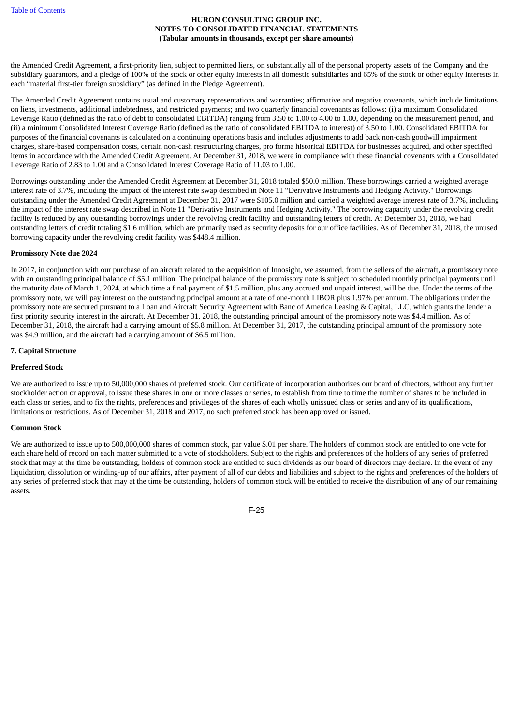the Amended Credit Agreement, a first-priority lien, subject to permitted liens, on substantially all of the personal property assets of the Company and the subsidiary guarantors, and a pledge of 100% of the stock or other equity interests in all domestic subsidiaries and 65% of the stock or other equity interests in each "material first-tier foreign subsidiary" (as defined in the Pledge Agreement).

The Amended Credit Agreement contains usual and customary representations and warranties; affirmative and negative covenants, which include limitations on liens, investments, additional indebtedness, and restricted payments; and two quarterly financial covenants as follows: (i) a maximum Consolidated Leverage Ratio (defined as the ratio of debt to consolidated EBITDA) ranging from 3.50 to 1.00 to 4.00 to 1.00, depending on the measurement period, and (ii) a minimum Consolidated Interest Coverage Ratio (defined as the ratio of consolidated EBITDA to interest) of 3.50 to 1.00. Consolidated EBITDA for purposes of the financial covenants is calculated on a continuing operations basis and includes adjustments to add back non-cash goodwill impairment charges, share-based compensation costs, certain non-cash restructuring charges, pro forma historical EBITDA for businesses acquired, and other specified items in accordance with the Amended Credit Agreement. At December 31, 2018, we were in compliance with these financial covenants with a Consolidated Leverage Ratio of 2.83 to 1.00 and a Consolidated Interest Coverage Ratio of 11.03 to 1.00.

Borrowings outstanding under the Amended Credit Agreement at December 31, 2018 totaled \$50.0 million. These borrowings carried a weighted average interest rate of 3.7%, including the impact of the interest rate swap described in Note 11 "Derivative Instruments and Hedging Activity." Borrowings outstanding under the Amended Credit Agreement at December 31, 2017 were \$105.0 million and carried a weighted average interest rate of 3.7%, including the impact of the interest rate swap described in Note 11 "Derivative Instruments and Hedging Activity." The borrowing capacity under the revolving credit facility is reduced by any outstanding borrowings under the revolving credit facility and outstanding letters of credit. At December 31, 2018, we had outstanding letters of credit totaling \$1.6 million, which are primarily used as security deposits for our office facilities. As of December 31, 2018, the unused borrowing capacity under the revolving credit facility was \$448.4 million.

### **Promissory Note due 2024**

In 2017, in conjunction with our purchase of an aircraft related to the acquisition of Innosight, we assumed, from the sellers of the aircraft, a promissory note with an outstanding principal balance of \$5.1 million. The principal balance of the promissory note is subject to scheduled monthly principal payments until the maturity date of March 1, 2024, at which time a final payment of \$1.5 million, plus any accrued and unpaid interest, will be due. Under the terms of the promissory note, we will pay interest on the outstanding principal amount at a rate of one-month LIBOR plus 1.97% per annum. The obligations under the promissory note are secured pursuant to a Loan and Aircraft Security Agreement with Banc of America Leasing & Capital, LLC, which grants the lender a first priority security interest in the aircraft. At December 31, 2018, the outstanding principal amount of the promissory note was \$4.4 million. As of December 31, 2018, the aircraft had a carrying amount of \$5.8 million. At December 31, 2017, the outstanding principal amount of the promissory note was \$4.9 million, and the aircraft had a carrying amount of \$6.5 million.

### **7. Capital Structure**

### **Preferred Stock**

We are authorized to issue up to 50,000,000 shares of preferred stock. Our certificate of incorporation authorizes our board of directors, without any further stockholder action or approval, to issue these shares in one or more classes or series, to establish from time to time the number of shares to be included in each class or series, and to fix the rights, preferences and privileges of the shares of each wholly unissued class or series and any of its qualifications, limitations or restrictions. As of December 31, 2018 and 2017, no such preferred stock has been approved or issued.

#### **Common Stock**

We are authorized to issue up to 500,000,000 shares of common stock, par value \$.01 per share. The holders of common stock are entitled to one vote for each share held of record on each matter submitted to a vote of stockholders. Subject to the rights and preferences of the holders of any series of preferred stock that may at the time be outstanding, holders of common stock are entitled to such dividends as our board of directors may declare. In the event of any liquidation, dissolution or winding-up of our affairs, after payment of all of our debts and liabilities and subject to the rights and preferences of the holders of any series of preferred stock that may at the time be outstanding, holders of common stock will be entitled to receive the distribution of any of our remaining assets.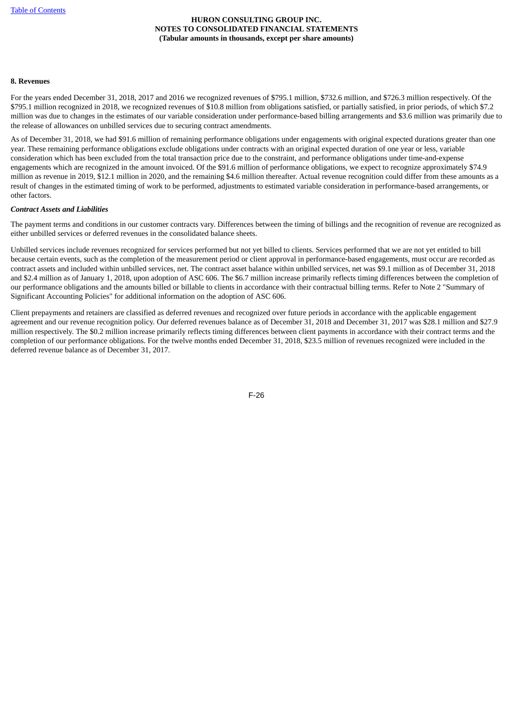#### **8. Revenues**

For the years ended December 31, 2018, 2017 and 2016 we recognized revenues of \$795.1 million, \$732.6 million, and \$726.3 million respectively. Of the \$795.1 million recognized in 2018, we recognized revenues of \$10.8 million from obligations satisfied, or partially satisfied, in prior periods, of which \$7.2 million was due to changes in the estimates of our variable consideration under performance-based billing arrangements and \$3.6 million was primarily due to the release of allowances on unbilled services due to securing contract amendments.

As of December 31, 2018, we had \$91.6 million of remaining performance obligations under engagements with original expected durations greater than one year. These remaining performance obligations exclude obligations under contracts with an original expected duration of one year or less, variable consideration which has been excluded from the total transaction price due to the constraint, and performance obligations under time-and-expense engagements which are recognized in the amount invoiced. Of the \$91.6 million of performance obligations, we expect to recognize approximately \$74.9 million as revenue in 2019, \$12.1 million in 2020, and the remaining \$4.6 million thereafter. Actual revenue recognition could differ from these amounts as a result of changes in the estimated timing of work to be performed, adjustments to estimated variable consideration in performance-based arrangements, or other factors.

### *Contract Assets and Liabilities*

The payment terms and conditions in our customer contracts vary. Differences between the timing of billings and the recognition of revenue are recognized as either unbilled services or deferred revenues in the consolidated balance sheets.

Unbilled services include revenues recognized for services performed but not yet billed to clients. Services performed that we are not yet entitled to bill because certain events, such as the completion of the measurement period or client approval in performance-based engagements, must occur are recorded as contract assets and included within unbilled services, net. The contract asset balance within unbilled services, net was \$9.1 million as of December 31, 2018 and \$2.4 million as of January 1, 2018, upon adoption of ASC 606. The \$6.7 million increase primarily reflects timing differences between the completion of our performance obligations and the amounts billed or billable to clients in accordance with their contractual billing terms. Refer to Note 2 "Summary of Significant Accounting Policies" for additional information on the adoption of ASC 606.

Client prepayments and retainers are classified as deferred revenues and recognized over future periods in accordance with the applicable engagement agreement and our revenue recognition policy. Our deferred revenues balance as of December 31, 2018 and December 31, 2017 was \$28.1 million and \$27.9 million respectively. The \$0.2 million increase primarily reflects timing differences between client payments in accordance with their contract terms and the completion of our performance obligations. For the twelve months ended December 31, 2018, \$23.5 million of revenues recognized were included in the deferred revenue balance as of December 31, 2017.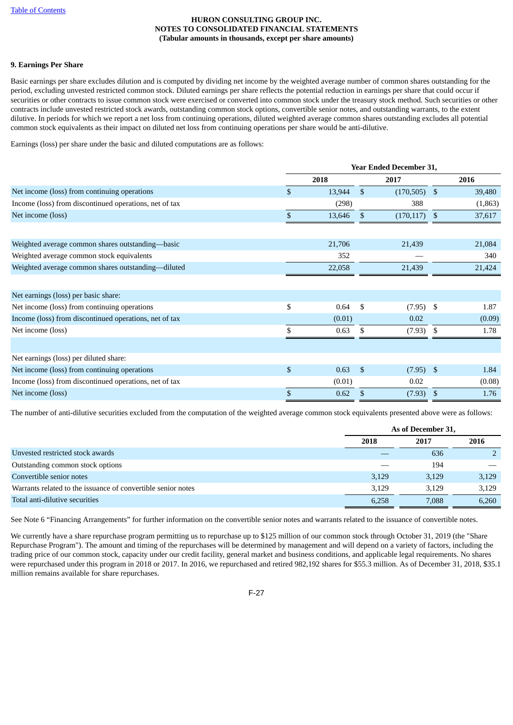## **9. Earnings Per Share**

Basic earnings per share excludes dilution and is computed by dividing net income by the weighted average number of common shares outstanding for the period, excluding unvested restricted common stock. Diluted earnings per share reflects the potential reduction in earnings per share that could occur if securities or other contracts to issue common stock were exercised or converted into common stock under the treasury stock method. Such securities or other contracts include unvested restricted stock awards, outstanding common stock options, convertible senior notes, and outstanding warrants, to the extent dilutive. In periods for which we report a net loss from continuing operations, diluted weighted average common shares outstanding excludes all potential common stock equivalents as their impact on diluted net loss from continuing operations per share would be anti-dilutive.

Earnings (loss) per share under the basic and diluted computations are as follows:

|                                                        |              | <b>Year Ended December 31,</b> |               |                 |                |         |  |
|--------------------------------------------------------|--------------|--------------------------------|---------------|-----------------|----------------|---------|--|
|                                                        |              | 2018                           |               | 2017            |                | 2016    |  |
| Net income (loss) from continuing operations           | $\mathbb{S}$ | 13,944                         | \$            | $(170,505)$ \$  |                | 39,480  |  |
| Income (loss) from discontinued operations, net of tax |              | (298)                          |               | 388             |                | (1,863) |  |
| Net income (loss)                                      | \$           | 13,646                         | <sup>\$</sup> | $(170, 117)$ \$ |                | 37,617  |  |
|                                                        |              |                                |               |                 |                |         |  |
| Weighted average common shares outstanding-basic       |              | 21,706                         |               | 21,439          |                | 21,084  |  |
| Weighted average common stock equivalents              |              | 352                            |               |                 |                | 340     |  |
| Weighted average common shares outstanding-diluted     |              | 22,058                         |               | 21,439          |                | 21,424  |  |
|                                                        |              |                                |               |                 |                |         |  |
| Net earnings (loss) per basic share:                   |              |                                |               |                 |                |         |  |
| Net income (loss) from continuing operations           | \$           | 0.64                           | \$            | (7.95)          | - \$           | 1.87    |  |
| Income (loss) from discontinued operations, net of tax |              | (0.01)                         |               | 0.02            |                | (0.09)  |  |
| Net income (loss)                                      | \$           | 0.63                           | \$            | (7.93)          | \$             | 1.78    |  |
|                                                        |              |                                |               |                 |                |         |  |
| Net earnings (loss) per diluted share:                 |              |                                |               |                 |                |         |  |
| Net income (loss) from continuing operations           | $\$$         | 0.63                           | -\$           | $(7.95)$ \$     |                | 1.84    |  |
| Income (loss) from discontinued operations, net of tax |              | (0.01)                         |               | 0.02            |                | (0.08)  |  |
| Net income (loss)                                      | \$           | 0.62                           | $\mathcal{S}$ | (7.93)          | $\mathfrak{s}$ | 1.76    |  |

The number of anti-dilutive securities excluded from the computation of the weighted average common stock equivalents presented above were as follows:

|                                                              | As of December 31, |       |       |  |  |
|--------------------------------------------------------------|--------------------|-------|-------|--|--|
|                                                              | 2018               | 2017  | 2016  |  |  |
| Unvested restricted stock awards                             |                    | 636   |       |  |  |
| Outstanding common stock options                             |                    | 194   |       |  |  |
| Convertible senior notes                                     | 3,129              | 3,129 | 3,129 |  |  |
| Warrants related to the issuance of convertible senior notes | 3.129              | 3.129 | 3,129 |  |  |
| Total anti-dilutive securities                               | 6,258              | 7,088 | 6.260 |  |  |

See Note 6 "Financing Arrangements" for further information on the convertible senior notes and warrants related to the issuance of convertible notes.

We currently have a share repurchase program permitting us to repurchase up to \$125 million of our common stock through October 31, 2019 (the "Share Repurchase Program"). The amount and timing of the repurchases will be determined by management and will depend on a variety of factors, including the trading price of our common stock, capacity under our credit facility, general market and business conditions, and applicable legal requirements. No shares were repurchased under this program in 2018 or 2017. In 2016, we repurchased and retired 982,192 shares for \$55.3 million. As of December 31, 2018, \$35.1 million remains available for share repurchases.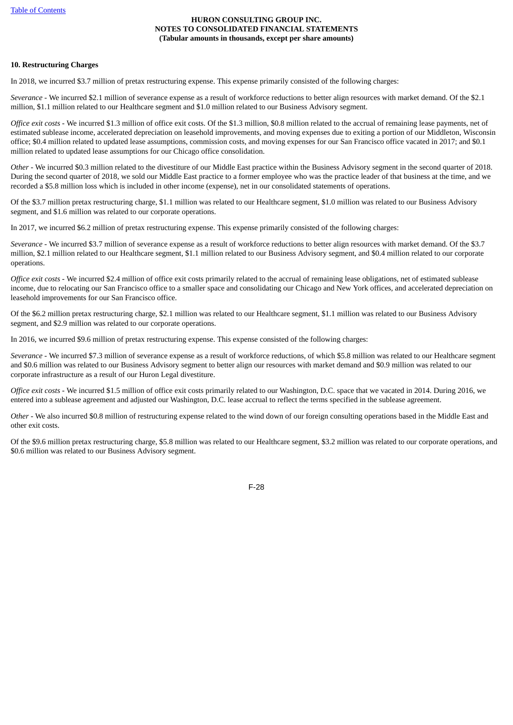## **10. Restructuring Charges**

In 2018, we incurred \$3.7 million of pretax restructuring expense. This expense primarily consisted of the following charges:

*Severance -* We incurred \$2.1 million of severance expense as a result of workforce reductions to better align resources with market demand. Of the \$2.1 million, \$1.1 million related to our Healthcare segment and \$1.0 million related to our Business Advisory segment.

*Office exit costs* - We incurred \$1.3 million of office exit costs. Of the \$1.3 million, \$0.8 million related to the accrual of remaining lease payments, net of estimated sublease income, accelerated depreciation on leasehold improvements, and moving expenses due to exiting a portion of our Middleton, Wisconsin office; \$0.4 million related to updated lease assumptions, commission costs, and moving expenses for our San Francisco office vacated in 2017; and \$0.1 million related to updated lease assumptions for our Chicago office consolidation.

*Other* - We incurred \$0.3 million related to the divestiture of our Middle East practice within the Business Advisory segment in the second quarter of 2018. During the second quarter of 2018, we sold our Middle East practice to a former employee who was the practice leader of that business at the time, and we recorded a \$5.8 million loss which is included in other income (expense), net in our consolidated statements of operations.

Of the \$3.7 million pretax restructuring charge, \$1.1 million was related to our Healthcare segment, \$1.0 million was related to our Business Advisory segment, and \$1.6 million was related to our corporate operations.

In 2017, we incurred \$6.2 million of pretax restructuring expense. This expense primarily consisted of the following charges:

*Severance -* We incurred \$3.7 million of severance expense as a result of workforce reductions to better align resources with market demand. Of the \$3.7 million, \$2.1 million related to our Healthcare segment, \$1.1 million related to our Business Advisory segment, and \$0.4 million related to our corporate operations.

*Office exit costs* - We incurred \$2.4 million of office exit costs primarily related to the accrual of remaining lease obligations, net of estimated sublease income, due to relocating our San Francisco office to a smaller space and consolidating our Chicago and New York offices, and accelerated depreciation on leasehold improvements for our San Francisco office.

Of the \$6.2 million pretax restructuring charge, \$2.1 million was related to our Healthcare segment, \$1.1 million was related to our Business Advisory segment, and \$2.9 million was related to our corporate operations.

In 2016, we incurred \$9.6 million of pretax restructuring expense. This expense consisted of the following charges:

*Severance* - We incurred \$7.3 million of severance expense as a result of workforce reductions, of which \$5.8 million was related to our Healthcare segment and \$0.6 million was related to our Business Advisory segment to better align our resources with market demand and \$0.9 million was related to our corporate infrastructure as a result of our Huron Legal divestiture.

*Office exit costs* - We incurred \$1.5 million of office exit costs primarily related to our Washington, D.C. space that we vacated in 2014. During 2016, we entered into a sublease agreement and adjusted our Washington, D.C. lease accrual to reflect the terms specified in the sublease agreement.

*Other* - We also incurred \$0.8 million of restructuring expense related to the wind down of our foreign consulting operations based in the Middle East and other exit costs.

Of the \$9.6 million pretax restructuring charge, \$5.8 million was related to our Healthcare segment, \$3.2 million was related to our corporate operations, and \$0.6 million was related to our Business Advisory segment.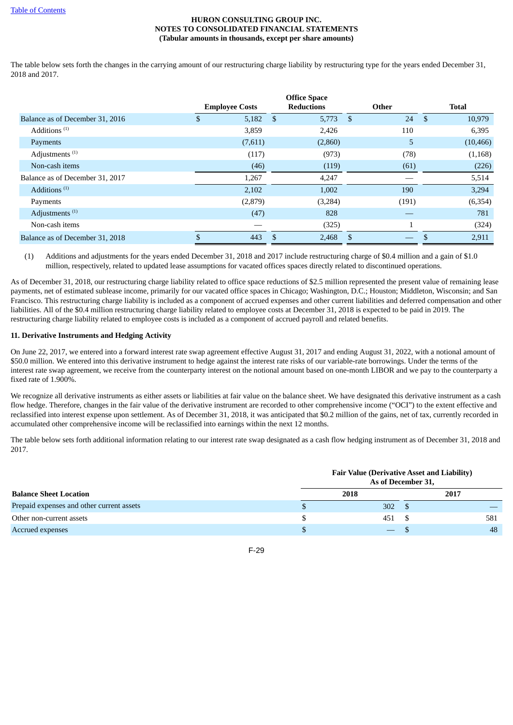The table below sets forth the changes in the carrying amount of our restructuring charge liability by restructuring type for the years ended December 31, 2018 and 2017.

|                                 | <b>Employee Costs</b> | <b>Reductions</b> | Other | <b>Total</b>  |
|---------------------------------|-----------------------|-------------------|-------|---------------|
| Balance as of December 31, 2016 | 5,182<br>\$           | 5,773 \$<br>-S    | 24    | -\$<br>10,979 |
| Additions <sup>(1)</sup>        | 3,859                 | 2,426             | 110   | 6,395         |
| Payments                        | (7,611)               | (2,860)           | 5     | (10, 466)     |
| Adjustments <sup>(1)</sup>      | (117)                 | (973)             | (78)  | (1, 168)      |
| Non-cash items                  | (46)                  | (119)             | (61)  | (226)         |
| Balance as of December 31, 2017 | 1,267                 | 4,247             |       | 5,514         |
| Additions <sup>(1)</sup>        | 2,102                 | 1,002             | 190   | 3,294         |
| Payments                        | (2,879)               | (3,284)           | (191) | (6, 354)      |
| Adjustments <sup>(1)</sup>      | (47)                  | 828               |       | 781           |
| Non-cash items                  |                       | (325)             |       | (324)         |
| Balance as of December 31, 2018 | \$<br>443             | 2,468<br>\$.      | -S    | 2,911         |

(1) Additions and adjustments for the years ended December 31, 2018 and 2017 include restructuring charge of \$0.4 million and a gain of \$1.0 million, respectively, related to updated lease assumptions for vacated offices spaces directly related to discontinued operations.

As of December 31, 2018, our restructuring charge liability related to office space reductions of \$2.5 million represented the present value of remaining lease payments, net of estimated sublease income, primarily for our vacated office spaces in Chicago; Washington, D.C.; Houston; Middleton, Wisconsin; and San Francisco. This restructuring charge liability is included as a component of accrued expenses and other current liabilities and deferred compensation and other liabilities. All of the \$0.4 million restructuring charge liability related to employee costs at December 31, 2018 is expected to be paid in 2019. The restructuring charge liability related to employee costs is included as a component of accrued payroll and related benefits.

## **11. Derivative Instruments and Hedging Activity**

On June 22, 2017, we entered into a forward interest rate swap agreement effective August 31, 2017 and ending August 31, 2022, with a notional amount of \$50.0 million. We entered into this derivative instrument to hedge against the interest rate risks of our variable-rate borrowings. Under the terms of the interest rate swap agreement, we receive from the counterparty interest on the notional amount based on one-month LIBOR and we pay to the counterparty a fixed rate of 1.900%.

We recognize all derivative instruments as either assets or liabilities at fair value on the balance sheet. We have designated this derivative instrument as a cash flow hedge. Therefore, changes in the fair value of the derivative instrument are recorded to other comprehensive income ("OCI") to the extent effective and reclassified into interest expense upon settlement. As of December 31, 2018, it was anticipated that \$0.2 million of the gains, net of tax, currently recorded in accumulated other comprehensive income will be reclassified into earnings within the next 12 months.

The table below sets forth additional information relating to our interest rate swap designated as a cash flow hedging instrument as of December 31, 2018 and 2017.

|                                           | <b>Fair Value (Derivative Asset and Liability)</b><br>As of December 31, |      |  |      |  |  |  |  |
|-------------------------------------------|--------------------------------------------------------------------------|------|--|------|--|--|--|--|
| <b>Balance Sheet Location</b>             |                                                                          | 2018 |  | 2017 |  |  |  |  |
| Prepaid expenses and other current assets |                                                                          | 302  |  |      |  |  |  |  |
| Other non-current assets                  |                                                                          | 451  |  | 581  |  |  |  |  |
| Accrued expenses                          |                                                                          | $-$  |  | 48   |  |  |  |  |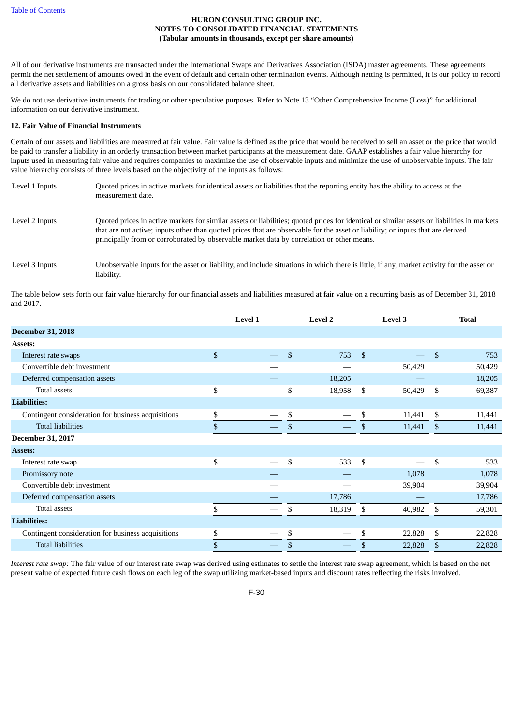All of our derivative instruments are transacted under the International Swaps and Derivatives Association (ISDA) master agreements. These agreements permit the net settlement of amounts owed in the event of default and certain other termination events. Although netting is permitted, it is our policy to record all derivative assets and liabilities on a gross basis on our consolidated balance sheet.

We do not use derivative instruments for trading or other speculative purposes. Refer to Note 13 "Other Comprehensive Income (Loss)" for additional information on our derivative instrument.

### **12. Fair Value of Financial Instruments**

Certain of our assets and liabilities are measured at fair value. Fair value is defined as the price that would be received to sell an asset or the price that would be paid to transfer a liability in an orderly transaction between market participants at the measurement date. GAAP establishes a fair value hierarchy for inputs used in measuring fair value and requires companies to maximize the use of observable inputs and minimize the use of unobservable inputs. The fair value hierarchy consists of three levels based on the objectivity of the inputs as follows:

| Level 1 Inputs | Quoted prices in active markets for identical assets or liabilities that the reporting entity has the ability to access at the<br>measurement date.                                                                                                                                                                                                                        |
|----------------|----------------------------------------------------------------------------------------------------------------------------------------------------------------------------------------------------------------------------------------------------------------------------------------------------------------------------------------------------------------------------|
| Level 2 Inputs | Quoted prices in active markets for similar assets or liabilities; quoted prices for identical or similar assets or liabilities in markets<br>that are not active; inputs other than quoted prices that are observable for the asset or liability; or inputs that are derived<br>principally from or corroborated by observable market data by correlation or other means. |
| Level 3 Inputs | Unobservable inputs for the asset or liability, and include situations in which there is little, if any, market activity for the asset or<br>liability.                                                                                                                                                                                                                    |

The table below sets forth our fair value hierarchy for our financial assets and liabilities measured at fair value on a recurring basis as of December 31, 2018 and 2017.

|                                                    | Level 1 | <b>Level 2</b> |        | Level 3                 |        | <b>Total</b> |
|----------------------------------------------------|---------|----------------|--------|-------------------------|--------|--------------|
| <b>December 31, 2018</b>                           |         |                |        |                         |        |              |
| Assets:                                            |         |                |        |                         |        |              |
| Interest rate swaps                                | \$      | \$             | 753    | $\mathbf{\mathfrak{S}}$ |        | \$<br>753    |
| Convertible debt investment                        |         |                |        |                         | 50,429 | 50,429       |
| Deferred compensation assets                       |         |                | 18,205 |                         |        | 18,205       |
| <b>Total assets</b>                                | \$      | \$             | 18,958 | \$                      | 50,429 | \$<br>69,387 |
| <b>Liabilities:</b>                                |         |                |        |                         |        |              |
| Contingent consideration for business acquisitions | \$      | \$             |        | \$                      | 11,441 | \$<br>11,441 |
| <b>Total liabilities</b>                           | \$      | \$             |        | \$                      | 11,441 | \$<br>11,441 |
| December 31, 2017                                  |         |                |        |                         |        |              |
| Assets:                                            |         |                |        |                         |        |              |
| Interest rate swap                                 | \$      | \$             | 533    | $\mathfrak{S}$          |        | \$<br>533    |
| Promissory note                                    |         |                |        |                         | 1,078  | 1,078        |
| Convertible debt investment                        |         |                |        |                         | 39,904 | 39,904       |
| Deferred compensation assets                       |         |                | 17,786 |                         |        | 17,786       |
| Total assets                                       | \$      | \$             | 18,319 | \$                      | 40,982 | \$<br>59,301 |
| <b>Liabilities:</b>                                |         |                |        |                         |        |              |
| Contingent consideration for business acquisitions | \$      | \$             |        | \$                      | 22,828 | \$<br>22,828 |
| <b>Total liabilities</b>                           | \$      | $\mathcal{S}$  |        | $\mathbb{S}$            | 22,828 | \$<br>22,828 |

*Interest rate swap:* The fair value of our interest rate swap was derived using estimates to settle the interest rate swap agreement, which is based on the net present value of expected future cash flows on each leg of the swap utilizing market-based inputs and discount rates reflecting the risks involved.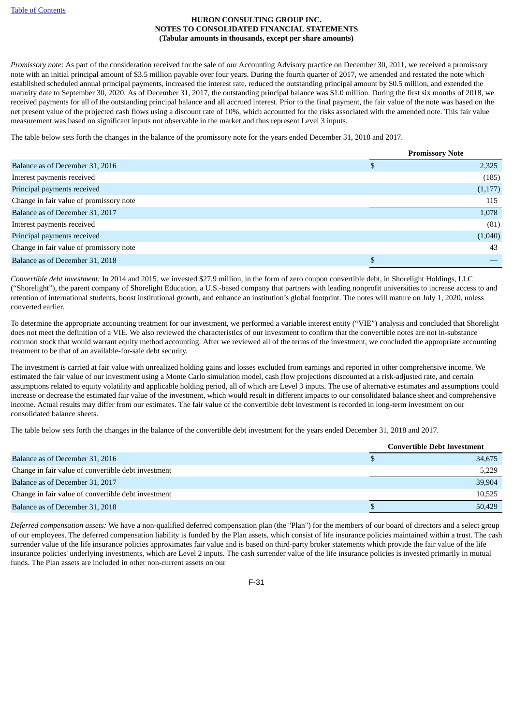*Promissory note*: As part of the consideration received for the sale of our Accounting Advisory practice on December 30, 2011, we received a promissory note with an initial principal amount of \$3.5 million payable over four years. During the fourth quarter of 2017, we amended and restated the note which established scheduled annual principal payments, increased the interest rate, reduced the outstanding principal amount by \$0.5 million, and extended the maturity date to September 30, 2020. As of December 31, 2017, the outstanding principal balance was \$1.0 million. During the first six months of 2018, we received payments for all of the outstanding principal balance and all accrued interest. Prior to the final payment, the fair value of the note was based on the net present value of the projected cash flows using a discount rate of 10%, which accounted for the risks associated with the amended note. This fair value measurement was based on significant inputs not observable in the market and thus represent Level 3 inputs.

The table below sets forth the changes in the balance of the promissory note for the years ended December 31, 2018 and 2017.

|                                         | <b>Promissory Note</b> |
|-----------------------------------------|------------------------|
| Balance as of December 31, 2016         | 2,325                  |
| Interest payments received              | (185)                  |
| Principal payments received             | (1,177)                |
| Change in fair value of promissory note | 115                    |
| Balance as of December 31, 2017         | 1,078                  |
| Interest payments received              | (81)                   |
| Principal payments received             | (1,040)                |
| Change in fair value of promissory note | 43                     |
| Balance as of December 31, 2018         |                        |

*Convertible debt investment:* In 2014 and 2015, we invested \$27.9 million, in the form of zero coupon convertible debt, in Shorelight Holdings, LLC ("Shorelight"), the parent company of Shorelight Education, a U.S.-based company that partners with leading nonprofit universities to increase access to and retention of international students, boost institutional growth, and enhance an institution's global footprint. The notes will mature on July 1, 2020, unless converted earlier.

To determine the appropriate accounting treatment for our investment, we performed a variable interest entity ("VIE") analysis and concluded that Shorelight does not meet the definition of a VIE. We also reviewed the characteristics of our investment to confirm that the convertible notes are not in-substance common stock that would warrant equity method accounting. After we reviewed all of the terms of the investment, we concluded the appropriate accounting treatment to be that of an available-for-sale debt security.

The investment is carried at fair value with unrealized holding gains and losses excluded from earnings and reported in other comprehensive income. We estimated the fair value of our investment using a Monte Carlo simulation model, cash flow projections discounted at a risk-adjusted rate, and certain assumptions related to equity volatility and applicable holding period, all of which are Level 3 inputs. The use of alternative estimates and assumptions could increase or decrease the estimated fair value of the investment, which would result in different impacts to our consolidated balance sheet and comprehensive income. Actual results may differ from our estimates. The fair value of the convertible debt investment is recorded in long-term investment on our consolidated balance sheets.

The table below sets forth the changes in the balance of the convertible debt investment for the years ended December 31, 2018 and 2017.

|                                                     | <b>Convertible Debt Investment</b> |        |
|-----------------------------------------------------|------------------------------------|--------|
| Balance as of December 31, 2016                     |                                    | 34,675 |
| Change in fair value of convertible debt investment |                                    | 5,229  |
| Balance as of December 31, 2017                     |                                    | 39,904 |
| Change in fair value of convertible debt investment |                                    | 10.525 |
| Balance as of December 31, 2018                     |                                    | 50,429 |

*Deferred compensation assets:* We have a non-qualified deferred compensation plan (the "Plan") for the members of our board of directors and a select group of our employees. The deferred compensation liability is funded by the Plan assets, which consist of life insurance policies maintained within a trust. The cash surrender value of the life insurance policies approximates fair value and is based on third-party broker statements which provide the fair value of the life insurance policies' underlying investments, which are Level 2 inputs. The cash surrender value of the life insurance policies is invested primarily in mutual funds. The Plan assets are included in other non-current assets on our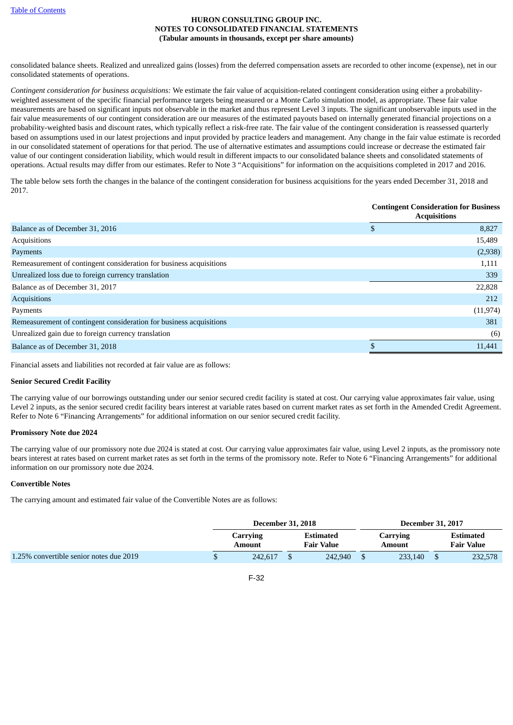consolidated balance sheets. Realized and unrealized gains (losses) from the deferred compensation assets are recorded to other income (expense), net in our consolidated statements of operations.

*Contingent consideration for business acquisitions:* We estimate the fair value of acquisition-related contingent consideration using either a probabilityweighted assessment of the specific financial performance targets being measured or a Monte Carlo simulation model, as appropriate. These fair value measurements are based on significant inputs not observable in the market and thus represent Level 3 inputs. The significant unobservable inputs used in the fair value measurements of our contingent consideration are our measures of the estimated payouts based on internally generated financial projections on a probability-weighted basis and discount rates, which typically reflect a risk-free rate. The fair value of the contingent consideration is reassessed quarterly based on assumptions used in our latest projections and input provided by practice leaders and management. Any change in the fair value estimate is recorded in our consolidated statement of operations for that period. The use of alternative estimates and assumptions could increase or decrease the estimated fair value of our contingent consideration liability, which would result in different impacts to our consolidated balance sheets and consolidated statements of operations. Actual results may differ from our estimates. Refer to Note 3 "Acquisitions" for information on the acquisitions completed in 2017 and 2016.

The table below sets forth the changes in the balance of the contingent consideration for business acquisitions for the years ended December 31, 2018 and 2017.

|                                                                     | <b>Contingent Consideration for Business</b><br><b>Acquisitions</b> |
|---------------------------------------------------------------------|---------------------------------------------------------------------|
| Balance as of December 31, 2016                                     | 8,827                                                               |
| Acquisitions                                                        | 15,489                                                              |
| Payments                                                            | (2,938)                                                             |
| Remeasurement of contingent consideration for business acquisitions | 1,111                                                               |
| Unrealized loss due to foreign currency translation                 | 339                                                                 |
| Balance as of December 31, 2017                                     | 22,828                                                              |
| <b>Acquisitions</b>                                                 | 212                                                                 |
| Payments                                                            | (11, 974)                                                           |
| Remeasurement of contingent consideration for business acquisitions | 381                                                                 |
| Unrealized gain due to foreign currency translation                 | (6)                                                                 |
| Balance as of December 31, 2018                                     | 11,441                                                              |

Financial assets and liabilities not recorded at fair value are as follows:

### **Senior Secured Credit Facility**

The carrying value of our borrowings outstanding under our senior secured credit facility is stated at cost. Our carrying value approximates fair value, using Level 2 inputs, as the senior secured credit facility bears interest at variable rates based on current market rates as set forth in the Amended Credit Agreement. Refer to Note 6 "Financing Arrangements" for additional information on our senior secured credit facility.

### **Promissory Note due 2024**

The carrying value of our promissory note due 2024 is stated at cost. Our carrying value approximates fair value, using Level 2 inputs, as the promissory note bears interest at rates based on current market rates as set forth in the terms of the promissory note. Refer to Note 6 "Financing Arrangements" for additional information on our promissory note due 2024.

## **Convertible Notes**

The carrying amount and estimated fair value of the Convertible Notes are as follows:

|                                         | <b>December 31, 2018</b>                                    |         |  |                    | <b>December 31, 2017</b> |         |                                |         |  |
|-----------------------------------------|-------------------------------------------------------------|---------|--|--------------------|--------------------------|---------|--------------------------------|---------|--|
|                                         | Carrying<br><b>Estimated</b><br><b>Fair Value</b><br>Amount |         |  | Carrying<br>Amount |                          |         | Estimated<br><b>Fair Value</b> |         |  |
| 1.25% convertible senior notes due 2019 |                                                             | 242,617 |  | 242,940            |                          | 233,140 |                                | 232,578 |  |

```
F-32
```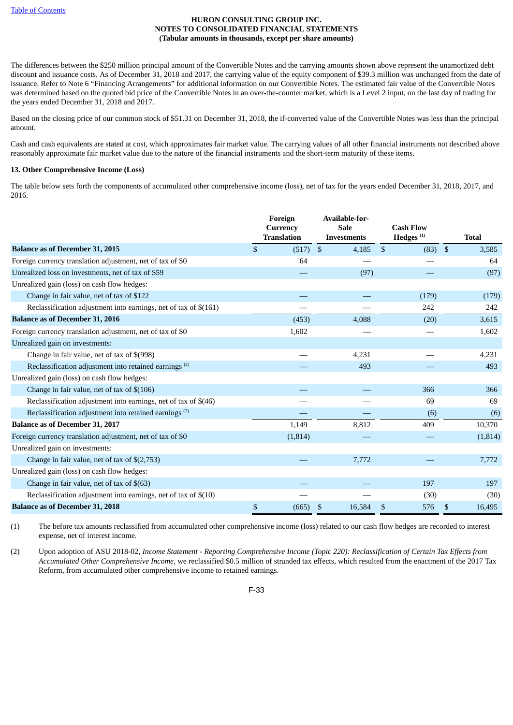The differences between the \$250 million principal amount of the Convertible Notes and the carrying amounts shown above represent the unamortized debt discount and issuance costs. As of December 31, 2018 and 2017, the carrying value of the equity component of \$39.3 million was unchanged from the date of issuance. Refer to Note 6 "Financing Arrangements" for additional information on our Convertible Notes. The estimated fair value of the Convertible Notes was determined based on the quoted bid price of the Convertible Notes in an over-the-counter market, which is a Level 2 input, on the last day of trading for the years ended December 31, 2018 and 2017.

Based on the closing price of our common stock of \$51.31 on December 31, 2018, the if-converted value of the Convertible Notes was less than the principal amount.

Cash and cash equivalents are stated at cost, which approximates fair market value. The carrying values of all other financial instruments not described above reasonably approximate fair market value due to the nature of the financial instruments and the short-term maturity of these items.

## **13. Other Comprehensive Income (Loss)**

The table below sets forth the components of accumulated other comprehensive income (loss), net of tax for the years ended December 31, 2018, 2017, and 2016.

| <b>Balance as of December 31, 2015</b><br>\$<br>$\,$<br>$\mathfrak{s}$<br>$\sqrt{5}$<br>(517)<br>4,185<br>(83)<br>Foreign currency translation adjustment, net of tax of \$0<br>64<br>Unrealized loss on investments, net of tax of \$59<br>(97)<br>Unrealized gain (loss) on cash flow hedges:<br>Change in fair value, net of tax of \$122<br>(179)<br>Reclassification adjustment into earnings, net of tax of \$(161)<br>242<br><b>Balance as of December 31, 2016</b><br>(453)<br>4,088<br>(20)<br>Foreign currency translation adjustment, net of tax of \$0<br>1,602<br>Unrealized gain on investments:<br>Change in fair value, net of tax of \$(998)<br>4,231<br>Reclassification adjustment into retained earnings <sup>(2)</sup><br>493<br>Unrealized gain (loss) on cash flow hedges:<br>Change in fair value, net of tax of \$(106)<br>366<br>Reclassification adjustment into earnings, net of tax of \$(46)<br>69<br>Reclassification adjustment into retained earnings <sup>(2)</sup><br>(6)<br><b>Balance as of December 31, 2017</b><br>409<br>8,812<br>1,149<br>Foreign currency translation adjustment, net of tax of \$0<br>(1,814)<br>Unrealized gain on investments:<br>Change in fair value, net of tax of $\S(2,753)$<br>7,772<br>Unrealized gain (loss) on cash flow hedges:<br>Change in fair value, net of tax of \$(63)<br>197<br>Reclassification adjustment into earnings, net of tax of $$(10)$<br>(30)<br><b>Balance as of December 31, 2018</b><br>\$ |    | Foreign<br><b>Currency</b><br><b>Translation</b> | <b>Available-for-</b><br><b>Sale</b><br><b>Investments</b> | <b>Cash Flow</b><br>Hedges <sup>(1)</sup> | <b>Total</b> |
|-----------------------------------------------------------------------------------------------------------------------------------------------------------------------------------------------------------------------------------------------------------------------------------------------------------------------------------------------------------------------------------------------------------------------------------------------------------------------------------------------------------------------------------------------------------------------------------------------------------------------------------------------------------------------------------------------------------------------------------------------------------------------------------------------------------------------------------------------------------------------------------------------------------------------------------------------------------------------------------------------------------------------------------------------------------------------------------------------------------------------------------------------------------------------------------------------------------------------------------------------------------------------------------------------------------------------------------------------------------------------------------------------------------------------------------------------------------------------------------------|----|--------------------------------------------------|------------------------------------------------------------|-------------------------------------------|--------------|
|                                                                                                                                                                                                                                                                                                                                                                                                                                                                                                                                                                                                                                                                                                                                                                                                                                                                                                                                                                                                                                                                                                                                                                                                                                                                                                                                                                                                                                                                                         |    |                                                  |                                                            |                                           | 3,585        |
|                                                                                                                                                                                                                                                                                                                                                                                                                                                                                                                                                                                                                                                                                                                                                                                                                                                                                                                                                                                                                                                                                                                                                                                                                                                                                                                                                                                                                                                                                         |    |                                                  |                                                            |                                           | 64           |
|                                                                                                                                                                                                                                                                                                                                                                                                                                                                                                                                                                                                                                                                                                                                                                                                                                                                                                                                                                                                                                                                                                                                                                                                                                                                                                                                                                                                                                                                                         |    |                                                  |                                                            |                                           | (97)         |
|                                                                                                                                                                                                                                                                                                                                                                                                                                                                                                                                                                                                                                                                                                                                                                                                                                                                                                                                                                                                                                                                                                                                                                                                                                                                                                                                                                                                                                                                                         |    |                                                  |                                                            |                                           |              |
|                                                                                                                                                                                                                                                                                                                                                                                                                                                                                                                                                                                                                                                                                                                                                                                                                                                                                                                                                                                                                                                                                                                                                                                                                                                                                                                                                                                                                                                                                         |    |                                                  |                                                            |                                           | (179)        |
|                                                                                                                                                                                                                                                                                                                                                                                                                                                                                                                                                                                                                                                                                                                                                                                                                                                                                                                                                                                                                                                                                                                                                                                                                                                                                                                                                                                                                                                                                         |    |                                                  |                                                            |                                           | 242          |
|                                                                                                                                                                                                                                                                                                                                                                                                                                                                                                                                                                                                                                                                                                                                                                                                                                                                                                                                                                                                                                                                                                                                                                                                                                                                                                                                                                                                                                                                                         |    |                                                  |                                                            |                                           | 3,615        |
|                                                                                                                                                                                                                                                                                                                                                                                                                                                                                                                                                                                                                                                                                                                                                                                                                                                                                                                                                                                                                                                                                                                                                                                                                                                                                                                                                                                                                                                                                         |    |                                                  |                                                            |                                           | 1,602        |
|                                                                                                                                                                                                                                                                                                                                                                                                                                                                                                                                                                                                                                                                                                                                                                                                                                                                                                                                                                                                                                                                                                                                                                                                                                                                                                                                                                                                                                                                                         |    |                                                  |                                                            |                                           |              |
|                                                                                                                                                                                                                                                                                                                                                                                                                                                                                                                                                                                                                                                                                                                                                                                                                                                                                                                                                                                                                                                                                                                                                                                                                                                                                                                                                                                                                                                                                         |    |                                                  |                                                            |                                           | 4,231        |
|                                                                                                                                                                                                                                                                                                                                                                                                                                                                                                                                                                                                                                                                                                                                                                                                                                                                                                                                                                                                                                                                                                                                                                                                                                                                                                                                                                                                                                                                                         |    |                                                  |                                                            |                                           | 493          |
|                                                                                                                                                                                                                                                                                                                                                                                                                                                                                                                                                                                                                                                                                                                                                                                                                                                                                                                                                                                                                                                                                                                                                                                                                                                                                                                                                                                                                                                                                         |    |                                                  |                                                            |                                           |              |
|                                                                                                                                                                                                                                                                                                                                                                                                                                                                                                                                                                                                                                                                                                                                                                                                                                                                                                                                                                                                                                                                                                                                                                                                                                                                                                                                                                                                                                                                                         |    |                                                  |                                                            |                                           | 366          |
|                                                                                                                                                                                                                                                                                                                                                                                                                                                                                                                                                                                                                                                                                                                                                                                                                                                                                                                                                                                                                                                                                                                                                                                                                                                                                                                                                                                                                                                                                         |    |                                                  |                                                            |                                           | 69           |
|                                                                                                                                                                                                                                                                                                                                                                                                                                                                                                                                                                                                                                                                                                                                                                                                                                                                                                                                                                                                                                                                                                                                                                                                                                                                                                                                                                                                                                                                                         |    |                                                  |                                                            |                                           | (6)          |
|                                                                                                                                                                                                                                                                                                                                                                                                                                                                                                                                                                                                                                                                                                                                                                                                                                                                                                                                                                                                                                                                                                                                                                                                                                                                                                                                                                                                                                                                                         |    |                                                  |                                                            |                                           | 10,370       |
|                                                                                                                                                                                                                                                                                                                                                                                                                                                                                                                                                                                                                                                                                                                                                                                                                                                                                                                                                                                                                                                                                                                                                                                                                                                                                                                                                                                                                                                                                         |    |                                                  |                                                            |                                           | (1,814)      |
|                                                                                                                                                                                                                                                                                                                                                                                                                                                                                                                                                                                                                                                                                                                                                                                                                                                                                                                                                                                                                                                                                                                                                                                                                                                                                                                                                                                                                                                                                         |    |                                                  |                                                            |                                           |              |
|                                                                                                                                                                                                                                                                                                                                                                                                                                                                                                                                                                                                                                                                                                                                                                                                                                                                                                                                                                                                                                                                                                                                                                                                                                                                                                                                                                                                                                                                                         |    |                                                  |                                                            |                                           | 7,772        |
|                                                                                                                                                                                                                                                                                                                                                                                                                                                                                                                                                                                                                                                                                                                                                                                                                                                                                                                                                                                                                                                                                                                                                                                                                                                                                                                                                                                                                                                                                         |    |                                                  |                                                            |                                           |              |
|                                                                                                                                                                                                                                                                                                                                                                                                                                                                                                                                                                                                                                                                                                                                                                                                                                                                                                                                                                                                                                                                                                                                                                                                                                                                                                                                                                                                                                                                                         |    |                                                  |                                                            |                                           | 197          |
|                                                                                                                                                                                                                                                                                                                                                                                                                                                                                                                                                                                                                                                                                                                                                                                                                                                                                                                                                                                                                                                                                                                                                                                                                                                                                                                                                                                                                                                                                         |    |                                                  |                                                            |                                           | (30)         |
|                                                                                                                                                                                                                                                                                                                                                                                                                                                                                                                                                                                                                                                                                                                                                                                                                                                                                                                                                                                                                                                                                                                                                                                                                                                                                                                                                                                                                                                                                         | \$ | (665)                                            | $\mathfrak{s}$<br>16,584                                   | 576                                       | \$<br>16,495 |

(1) The before tax amounts reclassified from accumulated other comprehensive income (loss) related to our cash flow hedges are recorded to interest expense, net of interest income.

(2) Upon adoption of ASU 2018-02, Income Statement - Reporting Comprehensive Income (Topic 220): Reclassification of Certain Tax Effects from *Accumulated Other Comprehensive Income,* we reclassified \$0.5 million of stranded tax effects, which resulted from the enactment of the 2017 Tax Reform, from accumulated other comprehensive income to retained earnings.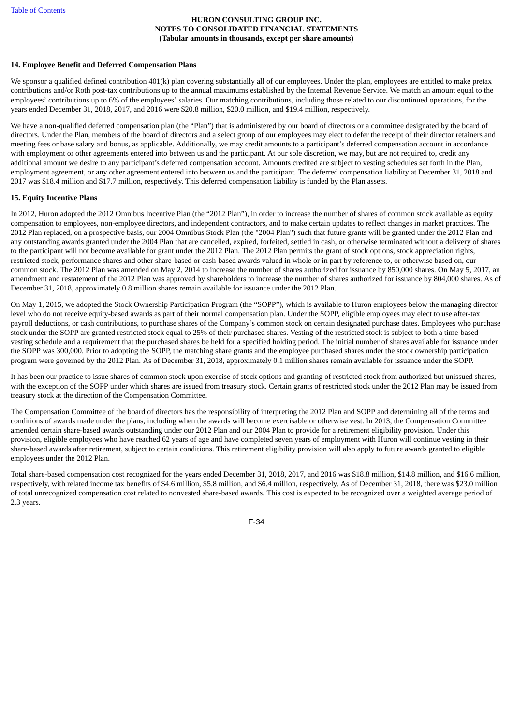## **14. Employee Benefit and Deferred Compensation Plans**

We sponsor a qualified defined contribution 401(k) plan covering substantially all of our employees. Under the plan, employees are entitled to make pretax contributions and/or Roth post-tax contributions up to the annual maximums established by the Internal Revenue Service. We match an amount equal to the employees' contributions up to 6% of the employees' salaries. Our matching contributions, including those related to our discontinued operations, for the years ended December 31, 2018, 2017, and 2016 were \$20.8 million, \$20.0 million, and \$19.4 million, respectively.

We have a non-qualified deferred compensation plan (the "Plan") that is administered by our board of directors or a committee designated by the board of directors. Under the Plan, members of the board of directors and a select group of our employees may elect to defer the receipt of their director retainers and meeting fees or base salary and bonus, as applicable. Additionally, we may credit amounts to a participant's deferred compensation account in accordance with employment or other agreements entered into between us and the participant. At our sole discretion, we may, but are not required to, credit any additional amount we desire to any participant's deferred compensation account. Amounts credited are subject to vesting schedules set forth in the Plan, employment agreement, or any other agreement entered into between us and the participant. The deferred compensation liability at December 31, 2018 and 2017 was \$18.4 million and \$17.7 million, respectively. This deferred compensation liability is funded by the Plan assets.

### **15. Equity Incentive Plans**

In 2012, Huron adopted the 2012 Omnibus Incentive Plan (the "2012 Plan"), in order to increase the number of shares of common stock available as equity compensation to employees, non-employee directors, and independent contractors, and to make certain updates to reflect changes in market practices. The 2012 Plan replaced, on a prospective basis, our 2004 Omnibus Stock Plan (the "2004 Plan") such that future grants will be granted under the 2012 Plan and any outstanding awards granted under the 2004 Plan that are cancelled, expired, forfeited, settled in cash, or otherwise terminated without a delivery of shares to the participant will not become available for grant under the 2012 Plan. The 2012 Plan permits the grant of stock options, stock appreciation rights, restricted stock, performance shares and other share-based or cash-based awards valued in whole or in part by reference to, or otherwise based on, our common stock. The 2012 Plan was amended on May 2, 2014 to increase the number of shares authorized for issuance by 850,000 shares. On May 5, 2017, an amendment and restatement of the 2012 Plan was approved by shareholders to increase the number of shares authorized for issuance by 804,000 shares. As of December 31, 2018, approximately 0.8 million shares remain available for issuance under the 2012 Plan.

On May 1, 2015, we adopted the Stock Ownership Participation Program (the "SOPP"), which is available to Huron employees below the managing director level who do not receive equity-based awards as part of their normal compensation plan. Under the SOPP, eligible employees may elect to use after-tax payroll deductions, or cash contributions, to purchase shares of the Company's common stock on certain designated purchase dates. Employees who purchase stock under the SOPP are granted restricted stock equal to 25% of their purchased shares. Vesting of the restricted stock is subject to both a time-based vesting schedule and a requirement that the purchased shares be held for a specified holding period. The initial number of shares available for issuance under the SOPP was 300,000. Prior to adopting the SOPP, the matching share grants and the employee purchased shares under the stock ownership participation program were governed by the 2012 Plan. As of December 31, 2018, approximately 0.1 million shares remain available for issuance under the SOPP.

It has been our practice to issue shares of common stock upon exercise of stock options and granting of restricted stock from authorized but unissued shares, with the exception of the SOPP under which shares are issued from treasury stock. Certain grants of restricted stock under the 2012 Plan may be issued from treasury stock at the direction of the Compensation Committee.

The Compensation Committee of the board of directors has the responsibility of interpreting the 2012 Plan and SOPP and determining all of the terms and conditions of awards made under the plans, including when the awards will become exercisable or otherwise vest. In 2013, the Compensation Committee amended certain share-based awards outstanding under our 2012 Plan and our 2004 Plan to provide for a retirement eligibility provision. Under this provision, eligible employees who have reached 62 years of age and have completed seven years of employment with Huron will continue vesting in their share-based awards after retirement, subject to certain conditions. This retirement eligibility provision will also apply to future awards granted to eligible employees under the 2012 Plan.

Total share-based compensation cost recognized for the years ended December 31, 2018, 2017, and 2016 was \$18.8 million, \$14.8 million, and \$16.6 million, respectively, with related income tax benefits of \$4.6 million, \$5.8 million, and \$6.4 million, respectively. As of December 31, 2018, there was \$23.0 million of total unrecognized compensation cost related to nonvested share-based awards. This cost is expected to be recognized over a weighted average period of 2.3 years.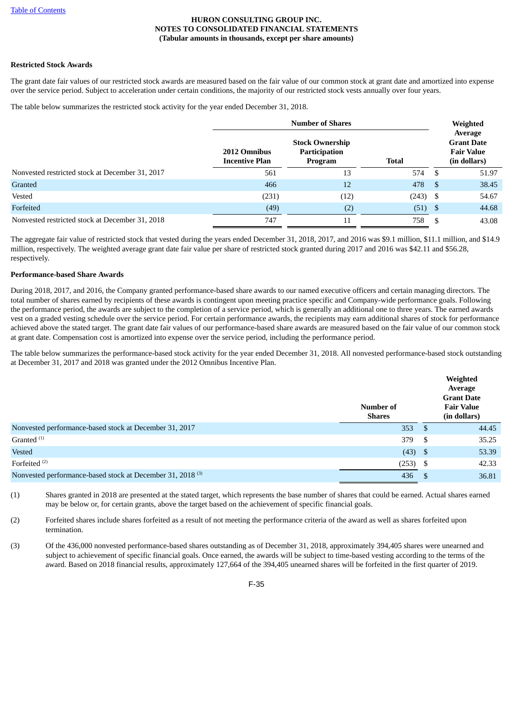## **Restricted Stock Awards**

The grant date fair values of our restricted stock awards are measured based on the fair value of our common stock at grant date and amortized into expense over the service period. Subject to acceleration under certain conditions, the majority of our restricted stock vests annually over four years.

The table below summarizes the restricted stock activity for the year ended December 31, 2018.

|                                                 |                                       |                                                    | Weighted   |          |                                                                   |
|-------------------------------------------------|---------------------------------------|----------------------------------------------------|------------|----------|-------------------------------------------------------------------|
|                                                 | 2012 Omnibus<br><b>Incentive Plan</b> | <b>Stock Ownership</b><br>Participation<br>Program | Total      |          | Average<br><b>Grant Date</b><br><b>Fair Value</b><br>(in dollars) |
| Nonvested restricted stock at December 31, 2017 | 561                                   | 13                                                 | 574        |          | 51.97                                                             |
| Granted                                         | 466                                   | 12                                                 | 478        | <b>S</b> | 38.45                                                             |
| Vested                                          | (231)                                 | (12)                                               | $(243)$ \$ |          | 54.67                                                             |
| Forfeited                                       | (49)                                  | (2)                                                | $(51)$ \$  |          | 44.68                                                             |
| Nonvested restricted stock at December 31, 2018 | 747                                   | 11                                                 | 758        |          | 43.08                                                             |

The aggregate fair value of restricted stock that vested during the years ended December 31, 2018, 2017, and 2016 was \$9.1 million, \$11.1 million, and \$14.9 million, respectively. The weighted average grant date fair value per share of restricted stock granted during 2017 and 2016 was \$42.11 and \$56.28, respectively.

### **Performance-based Share Awards**

During 2018, 2017, and 2016, the Company granted performance-based share awards to our named executive officers and certain managing directors. The total number of shares earned by recipients of these awards is contingent upon meeting practice specific and Company-wide performance goals. Following the performance period, the awards are subject to the completion of a service period, which is generally an additional one to three years. The earned awards vest on a graded vesting schedule over the service period. For certain performance awards, the recipients may earn additional shares of stock for performance achieved above the stated target. The grant date fair values of our performance-based share awards are measured based on the fair value of our common stock at grant date. Compensation cost is amortized into expense over the service period, including the performance period.

The table below summarizes the performance-based stock activity for the year ended December 31, 2018. All nonvested performance-based stock outstanding at December 31, 2017 and 2018 was granted under the 2012 Omnibus Incentive Plan.

|                                                                       | Number of<br><b>Shares</b> |      | Weighted<br>Average<br><b>Grant Date</b><br><b>Fair Value</b><br>(in dollars) |
|-----------------------------------------------------------------------|----------------------------|------|-------------------------------------------------------------------------------|
| Nonvested performance-based stock at December 31, 2017                | 353                        | -S   | 44.45                                                                         |
| Granted <sup>(1)</sup>                                                | 379                        | - \$ | 35.25                                                                         |
| Vested                                                                | $(43)$ \$                  |      | 53.39                                                                         |
| Forfeited <sup>(2)</sup>                                              | (253)                      | - \$ | 42.33                                                                         |
| Nonvested performance-based stock at December 31, 2018 <sup>(3)</sup> | 436                        | -S   | 36.81                                                                         |

(1) Shares granted in 2018 are presented at the stated target, which represents the base number of shares that could be earned. Actual shares earned may be below or, for certain grants, above the target based on the achievement of specific financial goals.

(2) Forfeited shares include shares forfeited as a result of not meeting the performance criteria of the award as well as shares forfeited upon termination.

(3) Of the 436,000 nonvested performance-based shares outstanding as of December 31, 2018, approximately 394,405 shares were unearned and subject to achievement of specific financial goals. Once earned, the awards will be subject to time-based vesting according to the terms of the award. Based on 2018 financial results, approximately 127,664 of the 394,405 unearned shares will be forfeited in the first quarter of 2019.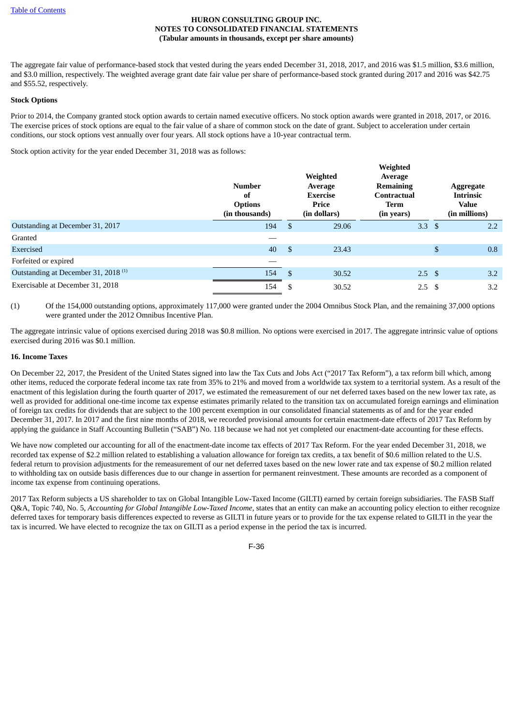The aggregate fair value of performance-based stock that vested during the years ended December 31, 2018, 2017, and 2016 was \$1.5 million, \$3.6 million, and \$3.0 million, respectively. The weighted average grant date fair value per share of performance-based stock granted during 2017 and 2016 was \$42.75 and \$55.52, respectively.

### **Stock Options**

Prior to 2014, the Company granted stock option awards to certain named executive officers. No stock option awards were granted in 2018, 2017, or 2016. The exercise prices of stock options are equal to the fair value of a share of common stock on the date of grant. Subject to acceleration under certain conditions, our stock options vest annually over four years. All stock options have a 10-year contractual term.

Stock option activity for the year ended December 31, 2018 was as follows:

|                                                 | <b>Number</b><br>of<br><b>Options</b><br>(in thousands) |               | Weighted<br>Average<br><b>Exercise</b><br>Price<br>(in dollars) | Weighted<br>Average<br><b>Remaining</b><br><b>Contractual</b><br><b>Term</b><br>(in years) | Aggregate<br><b>Intrinsic</b><br>Value<br>(in millions) |
|-------------------------------------------------|---------------------------------------------------------|---------------|-----------------------------------------------------------------|--------------------------------------------------------------------------------------------|---------------------------------------------------------|
| Outstanding at December 31, 2017                | 194                                                     | S             | 29.06                                                           | 3.3 <sup>5</sup>                                                                           | $2.2\phantom{0}$                                        |
| Granted                                         |                                                         |               |                                                                 |                                                                                            |                                                         |
| Exercised                                       | 40                                                      | <sup>\$</sup> | 23.43                                                           |                                                                                            | \$<br>0.8                                               |
| Forfeited or expired                            |                                                         |               |                                                                 |                                                                                            |                                                         |
| Outstanding at December 31, 2018 <sup>(1)</sup> | 154                                                     | \$            | 30.52                                                           | 2.5 <sup>5</sup>                                                                           | 3.2                                                     |
| Exercisable at December 31, 2018                | 154                                                     |               | 30.52                                                           | 2.5 <sup>5</sup>                                                                           | 3.2                                                     |

(1) Of the 154,000 outstanding options, approximately 117,000 were granted under the 2004 Omnibus Stock Plan, and the remaining 37,000 options were granted under the 2012 Omnibus Incentive Plan.

The aggregate intrinsic value of options exercised during 2018 was \$0.8 million. No options were exercised in 2017. The aggregate intrinsic value of options exercised during 2016 was \$0.1 million.

#### **16. Income Taxes**

On December 22, 2017, the President of the United States signed into law the Tax Cuts and Jobs Act ("2017 Tax Reform"), a tax reform bill which, among other items, reduced the corporate federal income tax rate from 35% to 21% and moved from a worldwide tax system to a territorial system. As a result of the enactment of this legislation during the fourth quarter of 2017, we estimated the remeasurement of our net deferred taxes based on the new lower tax rate, as well as provided for additional one-time income tax expense estimates primarily related to the transition tax on accumulated foreign earnings and elimination of foreign tax credits for dividends that are subject to the 100 percent exemption in our consolidated financial statements as of and for the year ended December 31, 2017. In 2017 and the first nine months of 2018, we recorded provisional amounts for certain enactment-date effects of 2017 Tax Reform by applying the guidance in Staff Accounting Bulletin ("SAB") No. 118 because we had not yet completed our enactment-date accounting for these effects.

We have now completed our accounting for all of the enactment-date income tax effects of 2017 Tax Reform. For the year ended December 31, 2018, we recorded tax expense of \$2.2 million related to establishing a valuation allowance for foreign tax credits, a tax benefit of \$0.6 million related to the U.S. federal return to provision adjustments for the remeasurement of our net deferred taxes based on the new lower rate and tax expense of \$0.2 million related to withholding tax on outside basis differences due to our change in assertion for permanent reinvestment. These amounts are recorded as a component of income tax expense from continuing operations.

2017 Tax Reform subjects a US shareholder to tax on Global Intangible Low-Taxed Income (GILTI) earned by certain foreign subsidiaries. The FASB Staff Q&A, Topic 740, No. 5, *Accounting for Global Intangible Low-Taxed Income*, states that an entity can make an accounting policy election to either recognize deferred taxes for temporary basis differences expected to reverse as GILTI in future years or to provide for the tax expense related to GILTI in the year the tax is incurred. We have elected to recognize the tax on GILTI as a period expense in the period the tax is incurred.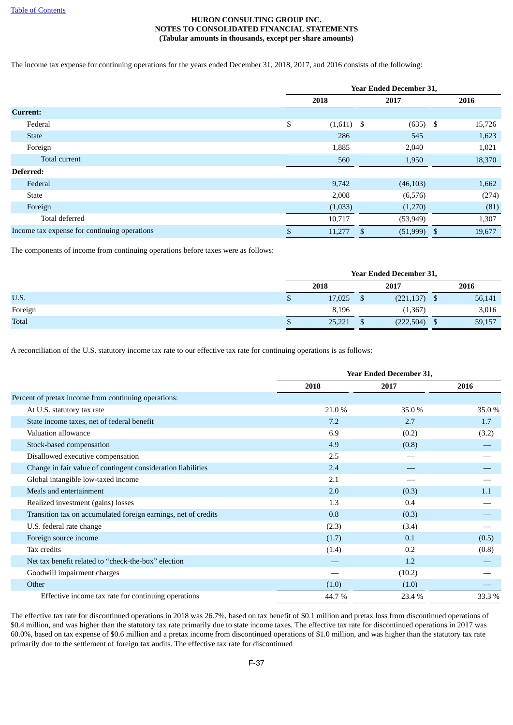The income tax expense for continuing operations for the years ended December 31, 2018, 2017, and 2016 consists of the following:

|                                              | <b>Year Ended December 31,</b> |              |      |               |  |        |
|----------------------------------------------|--------------------------------|--------------|------|---------------|--|--------|
|                                              |                                | 2018         |      | 2017          |  | 2016   |
| <b>Current:</b>                              |                                |              |      |               |  |        |
| Federal                                      | \$                             | $(1,611)$ \$ |      | $(635)$ \$    |  | 15,726 |
| <b>State</b>                                 |                                | 286          |      | 545           |  | 1,623  |
| Foreign                                      |                                | 1,885        |      | 2,040         |  | 1,021  |
| Total current                                |                                | 560          |      | 1,950         |  | 18,370 |
| Deferred:                                    |                                |              |      |               |  |        |
| Federal                                      |                                | 9,742        |      | (46, 103)     |  | 1,662  |
| <b>State</b>                                 |                                | 2,008        |      | (6,576)       |  | (274)  |
| Foreign                                      |                                | (1,033)      |      | (1,270)       |  | (81)   |
| Total deferred                               |                                | 10,717       |      | (53, 949)     |  | 1,307  |
| Income tax expense for continuing operations | \$                             | 11,277       | - \$ | $(51,999)$ \$ |  | 19,677 |

The components of income from continuing operations before taxes were as follows:

|              |      | <b>Year Ended December 31,</b> |  |            |  |        |  |  |  |
|--------------|------|--------------------------------|--|------------|--|--------|--|--|--|
|              | 2018 |                                |  | 2017       |  | 2016   |  |  |  |
| U.S.         |      | 17,025                         |  | (221, 137) |  | 56,141 |  |  |  |
| Foreign      |      | 8,196                          |  | (1, 367)   |  | 3,016  |  |  |  |
| <b>Total</b> |      | 25,221                         |  | (222,504)  |  | 59,157 |  |  |  |

A reconciliation of the U.S. statutory income tax rate to our effective tax rate for continuing operations is as follows:

|                                                                | <b>Year Ended December 31,</b> |        |       |  |  |  |  |
|----------------------------------------------------------------|--------------------------------|--------|-------|--|--|--|--|
|                                                                | 2018                           | 2017   | 2016  |  |  |  |  |
| Percent of pretax income from continuing operations:           |                                |        |       |  |  |  |  |
| At U.S. statutory tax rate                                     | 21.0%                          | 35.0 % | 35.0% |  |  |  |  |
| State income taxes, net of federal benefit                     | 7.2                            | 2.7    | 1.7   |  |  |  |  |
| Valuation allowance                                            | 6.9                            | (0.2)  | (3.2) |  |  |  |  |
| Stock-based compensation                                       | 4.9                            | (0.8)  |       |  |  |  |  |
| Disallowed executive compensation                              | 2.5                            |        |       |  |  |  |  |
| Change in fair value of contingent consideration liabilities   | 2.4                            |        |       |  |  |  |  |
| Global intangible low-taxed income                             | 2.1                            |        |       |  |  |  |  |
| Meals and entertainment                                        | 2.0                            | (0.3)  | 1.1   |  |  |  |  |
| Realized investment (gains) losses                             | 1.3                            | 0.4    |       |  |  |  |  |
| Transition tax on accumulated foreign earnings, net of credits | 0.8                            | (0.3)  |       |  |  |  |  |
| U.S. federal rate change                                       | (2.3)                          | (3.4)  |       |  |  |  |  |
| Foreign source income                                          | (1.7)                          | 0.1    | (0.5) |  |  |  |  |
| Tax credits                                                    | (1.4)                          | 0.2    | (0.8) |  |  |  |  |
| Net tax benefit related to "check-the-box" election            |                                | 1.2    |       |  |  |  |  |
| Goodwill impairment charges                                    |                                | (10.2) |       |  |  |  |  |
| Other                                                          | (1.0)                          | (1.0)  |       |  |  |  |  |
| Effective income tax rate for continuing operations            | 44.7%                          | 23.4 % | 33.3% |  |  |  |  |

The effective tax rate for discontinued operations in 2018 was 26.7%, based on tax benefit of \$0.1 million and pretax loss from discontinued operations of \$0.4 million, and was higher than the statutory tax rate primarily due to state income taxes. The effective tax rate for discontinued operations in 2017 was 60.0%, based on tax expense of \$0.6 million and a pretax income from discontinued operations of \$1.0 million, and was higher than the statutory tax rate primarily due to the settlement of foreign tax audits. The effective tax rate for discontinued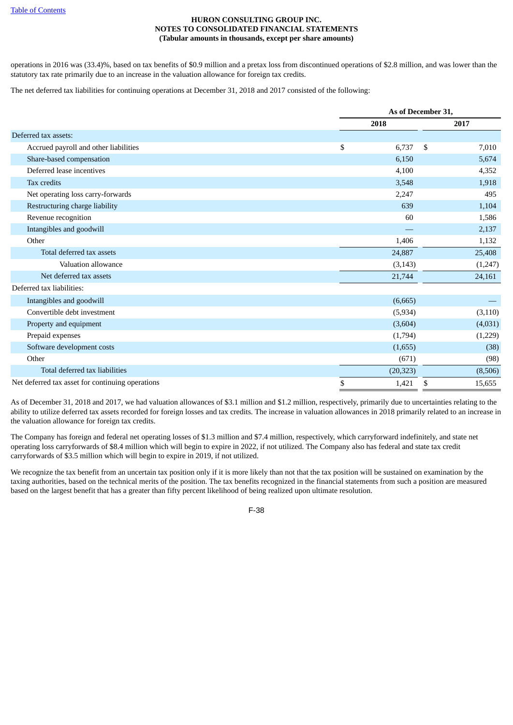operations in 2016 was (33.4)%, based on tax benefits of \$0.9 million and a pretax loss from discontinued operations of \$2.8 million, and was lower than the statutory tax rate primarily due to an increase in the valuation allowance for foreign tax credits.

The net deferred tax liabilities for continuing operations at December 31, 2018 and 2017 consisted of the following:

|                                                  | As of December 31, |    |          |  |  |
|--------------------------------------------------|--------------------|----|----------|--|--|
|                                                  | 2018               |    | 2017     |  |  |
| Deferred tax assets:                             |                    |    |          |  |  |
| Accrued payroll and other liabilities            | \$<br>6,737        | \$ | 7,010    |  |  |
| Share-based compensation                         | 6,150              |    | 5,674    |  |  |
| Deferred lease incentives                        | 4,100              |    | 4,352    |  |  |
| Tax credits                                      | 3,548              |    | 1,918    |  |  |
| Net operating loss carry-forwards                | 2,247              |    | 495      |  |  |
| Restructuring charge liability                   | 639                |    | 1,104    |  |  |
| Revenue recognition                              | 60                 |    | 1,586    |  |  |
| Intangibles and goodwill                         |                    |    | 2,137    |  |  |
| Other                                            | 1,406              |    | 1,132    |  |  |
| Total deferred tax assets                        | 24,887             |    | 25,408   |  |  |
| Valuation allowance                              | (3, 143)           |    | (1,247)  |  |  |
| Net deferred tax assets                          | 21,744             |    | 24,161   |  |  |
| Deferred tax liabilities:                        |                    |    |          |  |  |
| Intangibles and goodwill                         | (6,665)            |    |          |  |  |
| Convertible debt investment                      | (5,934)            |    | (3, 110) |  |  |
| Property and equipment                           | (3,604)            |    | (4,031)  |  |  |
| Prepaid expenses                                 | (1,794)            |    | (1,229)  |  |  |
| Software development costs                       | (1,655)            |    | (38)     |  |  |
| Other                                            | (671)              |    | (98)     |  |  |
| Total deferred tax liabilities                   | (20, 323)          |    | (8,506)  |  |  |
| Net deferred tax asset for continuing operations | \$<br>1,421        | \$ | 15,655   |  |  |

As of December 31, 2018 and 2017, we had valuation allowances of \$3.1 million and \$1.2 million, respectively, primarily due to uncertainties relating to the ability to utilize deferred tax assets recorded for foreign losses and tax credits. The increase in valuation allowances in 2018 primarily related to an increase in the valuation allowance for foreign tax credits.

The Company has foreign and federal net operating losses of \$1.3 million and \$7.4 million, respectively, which carryforward indefinitely, and state net operating loss carryforwards of \$8.4 million which will begin to expire in 2022, if not utilized. The Company also has federal and state tax credit carryforwards of \$3.5 million which will begin to expire in 2019, if not utilized.

We recognize the tax benefit from an uncertain tax position only if it is more likely than not that the tax position will be sustained on examination by the taxing authorities, based on the technical merits of the position. The tax benefits recognized in the financial statements from such a position are measured based on the largest benefit that has a greater than fifty percent likelihood of being realized upon ultimate resolution.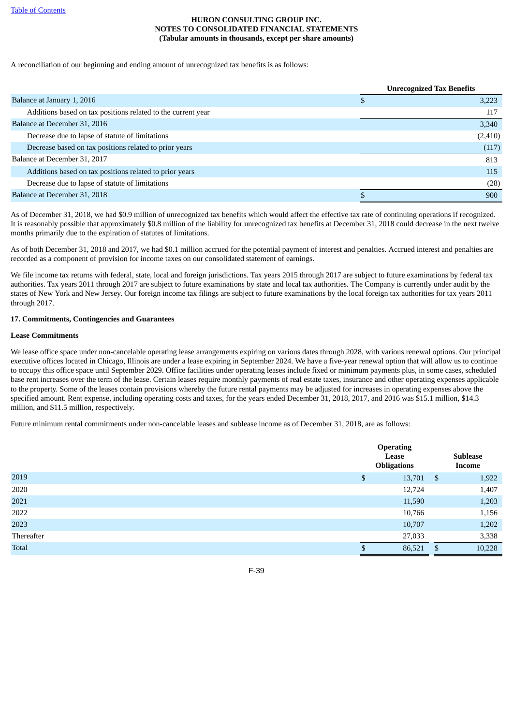A reconciliation of our beginning and ending amount of unrecognized tax benefits is as follows:

|                                                              | <b>Unrecognized Tax Benefits</b> |
|--------------------------------------------------------------|----------------------------------|
| Balance at January 1, 2016                                   | 3,223                            |
| Additions based on tax positions related to the current year | 117                              |
| Balance at December 31, 2016                                 | 3,340                            |
| Decrease due to lapse of statute of limitations              | (2, 410)                         |
| Decrease based on tax positions related to prior years       | (117)                            |
| Balance at December 31, 2017                                 | 813                              |
| Additions based on tax positions related to prior years      | 115                              |
| Decrease due to lapse of statute of limitations              | (28)                             |
| Balance at December 31, 2018                                 | 900                              |

As of December 31, 2018, we had \$0.9 million of unrecognized tax benefits which would affect the effective tax rate of continuing operations if recognized. It is reasonably possible that approximately \$0.8 million of the liability for unrecognized tax benefits at December 31, 2018 could decrease in the next twelve months primarily due to the expiration of statutes of limitations.

As of both December 31, 2018 and 2017, we had \$0.1 million accrued for the potential payment of interest and penalties. Accrued interest and penalties are recorded as a component of provision for income taxes on our consolidated statement of earnings.

We file income tax returns with federal, state, local and foreign jurisdictions. Tax years 2015 through 2017 are subject to future examinations by federal tax authorities. Tax years 2011 through 2017 are subject to future examinations by state and local tax authorities. The Company is currently under audit by the states of New York and New Jersey. Our foreign income tax filings are subject to future examinations by the local foreign tax authorities for tax years 2011 through 2017.

## **17. Commitments, Contingencies and Guarantees**

### **Lease Commitments**

We lease office space under non-cancelable operating lease arrangements expiring on various dates through 2028, with various renewal options. Our principal executive offices located in Chicago, Illinois are under a lease expiring in September 2024. We have a five-year renewal option that will allow us to continue to occupy this office space until September 2029. Office facilities under operating leases include fixed or minimum payments plus, in some cases, scheduled base rent increases over the term of the lease. Certain leases require monthly payments of real estate taxes, insurance and other operating expenses applicable to the property. Some of the leases contain provisions whereby the future rental payments may be adjusted for increases in operating expenses above the specified amount. Rent expense, including operating costs and taxes, for the years ended December 31, 2018, 2017, and 2016 was \$15.1 million, \$14.3 million, and \$11.5 million, respectively.

Future minimum rental commitments under non-cancelable leases and sublease income as of December 31, 2018, are as follows:

|              |   | <b>Operating</b><br>Lease<br><b>Obligations</b> |      | <b>Sublease</b><br><b>Income</b> |
|--------------|---|-------------------------------------------------|------|----------------------------------|
| 2019         | Φ | 13,701                                          | - \$ | 1,922                            |
| 2020         |   | 12,724                                          |      | 1,407                            |
| 2021         |   | 11,590                                          |      | 1,203                            |
| 2022         |   | 10,766                                          |      | 1,156                            |
| 2023         |   | 10,707                                          |      | 1,202                            |
| Thereafter   |   | 27,033                                          |      | 3,338                            |
| <b>Total</b> |   | 86,521                                          | - \$ | 10,228                           |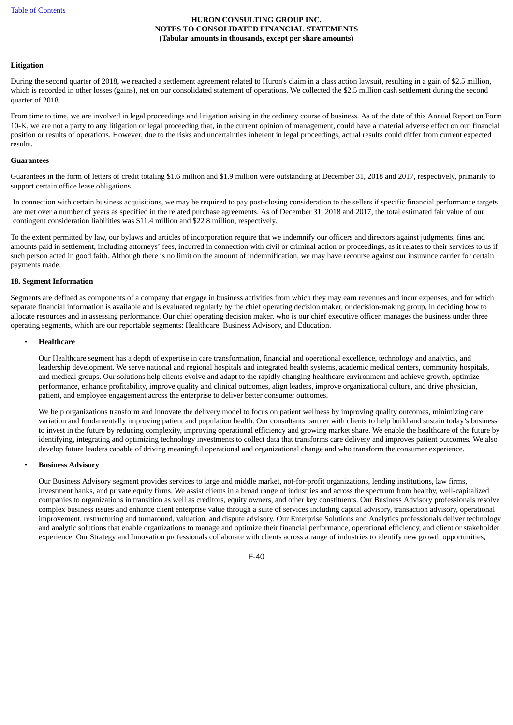### **Litigation**

During the second quarter of 2018, we reached a settlement agreement related to Huron's claim in a class action lawsuit, resulting in a gain of \$2.5 million, which is recorded in other losses (gains), net on our consolidated statement of operations. We collected the \$2.5 million cash settlement during the second quarter of 2018.

From time to time, we are involved in legal proceedings and litigation arising in the ordinary course of business. As of the date of this Annual Report on Form 10-K, we are not a party to any litigation or legal proceeding that, in the current opinion of management, could have a material adverse effect on our financial position or results of operations. However, due to the risks and uncertainties inherent in legal proceedings, actual results could differ from current expected results.

#### **Guarantees**

Guarantees in the form of letters of credit totaling \$1.6 million and \$1.9 million were outstanding at December 31, 2018 and 2017, respectively, primarily to support certain office lease obligations.

In connection with certain business acquisitions, we may be required to pay post-closing consideration to the sellers if specific financial performance targets are met over a number of years as specified in the related purchase agreements. As of December 31, 2018 and 2017, the total estimated fair value of our contingent consideration liabilities was \$11.4 million and \$22.8 million, respectively.

To the extent permitted by law, our bylaws and articles of incorporation require that we indemnify our officers and directors against judgments, fines and amounts paid in settlement, including attorneys' fees, incurred in connection with civil or criminal action or proceedings, as it relates to their services to us if such person acted in good faith. Although there is no limit on the amount of indemnification, we may have recourse against our insurance carrier for certain payments made.

#### **18. Segment Information**

Segments are defined as components of a company that engage in business activities from which they may earn revenues and incur expenses, and for which separate financial information is available and is evaluated regularly by the chief operating decision maker, or decision-making group, in deciding how to allocate resources and in assessing performance. Our chief operating decision maker, who is our chief executive officer, manages the business under three operating segments, which are our reportable segments: Healthcare, Business Advisory, and Education.

#### • **Healthcare**

Our Healthcare segment has a depth of expertise in care transformation, financial and operational excellence, technology and analytics, and leadership development. We serve national and regional hospitals and integrated health systems, academic medical centers, community hospitals, and medical groups. Our solutions help clients evolve and adapt to the rapidly changing healthcare environment and achieve growth, optimize performance, enhance profitability, improve quality and clinical outcomes, align leaders, improve organizational culture, and drive physician, patient, and employee engagement across the enterprise to deliver better consumer outcomes.

We help organizations transform and innovate the delivery model to focus on patient wellness by improving quality outcomes, minimizing care variation and fundamentally improving patient and population health. Our consultants partner with clients to help build and sustain today's business to invest in the future by reducing complexity, improving operational efficiency and growing market share. We enable the healthcare of the future by identifying, integrating and optimizing technology investments to collect data that transforms care delivery and improves patient outcomes. We also develop future leaders capable of driving meaningful operational and organizational change and who transform the consumer experience.

#### • **Business Advisory**

Our Business Advisory segment provides services to large and middle market, not-for-profit organizations, lending institutions, law firms, investment banks, and private equity firms. We assist clients in a broad range of industries and across the spectrum from healthy, well-capitalized companies to organizations in transition as well as creditors, equity owners, and other key constituents. Our Business Advisory professionals resolve complex business issues and enhance client enterprise value through a suite of services including capital advisory, transaction advisory, operational improvement, restructuring and turnaround, valuation, and dispute advisory. Our Enterprise Solutions and Analytics professionals deliver technology and analytic solutions that enable organizations to manage and optimize their financial performance, operational efficiency, and client or stakeholder experience. Our Strategy and Innovation professionals collaborate with clients across a range of industries to identify new growth opportunities,

 $F-AO$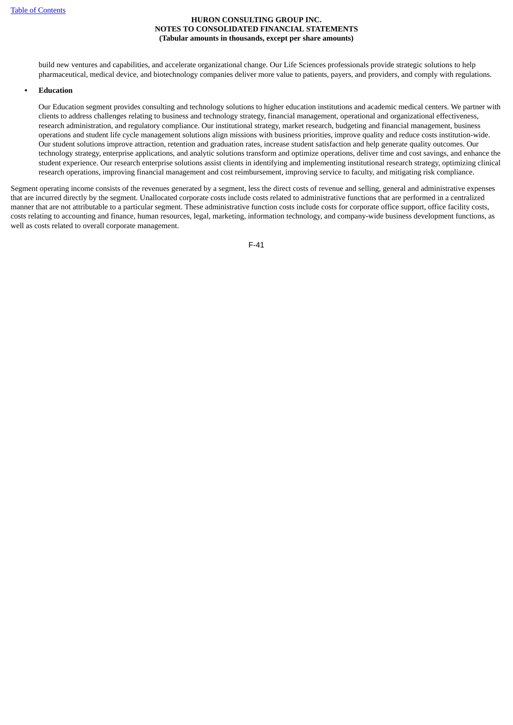build new ventures and capabilities, and accelerate organizational change. Our Life Sciences professionals provide strategic solutions to help pharmaceutical, medical device, and biotechnology companies deliver more value to patients, payers, and providers, and comply with regulations.

#### **• Education**

Our Education segment provides consulting and technology solutions to higher education institutions and academic medical centers. We partner with clients to address challenges relating to business and technology strategy, financial management, operational and organizational effectiveness, research administration, and regulatory compliance. Our institutional strategy, market research, budgeting and financial management, business operations and student life cycle management solutions align missions with business priorities, improve quality and reduce costs institution-wide. Our student solutions improve attraction, retention and graduation rates, increase student satisfaction and help generate quality outcomes. Our technology strategy, enterprise applications, and analytic solutions transform and optimize operations, deliver time and cost savings, and enhance the student experience. Our research enterprise solutions assist clients in identifying and implementing institutional research strategy, optimizing clinical research operations, improving financial management and cost reimbursement, improving service to faculty, and mitigating risk compliance.

Segment operating income consists of the revenues generated by a segment, less the direct costs of revenue and selling, general and administrative expenses that are incurred directly by the segment. Unallocated corporate costs include costs related to administrative functions that are performed in a centralized manner that are not attributable to a particular segment. These administrative function costs include costs for corporate office support, office facility costs, costs relating to accounting and finance, human resources, legal, marketing, information technology, and company-wide business development functions, as well as costs related to overall corporate management.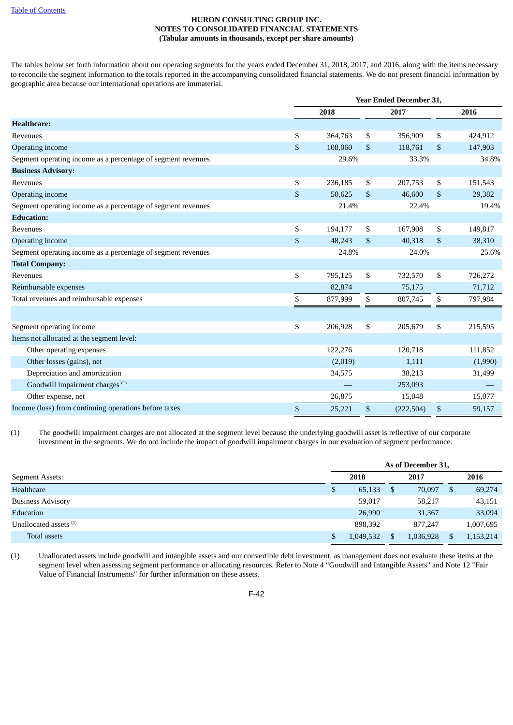The tables below set forth information about our operating segments for the years ended December 31, 2018, 2017, and 2016, along with the items necessary to reconcile the segment information to the totals reported in the accompanying consolidated financial statements. We do not present financial information by geographic area because our international operations are immaterial.

|                                                              | <b>Year Ended December 31,</b> |         |                |            |                |         |
|--------------------------------------------------------------|--------------------------------|---------|----------------|------------|----------------|---------|
|                                                              |                                | 2018    |                | 2017       |                | 2016    |
| <b>Healthcare:</b>                                           |                                |         |                |            |                |         |
| Revenues                                                     | \$                             | 364,763 | \$             | 356,909    | \$             | 424,912 |
| Operating income                                             | \$                             | 108,060 | \$             | 118,761    | $\mathfrak{S}$ | 147,903 |
| Segment operating income as a percentage of segment revenues |                                | 29.6%   |                | 33.3%      |                | 34.8%   |
| <b>Business Advisory:</b>                                    |                                |         |                |            |                |         |
| Revenues                                                     | \$                             | 236,185 | \$             | 207,753    | \$             | 151,543 |
| Operating income                                             | \$                             | 50,625  | \$             | 46,600     | \$             | 29,382  |
| Segment operating income as a percentage of segment revenues |                                | 21.4%   |                | 22.4%      | 19.4%          |         |
| <b>Education:</b>                                            |                                |         |                |            |                |         |
| Revenues                                                     | \$                             | 194,177 | \$             | 167,908    | \$             | 149,817 |
| Operating income                                             | $\boldsymbol{\mathsf{S}}$      | 48,243  | $\mathfrak{S}$ | 40,318     | $\mathfrak{S}$ | 38,310  |
| Segment operating income as a percentage of segment revenues |                                | 24.8%   |                | 24.0%      |                | 25.6%   |
| <b>Total Company:</b>                                        |                                |         |                |            |                |         |
| Revenues                                                     | \$                             | 795,125 | \$             | 732,570    | \$             | 726,272 |
| Reimbursable expenses                                        |                                | 82,874  |                | 75,175     |                | 71,712  |
| Total revenues and reimbursable expenses                     | \$                             | 877,999 | \$             | 807,745    | \$             | 797,984 |
|                                                              |                                |         |                |            |                |         |
| Segment operating income                                     | \$                             | 206,928 | \$             | 205,679    | \$             | 215,595 |
| Items not allocated at the segment level:                    |                                |         |                |            |                |         |
| Other operating expenses                                     |                                | 122,276 |                | 120,718    |                | 111,852 |
| Other losses (gains), net                                    |                                | (2,019) |                | 1,111      |                | (1,990) |
| Depreciation and amortization                                |                                | 34,575  |                | 38,213     |                | 31,499  |
| Goodwill impairment charges <sup>(1)</sup>                   |                                |         |                | 253,093    |                |         |
| Other expense, net                                           |                                | 26,875  |                | 15,048     |                | 15,077  |
| Income (loss) from continuing operations before taxes        | \$                             | 25,221  | \$             | (222, 504) | \$             | 59,157  |

(1) The goodwill impairment charges are not allocated at the segment level because the underlying goodwill asset is reflective of our corporate investment in the segments. We do not include the impact of goodwill impairment charges in our evaluation of segment performance.

|                          | As of December 31, |  |           |    |           |  |           |  |  |
|--------------------------|--------------------|--|-----------|----|-----------|--|-----------|--|--|
| <b>Segment Assets:</b>   |                    |  | 2018      |    | 2017      |  | 2016      |  |  |
| Healthcare               |                    |  | 65,133    |    | 70,097    |  | 69,274    |  |  |
| <b>Business Advisory</b> |                    |  | 59,017    |    | 58,217    |  | 43,151    |  |  |
| Education                |                    |  | 26,990    |    | 31,367    |  | 33,094    |  |  |
| Unallocated assets $(1)$ |                    |  | 898.392   |    | 877,247   |  | 1,007,695 |  |  |
| Total assets             |                    |  | 1,049,532 | \$ | 1,036,928 |  | 1,153,214 |  |  |

(1) Unallocated assets include goodwill and intangible assets and our convertible debt investment, as management does not evaluate these items at the segment level when assessing segment performance or allocating resources. Refer to Note 4 "Goodwill and Intangible Assets" and Note 12 "Fair Value of Financial Instruments" for further information on these assets.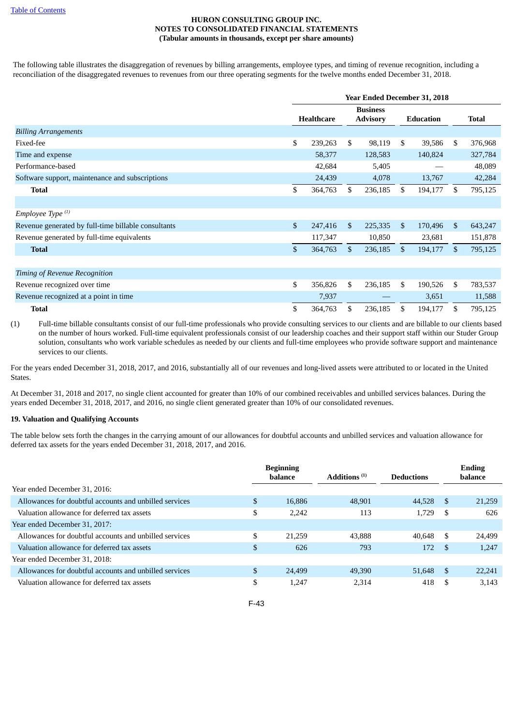The following table illustrates the disaggregation of revenues by billing arrangements, employee types, and timing of revenue recognition, including a reconciliation of the disaggregated revenues to revenues from our three operating segments for the twelve months ended December 31, 2018.

|                                                     |              | <b>Year Ended December 31, 2018</b> |              |                                    |              |                  |              |              |
|-----------------------------------------------------|--------------|-------------------------------------|--------------|------------------------------------|--------------|------------------|--------------|--------------|
|                                                     |              | <b>Healthcare</b>                   |              | <b>Business</b><br><b>Advisory</b> |              | <b>Education</b> |              | <b>Total</b> |
| <b>Billing Arrangements</b>                         |              |                                     |              |                                    |              |                  |              |              |
| Fixed-fee                                           | \$           | 239,263                             | \$           | 98,119                             | \$           | 39,586           | \$           | 376,968      |
| Time and expense                                    |              | 58,377                              |              | 128,583                            |              | 140,824          |              | 327,784      |
| Performance-based                                   |              | 42,684                              |              | 5,405                              |              |                  |              | 48,089       |
| Software support, maintenance and subscriptions     |              | 24,439                              |              | 4,078                              |              | 13,767           |              | 42,284       |
| <b>Total</b>                                        | \$           | 364,763                             | \$           | 236,185                            | \$.          | 194,177          | \$.          | 795,125      |
|                                                     |              |                                     |              |                                    |              |                  |              |              |
| Employee Type <sup>(1)</sup>                        |              |                                     |              |                                    |              |                  |              |              |
| Revenue generated by full-time billable consultants | $\mathbb{S}$ | 247,416                             | $\mathbf{s}$ | 225,335                            | $\mathbf{s}$ | 170,496          | $\mathbb{S}$ | 643,247      |
| Revenue generated by full-time equivalents          |              | 117,347                             |              | 10,850                             |              | 23,681           |              | 151,878      |
| <b>Total</b>                                        | \$           | 364,763                             | \$.          | 236,185                            | $\mathbf{s}$ | 194,177          | $\mathbf{s}$ | 795,125      |
|                                                     |              |                                     |              |                                    |              |                  |              |              |
| Timing of Revenue Recognition                       |              |                                     |              |                                    |              |                  |              |              |
| Revenue recognized over time                        | \$           | 356,826                             | \$           | 236,185                            | \$           | 190,526          | \$           | 783,537      |
| Revenue recognized at a point in time               |              | 7,937                               |              |                                    |              | 3,651            |              | 11,588       |
| <b>Total</b>                                        | \$           | 364,763                             | \$           | 236,185                            | \$           | 194,177          | \$           | 795,125      |

(1) Full-time billable consultants consist of our full-time professionals who provide consulting services to our clients and are billable to our clients based on the number of hours worked. Full-time equivalent professionals consist of our leadership coaches and their support staff within our Studer Group solution, consultants who work variable schedules as needed by our clients and full-time employees who provide software support and maintenance services to our clients.

For the years ended December 31, 2018, 2017, and 2016, substantially all of our revenues and long-lived assets were attributed to or located in the United **States** 

At December 31, 2018 and 2017, no single client accounted for greater than 10% of our combined receivables and unbilled services balances. During the years ended December 31, 2018, 2017, and 2016, no single client generated greater than 10% of our consolidated revenues.

# **19. Valuation and Qualifying Accounts**

The table below sets forth the changes in the carrying amount of our allowances for doubtful accounts and unbilled services and valuation allowance for deferred tax assets for the years ended December 31, 2018, 2017, and 2016.

|                                                        | <b>Beginning</b><br>Additions <sup>(1)</sup><br><b>balance</b> |        | <b>Deductions</b> |     | Ending<br>balance |  |
|--------------------------------------------------------|----------------------------------------------------------------|--------|-------------------|-----|-------------------|--|
| Year ended December 31, 2016:                          |                                                                |        |                   |     |                   |  |
| Allowances for doubtful accounts and unbilled services | \$<br>16.886                                                   | 48,901 | 44,528            | -\$ | 21,259            |  |
| Valuation allowance for deferred tax assets            | \$<br>2.242                                                    | 113    | 1,729             | S   | 626               |  |
| Year ended December 31, 2017:                          |                                                                |        |                   |     |                   |  |
| Allowances for doubtful accounts and unbilled services | \$<br>21.259                                                   | 43.888 | 40.648            | -S  | 24.499            |  |
| Valuation allowance for deferred tax assets            | \$<br>626                                                      | 793    | 172               | -\$ | 1.247             |  |
| Year ended December 31, 2018:                          |                                                                |        |                   |     |                   |  |
| Allowances for doubtful accounts and unbilled services | \$<br>24,499                                                   | 49,390 | 51,648            | -\$ | 22.241            |  |
| Valuation allowance for deferred tax assets            | \$<br>1.247                                                    | 2.314  | 418               |     | 3.143             |  |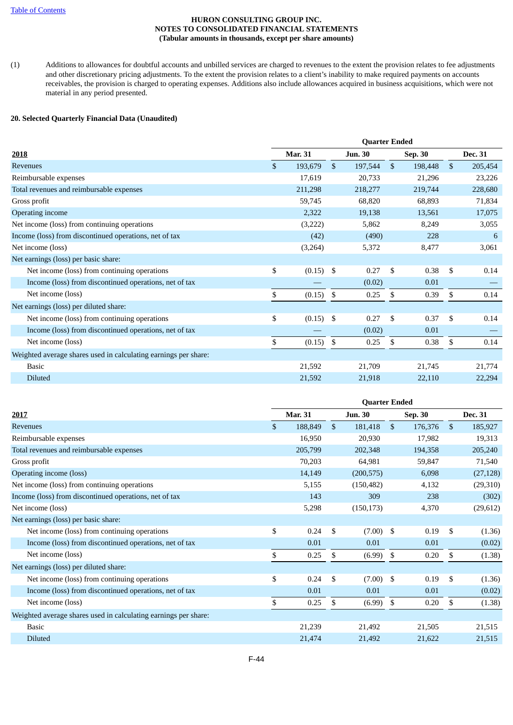(1) Additions to allowances for doubtful accounts and unbilled services are charged to revenues to the extent the provision relates to fee adjustments and other discretionary pricing adjustments. To the extent the provision relates to a client's inability to make required payments on accounts receivables, the provision is charged to operating expenses. Additions also include allowances acquired in business acquisitions, which were not material in any period presented.

# **20. Selected Quarterly Financial Data (Unaudited)**

|                                                                 | <b>Quarter Ended</b> |              |                |               |                |              |                |
|-----------------------------------------------------------------|----------------------|--------------|----------------|---------------|----------------|--------------|----------------|
| 2018                                                            | <b>Mar. 31</b>       |              | <b>Jun. 30</b> |               | <b>Sep. 30</b> |              | <b>Dec. 31</b> |
| <b>Revenues</b>                                                 | \$<br>193,679        | $\mathbb{S}$ | 197,544        | $\mathcal{S}$ | 198,448        | $\mathbb{S}$ | 205,454        |
| Reimbursable expenses                                           | 17,619               |              | 20,733         |               | 21,296         |              | 23,226         |
| Total revenues and reimbursable expenses                        | 211,298              |              | 218,277        |               | 219,744        |              | 228,680        |
| Gross profit                                                    | 59,745               |              | 68,820         |               | 68,893         |              | 71,834         |
| Operating income                                                | 2,322                |              | 19,138         |               | 13,561         |              | 17,075         |
| Net income (loss) from continuing operations                    | (3,222)              |              | 5,862          |               | 8,249          |              | 3,055          |
| Income (loss) from discontinued operations, net of tax          | (42)                 |              | (490)          |               | 228            |              | 6              |
| Net income (loss)                                               | (3,264)              |              | 5,372          |               | 8,477          |              | 3,061          |
| Net earnings (loss) per basic share:                            |                      |              |                |               |                |              |                |
| Net income (loss) from continuing operations                    | \$<br>(0.15)         | \$           | 0.27           | \$            | 0.38           | \$           | 0.14           |
| Income (loss) from discontinued operations, net of tax          |                      |              | (0.02)         |               | 0.01           |              |                |
| Net income (loss)                                               | \$<br>(0.15)         | \$           | 0.25           | \$            | 0.39           | \$           | 0.14           |
| Net earnings (loss) per diluted share:                          |                      |              |                |               |                |              |                |
| Net income (loss) from continuing operations                    | \$<br>(0.15)         | \$           | 0.27           | \$            | 0.37           | \$           | 0.14           |
| Income (loss) from discontinued operations, net of tax          |                      |              | (0.02)         |               | 0.01           |              |                |
| Net income (loss)                                               | \$<br>(0.15)         | \$           | 0.25           | S.            | 0.38           | \$           | 0.14           |
| Weighted average shares used in calculating earnings per share: |                      |              |                |               |                |              |                |
| <b>Basic</b>                                                    | 21,592               |              | 21,709         |               | 21,745         |              | 21,774         |
| <b>Diluted</b>                                                  | 21,592               |              | 21,918         |               | 22,110         |              | 22,294         |

|                                                                 | <b>Quarter Ended</b> |              |                |              |                |              |                |
|-----------------------------------------------------------------|----------------------|--------------|----------------|--------------|----------------|--------------|----------------|
| 2017                                                            | <b>Mar. 31</b>       |              | <b>Jun. 30</b> |              | <b>Sep. 30</b> |              | <b>Dec. 31</b> |
| <b>Revenues</b>                                                 | \$<br>188,849        | $\mathbb{S}$ | 181,418        | $\mathbb{S}$ | 176,376        | $\mathbb{S}$ | 185,927        |
| Reimbursable expenses                                           | 16,950               |              | 20,930         |              | 17,982         |              | 19,313         |
| Total revenues and reimbursable expenses                        | 205,799              |              | 202,348        |              | 194,358        |              | 205,240        |
| Gross profit                                                    | 70,203               |              | 64,981         |              | 59,847         |              | 71,540         |
| Operating income (loss)                                         | 14,149               |              | (200, 575)     |              | 6,098          |              | (27, 128)      |
| Net income (loss) from continuing operations                    | 5,155                |              | (150, 482)     |              | 4,132          |              | (29, 310)      |
| Income (loss) from discontinued operations, net of tax          | 143                  |              | 309            |              | 238            |              | (302)          |
| Net income (loss)                                               | 5,298                |              | (150, 173)     |              | 4,370          |              | (29, 612)      |
| Net earnings (loss) per basic share:                            |                      |              |                |              |                |              |                |
| Net income (loss) from continuing operations                    | \$<br>0.24           | \$           | (7.00)         | -\$          | 0.19           | \$           | (1.36)         |
| Income (loss) from discontinued operations, net of tax          | 0.01                 |              | 0.01           |              | 0.01           |              | (0.02)         |
| Net income (loss)                                               | \$<br>0.25           | \$           | (6.99)         | \$           | 0.20           | \$           | (1.38)         |
| Net earnings (loss) per diluted share:                          |                      |              |                |              |                |              |                |
| Net income (loss) from continuing operations                    | \$<br>0.24           | \$           | (7.00)         | -\$          | 0.19           | \$           | (1.36)         |
| Income (loss) from discontinued operations, net of tax          | 0.01                 |              | 0.01           |              | 0.01           |              | (0.02)         |
| Net income (loss)                                               | \$<br>0.25           | \$           | (6.99)         | \$           | 0.20           | \$           | (1.38)         |
| Weighted average shares used in calculating earnings per share: |                      |              |                |              |                |              |                |
| <b>Basic</b>                                                    | 21,239               |              | 21,492         |              | 21,505         |              | 21,515         |
| <b>Diluted</b>                                                  | 21,474               |              | 21,492         |              | 21,622         |              | 21,515         |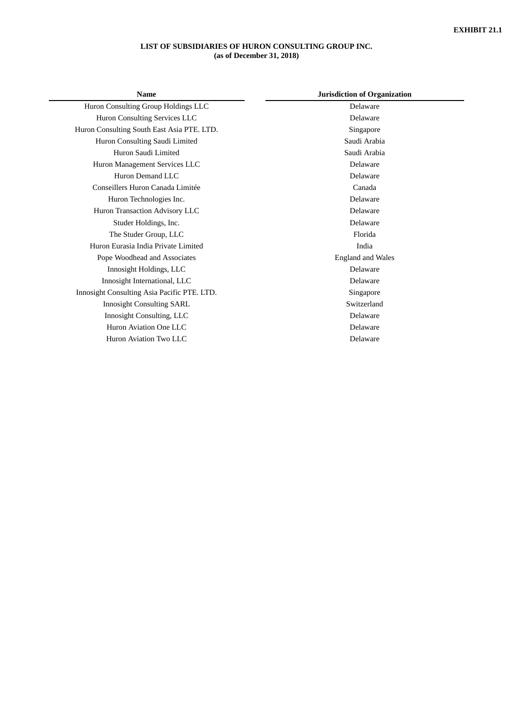# **LIST OF SUBSIDIARIES OF HURON CONSULTING GROUP INC. (as of December 31, 2018)**

 $\overline{\phantom{0}}$ 

| <b>Name</b>                                 | <b>Jurisdiction of Organization</b> |
|---------------------------------------------|-------------------------------------|
| Huron Consulting Group Holdings LLC         | Delaware                            |
| Huron Consulting Services LLC               | Delaware                            |
| Huron Consulting South East Asia PTE. LTD.  | Singapore                           |
| Huron Consulting Saudi Limited              | Saudi Arabia                        |
| Huron Saudi Limited                         | Saudi Arabia                        |
| Huron Management Services LLC               | Delaware                            |
| Huron Demand LLC                            | Delaware                            |
| Conseillers Huron Canada Limitée            | Canada                              |
| Huron Technologies Inc.                     | Delaware                            |
| Huron Transaction Advisory LLC              | Delaware                            |
| Studer Holdings, Inc.                       | Delaware                            |
| The Studer Group, LLC                       | Florida                             |
| Huron Eurasia India Private Limited         | India                               |
| Pope Woodhead and Associates                | <b>England and Wales</b>            |
| Innosight Holdings, LLC                     | Delaware                            |
| Innosight International, LLC                | Delaware                            |
| Innosight Consulting Asia Pacific PTE. LTD. | Singapore                           |
| <b>Innosight Consulting SARL</b>            | Switzerland                         |
| Innosight Consulting, LLC                   | Delaware                            |
| Huron Aviation One LLC                      | Delaware                            |
| Huron Aviation Two LLC                      | Delaware                            |
|                                             |                                     |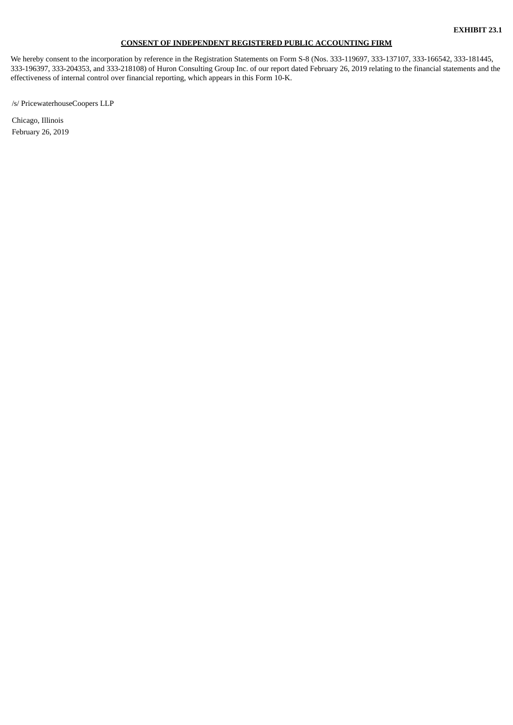### **CONSENT OF INDEPENDENT REGISTERED PUBLIC ACCOUNTING FIRM**

We hereby consent to the incorporation by reference in the Registration Statements on Form S-8 (Nos. 333-119697, 333-137107, 333-166542, 333-181445, 333-196397, 333-204353, and 333-218108) of Huron Consulting Group Inc. of our report dated February 26, 2019 relating to the financial statements and the effectiveness of internal control over financial reporting, which appears in this Form 10-K.

/s/ PricewaterhouseCoopers LLP

Chicago, Illinois February 26, 2019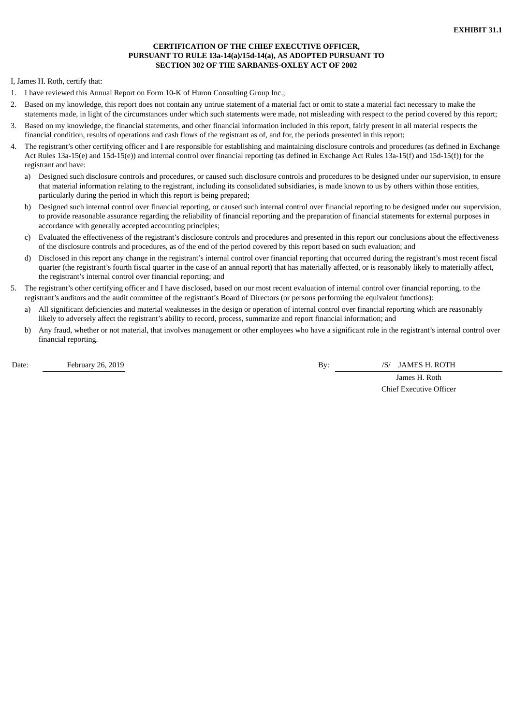## **CERTIFICATION OF THE CHIEF EXECUTIVE OFFICER, PURSUANT TO RULE 13a-14(a)/15d-14(a), AS ADOPTED PURSUANT TO SECTION 302 OF THE SARBANES-OXLEY ACT OF 2002**

I, James H. Roth, certify that:

- 1. I have reviewed this Annual Report on Form 10-K of Huron Consulting Group Inc.;
- 2. Based on my knowledge, this report does not contain any untrue statement of a material fact or omit to state a material fact necessary to make the statements made, in light of the circumstances under which such statements were made, not misleading with respect to the period covered by this report;
- 3. Based on my knowledge, the financial statements, and other financial information included in this report, fairly present in all material respects the financial condition, results of operations and cash flows of the registrant as of, and for, the periods presented in this report;
- 4. The registrant's other certifying officer and I are responsible for establishing and maintaining disclosure controls and procedures (as defined in Exchange Act Rules 13a-15(e) and 15d-15(e)) and internal control over financial reporting (as defined in Exchange Act Rules 13a-15(f) and 15d-15(f)) for the registrant and have:
	- a) Designed such disclosure controls and procedures, or caused such disclosure controls and procedures to be designed under our supervision, to ensure that material information relating to the registrant, including its consolidated subsidiaries, is made known to us by others within those entities, particularly during the period in which this report is being prepared;
	- b) Designed such internal control over financial reporting, or caused such internal control over financial reporting to be designed under our supervision, to provide reasonable assurance regarding the reliability of financial reporting and the preparation of financial statements for external purposes in accordance with generally accepted accounting principles;
	- c) Evaluated the effectiveness of the registrant's disclosure controls and procedures and presented in this report our conclusions about the effectiveness of the disclosure controls and procedures, as of the end of the period covered by this report based on such evaluation; and
	- d) Disclosed in this report any change in the registrant's internal control over financial reporting that occurred during the registrant's most recent fiscal quarter (the registrant's fourth fiscal quarter in the case of an annual report) that has materially affected, or is reasonably likely to materially affect, the registrant's internal control over financial reporting; and
- 5. The registrant's other certifying officer and I have disclosed, based on our most recent evaluation of internal control over financial reporting, to the registrant's auditors and the audit committee of the registrant's Board of Directors (or persons performing the equivalent functions):
	- a) All significant deficiencies and material weaknesses in the design or operation of internal control over financial reporting which are reasonably likely to adversely affect the registrant's ability to record, process, summarize and report financial information; and
	- b) Any fraud, whether or not material, that involves management or other employees who have a significant role in the registrant's internal control over financial reporting.

Date: February 26, 2019 **By:** By: *S/ JAMES H. ROTH* 

James H. Roth Chief Executive Officer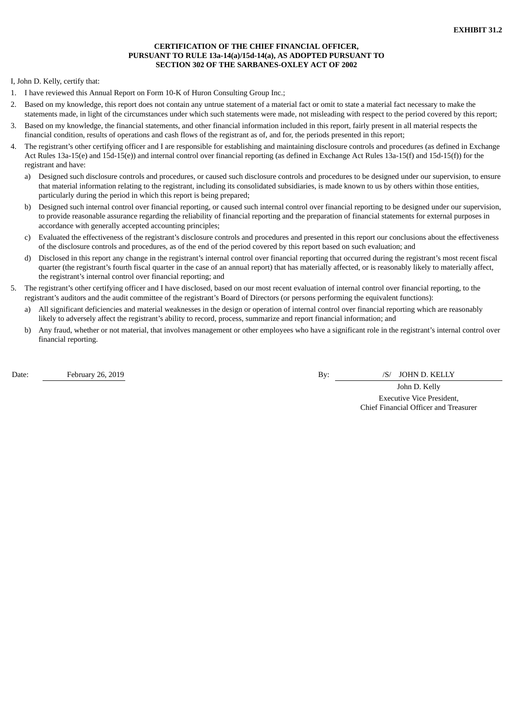## **CERTIFICATION OF THE CHIEF FINANCIAL OFFICER, PURSUANT TO RULE 13a-14(a)/15d-14(a), AS ADOPTED PURSUANT TO SECTION 302 OF THE SARBANES-OXLEY ACT OF 2002**

I, John D. Kelly, certify that:

- 1. I have reviewed this Annual Report on Form 10-K of Huron Consulting Group Inc.;
- 2. Based on my knowledge, this report does not contain any untrue statement of a material fact or omit to state a material fact necessary to make the statements made, in light of the circumstances under which such statements were made, not misleading with respect to the period covered by this report;
- 3. Based on my knowledge, the financial statements, and other financial information included in this report, fairly present in all material respects the financial condition, results of operations and cash flows of the registrant as of, and for, the periods presented in this report;
- 4. The registrant's other certifying officer and I are responsible for establishing and maintaining disclosure controls and procedures (as defined in Exchange Act Rules 13a-15(e) and 15d-15(e)) and internal control over financial reporting (as defined in Exchange Act Rules 13a-15(f) and 15d-15(f)) for the registrant and have:
	- a) Designed such disclosure controls and procedures, or caused such disclosure controls and procedures to be designed under our supervision, to ensure that material information relating to the registrant, including its consolidated subsidiaries, is made known to us by others within those entities, particularly during the period in which this report is being prepared;
	- b) Designed such internal control over financial reporting, or caused such internal control over financial reporting to be designed under our supervision, to provide reasonable assurance regarding the reliability of financial reporting and the preparation of financial statements for external purposes in accordance with generally accepted accounting principles;
	- c) Evaluated the effectiveness of the registrant's disclosure controls and procedures and presented in this report our conclusions about the effectiveness of the disclosure controls and procedures, as of the end of the period covered by this report based on such evaluation; and
	- d) Disclosed in this report any change in the registrant's internal control over financial reporting that occurred during the registrant's most recent fiscal quarter (the registrant's fourth fiscal quarter in the case of an annual report) that has materially affected, or is reasonably likely to materially affect, the registrant's internal control over financial reporting; and
- 5. The registrant's other certifying officer and I have disclosed, based on our most recent evaluation of internal control over financial reporting, to the registrant's auditors and the audit committee of the registrant's Board of Directors (or persons performing the equivalent functions):
	- a) All significant deficiencies and material weaknesses in the design or operation of internal control over financial reporting which are reasonably likely to adversely affect the registrant's ability to record, process, summarize and report financial information; and
	- b) Any fraud, whether or not material, that involves management or other employees who have a significant role in the registrant's internal control over financial reporting.

Date: February 26, 2019 **By:** *February 26, 2019* By: */S/ JOHN D. KELLY* 

John D. Kelly Executive Vice President, Chief Financial Officer and Treasurer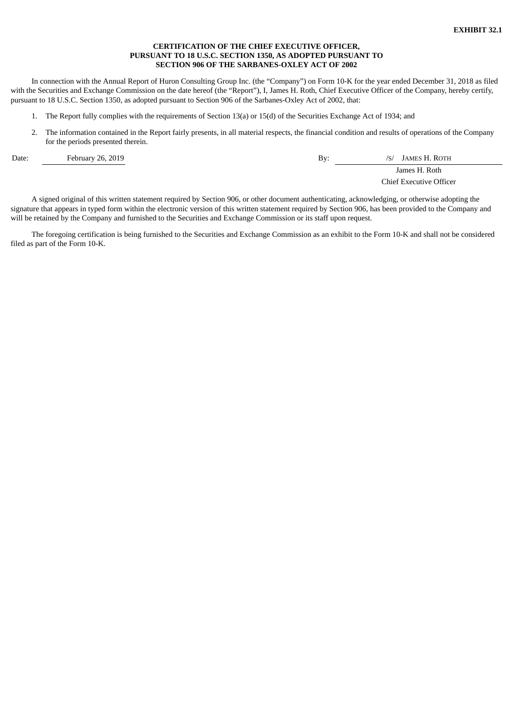## **CERTIFICATION OF THE CHIEF EXECUTIVE OFFICER, PURSUANT TO 18 U.S.C. SECTION 1350, AS ADOPTED PURSUANT TO SECTION 906 OF THE SARBANES-OXLEY ACT OF 2002**

In connection with the Annual Report of Huron Consulting Group Inc. (the "Company") on Form 10-K for the year ended December 31, 2018 as filed with the Securities and Exchange Commission on the date hereof (the "Report"), I, James H. Roth, Chief Executive Officer of the Company, hereby certify, pursuant to 18 U.S.C. Section 1350, as adopted pursuant to Section 906 of the Sarbanes-Oxley Act of 2002, that:

- 1. The Report fully complies with the requirements of Section 13(a) or 15(d) of the Securities Exchange Act of 1934; and
- 2. The information contained in the Report fairly presents, in all material respects, the financial condition and results of operations of the Company for the periods presented therein.

Date: February 26, 2019 **By:** By: /S/ JAMES H. ROTH

James H. Roth

Chief Executive Officer

A signed original of this written statement required by Section 906, or other document authenticating, acknowledging, or otherwise adopting the signature that appears in typed form within the electronic version of this written statement required by Section 906, has been provided to the Company and will be retained by the Company and furnished to the Securities and Exchange Commission or its staff upon request.

The foregoing certification is being furnished to the Securities and Exchange Commission as an exhibit to the Form 10-K and shall not be considered filed as part of the Form 10-K.